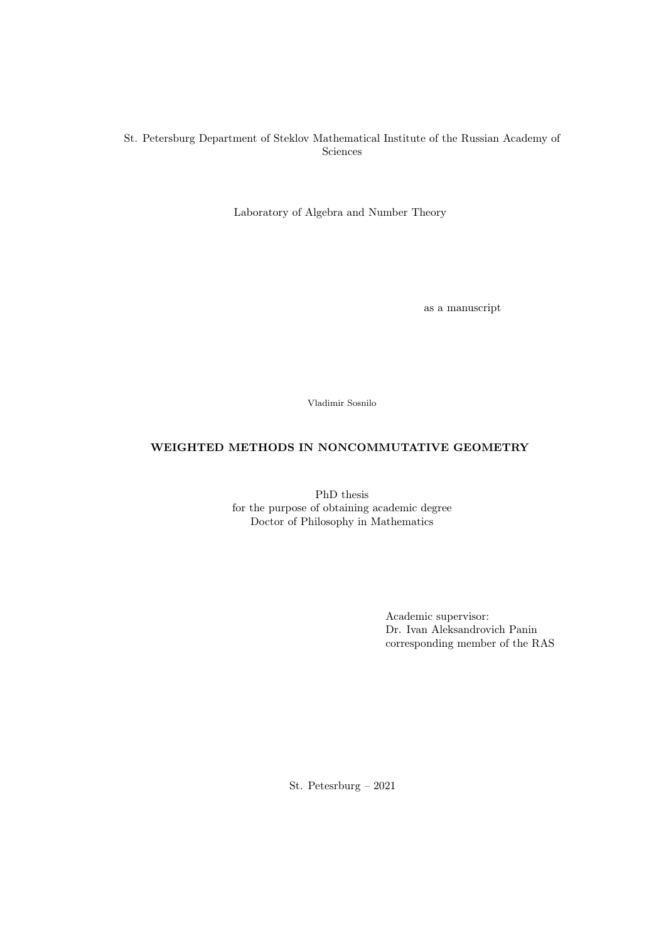## St. Petersburg Department of Steklov Mathematical Institute of the Russian Academy of Sciences

Laboratory of Algebra and Number Theory

as a manuscript

Vladimir Sosnilo

# WEIGHTED METHODS IN NONCOMMUTATIVE GEOMETRY

PhD thesis for the purpose of obtaining academic degree Doctor of Philosophy in Mathematics

> Academic supervisor: Dr. Ivan Aleksandrovich Panin corresponding member of the RAS

St. Petesrburg – 2021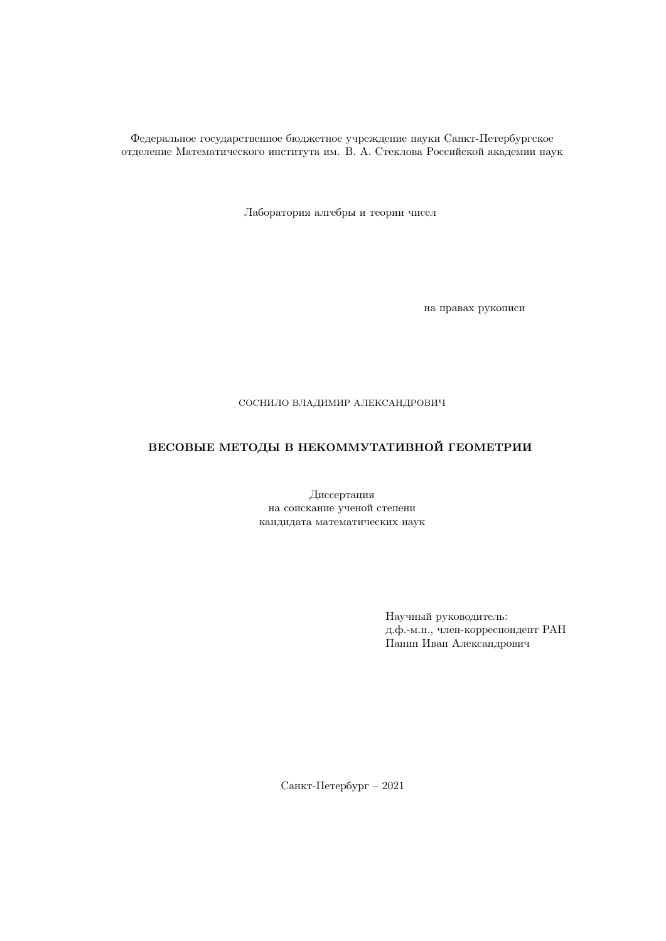Федеральное государственное бюджетное учреждение науки Санкт-Петербургское отделение Математического института им. В. А. Стеклова Российской академии наук

Лаборатория алгебры и теории чисел

на правах рукописи

## СОСНИЛО ВЛАДИМИР АЛЕКСАНДРОВИЧ

# ВЕСОВЫЕ МЕТОДЫ В НЕКОММУТАТИВНОЙ ГЕОМЕТРИИ

Диссертация на соискание ученой степени кандидата математических наук

> Научный руководитель: д.ф.-м.н., член-корреспондент РАН Панин Иван Александрович

Санкт-Петербург – 2021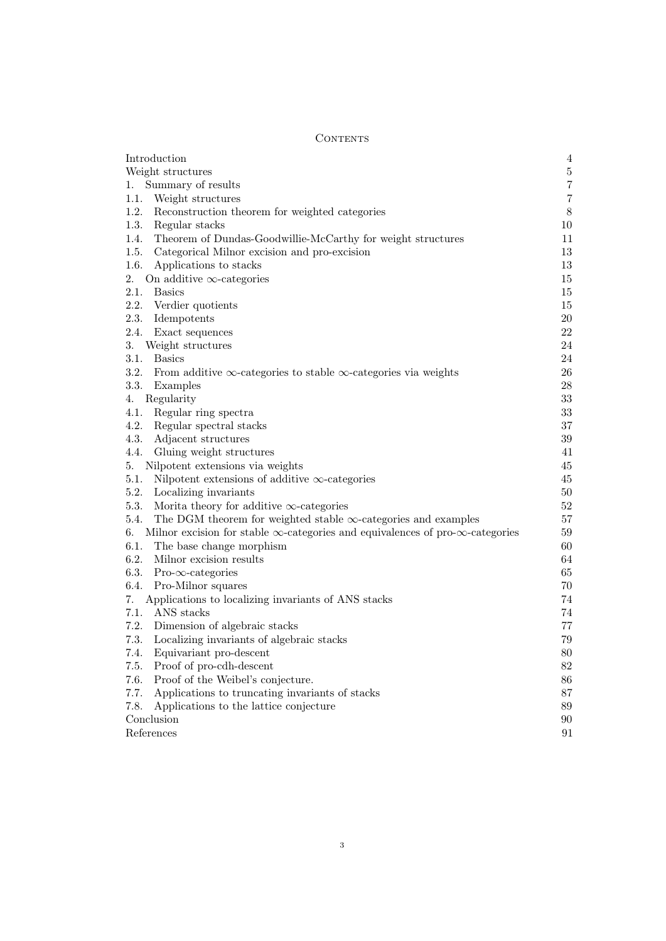## **CONTENTS**

| Introduction                                                                                        | $\,4\,$ |
|-----------------------------------------------------------------------------------------------------|---------|
| Weight structures                                                                                   | $\bf 5$ |
| Summary of results<br>1.                                                                            | $\,7$   |
| 1.1.<br>Weight structures                                                                           | $\bf 7$ |
| 1.2.<br>Reconstruction theorem for weighted categories                                              | $8\,$   |
| 1.3.<br>Regular stacks                                                                              | 10      |
| 1.4.<br>Theorem of Dundas-Goodwillie-McCarthy for weight structures                                 | 11      |
| 1.5.<br>Categorical Milnor excision and pro-excision                                                | 13      |
| 1.6.<br>Applications to stacks                                                                      | 13      |
| 2.<br>On additive $\infty$ -categories                                                              | 15      |
| 2.1.<br><b>Basics</b>                                                                               | 15      |
| 2.2. Verdier quotients                                                                              | 15      |
| 2.3. Idempotents                                                                                    | 20      |
| 2.4. Exact sequences                                                                                | $22\,$  |
| 3.<br>Weight structures                                                                             | $24\,$  |
| 3.1.<br><b>Basics</b>                                                                               | $24\,$  |
| 3.2.<br>From additive $\infty$ -categories to stable $\infty$ -categories via weights               | 26      |
| 3.3.<br>Examples                                                                                    | $28\,$  |
| Regularity<br>4.                                                                                    | $33\,$  |
| 4.1.<br>Regular ring spectra                                                                        | $33\,$  |
| 4.2.<br>Regular spectral stacks                                                                     | $37\,$  |
| 4.3.<br>Adjacent structures                                                                         | $39\,$  |
| 4.4.<br>Gluing weight structures                                                                    | 41      |
| Nilpotent extensions via weights<br>5.                                                              | 45      |
| 5.1.<br>Nilpotent extensions of additive $\infty$ -categories                                       | 45      |
| 5.2. Localizing invariants                                                                          | 50      |
| 5.3.<br>Morita theory for additive $\infty$ -categories                                             | 52      |
| The DGM theorem for weighted stable $\infty$ -categories and examples<br>5.4.                       | 57      |
| Milnor excision for stable $\infty$ -categories and equivalences of pro- $\infty$ -categories<br>6. | 59      |
| 6.1. The base change morphism                                                                       | 60      |
| 6.2.<br>Milnor excision results                                                                     | 64      |
| 6.3.<br>$Pro- \infty$ -categories                                                                   | 65      |
| 6.4.<br>Pro-Milnor squares                                                                          | 70      |
| Applications to localizing invariants of ANS stacks<br>7.                                           | 74      |
| ANS stacks<br>7.1.                                                                                  | 74      |
| 7.2. Dimension of algebraic stacks                                                                  | 77      |
| 7.3.<br>Localizing invariants of algebraic stacks                                                   | 79      |
| Equivariant pro-descent<br>7.4.                                                                     | $80\,$  |
| 7.5.<br>Proof of pro-cdh-descent                                                                    | 82      |
| 7.6.<br>Proof of the Weibel's conjecture.                                                           | 86      |
| 7.7.<br>Applications to truncating invariants of stacks                                             | 87      |
| 7.8.<br>Applications to the lattice conjecture                                                      | 89      |
| Conclusion                                                                                          | 90      |
| References                                                                                          | 91      |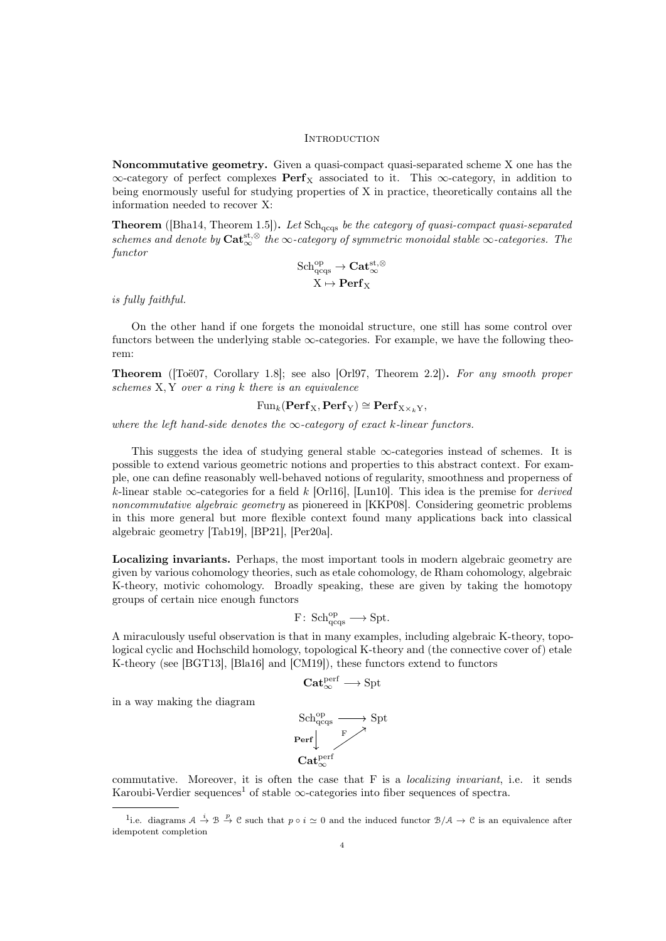#### <span id="page-3-0"></span>**INTRODUCTION**

Noncommutative geometry. Given a quasi-compact quasi-separated scheme X one has the  $\infty$ -category of perfect complexes  $\mathbf{Perf}_X$  associated to it. This  $\infty$ -category, in addition to being enormously useful for studying properties of X in practice, theoretically contains all the information needed to recover X:

**Theorem** ([\[Bha14,](#page-90-1) Theorem 1.5]). Let  $Sch_{\text{acqs}}$  be the category of quasi-compact quasi-separated schemes and denote by  $\mathbf{Cat}_{\infty}^{\mathsf{st},\otimes}$  the  $\infty$ -category of symmetric monoidal stable  $\infty$ -categories. The functor

$$
\begin{aligned} \mathrm{Sch}^{\mathrm{op}}_{\mathrm{qccgs}}&\rightarrow \mathbf{Cat}^{\mathrm{st},\otimes}_{\infty} \\ X &\mapsto \mathbf{Perf}_X \end{aligned}
$$

is fully faithful.

in a way making the diagram

On the other hand if one forgets the monoidal structure, one still has some control over functors between the underlying stable  $\infty$ -categories. For example, we have the following theorem:

**Theorem** ( $[Toö07, Corollary 1.8]$ ; see also  $[Orl97, Theorem 2.2]$  $[Orl97, Theorem 2.2]$ ). For any smooth proper schemes X, Y over a ring k there is an equivalence

 $Fun_k(\text{Perf}_X, \text{Perf}_Y) \cong \text{Perf}_{X \times_k Y}$ 

where the left hand-side denotes the  $\infty$ -category of exact k-linear functors.

This suggests the idea of studying general stable  $\infty$ -categories instead of schemes. It is possible to extend various geometric notions and properties to this abstract context. For example, one can define reasonably well-behaved notions of regularity, smoothness and properness of k-linear stable  $\infty$ -categories for a field k [\[Orl16\]](#page-92-1), [\[Lun10\]](#page-92-2). This idea is the premise for *derived* noncommutative algebraic geometry as pionereed in [\[KKP08\]](#page-91-0). Considering geometric problems in this more general but more flexible context found many applications back into classical algebraic geometry [\[Tab19\]](#page-92-3), [\[BP21\]](#page-90-2), [\[Per20a\]](#page-92-4).

Localizing invariants. Perhaps, the most important tools in modern algebraic geometry are given by various cohomology theories, such as etale cohomology, de Rham cohomology, algebraic K-theory, motivic cohomology. Broadly speaking, these are given by taking the homotopy groups of certain nice enough functors

$$
F\colon \operatorname{Sch}_{\operatorname{qcgs}}^{\operatorname{op}}\longrightarrow \operatorname{Spt}.
$$

A miraculously useful observation is that in many examples, including algebraic K-theory, topological cyclic and Hochschild homology, topological K-theory and (the connective cover of) etale K-theory (see [\[BGT13\]](#page-90-3), [\[Bla16\]](#page-90-4) and [\[CM19\]](#page-91-1)), these functors extend to functors

$$
\mathbf{Cat}_{\infty}^{\mathrm{perf}} \longrightarrow \mathrm{Spt}
$$

$$
\begin{array}{l} \mathrm{Sch}_{\mathrm{qeqs}}^{\mathrm{op}} \longrightarrow \mathrm{Spt} \\ \hline \text{Perf} {\Big\downarrow}^{\mathrm{F}} \\ \textbf{Cat}_{\infty}^{\mathrm{perf}} \end{array}
$$

commutative. Moreover, it is often the case that F is a *localizing invariant*, i.e. it sends Karoubi-Verdier sequences<sup>[1](#page-3-1)</sup> of stable  $\infty$ -categories into fiber sequences of spectra.

<span id="page-3-1"></span><sup>&</sup>lt;sup>1</sup>i.e. diagrams  $A \stackrel{i}{\to} B \stackrel{p}{\to} C$  such that  $p \circ i \simeq 0$  and the induced functor  $B/A \to C$  is an equivalence after idempotent completion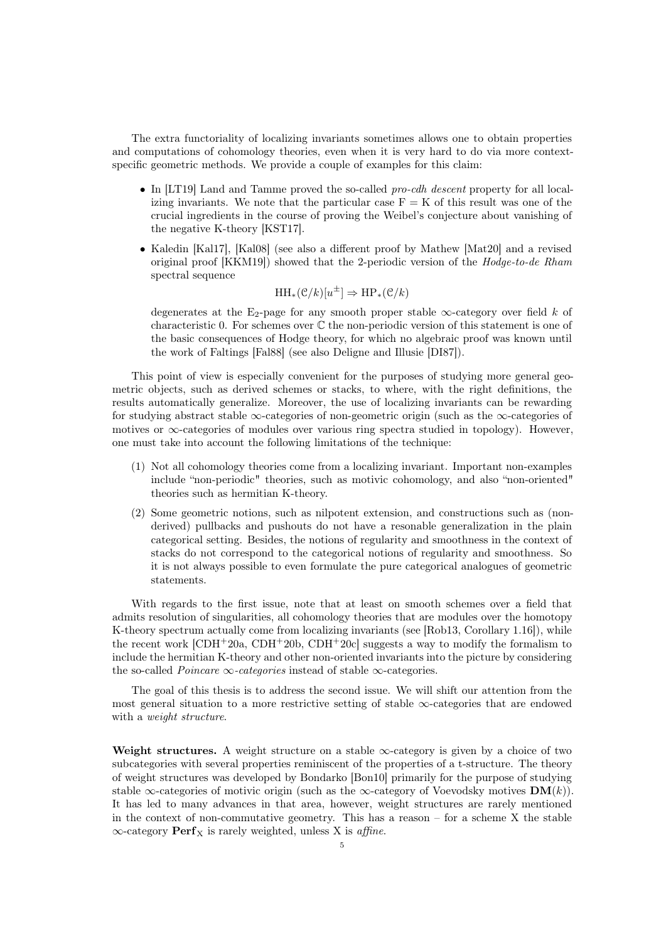The extra functoriality of localizing invariants sometimes allows one to obtain properties and computations of cohomology theories, even when it is very hard to do via more contextspecific geometric methods. We provide a couple of examples for this claim:

- In [\[LT19\]](#page-92-5) Land and Tamme proved the so-called pro-cdh descent property for all localizing invariants. We note that the particular case  $F = K$  of this result was one of the crucial ingredients in the course of proving the Weibel's conjecture about vanishing of the negative K-theory [\[KST17\]](#page-92-6).
- Kaledin [\[Kal17\]](#page-91-2), [\[Kal08\]](#page-91-3) (see also a different proof by Mathew [\[Mat20\]](#page-92-7) and a revised original proof [\[KKM19\]](#page-91-4)) showed that the 2-periodic version of the Hodge-to-de Rham spectral sequence

$$
\operatorname{HH}_*(\mathcal{C}/k)[u^{\pm}] \Rightarrow \operatorname{HP}_*(\mathcal{C}/k)
$$

degenerates at the E<sub>2</sub>-page for any smooth proper stable  $\infty$ -category over field k of characteristic 0. For schemes over  $\mathbb C$  the non-periodic version of this statement is one of the basic consequences of Hodge theory, for which no algebraic proof was known until the work of Faltings [\[Fal88\]](#page-91-5) (see also Deligne and Illusie [\[DI87\]](#page-91-6)).

This point of view is especially convenient for the purposes of studying more general geometric objects, such as derived schemes or stacks, to where, with the right definitions, the results automatically generalize. Moreover, the use of localizing invariants can be rewarding for studying abstract stable  $\infty$ -categories of non-geometric origin (such as the  $\infty$ -categories of motives or  $\infty$ -categories of modules over various ring spectra studied in topology). However, one must take into account the following limitations of the technique:

- (1) Not all cohomology theories come from a localizing invariant. Important non-examples include "non-periodic" theories, such as motivic cohomology, and also "non-oriented" theories such as hermitian K-theory.
- (2) Some geometric notions, such as nilpotent extension, and constructions such as (nonderived) pullbacks and pushouts do not have a resonable generalization in the plain categorical setting. Besides, the notions of regularity and smoothness in the context of stacks do not correspond to the categorical notions of regularity and smoothness. So it is not always possible to even formulate the pure categorical analogues of geometric statements.

With regards to the first issue, note that at least on smooth schemes over a field that admits resolution of singularities, all cohomology theories that are modules over the homotopy K-theory spectrum actually come from localizing invariants (see [\[Rob13,](#page-92-8) Corollary 1.16]), while the recent work  $[CDH+20a, CDH+20b, CDH+20c]$  $[CDH+20a, CDH+20b, CDH+20c]$  $[CDH+20a, CDH+20b, CDH+20c]$  $[CDH+20a, CDH+20b, CDH+20c]$  suggests a way to modify the formalism to include the hermitian K-theory and other non-oriented invariants into the picture by considering the so-called *Poincare*  $\infty$ -*categories* instead of stable  $\infty$ -categories.

The goal of this thesis is to address the second issue. We will shift our attention from the most general situation to a more restrictive setting of stable  $\infty$ -categories that are endowed with a *weight structure*.

<span id="page-4-0"></span>Weight structures. A weight structure on a stable  $\infty$ -category is given by a choice of two subcategories with several properties reminiscent of the properties of a t-structure. The theory of weight structures was developed by Bondarko [\[Bon10\]](#page-90-6) primarily for the purpose of studying stable  $\infty$ -categories of motivic origin (such as the  $\infty$ -category of Voevodsky motives  $\mathbf{DM}(k)$ ). It has led to many advances in that area, however, weight structures are rarely mentioned in the context of non-commutative geometry. This has a reason – for a scheme X the stable  $\infty$ -category **Perf**<sub>X</sub> is rarely weighted, unless X is *affine*.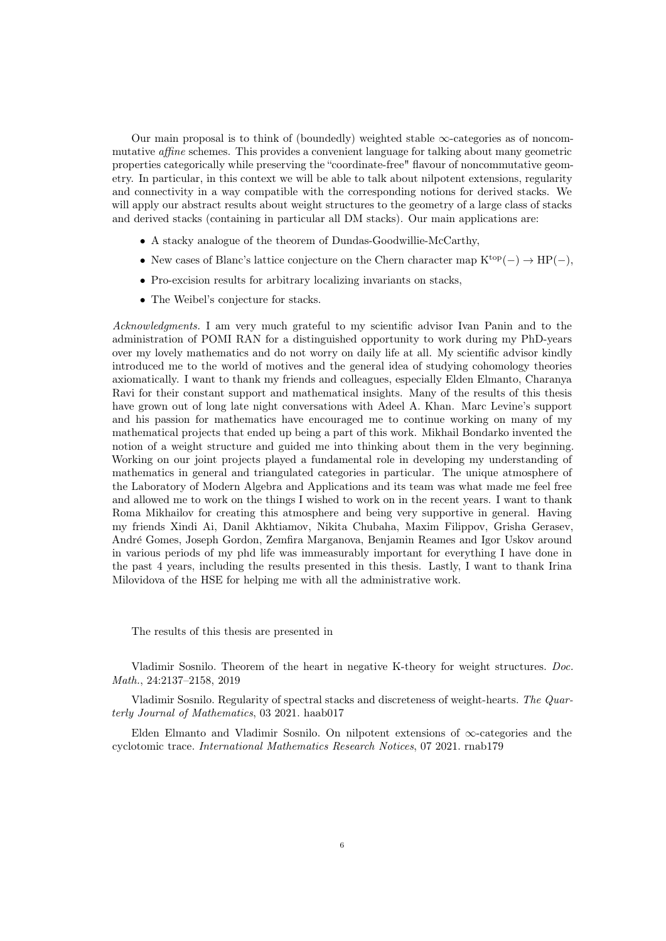Our main proposal is to think of (boundedly) weighted stable  $\infty$ -categories as of noncommutative affine schemes. This provides a convenient language for talking about many geometric properties categorically while preserving the "coordinate-free" flavour of noncommutative geometry. In particular, in this context we will be able to talk about nilpotent extensions, regularity and connectivity in a way compatible with the corresponding notions for derived stacks. We will apply our abstract results about weight structures to the geometry of a large class of stacks and derived stacks (containing in particular all DM stacks). Our main applications are:

- A stacky analogue of the theorem of Dundas-Goodwillie-McCarthy,
- New cases of Blanc's lattice conjecture on the Chern character map  $K^{top}(-) \rightarrow HP(-)$ ,
- Pro-excision results for arbitrary localizing invariants on stacks,
- The Weibel's conjecture for stacks.

Acknowledgments. I am very much grateful to my scientific advisor Ivan Panin and to the administration of POMI RAN for a distinguished opportunity to work during my PhD-years over my lovely mathematics and do not worry on daily life at all. My scientific advisor kindly introduced me to the world of motives and the general idea of studying cohomology theories axiomatically. I want to thank my friends and colleagues, especially Elden Elmanto, Charanya Ravi for their constant support and mathematical insights. Many of the results of this thesis have grown out of long late night conversations with Adeel A. Khan. Marc Levine's support and his passion for mathematics have encouraged me to continue working on many of my mathematical projects that ended up being a part of this work. Mikhail Bondarko invented the notion of a weight structure and guided me into thinking about them in the very beginning. Working on our joint projects played a fundamental role in developing my understanding of mathematics in general and triangulated categories in particular. The unique atmosphere of the Laboratory of Modern Algebra and Applications and its team was what made me feel free and allowed me to work on the things I wished to work on in the recent years. I want to thank Roma Mikhailov for creating this atmosphere and being very supportive in general. Having my friends Xindi Ai, Danil Akhtiamov, Nikita Chubaha, Maxim Filippov, Grisha Gerasev, Andr´e Gomes, Joseph Gordon, Zemfira Marganova, Benjamin Reames and Igor Uskov around in various periods of my phd life was immeasurably important for everything I have done in the past 4 years, including the results presented in this thesis. Lastly, I want to thank Irina Milovidova of the HSE for helping me with all the administrative work.

The results of this thesis are presented in

Vladimir Sosnilo. Theorem of the heart in negative K-theory for weight structures. Doc. Math., 24:2137–2158, 2019

Vladimir Sosnilo. Regularity of spectral stacks and discreteness of weight-hearts. The Quarterly Journal of Mathematics, 03 2021. haab017

Elden Elmanto and Vladimir Sosnilo. On nilpotent extensions of  $\infty$ -categories and the cyclotomic trace. International Mathematics Research Notices, 07 2021. rnab179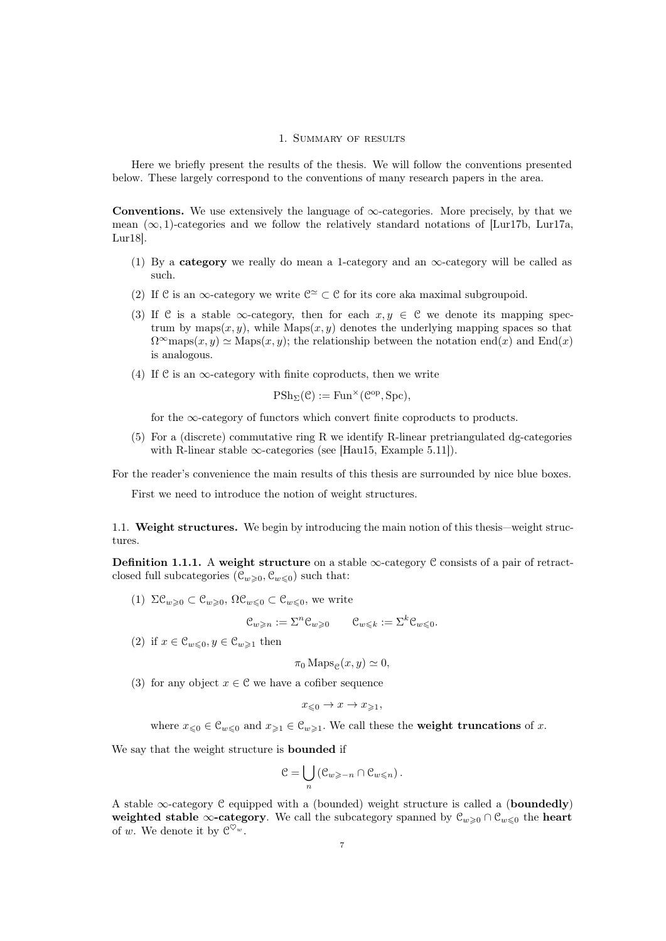#### 1. Summary of results

<span id="page-6-0"></span>Here we briefly present the results of the thesis. We will follow the conventions presented below. These largely correspond to the conventions of many research papers in the area.

Conventions. We use extensively the language of  $\infty$ -categories. More precisely, by that we mean  $(\infty, 1)$ -categories and we follow the relatively standard notations of [\[Lur17b,](#page-92-9) [Lur17a,](#page-92-10) [Lur18\]](#page-92-11).

- (1) By a category we really do mean a 1-category and an  $\infty$ -category will be called as such.
- (2) If  $\mathcal C$  is an  $\infty$ -category we write  $\mathcal C^{\simeq} \subset \mathcal C$  for its core aka maximal subgroupoid.
- (3) If C is a stable  $\infty$ -category, then for each  $x, y \in \mathcal{C}$  we denote its mapping spectrum by maps $(x, y)$ , while Maps $(x, y)$  denotes the underlying mapping spaces so that  $\Omega^{\infty}$ maps $(x, y) \simeq$  Maps $(x, y)$ ; the relationship between the notation end $(x)$  and End $(x)$ is analogous.
- (4) If C is an  $\infty$ -category with finite coproducts, then we write

$$
\mathrm{PSh}_{\Sigma}(\mathcal{C}) := \mathrm{Fun}^{\times}(\mathcal{C}^{\mathrm{op}}, \mathrm{Spc}),
$$

for the  $\infty$ -category of functors which convert finite coproducts to products.

(5) For a (discrete) commutative ring R we identify R-linear pretriangulated dg-categories with R-linear stable  $\infty$ -categories (see [\[Hau15,](#page-91-9) Example 5.11]).

For the reader's convenience the main results of this thesis are surrounded by nice blue boxes.

First we need to introduce the notion of weight structures.

<span id="page-6-1"></span>1.1. Weight structures. We begin by introducing the main notion of this thesis—weight structures.

<span id="page-6-2"></span>Definition 1.1.1. A weight structure on a stable  $\infty$ -category C consists of a pair of retractclosed full subcategories  $(\mathcal{C}_{w\geqslant0}, \mathcal{C}_{w\leqslant0})$  such that:

(1)  $\Sigma \mathcal{C}_{w\geqslant 0} \subset \mathcal{C}_{w\geqslant 0}, \Omega \mathcal{C}_{w\leqslant 0} \subset \mathcal{C}_{w\leqslant 0},$  we write

$$
\mathcal{C}_{w \geqslant n} := \Sigma^n \mathcal{C}_{w \geqslant 0} \qquad \mathcal{C}_{w \leqslant k} := \Sigma^k \mathcal{C}_{w \leqslant 0}.
$$

(2) if  $x \in \mathcal{C}_{w \leq 0}, y \in \mathcal{C}_{w \geq 1}$  then

$$
\pi_0 \operatorname{Maps}_{\mathcal{C}}(x, y) \simeq 0,
$$

(3) for any object  $x \in \mathcal{C}$  we have a cofiber sequence

$$
x_{\leqslant 0} \to x \to x_{\geqslant 1},
$$

where  $x_{\leq 0} \in \mathcal{C}_{w\leq 0}$  and  $x_{\geq 1} \in \mathcal{C}_{w\geq 1}$ . We call these the weight truncations of x.

We say that the weight structure is bounded if

$$
\mathcal{C} = \bigcup_n \left( \mathcal{C}_{w \geq -n} \cap \mathcal{C}_{w \leq n} \right).
$$

A stable  $\infty$ -category C equipped with a (bounded) weight structure is called a (**boundedly**) weighted stable  $\infty$ -category. We call the subcategory spanned by  $\mathcal{C}_{w\geq 0} \cap \mathcal{C}_{w\leq 0}$  the heart of w. We denote it by  $\mathfrak{C}^{\heartsuit_w}.$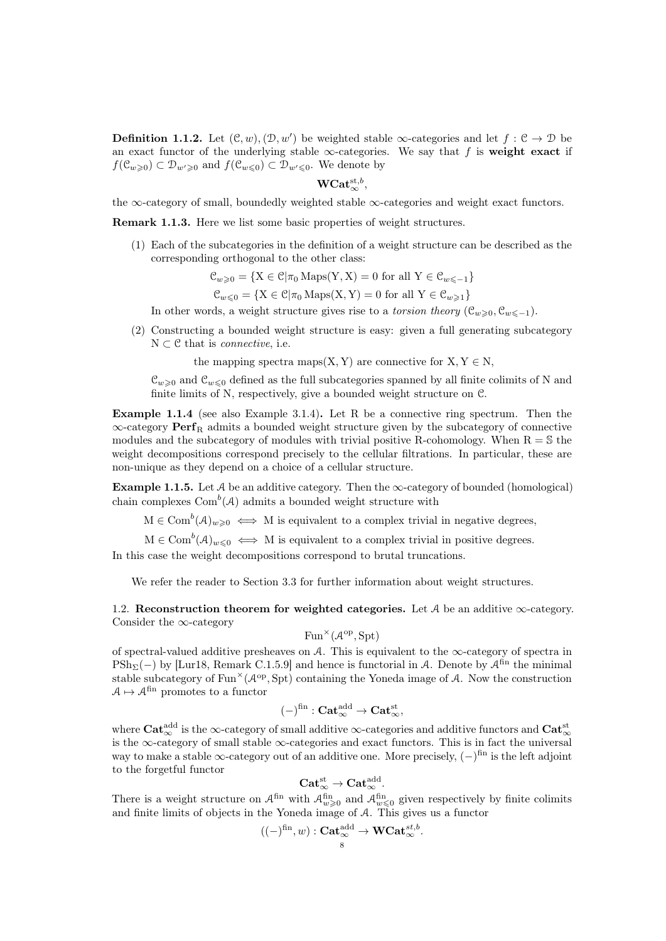**Definition 1.1.2.** Let  $(C, w), (D, w')$  be weighted stable  $\infty$ -categories and let  $f : C \to D$  be an exact functor of the underlying stable  $\infty$ -categories. We say that f is weight exact if  $f(\mathcal{C}_{w\geqslant0})\subset \mathcal{D}_{w'\geqslant0}$  and  $f(\mathcal{C}_{w\leqslant0})\subset \mathcal{D}_{w'\leqslant0}$ . We denote by

# ${\rm WCat}^{{\rm st}, b}_{\infty},$

the ∞-category of small, boundedly weighted stable  $\infty$ -categories and weight exact functors.

<span id="page-7-3"></span>Remark 1.1.3. Here we list some basic properties of weight structures.

(1) Each of the subcategories in the definition of a weight structure can be described as the corresponding orthogonal to the other class:

$$
\mathcal{C}_{w\geqslant 0} = \{ \mathbf{X} \in \mathcal{C} | \pi_0 \operatorname{Maps}(\mathbf{Y}, \mathbf{X}) = 0 \text{ for all } \mathbf{Y} \in \mathcal{C}_{w\leqslant -1} \}
$$

 $\mathcal{C}_{w\leqslant 0} = \{X \in \mathcal{C} | \pi_0 \operatorname{Maps}(X, Y) = 0 \text{ for all } Y \in \mathcal{C}_{w\geqslant 1}\}\$ 

In other words, a weight structure gives rise to a *torsion theory* ( $\mathcal{C}_{w>0}, \mathcal{C}_{w\leq -1}$ ).

(2) Constructing a bounded weight structure is easy: given a full generating subcategory  $N \subset \mathcal{C}$  that is *connective*, i.e.

the mapping spectra maps(X, Y) are connective for  $X, Y \in N$ .

 $\mathcal{C}_{w\geqslant0}$  and  $\mathcal{C}_{w\leqslant0}$  defined as the full subcategories spanned by all finite colimits of N and finite limits of N, respectively, give a bounded weight structure on C.

<span id="page-7-2"></span>Example 1.1.4 (see also Example [3.1.4\)](#page-24-0). Let R be a connective ring spectrum. Then the  $\infty$ -category **Perf**<sub>R</sub> admits a bounded weight structure given by the subcategory of connective modules and the subcategory of modules with trivial positive R-cohomology. When  $R = S$  the weight decompositions correspond precisely to the cellular filtrations. In particular, these are non-unique as they depend on a choice of a cellular structure.

<span id="page-7-1"></span>Example 1.1.5. Let  $\mathcal A$  be an additive category. Then the  $\infty$ -category of bounded (homological) chain complexes  $\text{Com}^b(\mathcal{A})$  admits a bounded weight structure with

 $M \in \text{Com}^b(\mathcal{A})_{w \geqslant 0} \iff M$  is equivalent to a complex trivial in negative degrees,

 $M \in \text{Com}^b(\mathcal{A})_{w \leqslant 0} \iff M$  is equivalent to a complex trivial in positive degrees.

In this case the weight decompositions correspond to brutal truncations.

We refer the reader to Section [3.3](#page-27-0) for further information about weight structures.

<span id="page-7-0"></span>1.2. Reconstruction theorem for weighted categories. Let A be an additive  $\infty$ -category. Consider the  $\infty$ -category

$$
\mathrm{Fun}^\times(\mathcal{A}^\mathrm{op}, \mathrm{Spt})
$$

of spectral-valued additive presheaves on  $A$ . This is equivalent to the  $\infty$ -category of spectra in  $\text{PSh}_{\Sigma}(-)$  by [\[Lur18,](#page-92-11) Remark C.1.5.9] and hence is functorial in A. Denote by  $\mathcal{A}^{\text{fin}}$  the minimal stable subcategory of  $Fun^{\times}(\mathcal{A}^{op}, \operatorname{Spt})$  containing the Yoneda image of A. Now the construction  $A \mapsto A^{\text{fin}}$  promotes to a functor

$$
(-)^{fin}: \mathbf{Cat}_{\infty}^{add} \to \mathbf{Cat}_{\infty}^{st},
$$

where  $\rm Cat^{add}_{\infty}$  is the  $\infty$ -category of small additive  $\infty$ -categories and additive functors and  $\rm Cat^{st}_{\infty}$ is the  $\infty$ -category of small stable  $\infty$ -categories and exact functors. This is in fact the universal way to make a stable  $\infty$ -category out of an additive one. More precisely,  $(-)$ <sup>fin</sup> is the left adjoint to the forgetful functor

$$
\mathbf{Cat}_{\infty}^{st}\rightarrow \mathbf{Cat}_{\infty}^{add}.
$$

There is a weight structure on  $\mathcal{A}^{\text{fin}}$  with  $\mathcal{A}^{\text{fin}}_{w\geqslant 0}$  and  $\mathcal{A}^{\text{fin}}_{w\leqslant 0}$  given respectively by finite colimits and finite limits of objects in the Yoneda image of A. This gives us a functor

$$
((-)^{\operatorname{fin}}, w) : \operatorname{\mathbf{Cat}}_{\infty}^{\operatorname{add}} \to \operatorname{\mathbf{WCat}}_{\infty}^{st, b}.
$$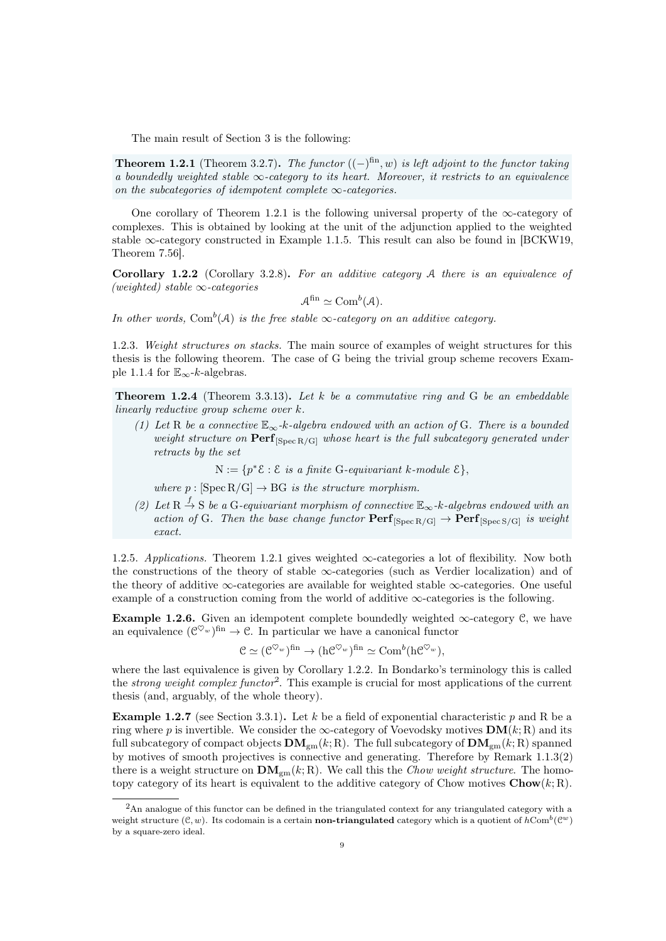The main result of Section [3](#page-23-0) is the following:

<span id="page-8-0"></span>**Theorem 1.2.1** (Theorem [3.2.7\)](#page-26-0). The functor  $((-)^{fin}, w)$  is left adjoint to the functor taking a boundedly weighted stable  $\infty$ -category to its heart. Moreover, it restricts to an equivalence on the subcategories of idempotent complete  $\infty$ -categories.

One corollary of Theorem [1.2.1](#page-8-0) is the following universal property of the  $\infty$ -category of complexes. This is obtained by looking at the unit of the adjunction applied to the weighted stable  $\infty$ -category constructed in Example [1.1.5.](#page-7-1) This result can also be found in [\[BCKW19,](#page-90-7) Theorem 7.56].

<span id="page-8-1"></span>Corollary 1.2.2 (Corollary [3.2.8\)](#page-26-1). For an additive category A there is an equivalence of (weighted) stable  $\infty$ -categories

$$
\mathcal{A}^{\text{fin}} \simeq \text{Com}^b(\mathcal{A}).
$$

In other words, Com<sup>b</sup>(A) is the free stable  $\infty$ -category on an additive category.

1.2.3. Weight structures on stacks. The main source of examples of weight structures for this thesis is the following theorem. The case of G being the trivial group scheme recovers Exam-ple [1.1.4](#page-7-2) for  $\mathbb{E}_{\infty}$ -k-algebras.

<span id="page-8-3"></span>**Theorem 1.2.4** (Theorem [3.3.13\)](#page-30-0). Let  $k$  be a commutative ring and  $G$  be an embeddable linearly reductive group scheme over k.

(1) Let R be a connective  $\mathbb{E}_{\infty}$ -k-algebra endowed with an action of G. There is a bounded weight structure on  $\text{Perf}_{\text{Spec R/GI}}$  whose heart is the full subcategory generated under retracts by the set

 $N := \{p^* \mathcal{E} : \mathcal{E} \text{ is a finite } G\text{-}equivariant } k\text{-}module \ \mathcal{E}\},$ 

where  $p : [Spec R/G] \rightarrow BG$  is the structure morphism.

(2) Let R  $\stackrel{f}{\rightarrow}$  S be a G-equivariant morphism of connective  $\mathbb{E}_{\infty}$ -k-algebras endowed with an action of G. Then the base change functor  $\mathbf{Perf}_{[\text{Spec } R/G]} \to \mathbf{Perf}_{[\text{Spec } S/G]}$  is weight exact.

1.2.5. Applications. Theorem [1.2.1](#page-8-0) gives weighted ∞-categories a lot of flexibility. Now both the constructions of the theory of stable ∞-categories (such as Verdier localization) and of the theory of additive ∞-categories are available for weighted stable ∞-categories. One useful example of a construction coming from the world of additive  $\infty$ -categories is the following.

**Example 1.2.6.** Given an idempotent complete boundedly weighted  $\infty$ -category C, we have an equivalence  $(\mathcal{C}^{\heartsuit_w})^{\text{fin}} \to \mathcal{C}$ . In particular we have a canonical functor

$$
\mathcal{C} \simeq (\mathcal{C}^{\heartsuit_w})^{\text{fin}} \to (\mathrm{h}\mathcal{C}^{\heartsuit_w})^{\text{fin}} \simeq \mathrm{Com}^b(\mathrm{h}\mathcal{C}^{\heartsuit_w}),
$$

where the last equivalence is given by Corollary [1.2.2.](#page-8-1) In Bondarko's terminology this is called the *strong weight complex functor*<sup>[2](#page-8-2)</sup>. This example is crucial for most applications of the current thesis (and, arguably, of the whole theory).

**Example 1.2.7** (see Section [3.3.1\)](#page-27-1). Let k be a field of exponential characteristic p and R be a ring where p is invertible. We consider the  $\infty$ -category of Voevodsky motives  $DM(k; R)$  and its full subcategory of compact objects  $\mathbf{DM}_{gm}(k; R)$ . The full subcategory of  $\mathbf{DM}_{gm}(k; R)$  spanned by motives of smooth projectives is connective and generating. Therefore by Remark [1.1.3\(](#page-7-3)2) there is a weight structure on  $\mathbf{DM}_{gm}(k; R)$ . We call this the *Chow weight structure*. The homotopy category of its heart is equivalent to the additive category of Chow motives  $\mathbf{Chow}(k; \mathbf{R})$ .

<span id="page-8-2"></span><sup>&</sup>lt;sup>2</sup>An analogue of this functor can be defined in the triangulated context for any triangulated category with a weight structure  $(\mathcal{C}, w)$ . Its codomain is a certain **non-triangulated** category which is a quotient of  $h\text{Com}^b(\mathcal{C}^w)$ by a square-zero ideal.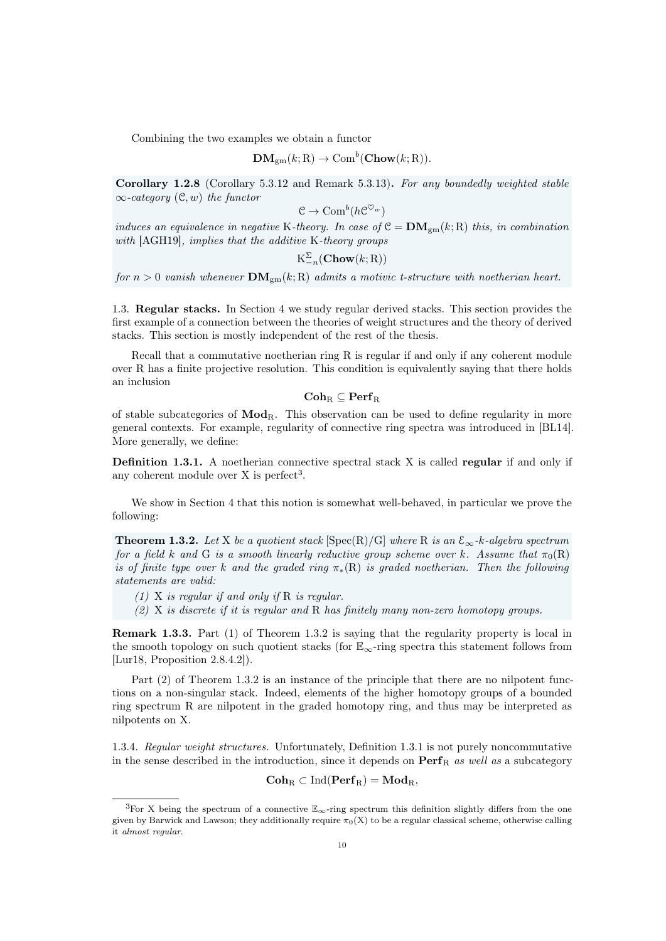Combining the two examples we obtain a functor

$$
\mathbf{DM}_{gm}(k; \mathbf{R}) \to \mathrm{Com}^b(\mathbf{Chow}(k; \mathbf{R})).
$$

Corollary 1.2.8 (Corollary [5.3.12](#page-56-1) and Remark [5.3.13\)](#page-56-2). For any boundedly weighted stable  $\infty$ -category  $(\mathcal{C}, w)$  the functor

$$
\mathcal{C} \to \text{Com}^b(h\mathcal{C}^{\heartsuit_w})
$$

induces an equivalence in negative K-theory. In case of  $C = DM_{\text{cm}}(k; R)$  this, in combination with [\[AGH19\]](#page-90-8), implies that the additive K-theory groups

$$
\mathrm{K}_{-n}^{\Sigma}(\mathbf{Chow}(k;\mathrm{R}))
$$

for  $n > 0$  vanish whenever  $\mathbf{DM}_{gm}(k; R)$  admits a motivic t-structure with noetherian heart.

<span id="page-9-0"></span>1.3. Regular stacks. In Section [4](#page-32-0) we study regular derived stacks. This section provides the first example of a connection between the theories of weight structures and the theory of derived stacks. This section is mostly independent of the rest of the thesis.

Recall that a commutative noetherian ring R is regular if and only if any coherent module over R has a finite projective resolution. This condition is equivalently saying that there holds an inclusion

 $\mathbf{Coh}_R \subseteq \mathbf{Perf}_R$ 

of stable subcategories of  $\text{Mod}_{R}$ . This observation can be used to define regularity in more general contexts. For example, regularity of connective ring spectra was introduced in [\[BL14\]](#page-90-9). More generally, we define:

<span id="page-9-3"></span>Definition 1.3.1. A noetherian connective spectral stack X is called regular if and only if any coherent module over  $X$  is perfect<sup>[3](#page-9-1)</sup>.

We show in Section [4](#page-32-0) that this notion is somewhat well-behaved, in particular we prove the following:

<span id="page-9-2"></span>**Theorem 1.3.2.** Let X be a quotient stack  $[\text{Spec}(R)/G]$  where R is an  $\mathcal{E}_{\infty}$ -k-algebra spectrum for a field k and G is a smooth linearly reductive group scheme over k. Assume that  $\pi_0(R)$ is of finite type over k and the graded ring  $\pi_*(R)$  is graded noetherian. Then the following statements are valid:

- $(1)$  X is regular if and only if R is regular.
- (2) X is discrete if it is regular and R has finitely many non-zero homotopy groups.

Remark 1.3.3. Part (1) of Theorem [1.3.2](#page-9-2) is saying that the regularity property is local in the smooth topology on such quotient stacks (for  $\mathbb{E}_{\infty}$ -ring spectra this statement follows from [\[Lur18,](#page-92-11) Proposition 2.8.4.2]).

Part  $(2)$  of Theorem [1.3.2](#page-9-2) is an instance of the principle that there are no nilpotent functions on a non-singular stack. Indeed, elements of the higher homotopy groups of a bounded ring spectrum R are nilpotent in the graded homotopy ring, and thus may be interpreted as nilpotents on X.

1.3.4. Regular weight structures. Unfortunately, Definition [1.3.1](#page-9-3) is not purely noncommutative in the sense described in the introduction, since it depends on  $\text{Perf}_R$  as well as a subcategory

 $\mathbf{Coh}_{R} \subset \mathrm{Ind}(\mathbf{Perf}_{R}) = \mathbf{Mod}_{R},$ 

<span id="page-9-1"></span><sup>&</sup>lt;sup>3</sup>For X being the spectrum of a connective  $\mathbb{E}_{\infty}$ -ring spectrum this definition slightly differs from the one given by Barwick and Lawson; they additionally require  $\pi_0(X)$  to be a regular classical scheme, otherwise calling it almost regular.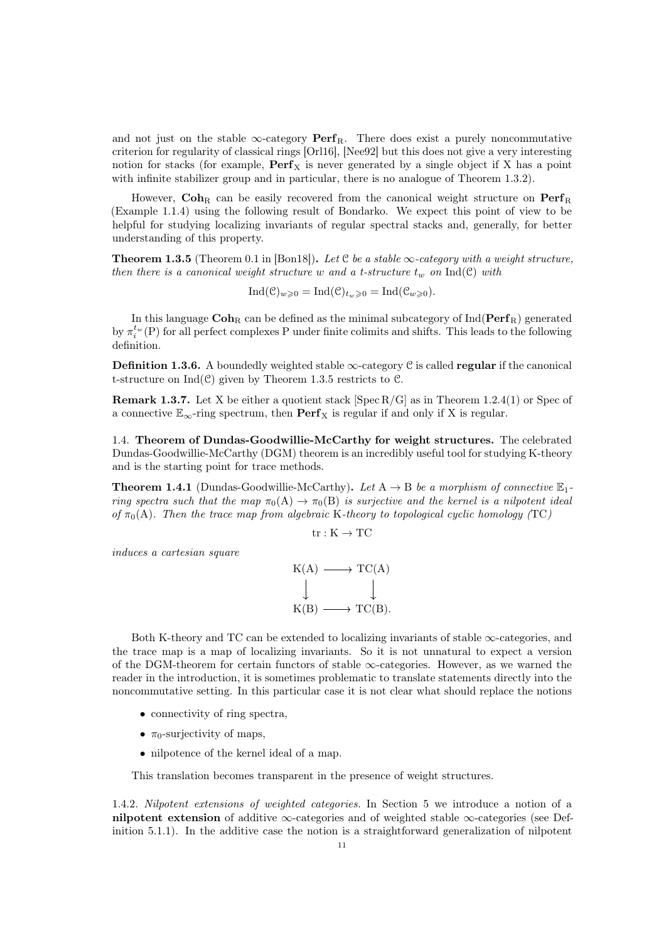and not just on the stable  $\infty$ -category **Perf**<sub>R</sub>. There does exist a purely noncommutative criterion for regularity of classical rings [\[Orl16\]](#page-92-1), [\[Nee92\]](#page-92-12) but this does not give a very interesting notion for stacks (for example,  $\mathbf{Perf}_X$  is never generated by a single object if X has a point with infinite stabilizer group and in particular, there is no analogue of Theorem [1.3.2\)](#page-9-2).

However,  $\mathbf{Coh}_{R}$  can be easily recovered from the canonical weight structure on  $\mathbf{Perf}_{R}$ (Example [1.1.4\)](#page-7-2) using the following result of Bondarko. We expect this point of view to be helpful for studying localizing invariants of regular spectral stacks and, generally, for better understanding of this property.

<span id="page-10-1"></span>**Theorem 1.3.5** (Theorem 0.1 in [\[Bon18\]](#page-90-10)). Let C be a stable  $\infty$ -category with a weight structure, then there is a canonical weight structure w and a t-structure  $t_w$  on  $\text{Ind}(\mathcal{C})$  with

 $\text{Ind}(\mathcal{C})_{w\geqslant 0} = \text{Ind}(\mathcal{C})_{t_w\geqslant 0} = \text{Ind}(\mathcal{C}_{w\geqslant 0}).$ 

In this language  $\mathbf{Coh}_{\mathbb{R}}$  can be defined as the minimal subcategory of  $\mathrm{Ind}(\mathbf{Perf}_{\mathbb{R}})$  generated by  $\pi_i^{t_w}(\text{P})$  for all perfect complexes P under finite colimits and shifts. This leads to the following definition.

**Definition 1.3.6.** A boundedly weighted stable  $\infty$ -category C is called **regular** if the canonical t-structure on  $Ind(\mathcal{C})$  given by Theorem [1.3.5](#page-10-1) restricts to  $\mathcal{C}$ .

**Remark 1.3.7.** Let X be either a quotient stack [Spec R/G] as in Theorem [1.2.4\(](#page-8-3)1) or Spec of a connective  $\mathbb{E}_{\infty}$ -ring spectrum, then **Perf**<sub>X</sub> is regular if and only if X is regular.

<span id="page-10-0"></span>1.4. Theorem of Dundas-Goodwillie-McCarthy for weight structures. The celebrated Dundas-Goodwillie-McCarthy (DGM) theorem is an incredibly useful tool for studying K-theory and is the starting point for trace methods.

**Theorem 1.4.1** (Dundas-Goodwillie-McCarthy). Let  $A \rightarrow B$  be a morphism of connective  $\mathbb{E}_1$ ring spectra such that the map  $\pi_0(A) \to \pi_0(B)$  is surjective and the kernel is a nilpotent ideal of  $\pi_0(A)$ . Then the trace map from algebraic K-theory to topological cyclic homology (TC)

$$
\mathrm{tr}:\mathrm{K}\rightarrow\mathrm{T}\mathrm{C}
$$

induces a cartesian square

$$
K(A) \longrightarrow TC(A)
$$
  
\n
$$
\downarrow \qquad \qquad \downarrow
$$
  
\n
$$
K(B) \longrightarrow TC(B).
$$

Both K-theory and TC can be extended to localizing invariants of stable  $\infty$ -categories, and the trace map is a map of localizing invariants. So it is not unnatural to expect a version of the DGM-theorem for certain functors of stable  $\infty$ -categories. However, as we warned the reader in the introduction, it is sometimes problematic to translate statements directly into the noncommutative setting. In this particular case it is not clear what should replace the notions

- connectivity of ring spectra,
- $\pi_0$ -surjectivity of maps,
- nilpotence of the kernel ideal of a map.

This translation becomes transparent in the presence of weight structures.

1.4.2. Nilpotent extensions of weighted categories. In Section [5](#page-44-0) we introduce a notion of a nilpotent extension of additive  $\infty$ -categories and of weighted stable  $\infty$ -categories (see Definition [5.1.1\)](#page-44-2). In the additive case the notion is a straightforward generalization of nilpotent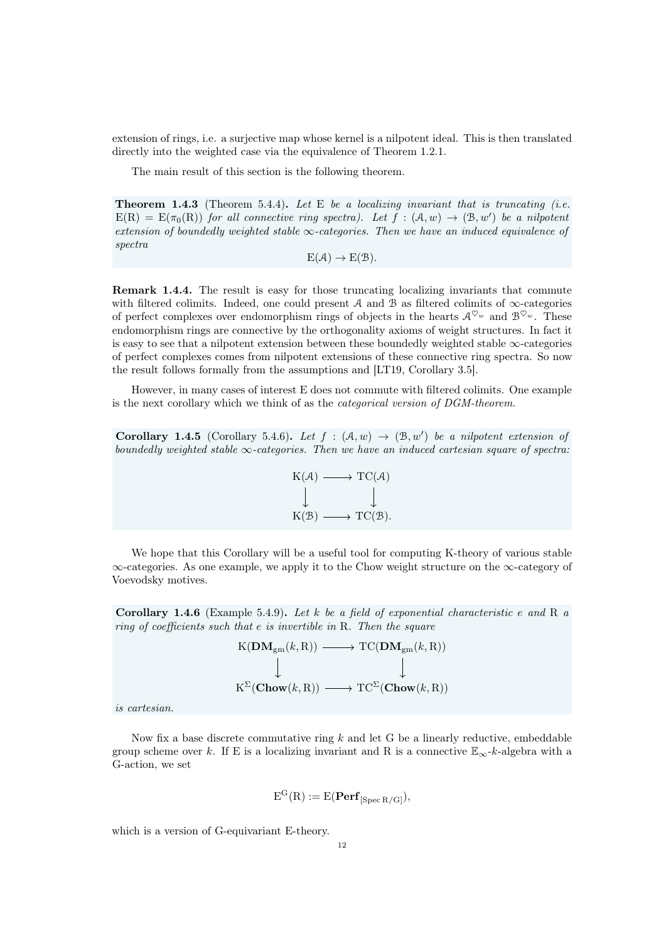extension of rings, i.e. a surjective map whose kernel is a nilpotent ideal. This is then translated directly into the weighted case via the equivalence of Theorem [1.2.1.](#page-8-0)

The main result of this section is the following theorem.

**Theorem 1.4.3** (Theorem [5.4.4\)](#page-56-3). Let E be a localizing invariant that is truncating (i.e.  $E(R) = E(\pi_0(R))$  for all connective ring spectra). Let  $f : (A, w) \rightarrow (B, w')$  be a nilpotent extension of boundedly weighted stable  $\infty$ -categories. Then we have an induced equivalence of spectra

$$
E(\mathcal{A}) \to E(\mathcal{B}).
$$

Remark 1.4.4. The result is easy for those truncating localizing invariants that commute with filtered colimits. Indeed, one could present  $A$  and  $B$  as filtered colimits of  $\infty$ -categories of perfect complexes over endomorphism rings of objects in the hearts  $\mathcal{A}^{\heartsuit_w}$  and  $\mathcal{B}^{\heartsuit_w}$ . These endomorphism rings are connective by the orthogonality axioms of weight structures. In fact it is easy to see that a nilpotent extension between these boundedly weighted stable ∞-categories of perfect complexes comes from nilpotent extensions of these connective ring spectra. So now the result follows formally from the assumptions and [\[LT19,](#page-92-5) Corollary 3.5].

However, in many cases of interest E does not commute with filtered colimits. One example is the next corollary which we think of as the categorical version of DGM-theorem.

Corollary 1.4.5 (Corollary [5.4.6\)](#page-57-0). Let  $f : (\mathcal{A}, w) \to (\mathcal{B}, w')$  be a nilpotent extension of boundedly weighted stable  $\infty$ -categories. Then we have an induced cartesian square of spectra:



We hope that this Corollary will be a useful tool for computing K-theory of various stable ∞-categories. As one example, we apply it to the Chow weight structure on the ∞-category of Voevodsky motives.

Corollary 1.4.6 (Example [5.4.9\)](#page-57-1). Let k be a field of exponential characteristic e and R  $\alpha$ ring of coefficients such that e is invertible in R. Then the square

$$
\begin{array}{ccc}\n\text{K}(\mathbf{DM}_{\text{gm}}(k, \text{R})) & \longrightarrow & \text{TC}(\mathbf{DM}_{\text{gm}}(k, \text{R})) \\
\downarrow & & \downarrow \\
\text{K}^{\Sigma}(\mathbf{Chow}(k, \text{R})) & \longrightarrow & \text{TC}^{\Sigma}(\mathbf{Chow}(k, \text{R}))\n\end{array}
$$

is cartesian.

Now fix a base discrete commutative ring  $k$  and let G be a linearly reductive, embeddable group scheme over k. If E is a localizing invariant and R is a connective  $\mathbb{E}_{\infty}$ -k-algebra with a G-action, we set

$$
E^{G}(R) := E(\mathbf{Perf}_{[Spec R/G]}),
$$

which is a version of G-equivariant E-theory.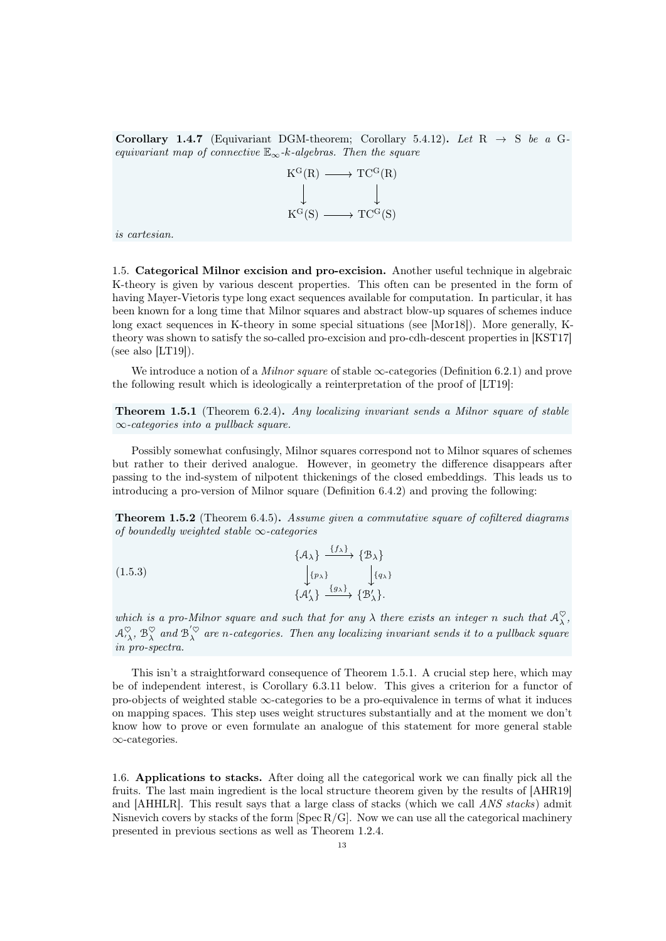Corollary 1.4.7 (Equivariant DGM-theorem; Corollary [5.4.12\)](#page-58-1). Let  $R \rightarrow S$  be a Gequivariant map of connective  $\mathbb{E}_{\infty}$ -k-algebras. Then the square

$$
\begin{array}{ccc}\nK^G(R) & \longrightarrow & TC^G(R) \\
\downarrow & & \downarrow \\
K^G(S) & \longrightarrow & TC^G(S)\n\end{array}
$$

is cartesian.

<span id="page-12-0"></span>1.5. Categorical Milnor excision and pro-excision. Another useful technique in algebraic K-theory is given by various descent properties. This often can be presented in the form of having Mayer-Vietoris type long exact sequences available for computation. In particular, it has been known for a long time that Milnor squares and abstract blow-up squares of schemes induce long exact sequences in K-theory in some special situations (see [\[Mor18\]](#page-92-13)). More generally, Ktheory was shown to satisfy the so-called pro-excision and pro-cdh-descent properties in [\[KST17\]](#page-92-6) (see also  $[LT19]$ ).

We introduce a notion of a *Milnor square* of stable  $\infty$ -categories (Definition [6.2.1\)](#page-63-1) and prove the following result which is ideologically a reinterpretation of the proof of [\[LT19\]](#page-92-5):

<span id="page-12-2"></span>Theorem 1.5.1 (Theorem [6.2.4\)](#page-64-1). Any localizing invariant sends a Milnor square of stable  $\infty$ -categories into a pullback square.

Possibly somewhat confusingly, Milnor squares correspond not to Milnor squares of schemes but rather to their derived analogue. However, in geometry the difference disappears after passing to the ind-system of nilpotent thickenings of the closed embeddings. This leads us to introducing a pro-version of Milnor square (Definition [6.4.2\)](#page-69-1) and proving the following:

Theorem 1.5.2 (Theorem [6.4.5\)](#page-70-0). Assume given a commutative square of cofiltered diagrams of boundedly weighted stable  $\infty$ -categories

(1.5.3)  
\n
$$
\begin{aligned}\n\{\mathcal{A}_{\lambda}\} & \xrightarrow{\{f_{\lambda}\}} \{\mathcal{B}_{\lambda}\} \\
\downarrow_{\{p_{\lambda}\}} & \downarrow_{\{q_{\lambda}\}} \\
\{\mathcal{A}'_{\lambda}\} & \xrightarrow{\{g_{\lambda}\}} \{\mathcal{B}'_{\lambda}\}.\n\end{aligned}
$$

which is a pro-Milnor square and such that for any  $\lambda$  there exists an integer n such that  $\mathcal{A}_\lambda^\heartsuit$ ,  $\mathcal{A}^\heartsuit_{\lambda\lambda}$ ,  $\mathcal{B}^\heartsuit_{\lambda}$  and  $\mathcal{B}^{'\heartsuit_{\lambda}}_{\lambda}$  are n-categories. Then any localizing invariant sends it to a pullback square in pro-spectra.

This isn't a straightforward consequence of Theorem [1.5.1.](#page-12-2) A crucial step here, which may be of independent interest, is Corollary [6.3.11](#page-69-2) below. This gives a criterion for a functor of pro-objects of weighted stable  $\infty$ -categories to be a pro-equivalence in terms of what it induces on mapping spaces. This step uses weight structures substantially and at the moment we don't know how to prove or even formulate an analogue of this statement for more general stable ∞-categories.

<span id="page-12-1"></span>1.6. Applications to stacks. After doing all the categorical work we can finally pick all the fruits. The last main ingredient is the local structure theorem given by the results of [\[AHR19\]](#page-90-11) and [\[AHHLR\]](#page-90-12). This result says that a large class of stacks (which we call ANS stacks) admit Nisnevich covers by stacks of the form  $[Spec R/G]$ . Now we can use all the categorical machinery presented in previous sections as well as Theorem [1.2.4.](#page-8-3)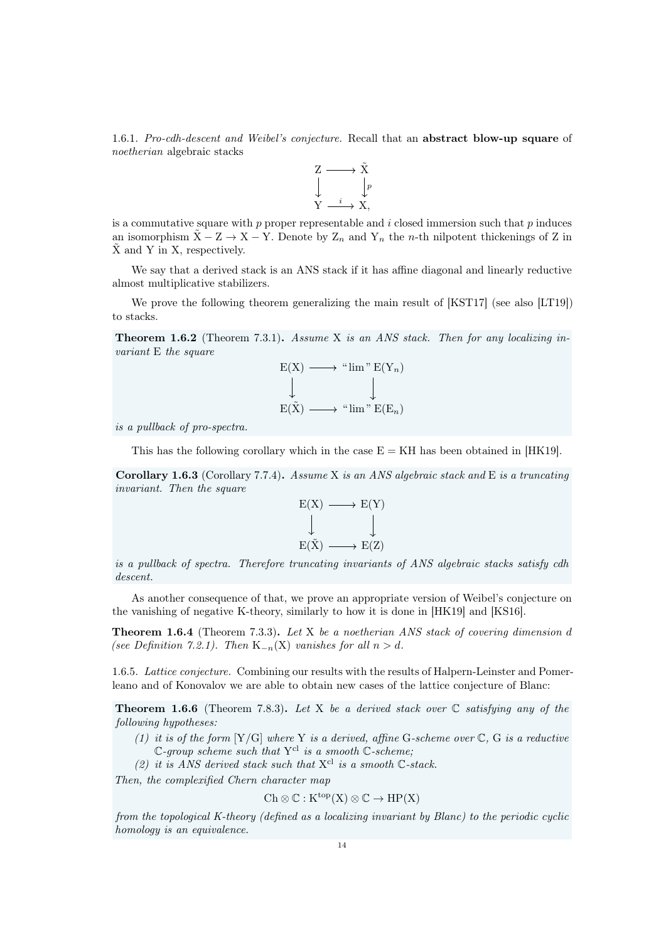1.6.1. Pro-cdh-descent and Weibel's conjecture. Recall that an abstract blow-up square of noetherian algebraic stacks



is a commutative square with  $p$  proper representable and  $i$  closed immersion such that  $p$  induces an isomorphism  $\tilde{X}$  – Z → X – Y. Denote by  $Z_n$  and  $Y_n$  the *n*-th nilpotent thickenings of Z in  $\bar{X}$  and Y in X, respectively.

We say that a derived stack is an ANS stack if it has affine diagonal and linearly reductive almost multiplicative stabilizers.

We prove the following theorem generalizing the main result of [\[KST17\]](#page-92-6) (see also [\[LT19\]](#page-92-5)) to stacks.

**Theorem 1.6.2** (Theorem [7.3.1\)](#page-78-1). Assume X is an ANS stack. Then for any localizing invariant E the square

$$
E(X) \longrightarrow "lim" E(Y_n)
$$
  
\n
$$
\downarrow \qquad \qquad \downarrow
$$
  
\n
$$
E(\tilde{X}) \longrightarrow "lim" E(E_n)
$$

is a pullback of pro-spectra.

This has the following corollary which in the case  $E = KH$  has been obtained in [\[HK19\]](#page-91-10).

Corollary 1.6.3 (Corollary [7.7.4\)](#page-88-1). Assume X is an ANS algebraic stack and E is a truncating invariant. Then the square



is a pullback of spectra. Therefore truncating invariants of ANS algebraic stacks satisfy cdh descent.

As another consequence of that, we prove an appropriate version of Weibel's conjecture on the vanishing of negative K-theory, similarly to how it is done in [\[HK19\]](#page-91-10) and [\[KS16\]](#page-92-14).

Theorem 1.6.4 (Theorem [7.3.3\)](#page-79-1). Let X be a noetherian ANS stack of covering dimension d (see Definition [7.2.1\)](#page-76-1). Then  $K_{-n}(X)$  vanishes for all  $n > d$ .

1.6.5. Lattice conjecture. Combining our results with the results of Halpern-Leinster and Pomerleano and of Konovalov we are able to obtain new cases of the lattice conjecture of Blanc:

**Theorem 1.6.6** (Theorem [7.8.3\)](#page-89-1). Let X be a derived stack over  $\mathbb C$  satisfying any of the following hypotheses:

(1) it is of the form  $[Y/G]$  where Y is a derived, affine G-scheme over  $\mathbb{C}$ , G is a reductive  $\mathbb{C}$ -group scheme such that Y<sup>cl</sup> is a smooth  $\mathbb{C}$ -scheme;

(2) it is ANS derived stack such that  $X^{cl}$  is a smooth  $\mathbb{C}\text{-}stack.$ 

Then, the complexified Chern character map

$$
Ch\otimes \mathbb{C}:K^{top}(X)\otimes \mathbb{C}\to HP(X)
$$

from the topological K-theory (defined as a localizing invariant by Blanc) to the periodic cyclic homology is an equivalence.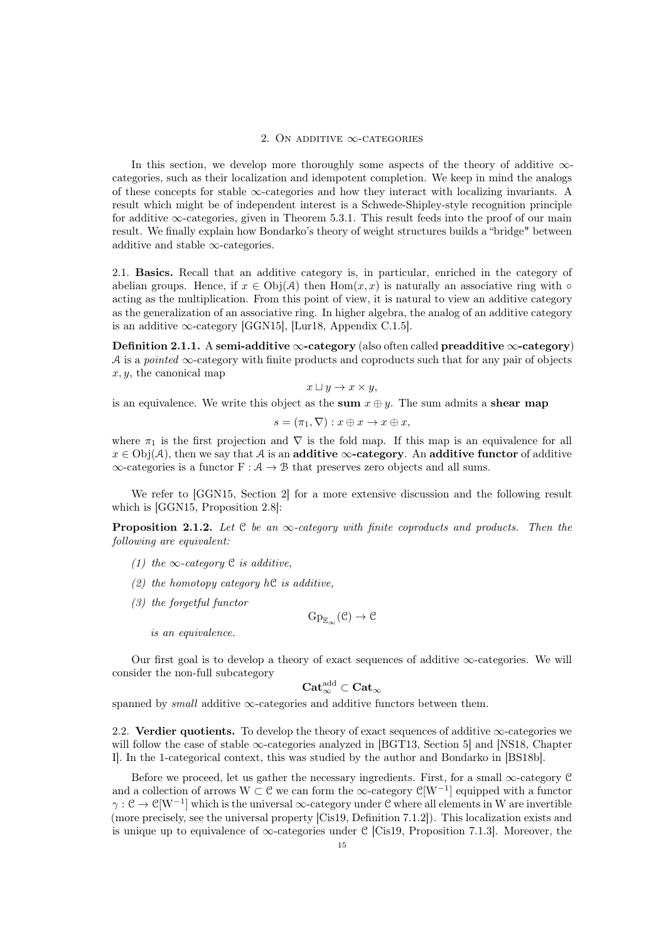#### 2. ON ADDITIVE  $\infty$ -CATEGORIES

<span id="page-14-0"></span>In this section, we develop more thoroughly some aspects of the theory of additive  $\infty$ categories, such as their localization and idempotent completion. We keep in mind the analogs of these concepts for stable ∞-categories and how they interact with localizing invariants. A result which might be of independent interest is a Schwede-Shipley-style recognition principle for additive  $\infty$ -categories, given in Theorem [5.3.1.](#page-51-1) This result feeds into the proof of our main result. We finally explain how Bondarko's theory of weight structures builds a "bridge" between additive and stable  $\infty$ -categories.

<span id="page-14-1"></span>2.1. Basics. Recall that an additive category is, in particular, enriched in the category of abelian groups. Hence, if  $x \in Ob<sub>i</sub>(A)$  then  $Hom(x, x)$  is naturally an associative ring with  $\circ$ acting as the multiplication. From this point of view, it is natural to view an additive category as the generalization of an associative ring. In higher algebra, the analog of an additive category is an additive  $\infty$ -category [\[GGN15\]](#page-91-11), [\[Lur18,](#page-92-11) Appendix C.1.5].

Definition 2.1.1. A semi-additive  $\infty$ -category (also often called preadditive  $\infty$ -category) A is a pointed  $\infty$ -category with finite products and coproducts such that for any pair of objects  $x, y$ , the canonical map

$$
x \sqcup y \to x \times y,
$$

is an equivalence. We write this object as the sum  $x \oplus y$ . The sum admits a shear map

$$
s = (\pi_1, \nabla) : x \oplus x \to x \oplus x,
$$

where  $\pi_1$  is the first projection and  $\nabla$  is the fold map. If this map is an equivalence for all  $x \in \mathrm{Obj}(\mathcal{A})$ , then we say that  $\mathcal{A}$  is an **additive**  $\infty$ -category. An **additive functor** of additive  $\infty$ -categories is a functor  $F : A \to B$  that preserves zero objects and all sums.

We refer to [\[GGN15,](#page-91-11) Section 2] for a more extensive discussion and the following result which is [\[GGN15,](#page-91-11) Proposition 2.8]:

<span id="page-14-3"></span>**Proposition 2.1.2.** Let C be an  $\infty$ -category with finite coproducts and products. Then the following are equivalent:

- (1) the  $\infty$ -category  $\mathfrak C$  is additive,
- (2) the homotopy category  $hC$  is additive,
- (3) the forgetful functor

 $\mathrm{Gp}_{{\mathbb{E}}_\infty}(\mathcal{C}) \to \mathcal{C}$ 

is an equivalence.

Our first goal is to develop a theory of exact sequences of additive  $\infty$ -categories. We will consider the non-full subcategory

 $\mathbf{Cat}_{\infty}^{\mathrm{add}}\subset \mathbf{Cat}_{\infty}$ 

spanned by *small* additive  $\infty$ -categories and additive functors between them.

<span id="page-14-2"></span>2.2. Verdier quotients. To develop the theory of exact sequences of additive  $\infty$ -categories we will follow the case of stable  $\infty$ -categories analyzed in [\[BGT13,](#page-90-3) Section 5] and [\[NS18,](#page-92-15) Chapter I]. In the 1-categorical context, this was studied by the author and Bondarko in [\[BS18b\]](#page-90-13).

Before we proceed, let us gather the necessary ingredients. First, for a small  $\infty$ -category C and a collection of arrows W  $\subset \mathcal{C}$  we can form the  $\infty$ -category  $\mathcal{C}[W^{-1}]$  equipped with a functor  $\gamma: \mathcal{C} \to \mathcal{C}[W^{-1}]$  which is the universal  $\infty$ -category under  $\mathcal{C}$  where all elements in W are invertible (more precisely, see the universal property [\[Cis19,](#page-91-12) Definition 7.1.2]). This localization exists and is unique up to equivalence of  $\infty$ -categories under C [\[Cis19,](#page-91-12) Proposition 7.1.3]. Moreover, the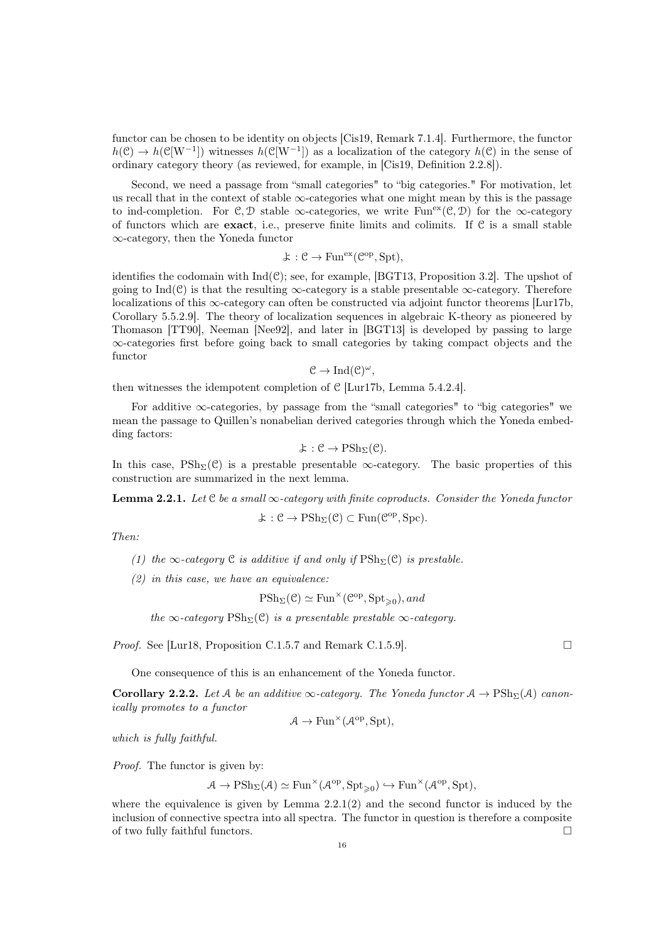functor can be chosen to be identity on objects [\[Cis19,](#page-91-12) Remark 7.1.4]. Furthermore, the functor  $h(\mathcal{C}) \to h(\mathcal{C}[W^{-1}])$  witnesses  $h(\mathcal{C}[W^{-1}])$  as a localization of the category  $h(\mathcal{C})$  in the sense of ordinary category theory (as reviewed, for example, in [\[Cis19,](#page-91-12) Definition 2.2.8]).

Second, we need a passage from "small categories" to "big categories." For motivation, let us recall that in the context of stable  $\infty$ -categories what one might mean by this is the passage to ind-completion. For C, D stable  $\infty$ -categories, we write Fun<sup>ex</sup>(C, D) for the  $\infty$ -category of functors which are **exact**, i.e., preserve finite limits and colimits. If  $C$  is a small stable ∞-category, then the Yoneda functor

$$
\mathcal{F}: \mathcal{C} \to \text{Fun}^{\text{ex}}(\mathcal{C}^{\text{op}}, \text{Spt}),
$$

identifies the codomain with  $Ind(\mathcal{C})$ ; see, for example, [\[BGT13,](#page-90-3) Proposition 3.2]. The upshot of going to Ind( $\mathcal{C}$ ) is that the resulting  $\infty$ -category is a stable presentable  $\infty$ -category. Therefore localizations of this  $\infty$ -category can often be constructed via adjoint functor theorems [\[Lur17b,](#page-92-9) Corollary 5.5.2.9]. The theory of localization sequences in algebraic K-theory as pioneered by Thomason [\[TT90\]](#page-93-1), Neeman [\[Nee92\]](#page-92-12), and later in [\[BGT13\]](#page-90-3) is developed by passing to large ∞-categories first before going back to small categories by taking compact objects and the functor

$$
\mathcal{C} \to \mathrm{Ind}(\mathcal{C})^{\omega},
$$

then witnesses the idempotent completion of C [\[Lur17b,](#page-92-9) Lemma 5.4.2.4].

For additive  $\infty$ -categories, by passage from the "small categories" to "big categories" we mean the passage to Quillen's nonabelian derived categories through which the Yoneda embedding factors:

$$
\mathcal{F}:\mathcal{C}\to\mathrm{PSh}_\Sigma(\mathcal{C}).
$$

In this case,  $\text{PSh}_{\Sigma}(\mathcal{C})$  is a prestable presentable  $\infty$ -category. The basic properties of this construction are summarized in the next lemma.

<span id="page-15-0"></span>**Lemma 2.2.1.** Let C be a small  $\infty$ -category with finite coproducts. Consider the Yoneda functor

$$
\mathcal{F}:\mathcal{C}\to \mathrm{PSh}_\Sigma(\mathcal{C})\subset \mathrm{Fun}(\mathcal{C}^\mathrm{op},\mathrm{Spc}).
$$

Then:

- (1) the ∞-category  $C$  is additive if and only if  $\mathrm{PSh}_{\Sigma}(\mathcal{C})$  is prestable.
- $(2)$  in this case, we have an equivalence:

$$
\mathrm{PSh}_{\Sigma}(\mathcal{C}) \simeq \mathrm{Fun}^{\times}(\mathcal{C}^{\mathrm{op}}, \mathrm{Spt}_{\geqslant 0}), and
$$

the  $\infty$ -category PSh<sub>Σ</sub>(C) is a presentable prestable  $\infty$ -category.

*Proof.* See [\[Lur18,](#page-92-11) Proposition C.1.5.7 and Remark C.1.5.9].

One consequence of this is an enhancement of the Yoneda functor.

<span id="page-15-1"></span>**Corollary 2.2.2.** Let A be an additive  $\infty$ -category. The Yoneda functor  $A \to \mathrm{PSh}_{\Sigma}(A)$  canonically promotes to a functor

$$
\mathcal{A} \to \text{Fun}^\times(\mathcal{A}^\text{op}, \text{Spt}),
$$

which is fully faithful.

Proof. The functor is given by:

$$
\mathcal{A}\rightarrow \mathrm{PSh}_\Sigma(\mathcal{A})\simeq \mathrm{Fun}^\times(\mathcal{A}^\mathrm{op},\mathrm{Spt}_{\geqslant 0})\hookrightarrow \mathrm{Fun}^\times(\mathcal{A}^\mathrm{op},\mathrm{Spt}),
$$

where the equivalence is given by Lemma  $2.2.1(2)$  and the second functor is induced by the inclusion of connective spectra into all spectra. The functor in question is therefore a composite of two fully faithful functors.  $\Box$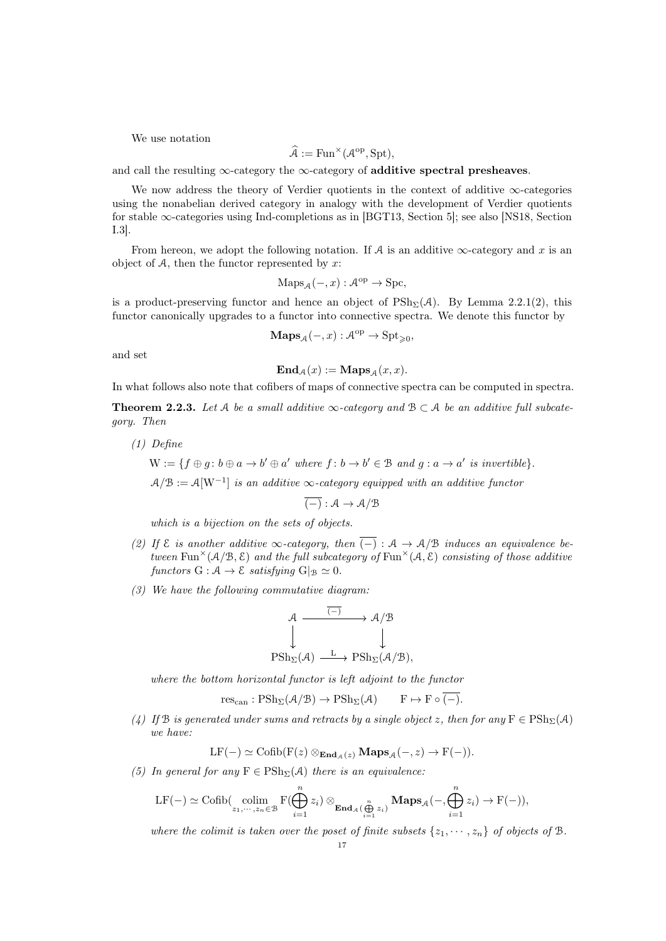We use notation

$$
\widehat{\mathcal{A}} := \mathrm{Fun}^\times(\mathcal{A}^{\mathrm{op}}, \mathrm{Spt}),
$$

and call the resulting  $\infty$ -category the  $\infty$ -category of additive spectral presheaves.

We now address the theory of Verdier quotients in the context of additive ∞-categories using the nonabelian derived category in analogy with the development of Verdier quotients for stable  $\infty$ -categories using Ind-completions as in [\[BGT13,](#page-90-3) Section 5]; see also [\[NS18,](#page-92-15) Section I.3].

From hereon, we adopt the following notation. If A is an additive  $\infty$ -category and x is an object of  $A$ , then the functor represented by x:

$$
Maps_{\mathcal{A}}(-,x): \mathcal{A}^{op} \to \text{Spc},
$$

is a product-preserving functor and hence an object of  $\text{PSh}_{\Sigma}(\mathcal{A})$ . By Lemma [2.2.1\(](#page-15-0)2), this functor canonically upgrades to a functor into connective spectra. We denote this functor by

$$
\mathbf{Maps}_{\mathcal{A}}(-,x):\mathcal{A}^{op}\to \mathbf{Spt}_{\geqslant 0},
$$

and set

$$
\mathbf{End}_{\mathcal{A}}(x) := \mathbf{Maps}_{\mathcal{A}}(x, x).
$$

In what follows also note that cofibers of maps of connective spectra can be computed in spectra.

<span id="page-16-0"></span>**Theorem 2.2.3.** Let A be a small additive  $\infty$ -category and  $B \subset A$  be an additive full subcategory. Then

(1) Define

$$
W := \{ f \oplus g : b \oplus a \to b' \oplus a' \text{ where } f : b \to b' \in \mathcal{B} \text{ and } g : a \to a' \text{ is invertible} \}.
$$

 $A/B := A[W^{-1}]$  is an additive  $\infty$ -category equipped with an additive functor

 $\overline{(-)} : \mathcal{A} \rightarrow \mathcal{A}/\mathcal{B}$ 

which is a bijection on the sets of objects.

- (2) If  $\mathcal E$  is another additive  $\infty$ -category, then  $\overline{(-)} : \mathcal A \to \mathcal A/\mathcal B$  induces an equivalence between Fun<sup> $\times$ </sup>(A/B, E) and the full subcategory of Fun<sup> $\times$ </sup>(A, E) consisting of those additive functors  $G : \mathcal{A} \to \mathcal{E}$  satisfying  $G|_{\mathcal{B}} \simeq 0$ .
- (3) We have the following commutative diagram:

$$
\begin{array}{ccc}\n\mathcal{A} & \xrightarrow{(-)} & \mathcal{A}/\mathcal{B} \\
\downarrow & & \downarrow \\
\text{PSh}_{\Sigma}(\mathcal{A}) & \xrightarrow{L} & \text{PSh}_{\Sigma}(\mathcal{A}/\mathcal{B}),\n\end{array}
$$

where the bottom horizontal functor is left adjoint to the functor

$$
\operatorname{res}_{\operatorname{can}}: \operatorname{PSh}_{\Sigma}(\mathcal{A}/\mathcal{B}) \to \operatorname{PSh}_{\Sigma}(\mathcal{A}) \qquad F \mapsto F \circ \overline{(-)}.
$$

(4) If B is generated under sums and retracts by a single object z, then for any  $F \in \mathrm{PSh}_{\Sigma}(\mathcal{A})$ we have:

$$
LF(-) \simeq \text{Cofib}(F(z) \otimes_{\text{End}_{\mathcal{A}}(z)} \text{Maps}_{\mathcal{A}}(-, z) \to F(-)).
$$

(5) In general for any  $F \in \mathrm{PSh}_{\Sigma}(\mathcal{A})$  there is an equivalence:

$$
\mathrm{LF}(-) \simeq \mathrm{Cofib}(\underset{z_1,\cdots,z_n\in\mathcal{B}}{\mathrm{colim}} \mathrm{F}(\bigoplus_{i=1}^n z_i)\otimes_{\mathbf{End}_{\mathcal{A}}(\bigoplus_{i=1}^n z_i)} \mathbf{Maps}_{\mathcal{A}}(-,\bigoplus_{i=1}^n z_i) \to \mathrm{F}(-)),
$$

where the colimit is taken over the poset of finite subsets  $\{z_1, \dots, z_n\}$  of objects of  $\mathcal{B}$ .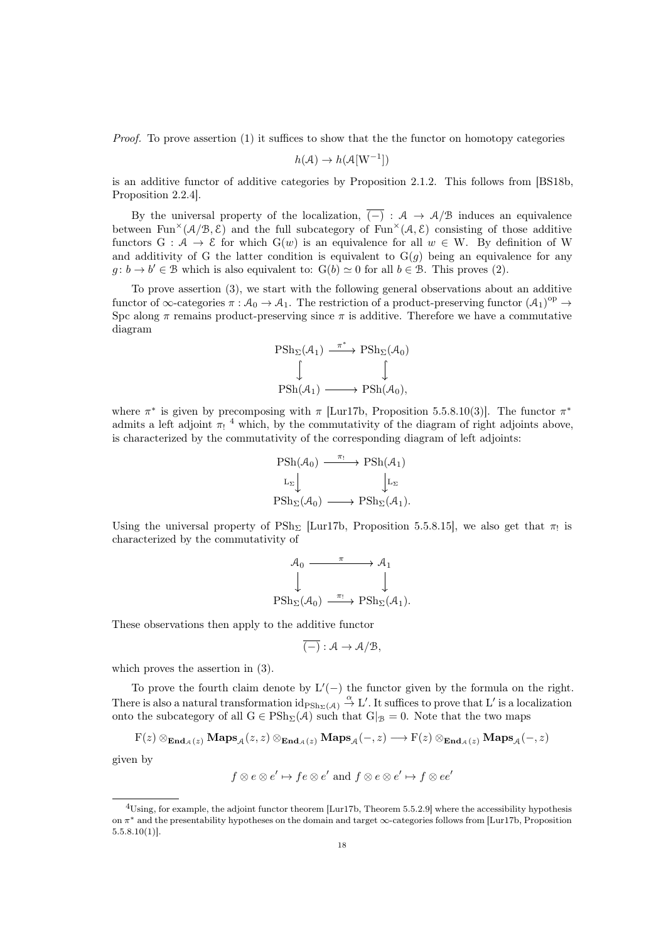Proof. To prove assertion (1) it suffices to show that the the functor on homotopy categories

$$
h(\mathcal{A}) \to h(\mathcal{A}[W^{-1}])
$$

is an additive functor of additive categories by Proposition [2.1.2.](#page-14-3) This follows from [\[BS18b,](#page-90-13) Proposition 2.2.4].

By the universal property of the localization,  $\overline{(-)} : A \rightarrow A/B$  induces an equivalence between Fun<sup> $\times$ </sup>(A/B, E) and the full subcategory of Fun<sup> $\times$ </sup>(A, E) consisting of those additive functors G :  $A \to \mathcal{E}$  for which  $G(w)$  is an equivalence for all  $w \in W$ . By definition of W and additivity of G the latter condition is equivalent to  $G(g)$  being an equivalence for any  $g: b \to b' \in \mathcal{B}$  which is also equivalent to:  $G(b) \simeq 0$  for all  $b \in \mathcal{B}$ . This proves (2).

To prove assertion (3), we start with the following general observations about an additive functor of  $\infty$ -categories  $\pi : A_0 \to A_1$ . The restriction of a product-preserving functor  $(A_1)^{op} \to$ Spc along  $\pi$  remains product-preserving since  $\pi$  is additive. Therefore we have a commutative diagram

$$
\begin{array}{ccc}\n\operatorname{PSh}_{\Sigma}(\mathcal{A}_{1}) & \xrightarrow{\pi^{*}} & \operatorname{PSh}_{\Sigma}(\mathcal{A}_{0}) \\
\downarrow & & \downarrow \\
\operatorname{PSh}(\mathcal{A}_{1}) & \longrightarrow & \operatorname{PSh}(\mathcal{A}_{0}),\n\end{array}
$$

where  $\pi^*$  is given by precomposing with  $\pi$  [\[Lur17b,](#page-92-9) Proposition 5.5.8.10(3)]. The functor  $\pi^*$ admits a left adjoint  $\pi_!$ <sup>[4](#page-17-0)</sup> which, by the commutativity of the diagram of right adjoints above, is characterized by the commutativity of the corresponding diagram of left adjoints:

$$
\begin{array}{ccc}\n\text{PSh}(\mathcal{A}_0) & \xrightarrow{\pi_1} & \text{PSh}(\mathcal{A}_1) \\
\downarrow_{\Sigma} & & \downarrow_{\Sigma} \\
\text{PSh}_{\Sigma}(\mathcal{A}_0) & \xrightarrow{\quad} & \text{PSh}_{\Sigma}(\mathcal{A}_1).\n\end{array}
$$

Using the universal property of  $\text{PSh}_{\Sigma}$  [\[Lur17b,](#page-92-9) Proposition 5.5.8.15], we also get that  $\pi_!$  is characterized by the commutativity of

$$
\mathcal{A}_0 \xrightarrow{\pi} \mathcal{A}_1
$$
  
\n
$$
\downarrow \qquad \qquad \downarrow
$$
  
\n
$$
P\text{Sh}_{\Sigma}(\mathcal{A}_0) \xrightarrow{\pi_1} P\text{Sh}_{\Sigma}(\mathcal{A}_1).
$$

These observations then apply to the additive functor

$$
\overline{(-)}: \mathcal{A} \to \mathcal{A}/\mathcal{B},
$$

which proves the assertion in (3).

To prove the fourth claim denote by  $L'(-)$  the functor given by the formula on the right. There is also a natural transformation  $\mathrm{id}_{PSh_{\Sigma}(A)} \stackrel{\alpha}{\to} L'$ . It suffices to prove that L' is a localization onto the subcategory of all  $G \in \text{PSh}_{\Sigma}(\mathcal{A})$  such that  $G|_{\mathcal{B}} = 0$ . Note that the two maps

$$
F(z) \otimes_{\mathbf{End}_{\mathcal{A}}(z)} \mathbf{Maps}_{\mathcal{A}}(z, z) \otimes_{\mathbf{End}_{\mathcal{A}}(z)} \mathbf{Maps}_{\mathcal{A}}(-, z) \longrightarrow F(z) \otimes_{\mathbf{End}_{\mathcal{A}}(z)} \mathbf{Maps}_{\mathcal{A}}(-, z)
$$

given by

$$
f \otimes e \otimes e' \mapsto fe \otimes e' \text{ and } f \otimes e \otimes e' \mapsto f \otimes ee'
$$

<span id="page-17-0"></span><sup>4</sup>Using, for example, the adjoint functor theorem [\[Lur17b,](#page-92-9) Theorem 5.5.2.9] where the accessibility hypothesis on  $\pi^*$  and the presentability hypotheses on the domain and target  $\infty$ -categories follows from [\[Lur17b,](#page-92-9) Proposition  $5.5.8.10(1)$ .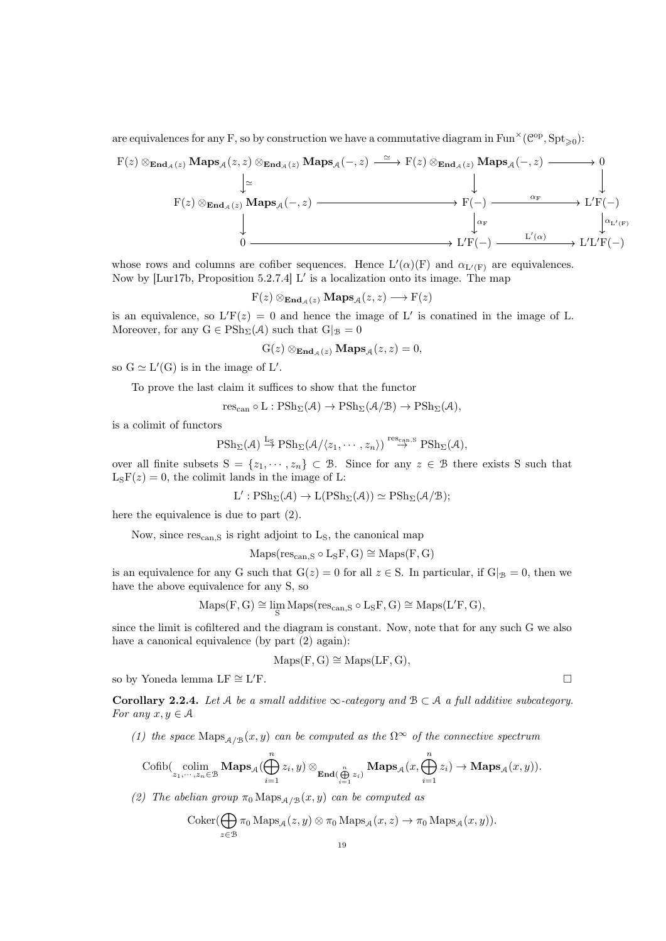are equivalences for any F, so by construction we have a commutative diagram in  $\text{Fun}^\times(\mathcal{C}^\text{op}, \text{Spt}_{\geqslant 0})$ :

$$
F(z) \otimes_{\text{End}_{\mathcal{A}}(z)} \text{Maps}_{\mathcal{A}}(z, z) \otimes_{\text{End}_{\mathcal{A}}(z)} \text{Maps}_{\mathcal{A}}(-, z) \xrightarrow{\simeq} F(z) \otimes_{\text{End}_{\mathcal{A}}(z)} \text{Maps}_{\mathcal{A}}(-, z) \xrightarrow{\qquad \qquad} 0
$$
\n
$$
F(z) \otimes_{\text{End}_{\mathcal{A}}(z)} \text{Maps}_{\mathcal{A}}(-, z) \xrightarrow{\qquad \qquad} F(-) \xrightarrow{\qquad \qquad \qquad \alpha_{F}} \text{L}'F(-)
$$
\n
$$
\downarrow
$$
\n
$$
0 \xrightarrow{\qquad \qquad \qquad \alpha_{F}} \text{L}'(x) \xrightarrow{\qquad \qquad \alpha_{F}} \text{L}'(F(-))
$$

whose rows and columns are cofiber sequences. Hence  $L'(\alpha)(F)$  and  $\alpha_{L'(F)}$  are equivalences. Now by [\[Lur17b,](#page-92-9) Proposition 5.2.7.4] L' is a localization onto its image. The map

 $F(z) \otimes_{\text{End}_{\mathcal{A}}(z)} \text{Maps}_{\mathcal{A}}(z, z) \longrightarrow F(z)$ 

is an equivalence, so  $L'F(z) = 0$  and hence the image of L' is conatined in the image of L. Moreover, for any  $G \in \mathrm{PSh}_{\Sigma}(\mathcal{A})$  such that  $G|_{\mathcal{B}} = 0$ 

$$
G(z) \otimes_{\mathbf{End}_{\mathcal{A}}(z)} \mathbf{Maps}_{\mathcal{A}}(z, z) = 0,
$$

so  $G \simeq L'(G)$  is in the image of  $L'$ .

To prove the last claim it suffices to show that the functor

 $res_{can} \circ L : \mathrm{PSh}_{\Sigma}(\mathcal{A}) \to \mathrm{PSh}_{\Sigma}(\mathcal{A}/\mathcal{B}) \to \mathrm{PSh}_{\Sigma}(\mathcal{A}),$ 

is a colimit of functors

$$
\mathrm{PSh}_{\Sigma}(\mathcal{A}) \stackrel{\mathrm{L}_{\mathrm{S}}}{\rightarrow} \mathrm{PSh}_{\Sigma}(\mathcal{A}/\langle z_{1},\cdots,z_{n}\rangle) \stackrel{\mathrm{res}_{\mathrm{can},\mathrm{S}}}{\rightarrow} \mathrm{PSh}_{\Sigma}(\mathcal{A}),
$$

over all finite subsets  $S = \{z_1, \dots, z_n\} \subset \mathcal{B}$ . Since for any  $z \in \mathcal{B}$  there exists S such that  $L_SF(z) = 0$ , the colimit lands in the image of L:

$$
L': \mathrm{PSh}_{\Sigma}(\mathcal{A}) \to L(\mathrm{PSh}_{\Sigma}(\mathcal{A})) \simeq \mathrm{PSh}_{\Sigma}(\mathcal{A}/\mathcal{B});
$$

here the equivalence is due to part (2).

Now, since  $res_{can,S}$  is right adjoint to  $L_S$ , the canonical map

 $Maps(res_{can,S} \circ L_SF, G) \cong Maps(F, G)$ 

is an equivalence for any G such that  $G(z) = 0$  for all  $z \in S$ . In particular, if  $G|_{\mathcal{B}} = 0$ , then we have the above equivalence for any S, so

$$
\mathrm{Maps}(F,G)\cong \lim_{S}\mathrm{Maps}(\mathrm{res}_{\mathrm{can},S}\circ L_S F,G)\cong\mathrm{Maps}(L'F,G),
$$

since the limit is cofiltered and the diagram is constant. Now, note that for any such G we also have a canonical equivalence (by part  $(2)$  again):

$$
Maps(F, G) \cong Maps(LF, G),
$$

so by Yoneda lemma LF  $\cong$  L'F.  $\Gamma$ .

<span id="page-18-0"></span>Corollary 2.2.4. Let A be a small additive  $\infty$ -category and  $\mathcal{B} \subset \mathcal{A}$  a full additive subcategory. For any  $x, y \in A$ 

(1) the space  $\text{Maps}_{A/B}(x, y)$  can be computed as the  $\Omega^{\infty}$  of the connective spectrum

$$
\mathrm{Cofib}(\underset{z_1,\cdots,z_n\in \mathcal{B}}{\mathrm{colim}}\,\mathbf{Maps}_{\mathcal{A}}(\bigoplus_{i=1}^nz_i,y)\otimes_{\mathbf{End}(\bigoplus\limits_{i=1}^nz_i)}\mathbf{Maps}_{\mathcal{A}}(x,\bigoplus_{i=1}^nz_i)\rightarrow\mathbf{Maps}_{\mathcal{A}}(x,y)).
$$

(2) The abelian group  $\pi_0$  Maps<sub>A/B</sub> $(x, y)$  can be computed as

$$
Coker(\bigoplus_{z\in\mathcal{B}}\pi_0 \operatorname{Maps}_{\mathcal{A}}(z,y)\otimes \pi_0 \operatorname{Maps}_{\mathcal{A}}(x,z)\to \pi_0 \operatorname{Maps}_{\mathcal{A}}(x,y)).
$$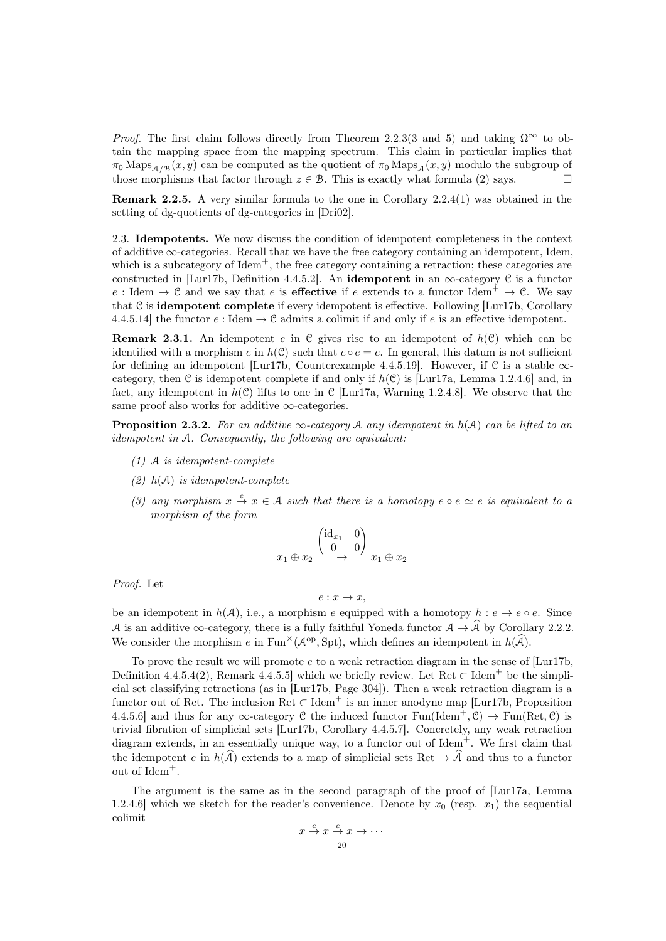*Proof.* The first claim follows directly from Theorem [2.2.3\(](#page-16-0)3 and 5) and taking  $\Omega^{\infty}$  to obtain the mapping space from the mapping spectrum. This claim in particular implies that  $\pi_0$  Maps<sub>A/B</sub> $(x, y)$  can be computed as the quotient of  $\pi_0$  Maps<sub>A</sub> $(x, y)$  modulo the subgroup of those morphisms that factor through  $z \in \mathcal{B}$ . This is exactly what formula (2) says.

Remark 2.2.5. A very similar formula to the one in Corollary [2.2.4\(](#page-18-0)1) was obtained in the setting of dg-quotients of dg-categories in [\[Dri02\]](#page-91-13).

<span id="page-19-0"></span>2.3. Idempotents. We now discuss the condition of idempotent completeness in the context of additive  $\infty$ -categories. Recall that we have the free category containing an idempotent, Idem, which is a subcategory of  $Idem^+$ , the free category containing a retraction; these categories are constructed in [\[Lur17b,](#page-92-9) Definition 4.4.5.2]. An **idempotent** in an  $\infty$ -category C is a functor e : Idem  $\rightarrow$  C and we say that e is **effective** if e extends to a functor Idem<sup>+</sup>  $\rightarrow$  C. We say that C is idempotent complete if every idempotent is effective. Following [\[Lur17b,](#page-92-9) Corollary 4.4.5.14] the functor  $e :$  Idem  $\rightarrow \mathcal{C}$  admits a colimit if and only if  $e$  is an effective idempotent.

**Remark 2.3.1.** An idempotent e in C gives rise to an idempotent of  $h(\mathcal{C})$  which can be identified with a morphism e in  $h(\mathcal{C})$  such that  $e \circ e = e$ . In general, this datum is not sufficient for defining an idempotent [\[Lur17b,](#page-92-9) Counterexample 4.4.5.19]. However, if  $\mathcal C$  is a stable  $\infty$ category, then C is idempotent complete if and only if  $h(\mathcal{C})$  is [\[Lur17a,](#page-92-10) Lemma 1.2.4.6] and, in fact, any idempotent in  $h(\mathcal{C})$  lifts to one in  $\mathcal{C}$  [\[Lur17a,](#page-92-10) Warning 1.2.4.8]. We observe that the same proof also works for additive  $\infty$ -categories.

<span id="page-19-1"></span>**Proposition 2.3.2.** For an additive  $\infty$ -category A any idempotent in  $h(\mathcal{A})$  can be lifted to an idempotent in A. Consequently, the following are equivalent:

- (1) A is idempotent-complete
- (2)  $h(A)$  is idempotent-complete
- (3) any morphism  $x \stackrel{e}{\rightarrow} x \in A$  such that there is a homotopy  $e \circ e \simeq e$  is equivalent to a morphism of the form

$$
x_1 \oplus x_2 \stackrel{\begin{pmatrix} \mathrm{id}_{x_1} & 0 \\ 0 & 0 \end{pmatrix}}{\rightarrow} x_1 \oplus x_2
$$

Proof. Let

$$
e: x \to x,
$$

be an idempotent in  $h(\mathcal{A})$ , i.e., a morphism e equipped with a homotopy  $h: e \to e \circ e$ . Since A is an additive  $\infty$ -category, there is a fully faithful Yoneda functor  $\mathcal{A} \to \mathcal{A}$  by Corollary [2.2.2.](#page-15-1) We consider the morphism  $e$  in Fun<sup> $\times$ </sup>( $\mathcal{A}^{op}$ , Spt), which defines an idempotent in  $h(\widehat{A})$ .

To prove the result we will promote  $e$  to a weak retraction diagram in the sense of [\[Lur17b,](#page-92-9) Definition 4.4.5.4(2), Remark 4.4.5.5] which we briefly review. Let Ret  $\subset$  Idem<sup>+</sup> be the simplicial set classifying retractions (as in [\[Lur17b,](#page-92-9) Page 304]). Then a weak retraction diagram is a functor out of Ret. The inclusion  $\text{Ret} \subset \text{Idem}^+$  is an inner anodyne map [\[Lur17b,](#page-92-9) Proposition 4.4.5.6] and thus for any  $\infty$ -category C the induced functor  $Fun(Idem^+, \mathcal{C}) \to Fun(Ret, \mathcal{C})$  is trivial fibration of simplicial sets [\[Lur17b,](#page-92-9) Corollary 4.4.5.7]. Concretely, any weak retraction diagram extends, in an essentially unique way, to a functor out of Idem<sup>+</sup>. We first claim that the idempotent e in  $h(\hat{A})$  extends to a map of simplicial sets Ret  $\rightarrow \hat{A}$  and thus to a functor out of Idem<sup>+</sup>.

The argument is the same as in the second paragraph of the proof of [\[Lur17a,](#page-92-10) Lemma 1.2.4.6] which we sketch for the reader's convenience. Denote by  $x_0$  (resp.  $x_1$ ) the sequential colimit

$$
x \xrightarrow{e} x \xrightarrow{e} x \rightarrow \cdots
$$
  
20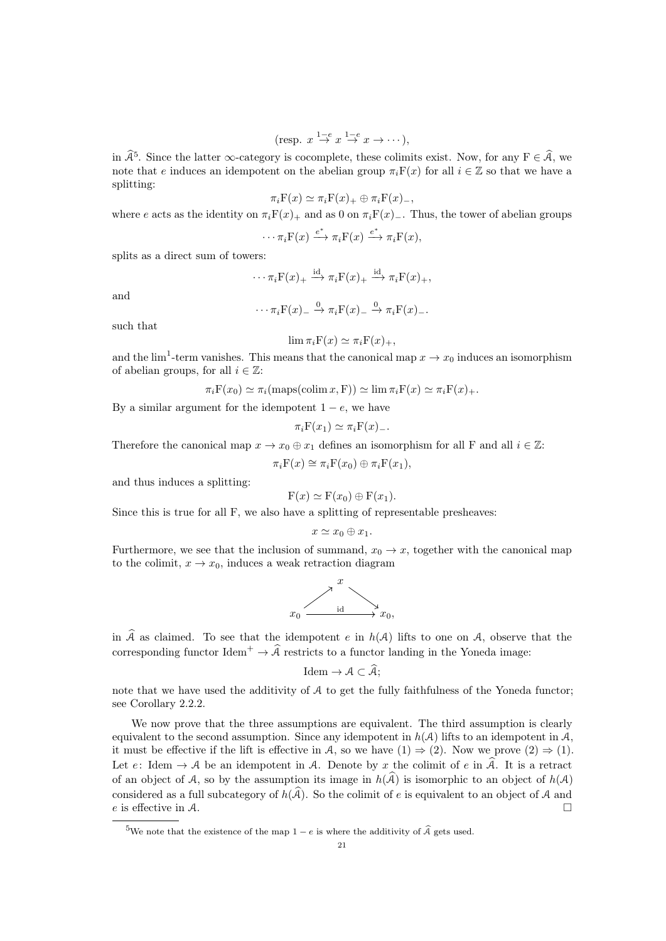$$
(\text{resp. } x \stackrel{1-e}{\to} x \stackrel{1-e}{\to} x \to \cdots),
$$

in  $\hat{\mathcal{A}}^5$  $\hat{\mathcal{A}}^5$ . Since the latter  $\infty$ -category is cocomplete, these colimits exist. Now, for any  $F \in \hat{\mathcal{A}}$ , we note that e induces an idempotent on the abelian group  $\pi_i F(x)$  for all  $i \in \mathbb{Z}$  so that we have a splitting:

$$
\pi_i \mathbf{F}(x) \simeq \pi_i \mathbf{F}(x)_+ \oplus \pi_i \mathbf{F}(x)_-,
$$

where e acts as the identity on  $\pi_i F(x)_+$  and as 0 on  $\pi_i F(x)_-$ . Thus, the tower of abelian groups

$$
\cdots \pi_i \mathcal{F}(x) \xrightarrow{e^*} \pi_i \mathcal{F}(x) \xrightarrow{e^*} \pi_i \mathcal{F}(x),
$$

splits as a direct sum of towers:

$$
\cdots \pi_i \mathbf{F}(x)_+ \xrightarrow{\mathrm{id}} \pi_i \mathbf{F}(x)_+ \xrightarrow{\mathrm{id}} \pi_i \mathbf{F}(x)_+,
$$

and

$$
\cdots \pi_i \mathcal{F}(x) = \stackrel{0}{\rightarrow} \pi_i \mathcal{F}(x) = \stackrel{0}{\rightarrow} \pi_i \mathcal{F}(x) =
$$

such that

$$
\lim \pi_i \mathbf{F}(x) \simeq \pi_i \mathbf{F}(x)_+,
$$

and the  $\lim_{n \to \infty} 1$ -term vanishes. This means that the canonical map  $x \to x_0$  induces an isomorphism of abelian groups, for all  $i \in \mathbb{Z}$ :

 $\pi_i \mathbf{F}(x_0) \simeq \pi_i(\text{maps}(\text{colim } x, \mathbf{F})) \simeq \lim \pi_i \mathbf{F}(x) \simeq \pi_i \mathbf{F}(x)_+.$ 

By a similar argument for the idempotent  $1 - e$ , we have

$$
\pi_i \mathbf{F}(x_1) \simeq \pi_i \mathbf{F}(x) \dots
$$

Therefore the canonical map  $x \to x_0 \oplus x_1$  defines an isomorphism for all F and all  $i \in \mathbb{Z}$ :

 $\pi_i F(x) \cong \pi_i F(x_0) \oplus \pi_i F(x_1),$ 

and thus induces a splitting:

$$
F(x) \simeq F(x_0) \oplus F(x_1).
$$

Since this is true for all F, we also have a splitting of representable presheaves:

$$
x \simeq x_0 \oplus x_1.
$$

Furthermore, we see that the inclusion of summand,  $x_0 \rightarrow x$ , together with the canonical map to the colimit,  $x \to x_0$ , induces a weak retraction diagram



in  $\hat{A}$  as claimed. To see that the idempotent e in  $h(A)$  lifts to one on A, observe that the corresponding functor  $Idem^+ \to \hat{A}$  restricts to a functor landing in the Yoneda image:

 $\mathrm{Idem} \to \mathcal{A} \subset \widehat{\mathcal{A}} \colon$ 

note that we have used the additivity of A to get the fully faithfulness of the Yoneda functor; see Corollary [2.2.2.](#page-15-1)

We now prove that the three assumptions are equivalent. The third assumption is clearly equivalent to the second assumption. Since any idempotent in  $h(\mathcal{A})$  lifts to an idempotent in  $\mathcal{A}$ , it must be effective if the lift is effective in A, so we have  $(1) \Rightarrow (2)$ . Now we prove  $(2) \Rightarrow (1)$ . Let e: Idem  $\rightarrow$  A be an idempotent in A. Denote by x the colimit of e in  $\hat{A}$ . It is a retract of an object of A, so by the assumption its image in  $h(\widehat{A})$  is isomorphic to an object of  $h(A)$ considered as a full subcategory of  $h(\hat{A})$ . So the colimit of e is equivalent to an object of A and e is effective in A. e is effective in A.

<span id="page-20-0"></span><sup>&</sup>lt;sup>5</sup>We note that the existence of the map  $1 - e$  is where the additivity of  $\hat{A}$  gets used.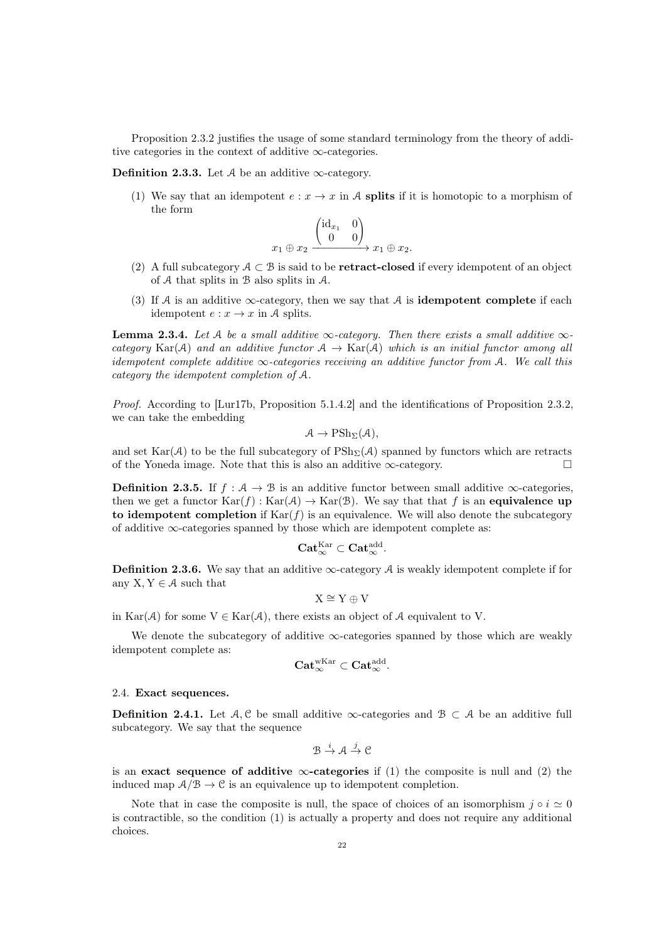Proposition [2.3.2](#page-19-1) justifies the usage of some standard terminology from the theory of additive categories in the context of additive  $\infty$ -categories.

Definition 2.3.3. Let  $A$  be an additive  $\infty$ -category.

(1) We say that an idempotent  $e: x \to x$  in A splits if it is homotopic to a morphism of the form

$$
x_1 \oplus x_2 \xrightarrow{\begin{pmatrix} \mathrm{id}_{x_1} & 0 \\ 0 & 0 \end{pmatrix}} x_1 \oplus x_2.
$$

- (2) A full subcategory  $A \subset B$  is said to be **retract-closed** if every idempotent of an object of A that splits in B also splits in A.
- (3) If A is an additive  $\infty$ -category, then we say that A is **idempotent complete** if each idempotent  $e: x \to x$  in A splits.

**Lemma 2.3.4.** Let A be a small additive  $\infty$ -category. Then there exists a small additive  $\infty$ category Kar(A) and an additive functor  $A \to \text{Kar}(A)$  which is an initial functor among all idempotent complete additive  $\infty$ -categories receiving an additive functor from A. We call this category the idempotent completion of A.

Proof. According to [\[Lur17b,](#page-92-9) Proposition 5.1.4.2] and the identifications of Proposition [2.3.2,](#page-19-1) we can take the embedding

$$
A \to \mathrm{PSh}_{\Sigma}(A),
$$

and set  $\text{Kar}(\mathcal{A})$  to be the full subcategory of  $\text{PSh}_{\Sigma}(\mathcal{A})$  spanned by functors which are retracts of the Yoneda image. Note that this is also an additive  $\infty$ -category.

**Definition 2.3.5.** If  $f : A \to B$  is an additive functor between small additive  $\infty$ -categories, then we get a functor  $\text{Kar}(f) : \text{Kar}(\mathcal{A}) \to \text{Kar}(\mathcal{B})$ . We say that that f is an equivalence up to idempotent completion if  $\text{Kar}(f)$  is an equivalence. We will also denote the subcategory of additive  $\infty$ -categories spanned by those which are idempotent complete as:

$$
\mathbf{Cat}_{\infty}^{\mathrm{Kar}} \subset \mathbf{Cat}_{\infty}^{\mathrm{add}}.
$$

**Definition 2.3.6.** We say that an additive  $\infty$ -category A is weakly idempotent complete if for any  $X, Y \in \mathcal{A}$  such that

$$
X\cong Y\oplus V
$$

in  $\text{Kar}(\mathcal{A})$  for some  $V \in \text{Kar}(\mathcal{A})$ , there exists an object of  $\mathcal{A}$  equivalent to V.

We denote the subcategory of additive  $\infty$ -categories spanned by those which are weakly idempotent complete as:

$$
\mathbf{Cat}_{\infty}^{\mathrm{wKar}}\subset \mathbf{Cat}_{\infty}^{\mathrm{add}}.
$$

#### <span id="page-21-0"></span>2.4. Exact sequences.

**Definition 2.4.1.** Let  $A, C$  be small additive  $\infty$ -categories and  $B \subset A$  be an additive full subcategory. We say that the sequence

$$
\mathcal{B} \stackrel{i}{\to} \mathcal{A} \stackrel{j}{\to} \mathcal{C}
$$

is an exact sequence of additive  $\infty$ -categories if (1) the composite is null and (2) the induced map  $A/B \to \mathcal{C}$  is an equivalence up to idempotent completion.

Note that in case the composite is null, the space of choices of an isomorphism  $j \circ i \simeq 0$ is contractible, so the condition (1) is actually a property and does not require any additional choices.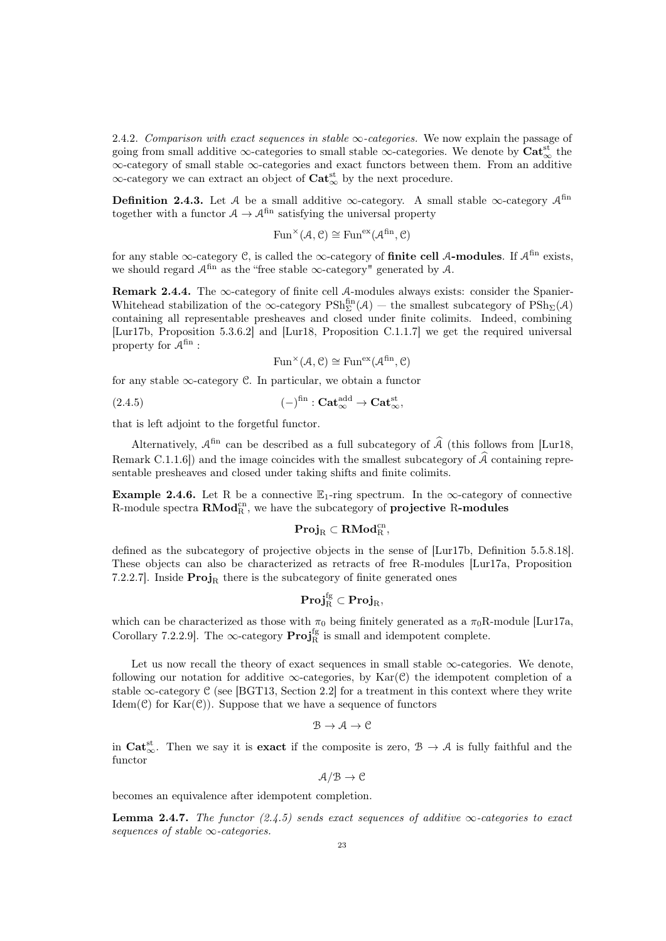2.4.2. Comparison with exact sequences in stable  $\infty$ -categories. We now explain the passage of going from small additive  $\infty$ -categories to small stable  $\infty$ -categories. We denote by  $\text{Cat}_{\infty}^{\text{st}}$  the ∞-category of small stable ∞-categories and exact functors between them. From an additive  $\infty$ -category we can extract an object of  $\text{Cat}^{\text{st}}_{\infty}$  by the next procedure.

**Definition 2.4.3.** Let A be a small additive  $\infty$ -category. A small stable  $\infty$ -category  $\mathcal{A}^{\text{fin}}$ together with a functor  $A \to \mathcal{A}^{\text{fin}}$  satisfying the universal property

$$
\mathrm{Fun}^\times(\mathcal{A},\mathcal{C}) \cong \mathrm{Fun}^{\mathrm{ex}}(\mathcal{A}^\mathrm{fin},\mathcal{C})
$$

for any stable  $\infty$ -category C, is called the  $\infty$ -category of **finite cell A-modules**. If  $\mathcal{A}^{\text{fin}}$  exists, we should regard  $\mathcal{A}^{\text{fin}}$  as the "free stable  $\infty$ -category" generated by  $\mathcal{A}$ .

<span id="page-22-1"></span>Remark 2.4.4. The  $\infty$ -category of finite cell A-modules always exists: consider the Spanier-Whitehead stabilization of the  $\infty$ -category  $\mathrm{PSh}^{\mathrm{fin}}_{\Sigma}(\mathcal{A})$  – the smallest subcategory of  $\mathrm{PSh}_{\Sigma}(\mathcal{A})$ containing all representable presheaves and closed under finite colimits. Indeed, combining [\[Lur17b,](#page-92-9) Proposition 5.3.6.2] and [\[Lur18,](#page-92-11) Proposition C.1.1.7] we get the required universal property for  $A^{\text{fin}}$ :

<span id="page-22-0"></span>
$$
\text{Fun}^\times(\mathcal{A}, \mathcal{C}) \cong \text{Fun}^{\text{ex}}(\mathcal{A}^{\text{fin}}, \mathcal{C})
$$

for any stable  $\infty$ -category  $\mathcal C$ . In particular, we obtain a functor

(2.4.5) 
$$
(-)^{\text{fin}} : \mathbf{Cat}_{\infty}^{\text{add}} \to \mathbf{Cat}_{\infty}^{\text{st}} ,
$$

that is left adjoint to the forgetful functor.

Alternatively,  $A^{\text{fin}}$  can be described as a full subcategory of  $\widehat{A}$  (this follows from [\[Lur18,](#page-92-11) Remark C.1.1.6]) and the image coincides with the smallest subcategory of  $\hat{\mathcal{A}}$  containing representable presheaves and closed under taking shifts and finite colimits.

**Example 2.4.6.** Let R be a connective  $\mathbb{E}_1$ -ring spectrum. In the  $\infty$ -category of connective R-module spectra  $\text{RMod}_{R}^{\text{cn}},$  we have the subcategory of projective R-modules

$$
\mathbf{Proj}_R \subset \mathbf{RMod}_R^{cn},
$$

defined as the subcategory of projective objects in the sense of [\[Lur17b,](#page-92-9) Definition 5.5.8.18]. These objects can also be characterized as retracts of free R-modules [\[Lur17a,](#page-92-10) Proposition 7.2.2.7]. Inside  $\text{Proj}_{R}$  there is the subcategory of finite generated ones

$$
\mathbf{Proj}_R^\text{fg} \subset \mathbf{Proj}_R,
$$

which can be characterized as those with  $\pi_0$  being finitely generated as a  $\pi_0R$ -module [\[Lur17a,](#page-92-10) Corollary 7.2.2.9]. The  $\infty$ -category  $\text{Proj}_{R}^{\text{fg}}$  is small and idempotent complete.

Let us now recall the theory of exact sequences in small stable  $\infty$ -categories. We denote, following our notation for additive  $\infty$ -categories, by Kar(C) the idempotent completion of a stable  $\infty$ -category C (see [\[BGT13,](#page-90-3) Section 2.2] for a treatment in this context where they write Idem( $\mathcal{C}$ ) for Kar $(\mathcal{C})$ ). Suppose that we have a sequence of functors

$$
\mathcal{B} \to \mathcal{A} \to \mathcal{C}
$$

in  $Cat_{\infty}^{st}$ . Then we say it is **exact** if the composite is zero,  $\mathcal{B} \to \mathcal{A}$  is fully faithful and the functor

 $A/B \rightarrow C$ 

becomes an equivalence after idempotent completion.

**Lemma 2.4.7.** The functor [\(2.4.5\)](#page-22-0) sends exact sequences of additive  $\infty$ -categories to exact sequences of stable  $\infty$ -categories.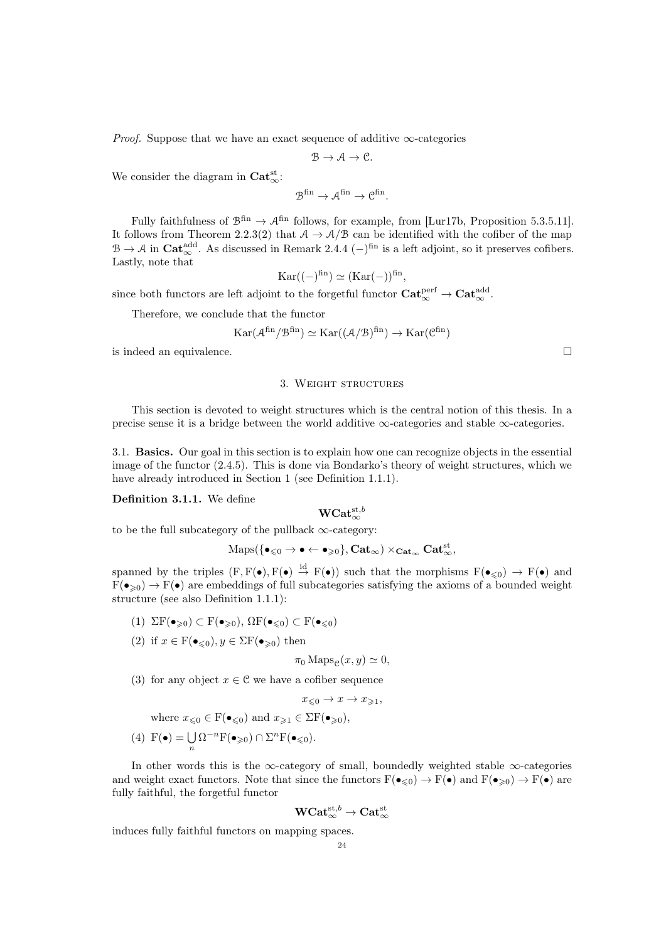*Proof.* Suppose that we have an exact sequence of additive  $\infty$ -categories

$$
\mathcal{B}\rightarrow \mathcal{A}\rightarrow \mathcal{C}.
$$

We consider the diagram in  $\text{Cat}_{\infty}^{\text{st}}$ :

$$
\mathcal{B}^{\operatorname{fin}}\to \mathcal{A}^{\operatorname{fin}}\to \mathcal{C}^{\operatorname{fin}}.
$$

Fully faithfulness of  $\mathcal{B}^{\text{fin}} \to \mathcal{A}^{\text{fin}}$  follows, for example, from [\[Lur17b,](#page-92-9) Proposition 5.3.5.11]. It follows from Theorem [2.2.3\(](#page-16-0)2) that  $A \to A/B$  can be identified with the cofiber of the map  $\mathcal{B} \to \mathcal{A}$  in  $\text{Cat}_{\infty}^{\text{add}}$ . As discussed in Remark [2.4.4](#page-22-1)  $(-)^{\text{fin}}$  is a left adjoint, so it preserves cofibers. Lastly, note that

$$
Kar((-)^{fin}) \simeq (Kar(-))^{fin}
$$

,

since both functors are left adjoint to the forgetful functor  $\mathbf{Cat}_{\infty}^{\text{perf}} \to \mathbf{Cat}_{\infty}^{\text{add}}$ .

Therefore, we conclude that the functor

$$
\operatorname{Kar}(\mathcal{A}^\mathrm{fin}/\mathcal{B}^\mathrm{fin}) \simeq \operatorname{Kar}((\mathcal{A}/\mathcal{B})^\mathrm{fin}) \to \operatorname{Kar}(\mathcal{C}^\mathrm{fin})
$$

<span id="page-23-0"></span>is indeed an equivalence.  $\Box$ 

#### 3. Weight structures

This section is devoted to weight structures which is the central notion of this thesis. In a precise sense it is a bridge between the world additive  $\infty$ -categories and stable  $\infty$ -categories.

<span id="page-23-1"></span>3.1. Basics. Our goal in this section is to explain how one can recognize objects in the essential image of the functor [\(2.4.5\)](#page-22-0). This is done via Bondarko's theory of weight structures, which we have already introduced in Section [1](#page-6-0) (see Definition [1.1.1\)](#page-6-2).

### Definition 3.1.1. We define

# ${\rm WCat}^{{\rm st}, b}_{\infty}$

to be the full subcategory of the pullback  $\infty$ -category:

$$
\mathrm{Maps}(\{\bullet_{\leqslant 0}\rightarrow\bullet\leftarrow\bullet_{\geqslant 0}\}, \mathbf{Cat}_\infty)\times_{\mathbf{Cat}_\infty}\mathbf{Cat}^{\mathrm{st}}_\infty,
$$

spanned by the triples  $(F, F(\bullet), F(\bullet) \stackrel{\text{id}}{\rightarrow} F(\bullet))$  such that the morphisms  $F(\bullet_{\leq 0}) \rightarrow F(\bullet)$  and  $F(\bullet_{\geq 0}) \to F(\bullet)$  are embeddings of full subcategories satisfying the axioms of a bounded weight structure (see also Definition [1.1.1\)](#page-6-2):

- (1)  $\Sigma F(\bullet_{\geq 0}) \subset F(\bullet_{\geq 0}), \Omega F(\bullet_{\leq 0}) \subset F(\bullet_{\leq 0})$
- (2) if  $x \in \mathbf{F}(\bullet_{\leqslant 0}), y \in \Sigma \mathbf{F}(\bullet_{\geqslant 0})$  then

$$
\pi_0 \operatorname{Maps}_{\mathcal{C}}(x, y) \simeq 0,
$$

(3) for any object  $x \in \mathcal{C}$  we have a cofiber sequence

$$
x_{\leqslant 0} \to x \to x_{\geqslant 1},
$$

where 
$$
x_{\leq 0} \in F(\bullet_{\leq 0})
$$
 and  $x_{\geq 1} \in \Sigma F(\bullet_{\geq 0}),$ 

(4) 
$$
F(\bullet) = \bigcup_n \Omega^{-n} F(\bullet_{\geq 0}) \cap \Sigma^n F(\bullet_{\leq 0}).
$$

In other words this is the ∞-category of small, boundedly weighted stable ∞-categories and weight exact functors. Note that since the functors  $F(\bullet_{\leq 0}) \to F(\bullet)$  and  $F(\bullet_{\geq 0}) \to F(\bullet)$  are fully faithful, the forgetful functor

$$
\mathbf{WCat}_{\infty}^{\mathrm{st},b}\rightarrow\mathbf{Cat}_{\infty}^{\mathrm{st}}
$$

induces fully faithful functors on mapping spaces.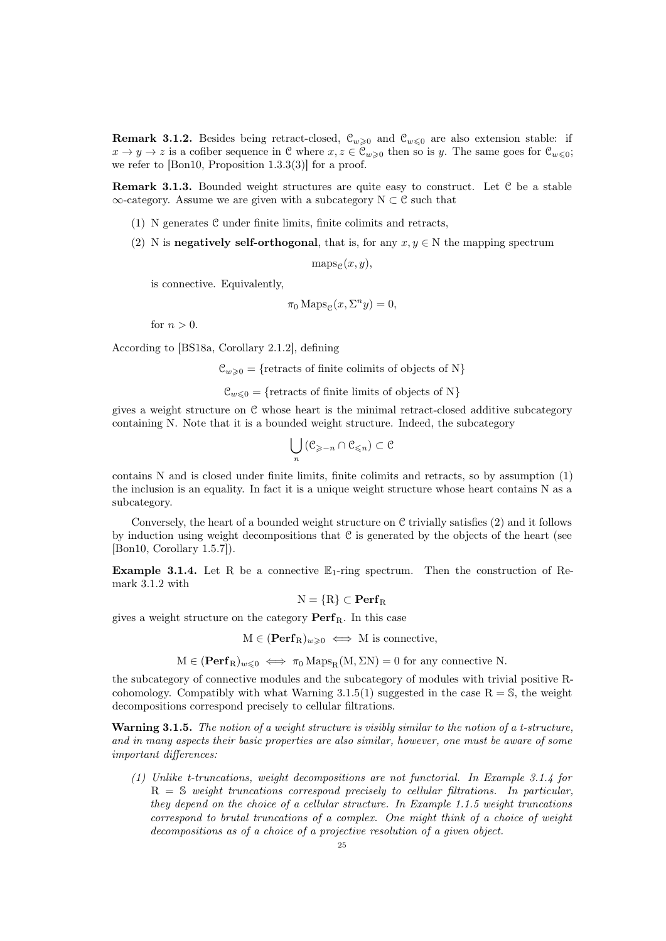<span id="page-24-1"></span>**Remark 3.1.2.** Besides being retract-closed,  $\mathcal{C}_{w\geq 0}$  and  $\mathcal{C}_{w\leq 0}$  are also extension stable: if  $x \to y \to z$  is a cofiber sequence in C where  $x, z \in C_{w \geq 0}$  then so is y. The same goes for  $C_{w \leq 0}$ ; we refer to [\[Bon10,](#page-90-6) Proposition 1.3.3(3)] for a proof.

<span id="page-24-3"></span>**Remark 3.1.3.** Bounded weight structures are quite easy to construct. Let  $C$  be a stable  $\infty$ -category. Assume we are given with a subcategory  $N \subset \mathcal{C}$  such that

- (1) N generates C under finite limits, finite colimits and retracts,
- (2) N is negatively self-orthogonal, that is, for any  $x, y \in N$  the mapping spectrum

 $maps_{\varphi}(x, y),$ 

is connective. Equivalently,

$$
\pi_0 \operatorname{Maps}_{\mathcal{C}}(x, \Sigma^n y) = 0,
$$

for  $n > 0$ .

According to [\[BS18a,](#page-90-14) Corollary 2.1.2], defining

 $\mathcal{C}_{w>0} = \{$ retracts of finite colimits of objects of N $\}$ 

 $\mathcal{C}_{w\leq 0} = \{$ retracts of finite limits of objects of N $\}$ 

gives a weight structure on C whose heart is the minimal retract-closed additive subcategory containing N. Note that it is a bounded weight structure. Indeed, the subcategory

$$
\bigcup_n \left( \mathcal{C}_{\geq -n} \cap \mathcal{C}_{\leqslant n} \right) \subset \mathcal{C}
$$

contains N and is closed under finite limits, finite colimits and retracts, so by assumption (1) the inclusion is an equality. In fact it is a unique weight structure whose heart contains N as a subcategory.

Conversely, the heart of a bounded weight structure on  $\mathfrak C$  trivially satisfies (2) and it follows by induction using weight decompositions that  $C$  is generated by the objects of the heart (see [\[Bon10,](#page-90-6) Corollary 1.5.7]).

<span id="page-24-0"></span>**Example 3.1.4.** Let R be a connective  $\mathbb{E}_1$ -ring spectrum. Then the construction of Remark [3.1.2](#page-24-1) with

 $N = {R} \subset \mathbf{Perf}_R$ 

gives a weight structure on the category  $\mathbf{Perf}_{\mathbf{B}}$ . In this case

 $M \in (Perf_R)_{w \geq 0} \iff M$  is connective,

 $M \in (Perf_R)_{w \leq 0} \iff \pi_0 \text{Maps}_R(M, \Sigma N) = 0$  for any connective N.

the subcategory of connective modules and the subcategory of modules with trivial positive Rcohomology. Compatibly with what Warning  $3.1.5(1)$  suggested in the case R = S, the weight decompositions correspond precisely to cellular filtrations.

<span id="page-24-2"></span>**Warning 3.1.5.** The notion of a weight structure is visibly similar to the notion of a t-structure, and in many aspects their basic properties are also similar, however, one must be aware of some important differences:

(1) Unlike t-truncations, weight decompositions are not functorial. In Example [3.1.4](#page-24-0) for  $R = S$  weight truncations correspond precisely to cellular filtrations. In particular, they depend on the choice of a cellular structure. In Example [1.1.5](#page-7-1) weight truncations correspond to brutal truncations of a complex. One might think of a choice of weight decompositions as of a choice of a projective resolution of a given object.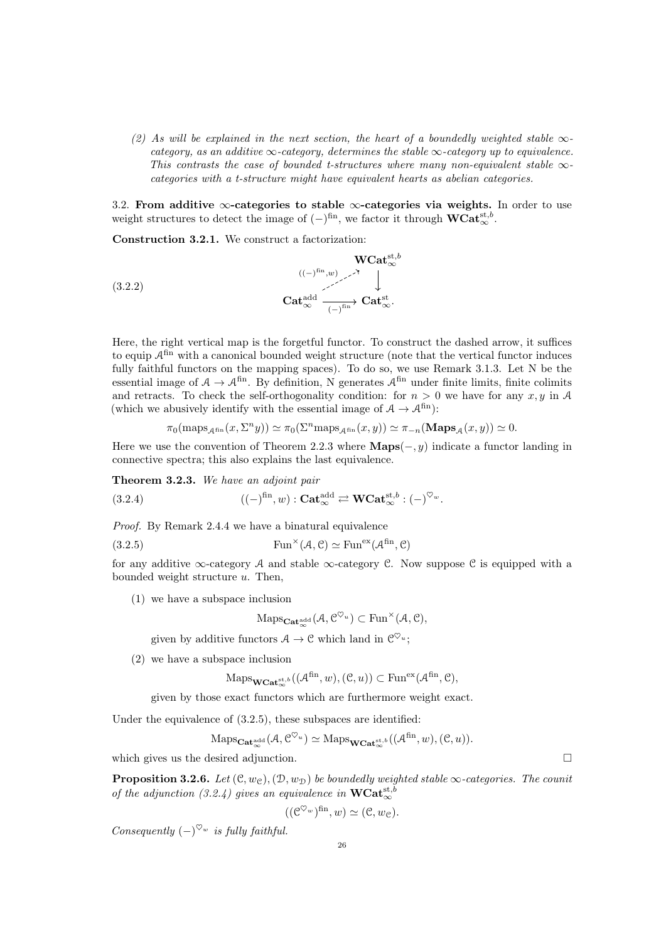(2) As will be explained in the next section, the heart of a boundedly weighted stable  $\infty$ category, as an additive  $\infty$ -category, determines the stable  $\infty$ -category up to equivalence. This contrasts the case of bounded t-structures where many non-equivalent stable  $\infty$ categories with a t-structure might have equivalent hearts as abelian categories.

<span id="page-25-0"></span>3.2. From additive  $\infty$ -categories to stable  $\infty$ -categories via weights. In order to use weight structures to detect the image of  $(-)^{fin}$ , we factor it through  $\mathbf{WCat}_{\infty}^{\mathrm{st},b}$ .

Construction 3.2.1. We construct a factorization:

(3.2.2) WCatst,b ∞ Catadd <sup>∞</sup> Catst ∞. (−) fin ((−) fin,w)

Here, the right vertical map is the forgetful functor. To construct the dashed arrow, it suffices to equip  $A<sup>fin</sup>$  with a canonical bounded weight structure (note that the vertical functor induces fully faithful functors on the mapping spaces). To do so, we use Remark [3.1.3.](#page-24-3) Let N be the essential image of  $A \to \mathcal{A}^{\text{fin}}$ . By definition, N generates  $\mathcal{A}^{\text{fin}}$  under finite limits, finite colimits and retracts. To check the self-orthogonality condition: for  $n > 0$  we have for any  $x, y$  in A (which we abusively identify with the essential image of  $A \to \mathcal{A}^{\text{fin}}$ ):

<span id="page-25-2"></span>
$$
\pi_0(\mathrm{maps}_{\mathcal{A}^{\mathrm{fin}}}(x,\Sigma^n y)) \simeq \pi_0(\Sigma^n \mathrm{maps}_{\mathcal{A}^{\mathrm{fin}}}(x,y)) \simeq \pi_{-n}(\mathbf{Maps}_{\mathcal{A}}(x,y)) \simeq 0.
$$

Here we use the convention of Theorem [2.2.3](#page-16-0) where  $\mathbf{Maps}(-, y)$  indicate a functor landing in connective spectra; this also explains the last equivalence.

Theorem 3.2.3. We have an adjoint pair

(3.2.4) 
$$
((-)^{\text{fin}}, w) : \mathbf{Cat}_{\infty}^{\text{add}} \rightleftarrows \mathbf{WCat}_{\infty}^{\text{st},b} : (-)^{\heartsuit_w}.
$$

Proof. By Remark [2.4.4](#page-22-1) we have a binatural equivalence

(3.2.5) 
$$
\text{Fun}^{\times}(\mathcal{A}, \mathcal{C}) \simeq \text{Fun}^{\text{ex}}(\mathcal{A}^{\text{fin}}, \mathcal{C})
$$

for any additive  $\infty$ -category A and stable  $\infty$ -category C. Now suppose C is equipped with a bounded weight structure  $u$ . Then,

(1) we have a subspace inclusion

<span id="page-25-1"></span>
$$
\mathrm{Maps}_{\mathbf{Cat}_{\infty}^{\mathrm{add}}}(\mathcal{A}, \mathcal{C}^{\heartsuit_u}) \subset \mathrm{Fun}^{\times}(\mathcal{A}, \mathcal{C}),
$$

given by additive functors  $A \to \mathcal{C}$  which land in  $\mathcal{C}^{\heartsuit_u}$ ;

(2) we have a subspace inclusion

$$
\mathrm{Maps}_{\mathbf{WCat}_{\infty}^{\mathrm{st},b}}((\mathcal{A}^{\mathrm{fin}},w),(\mathcal{C},u)) \subset \mathrm{Fun}^{\mathrm{ex}}(\mathcal{A}^{\mathrm{fin}},\mathcal{C}),
$$

given by those exact functors which are furthermore weight exact.

Under the equivalence of [\(3.2.5\)](#page-25-1), these subspaces are identified:

$$
\mathrm{Maps}_{\mathbf{Cat}_{\infty}^{\mathrm{add}}}(\mathcal{A}, \mathcal{C}^{\heartsuit_u}) \simeq \mathrm{Maps}_{\mathbf{WCat}_{\infty}^{\mathrm{st},b}}((\mathcal{A}^{\mathrm{fin}}, w), (\mathcal{C}, u)).
$$

which gives us the desired adjunction.  $\Box$ 

<span id="page-25-3"></span>**Proposition 3.2.6.** Let  $(\mathcal{C}, w_{\mathcal{C}}),(\mathcal{D}, w_{\mathcal{D}})$  be boundedly weighted stable  $\infty$ -categories. The counit of the adjunction [\(3.2.4\)](#page-25-2) gives an equivalence in  $\text{WCat}_{\infty}^{\text{st},b}$ 

$$
((\mathcal{C}^{\heartsuit_w})^{\text{fin}}, w) \simeq (\mathcal{C}, w_{\mathcal{C}}).
$$

Consequently  $(-)^{\heartsuit_w}$  is fully faithful.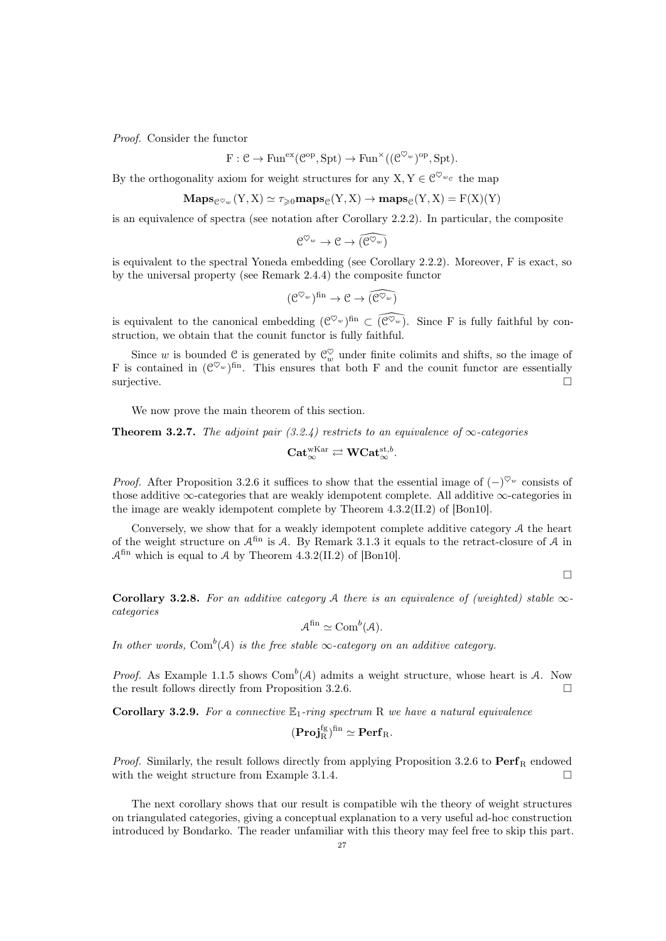Proof. Consider the functor

$$
F: \mathcal{C} \to \text{Fun}^{\text{ex}}(\mathcal{C}^{\text{op}}, \text{Spt}) \to \text{Fun}^{\times}((\mathcal{C}^{\heartsuit_w})^{\text{op}}, \text{Spt}).
$$

By the orthogonality axiom for weight structures for any  $X, Y \in \mathbb{C}^{\heartsuit_{w_{e}}}$  the map

$$
\mathbf{Maps}_{\mathcal{C}^{\heartsuit_w}}(Y, X) \simeq \tau_{\geq 0} \mathbf{maps}_{\mathcal{C}}(Y, X) \to \mathbf{maps}_{\mathcal{C}}(Y, X) = F(X)(Y)
$$

is an equivalence of spectra (see notation after Corollary [2.2.2\)](#page-15-1). In particular, the composite

$$
\mathcal{C}^{\heartsuit_w} \to \mathcal{C} \to \widehat{(\mathcal{C}^{\heartsuit_w})}
$$

is equivalent to the spectral Yoneda embedding (see Corollary [2.2.2\)](#page-15-1). Moreover, F is exact, so by the universal property (see Remark [2.4.4\)](#page-22-1) the composite functor

$$
(\mathcal{C}^{\heartsuit_w})^{\mathrm{fin}} \to \mathcal{C} \to \widehat{(\mathcal{C}^{\heartsuit_w})}
$$

is equivalent to the canonical embedding  $({\mathcal C}^{\heartsuit_w})^{\text{fin}} \subset \widehat{({\mathcal C}^{\heartsuit_w})}$ . Since F is fully faithful by construction, we obtain that the counit functor is fully faithful.

Since w is bounded  $\mathcal{C}$  is generated by  $\mathcal{C}_w^{\heartsuit}$  under finite colimits and shifts, so the image of F is contained in  $(\mathcal{C}^{\heartsuit_w})^{\text{fin}}$ . This ensures that both F and the counit functor are essentially surjective.

We now prove the main theorem of this section.

<span id="page-26-0"></span>**Theorem 3.2.7.** The adjoint pair [\(3.2.4\)](#page-25-2) restricts to an equivalence of  $\infty$ -categories

$$
\mathbf{Cat}_{\infty}^{\mathrm{wKar}} \rightleftarrows \mathbf{WCat}_{\infty}^{\mathrm{st},b}.
$$

*Proof.* After Proposition [3.2.6](#page-25-3) it suffices to show that the essential image of  $(-)^{\heartsuit_w}$  consists of those additive  $\infty$ -categories that are weakly idempotent complete. All additive  $\infty$ -categories in the image are weakly idempotent complete by Theorem 4.3.2(II.2) of [\[Bon10\]](#page-90-6).

Conversely, we show that for a weakly idempotent complete additive category A the heart of the weight structure on  $\mathcal{A}^{\text{fin}}$  is A. By Remark [3.1.3](#page-24-3) it equals to the retract-closure of A in  $\mathcal{A}^{\text{fin}}$  which is equal to  $\mathcal A$  by Theorem 4.3.2(II.2) of [\[Bon10\]](#page-90-6).

 $\Box$ 

<span id="page-26-1"></span>Corollary 3.2.8. For an additive category A there is an equivalence of (weighted) stable  $\infty$ categories

$$
\mathcal{A}^{\text{fin}} \simeq \text{Com}^b(\mathcal{A}).
$$

In other words, Com<sup>b</sup>(A) is the free stable  $\infty$ -category on an additive category.

*Proof.* As Example [1.1.5](#page-7-1) shows  $Com^b(\mathcal{A})$  admits a weight structure, whose heart is  $\mathcal{A}$ . Now the result follows directly from Proposition [3.2.6.](#page-25-3)  $\Box$ 

**Corollary 3.2.9.** For a connective  $\mathbb{E}_1$ -ring spectrum R we have a natural equivalence

$$
(\mathbf{Proj}_R^{fg})^{fin}\simeq \mathbf{Perf}_R.
$$

*Proof.* Similarly, the result follows directly from applying Proposition [3.2.6](#page-25-3) to  $\text{Perf}_R$  endowed with the weight structure from Example [3.1.4.](#page-24-0)  $\Box$ 

The next corollary shows that our result is compatible wih the theory of weight structures on triangulated categories, giving a conceptual explanation to a very useful ad-hoc construction introduced by Bondarko. The reader unfamiliar with this theory may feel free to skip this part.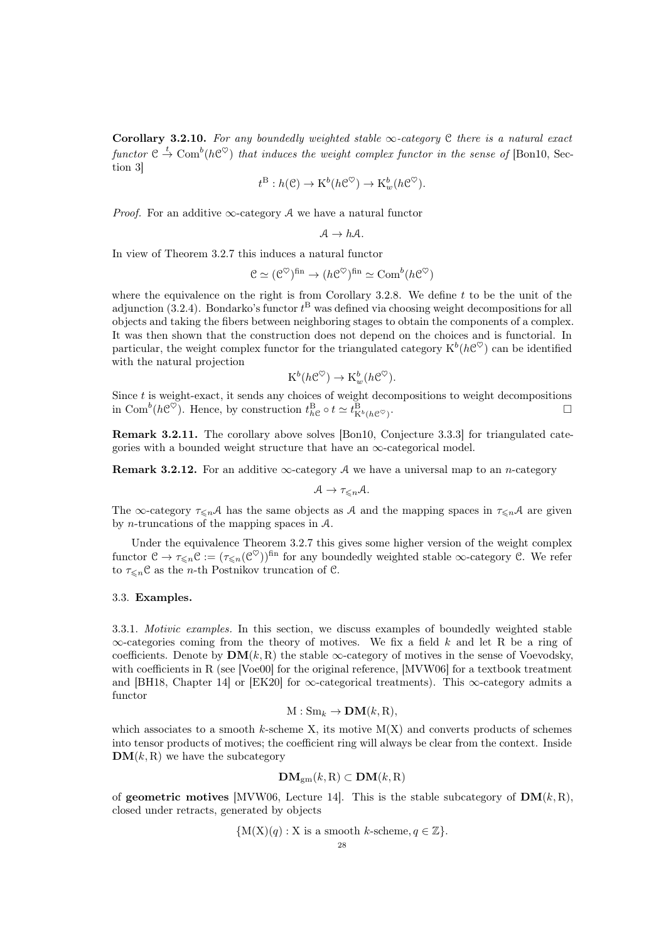Corollary 3.2.10. For any boundedly weighted stable  $\infty$ -category C there is a natural exact functor  $\mathfrak{C} \stackrel{t}{\rightarrow} \text{Com}^b(h\mathfrak{C}^\heartsuit)$  that induces the weight complex functor in the sense of [\[Bon10,](#page-90-6) Section 3]

$$
t^{\mathcal{B}}: h(\mathcal{C}) \to \mathrm{K}^{b}(h\mathcal{C}^{\heartsuit}) \to \mathrm{K}_{w}^{b}(h\mathcal{C}^{\heartsuit}).
$$

*Proof.* For an additive  $\infty$ -category A we have a natural functor

$$
\mathcal{A} \to h\mathcal{A}.
$$

In view of Theorem [3.2.7](#page-26-0) this induces a natural functor

$$
\mathcal{C} \simeq (\mathcal{C}^{\heartsuit})^{\text{fin}} \to (h\mathcal{C}^{\heartsuit})^{\text{fin}} \simeq \text{Com}^b(h\mathcal{C}^{\heartsuit})
$$

where the equivalence on the right is from Corollary [3.2.8.](#page-26-1) We define t to be the unit of the adjunction [\(3.2.4\)](#page-25-2). Bondarko's functor  $t^{\text{B}}$  was defined via choosing weight decompositions for all objects and taking the fibers between neighboring stages to obtain the components of a complex. It was then shown that the construction does not depend on the choices and is functorial. In particular, the weight complex functor for the triangulated category  $K^b(h\mathcal{C}^\heartsuit)$  can be identified with the natural projection

$$
K^b(h\mathcal{C}^\heartsuit) \to K^b_w(h\mathcal{C}^\heartsuit).
$$

Since  $t$  is weight-exact, it sends any choices of weight decompositions to weight decompositions in Com<sup>b</sup>( $h \mathcal{C}^{\heartsuit}$ ). Hence, by construction  $t_{h\mathcal{C}}^{\text{B}} \circ t \simeq t_{K^b(h\mathcal{C}^{\heartsuit})}^{\text{B}}$ .

Remark 3.2.11. The corollary above solves [\[Bon10,](#page-90-6) Conjecture 3.3.3] for triangulated categories with a bounded weight structure that have an  $\infty$ -categorical model.

**Remark 3.2.12.** For an additive  $\infty$ -category A we have a universal map to an *n*-category

$$
\mathcal{A}\to \tau_{\leqslant n}\mathcal{A}.
$$

The  $\infty$ -category  $\tau_{\leq n}A$  has the same objects as A and the mapping spaces in  $\tau_{\leq n}A$  are given by n-truncations of the mapping spaces in A.

Under the equivalence Theorem [3.2.7](#page-26-0) this gives some higher version of the weight complex functor  $\mathcal{C} \to \tau_{\leq n} \mathcal{C} := (\tau_{\leq n}(\mathcal{C}^\heartsuit))^{\text{fin}}$  for any boundedly weighted stable  $\infty$ -category  $\mathcal{C}$ . We refer to  $\tau_{\leq n}$ C as the *n*-th Postnikov truncation of C.

## <span id="page-27-0"></span>3.3. Examples.

<span id="page-27-1"></span>3.3.1. Motivic examples. In this section, we discuss examples of boundedly weighted stable  $\infty$ -categories coming from the theory of motives. We fix a field k and let R be a ring of coefficients. Denote by  $\text{DM}(k, R)$  the stable  $\infty$ -category of motives in the sense of Voevodsky, with coefficients in R (see [\[Voe00\]](#page-93-2) for the original reference, [\[MVW06\]](#page-92-16) for a textbook treatment and [\[BH18,](#page-90-15) Chapter 14] or [\[EK20\]](#page-91-14) for  $\infty$ -categorical treatments). This  $\infty$ -category admits a functor

$$
M:Sm_k\to \mathbf{DM}(k,R),
$$

which associates to a smooth k-scheme X, its motive  $M(X)$  and converts products of schemes into tensor products of motives; the coefficient ring will always be clear from the context. Inside  $DM(k, R)$  we have the subcategory

$$
\mathbf{DM}_{gm}(k, R) \subset \mathbf{DM}(k, R)
$$

of geometric motives [\[MVW06,](#page-92-16) Lecture 14]. This is the stable subcategory of  $\text{DM}(k, R)$ , closed under retracts, generated by objects

$$
\{M(X)(q) : X \text{ is a smooth } k\text{-scheme}, q \in \mathbb{Z}\}.
$$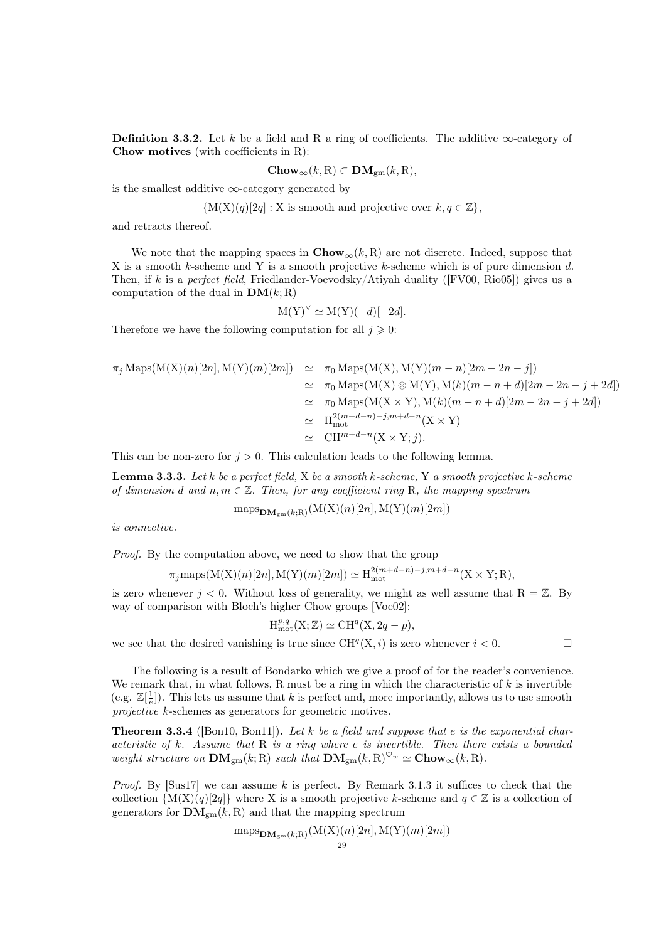**Definition 3.3.2.** Let k be a field and R a ring of coefficients. The additive  $\infty$ -category of Chow motives (with coefficients in R):

$$
Chow_{\infty}(k, R) \subset \mathbf{DM}_{gm}(k, R),
$$

is the smallest additive  $\infty$ -category generated by

$$
\{M(X)(q)[2q]: X \text{ is smooth and projective over } k, q \in \mathbb{Z}\},\
$$

and retracts thereof.

We note that the mapping spaces in  $Chow_\infty(k, R)$  are not discrete. Indeed, suppose that X is a smooth k-scheme and Y is a smooth projective k-scheme which is of pure dimension d. Then, if k is a perfect field, Friedlander-Voevodsky/Atiyah duality ( $[FV00, Rio05]$  $[FV00, Rio05]$ ) gives us a computation of the dual in  $\textbf{DM}(k; \text{R})$ 

$$
M(Y)^{\vee} \simeq M(Y)(-d)[-2d].
$$

Therefore we have the following computation for all  $j \geqslant 0$ :

$$
\pi_j \operatorname{Maps}(M(X)(n)[2n], M(Y)(m)[2m]) \simeq \pi_0 \operatorname{Maps}(M(X), M(Y)(m - n)[2m - 2n - j])
$$
  
\n
$$
\simeq \pi_0 \operatorname{Maps}(M(X) \otimes M(Y), M(k)(m - n + d)[2m - 2n - j + 2d])
$$
  
\n
$$
\simeq \pi_0 \operatorname{Maps}(M(X \times Y), M(k)(m - n + d)[2m - 2n - j + 2d])
$$
  
\n
$$
\simeq H_{mot}^{2(m + d - n) - j, m + d - n}(X \times Y)
$$
  
\n
$$
\simeq \operatorname{CH}^{m + d - n}(X \times Y; j).
$$

This can be non-zero for  $j > 0$ . This calculation leads to the following lemma.

<span id="page-28-0"></span>**Lemma 3.3.3.** Let k be a perfect field,  $X$  be a smooth k-scheme, Y a smooth projective k-scheme of dimension d and  $n, m \in \mathbb{Z}$ . Then, for any coefficient ring R, the mapping spectrum

$$
\operatorname{maps}_{\mathbf{DM}_{gm}(k;R)}(\mathbf{M}(\mathbf{X})(n)[2n], \mathbf{M}(\mathbf{Y})(m)[2m])
$$

is connective.

Proof. By the computation above, we need to show that the group

$$
\pi_j \text{maps}(M(X)(n)[2n], M(Y)(m)[2m]) \simeq H_{mot}^{2(m+d-n)-j,m+d-n}(X \times Y; R),
$$

is zero whenever  $j < 0$ . Without loss of generality, we might as well assume that  $R = \mathbb{Z}$ . By way of comparison with Bloch's higher Chow groups [\[Voe02\]](#page-93-3):

$$
H^{p,q}_{mot}(X; \mathbb{Z}) \simeq CH^q(X, 2q - p),
$$

we see that the desired vanishing is true since  $\text{CH}^q(X, i)$  is zero whenever  $i < 0$ .

The following is a result of Bondarko which we give a proof of for the reader's convenience. We remark that, in what follows, R must be a ring in which the characteristic of  $k$  is invertible (e.g.  $\mathbb{Z}[\frac{1}{e}]$ ). This lets us assume that k is perfect and, more importantly, allows us to use smooth projective k-schemes as generators for geometric motives.

**Theorem 3.3.4** ([\[Bon10,](#page-90-6) [Bon11\]](#page-90-16)). Let k be a field and suppose that e is the exponential characteristic of k. Assume that  $R$  is a ring where e is invertible. Then there exists a bounded weight structure on  $\mathbf{DM}_{gm}(k; R)$  such that  $\mathbf{DM}_{gm}(k, R)^{\heartsuit_w} \simeq \mathbf{Chow}_{\infty}(k, R)$ .

*Proof.* By [\[Sus17\]](#page-92-18) we can assume k is perfect. By Remark [3.1.3](#page-24-3) it suffices to check that the collection  $\{M(X)(q)[2q]\}$  where X is a smooth projective k-scheme and  $q \in \mathbb{Z}$  is a collection of generators for  $\mathbf{DM}_{gm}(k, R)$  and that the mapping spectrum

$$
\operatorname{maps}_{\mathbf{DM}_{gm}(k;R)}(\mathrm{M}(\mathrm{X})(n)[2n],\mathrm{M}(\mathrm{Y})(m)[2m])
$$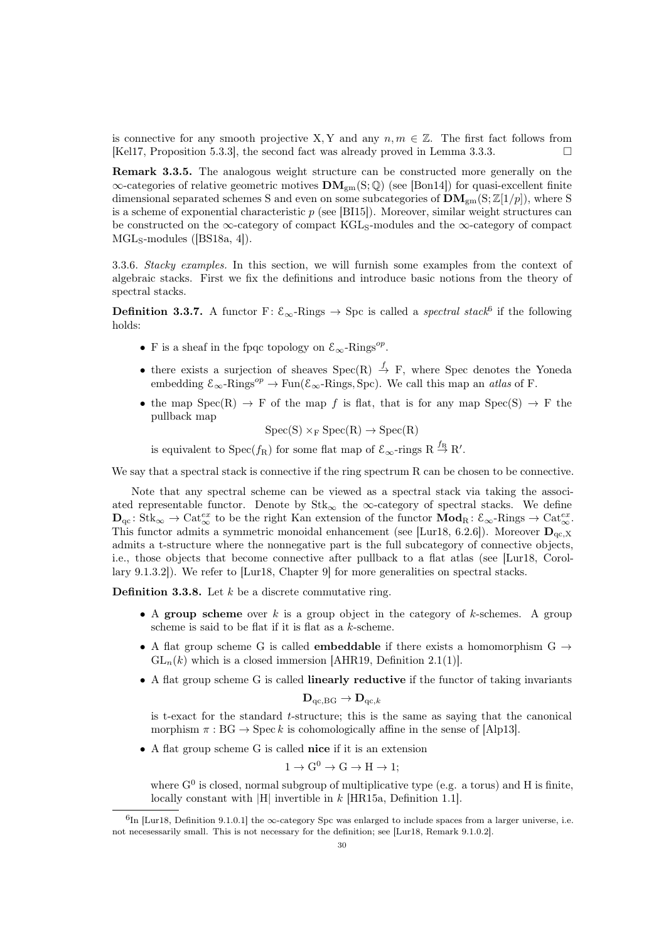is connective for any smooth projective X, Y and any  $n, m \in \mathbb{Z}$ . The first fact follows from [\[Kel17,](#page-91-16) Proposition 5.3.3], the second fact was already proved in Lemma [3.3.3.](#page-28-0)

Remark 3.3.5. The analogous weight structure can be constructed more generally on the  $\infty$ -categories of relative geometric motives  $\mathbf{DM}_{\text{gm}}(S; \mathbb{Q})$  (see [\[Bon14\]](#page-90-17)) for quasi-excellent finite dimensional separated schemes S and even on some subcategories of  $\mathbf{DM}_{gm}(S;\mathbb{Z}[1/p])$ , where S is a scheme of exponential characteristic  $p$  (see [\[BI15\]](#page-90-18)). Moreover, similar weight structures can be constructed on the  $\infty$ -category of compact KGL<sub>S</sub>-modules and the  $\infty$ -category of compact MGL<sub>S</sub>-modules ([\[BS18a,](#page-90-14) 4]).

3.3.6. Stacky examples. In this section, we will furnish some examples from the context of algebraic stacks. First we fix the definitions and introduce basic notions from the theory of spectral stacks.

**Definition 3.3.7.** A functor F:  $\mathcal{E}_{\infty}$ -Rings  $\rightarrow$  Spc is called a *spectral stack*<sup>[6](#page-29-0)</sup> if the following holds:

- F is a sheaf in the fpqc topology on  $\mathcal{E}_{\infty}$ -Rings<sup>op</sup>.
- there exists a surjection of sheaves  $Spec(R) \stackrel{f}{\rightarrow} F$ , where Spec denotes the Yoneda embedding  $\mathcal{E}_{\infty}$ -Rings<sup>op</sup>  $\rightarrow$  Fun( $\mathcal{E}_{\infty}$ -Rings, Spc). We call this map an *atlas* of F.
- the map  $Spec(R) \rightarrow F$  of the map f is flat, that is for any map  $Spec(S) \rightarrow F$  the pullback map

$$
Spec(S) \times_F Spec(R) \to Spec(R)
$$

is equivalent to  $Spec(f_R)$  for some flat map of  $\mathcal{E}_{\infty}$ -rings  $R \stackrel{f_R}{\rightarrow} R'.$ 

We say that a spectral stack is connective if the ring spectrum R can be chosen to be connective.

Note that any spectral scheme can be viewed as a spectral stack via taking the associated representable functor. Denote by  $Stk_{\infty}$  the  $\infty$ -category of spectral stacks. We define  $D_{\mathrm{qc}}\colon \mathrm{Stk}_{\infty} \to \mathrm{Cat}_{\infty}^{ex}$  to be the right Kan extension of the functor  $\mathbf{Mod}_{\mathrm{R}}\colon \mathcal{E}_{\infty}$ -Rings  $\to \mathrm{Cat}_{\infty}^{ex}$ . This functor admits a symmetric monoidal enhancement (see [\[Lur18,](#page-92-11) 6.2.6]). Moreover  $D_{\alpha c,X}$ admits a t-structure where the nonnegative part is the full subcategory of connective objects, i.e., those objects that become connective after pullback to a flat atlas (see [\[Lur18,](#page-92-11) Corollary 9.1.3.2]). We refer to [\[Lur18,](#page-92-11) Chapter 9] for more generalities on spectral stacks.

**Definition 3.3.8.** Let  $k$  be a discrete commutative ring.

- A group scheme over k is a group object in the category of k-schemes. A group scheme is said to be flat if it is flat as a k-scheme.
- A flat group scheme G is called **embeddable** if there exists a homomorphism  $G \rightarrow$  $GL_n(k)$  which is a closed immersion [\[AHR19,](#page-90-11) Definition 2.1(1)].
- A flat group scheme G is called **linearly reductive** if the functor of taking invariants

$$
\mathbf{D}_{\mathrm{qc},\mathrm{BG}} \to \mathbf{D}_{\mathrm{qc},k}
$$

is t-exact for the standard t-structure; this is the same as saying that the canonical morphism  $\pi : BG \to \mathrm{Spec} k$  is cohomologically affine in the sense of [\[Alp13\]](#page-90-19).

• A flat group scheme G is called nice if it is an extension

$$
1 \to G^0 \to G \to H \to 1;
$$

where  $G^0$  is closed, normal subgroup of multiplicative type (e.g. a torus) and H is finite, locally constant with |H| invertible in k [\[HR15a,](#page-91-17) Definition 1.1].

<span id="page-29-0"></span> $^{6}$ In [\[Lur18,](#page-92-11) Definition 9.1.0.1] the  $\infty$ -category Spc was enlarged to include spaces from a larger universe, i.e. not necesessarily small. This is not necessary for the definition; see [\[Lur18,](#page-92-11) Remark 9.1.0.2].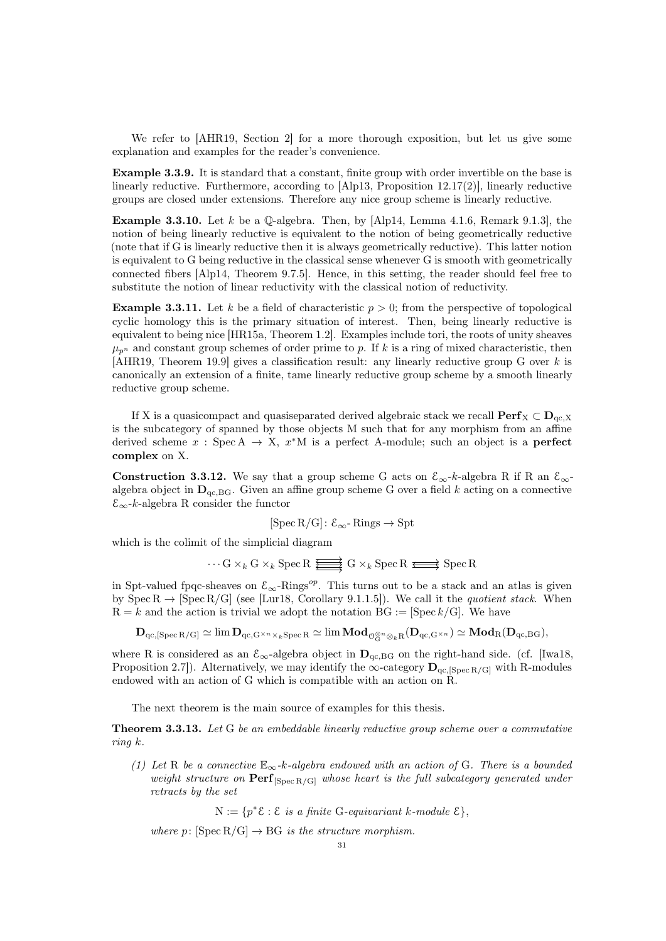We refer to [\[AHR19,](#page-90-11) Section 2] for a more thorough exposition, but let us give some explanation and examples for the reader's convenience.

Example 3.3.9. It is standard that a constant, finite group with order invertible on the base is linearly reductive. Furthermore, according to [\[Alp13,](#page-90-19) Proposition 12.17(2)], linearly reductive groups are closed under extensions. Therefore any nice group scheme is linearly reductive.

**Example 3.3.10.** Let k be a  $\mathbb{Q}$ -algebra. Then, by [\[Alp14,](#page-90-20) Lemma 4.1.6, Remark 9.1.3], the notion of being linearly reductive is equivalent to the notion of being geometrically reductive (note that if G is linearly reductive then it is always geometrically reductive). This latter notion is equivalent to G being reductive in the classical sense whenever G is smooth with geometrically connected fibers [\[Alp14,](#page-90-20) Theorem 9.7.5]. Hence, in this setting, the reader should feel free to substitute the notion of linear reductivity with the classical notion of reductivity.

**Example 3.3.11.** Let k be a field of characteristic  $p > 0$ ; from the perspective of topological cyclic homology this is the primary situation of interest. Then, being linearly reductive is equivalent to being nice [\[HR15a,](#page-91-17) Theorem 1.2]. Examples include tori, the roots of unity sheaves  $\mu_{n^p}$  and constant group schemes of order prime to p. If k is a ring of mixed characteristic, then [\[AHR19,](#page-90-11) Theorem 19.9] gives a classification result: any linearly reductive group G over k is canonically an extension of a finite, tame linearly reductive group scheme by a smooth linearly reductive group scheme.

If X is a quasicompact and quasiseparated derived algebraic stack we recall  $\text{Perf}_X \subset \mathbf{D}_{qc,X}$ is the subcategory of spanned by those objects M such that for any morphism from an affine derived scheme  $x : \text{Spec } A \to X$ ,  $x^*M$  is a perfect A-module; such an object is a **perfect** complex on X.

<span id="page-30-1"></span>**Construction 3.3.12.** We say that a group scheme G acts on  $\mathcal{E}_{\infty}$ -k-algebra R if R an  $\mathcal{E}_{\infty}$ algebra object in  $\mathbf{D}_{\text{qc,BG}}$ . Given an affine group scheme G over a field k acting on a connective E∞-k-algebra R consider the functor

$$
[\operatorname{Spec} R/G]: \mathcal{E}_{\infty} \text{- Rings} \to \operatorname{Spt}
$$

which is the colimit of the simplicial diagram

$$
\cdots G \times_k G \times_k \operatorname{Spec} R \xrightarrow{\longrightarrow} G \times_k \operatorname{Spec} R \xrightarrow{\longrightarrow} \operatorname{Spec} R
$$

in Spt-valued fpqc-sheaves on  $\mathcal{E}_{\infty}$ -Rings<sup>op</sup>. This turns out to be a stack and an atlas is given by  $\text{Spec } R \to [\text{Spec } R/G]$  (see [\[Lur18,](#page-92-11) Corollary 9.1.1.5]). We call it the *quotient stack*. When  $R = k$  and the action is trivial we adopt the notation  $BG := [Spec k/G]$ . We have

$$
\mathbf{D}_{\mathrm{qc},[\mathrm{Spec}\,\mathrm{R/G}]} \simeq \lim \mathbf{D}_{\mathrm{qc},\mathrm{G}^{\times n} \times_k \mathrm{Spec}\,\mathrm{R}} \simeq \lim \mathbf{Mod}_{\mathcal{O}_G^{\otimes n} \otimes_k \mathrm{R}}(\mathbf{D}_{\mathrm{qc},\mathrm{G}^{\times n}}) \simeq \mathbf{Mod}_{\mathrm{R}}(\mathbf{D}_{\mathrm{qc},\mathrm{BG}}),
$$

where R is considered as an  $\mathcal{E}_{\infty}$ -algebra object in  $\mathbf{D}_{qc,BG}$  on the right-hand side. (cf. [\[Iwa18,](#page-91-18) Proposition 2.7]). Alternatively, we may identify the  $\infty$ -category  $\mathbf{D}_{qc,[Spec\ R/G]}$  with R-modules endowed with an action of G which is compatible with an action on R.

The next theorem is the main source of examples for this thesis.

<span id="page-30-0"></span>Theorem 3.3.13. Let G be an embeddable linearly reductive group scheme over a commutative ring k.

(1) Let R be a connective  $\mathbb{E}_{\infty}$ -k-algebra endowed with an action of G. There is a bounded weight structure on  $\operatorname{Perf}_{\text{[Spec R/G]}}$  whose heart is the full subcategory generated under retracts by the set

 $N := \{p^*\mathcal{E} : \mathcal{E} \text{ is a finite } G\text{-}equivariant } k\text{-}module \ \mathcal{E}\},$ 

where p:  $[\text{Spec } R/G] \rightarrow BG$  is the structure morphism.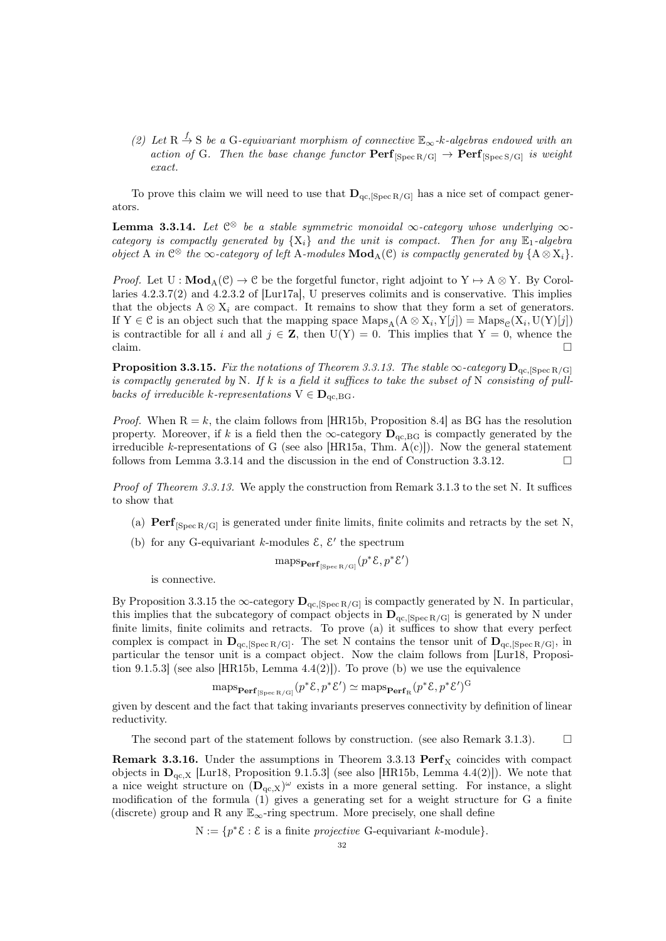(2) Let R  $\stackrel{f}{\rightarrow}$  S be a G-equivariant morphism of connective  $\mathbb{E}_{\infty}$ -k-algebras endowed with an action of G. Then the base change functor  $\mathbf{Perf}_{\text{[Spec R/G]}} \to \mathbf{Perf}_{\text{[Spec S/G]}}$  is weight exact.

To prove this claim we will need to use that  $\mathbf{D}_{\text{qc},\text{[Spec }R/\text{Gl}]}$  has a nice set of compact generators.

<span id="page-31-0"></span>**Lemma 3.3.14.** Let  $\mathbb{C}^{\otimes}$  be a stable symmetric monoidal  $\infty$ -category whose underlying  $\infty$ category is compactly generated by  $\{X_i\}$  and the unit is compact. Then for any  $\mathbb{E}_1$ -algebra object A in  $\mathbb{C}^{\otimes}$  the  $\infty$ -category of left A-modules  $\text{Mod}_{A}(\mathbb{C})$  is compactly generated by  $\{A \otimes X_i\}$ .

*Proof.* Let  $U : \text{Mod}_{A}(\mathcal{C}) \to \mathcal{C}$  be the forgetful functor, right adjoint to  $Y \to A \otimes Y$ . By Corollaries 4.2.3.7(2) and 4.2.3.2 of [\[Lur17a\]](#page-92-10), U preserves colimits and is conservative. This implies that the objects  $A \otimes X_i$  are compact. It remains to show that they form a set of generators. If Y  $\in \mathcal{C}$  is an object such that the mapping space  $\text{Maps}_{A}(A \otimes X_i, Y[j]) = \text{Maps}_{\mathcal{C}}(X_i, U(Y)[j])$ is contractible for all i and all  $j \in \mathbb{Z}$ , then  $U(Y) = 0$ . This implies that  $Y = 0$ , whence the claim.

<span id="page-31-1"></span>**Proposition 3.3.15.** Fix the notations of Theorem [3.3.13.](#page-30-0) The stable  $\infty$ -category  $D_{qc,[Spec R/G]}$ is compactly generated by N. If k is a field it suffices to take the subset of N consisting of pullbacks of irreducible k-representations  $V \in D_{qc, BG}$ .

*Proof.* When  $R = k$ , the claim follows from [\[HR15b,](#page-91-19) Proposition 8.4] as BG has the resolution property. Moreover, if k is a field then the  $\infty$ -category  $\mathbf{D}_{\text{qc,BG}}$  is compactly generated by the irreducible k-representations of G (see also [\[HR15a,](#page-91-17) Thm.  $A(c)$ ]). Now the general statement follows from Lemma [3.3.14](#page-31-0) and the discussion in the end of Construction [3.3.12.](#page-30-1)

Proof of Theorem [3.3.13.](#page-30-0) We apply the construction from Remark [3.1.3](#page-24-3) to the set N. It suffices to show that

- (a)  $\text{Perf}_{\text{Spec B/G}}$  is generated under finite limits, finite colimits and retracts by the set N,
- (b) for any G-equivariant k-modules  $\mathcal{E}, \mathcal{E}'$  the spectrum

$$
maps_{\mathbf{Perf}_{[Spec R/G]}}(p^*\mathcal{E}, p^*\mathcal{E}')
$$

is connective.

By Proposition [3.3.15](#page-31-1) the  $\infty$ -category  $\mathbf{D}_{qc,[Spec\ R/G]}$  is compactly generated by N. In particular, this implies that the subcategory of compact objects in  $\mathbf{D}_{qc,[Spec R/G]}$  is generated by N under finite limits, finite colimits and retracts. To prove (a) it suffices to show that every perfect complex is compact in  $\mathbf{D}_{\text{qc, [Spec R/G]}}.$  The set N contains the tensor unit of  $\mathbf{D}_{\text{qc, [Spec R/G]}},$  in particular the tensor unit is a compact object. Now the claim follows from [\[Lur18,](#page-92-11) Proposi-tion 9.1.5.3] (see also [\[HR15b,](#page-91-19) Lemma  $4.4(2)$ ]). To prove (b) we use the equivalence

$$
\mathrm{maps}_{\mathbf{Perf}_{[\mathrm{Spec}\,\mathrm{R}/\mathrm{G}]}}(p^*\mathcal{E},p^*\mathcal{E}')\simeq \mathrm{maps}_{\mathbf{Perf}_{\mathrm{R}}}(p^*\mathcal{E},p^*\mathcal{E}')^{\mathrm{G}}
$$

given by descent and the fact that taking invariants preserves connectivity by definition of linear reductivity.

The second part of the statement follows by construction. (see also Remark [3.1.3\)](#page-24-3).  $\square$ 

**Remark 3.3.16.** Under the assumptions in Theorem [3.3.13](#page-30-0)  $\text{Perf}_X$  coincides with compact objects in  $D_{qc,X}$  [\[Lur18,](#page-92-11) Proposition 9.1.5.3] (see also [\[HR15b,](#page-91-19) Lemma 4.4(2)]). We note that a nice weight structure on  $(D_{qc,X})^{\omega}$  exists in a more general setting. For instance, a slight modification of the formula (1) gives a generating set for a weight structure for G a finite (discrete) group and R any  $\mathbb{E}_{\infty}$ -ring spectrum. More precisely, one shall define

 $N := \{p^*\mathcal{E} : \mathcal{E} \text{ is a finite projective } G\text{-equivariant } k\text{-module}\}.$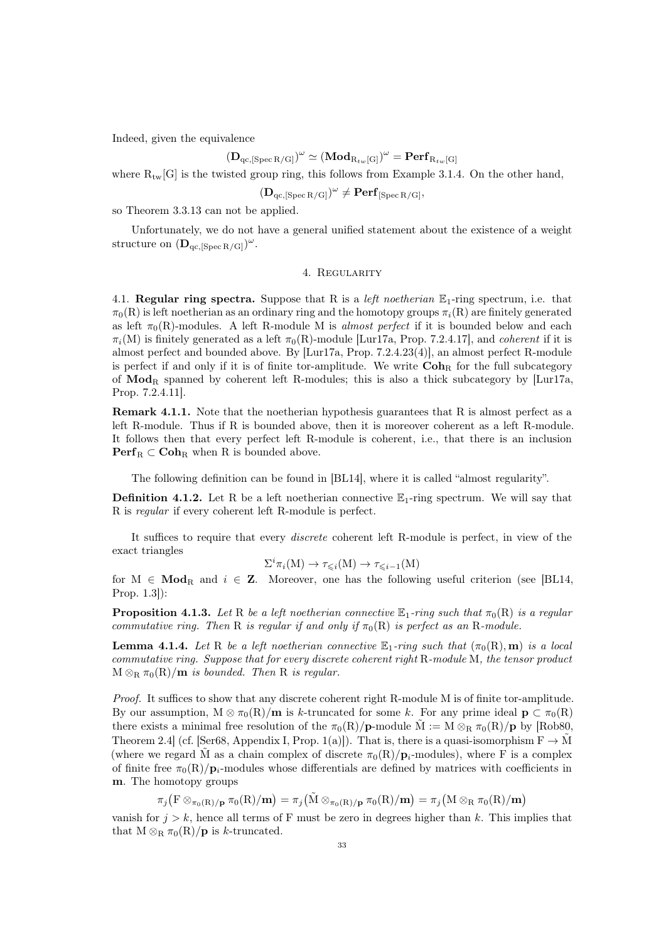Indeed, given the equivalence

# $({\bf D}_{\rm qc,[Spec\, R/G]})^\omega \simeq ({\bf Mod}_{R_{tw}[G]})^\omega = {\bf Perf}_{R_{tw}[G]}$

where  $R_{tw}[G]$  is the twisted group ring, this follows from Example [3.1.4.](#page-24-0) On the other hand,

$$
(\mathbf{D}_{qc,[\operatorname{Spec} R/G]})^\omega \neq \mathbf{Perf}_{[\operatorname{Spec} R/G]},
$$

so Theorem [3.3.13](#page-30-0) can not be applied.

Unfortunately, we do not have a general unified statement about the existence of a weight structure on  $(D_{qc,[Spec R/G]})^{\omega}$ .

### 4. Regularity

<span id="page-32-1"></span><span id="page-32-0"></span>4.1. Regular ring spectra. Suppose that R is a *left noetherian*  $\mathbb{E}_1$ -ring spectrum, i.e. that  $\pi_0(R)$  is left noetherian as an ordinary ring and the homotopy groups  $\pi_i(R)$  are finitely generated as left  $\pi_0(R)$ -modules. A left R-module M is almost perfect if it is bounded below and each  $\pi_i(M)$  is finitely generated as a left  $\pi_0(R)$ -module [\[Lur17a,](#page-92-10) Prop. 7.2.4.17], and *coherent* if it is almost perfect and bounded above. By [\[Lur17a,](#page-92-10) Prop. 7.2.4.23(4)], an almost perfect R-module is perfect if and only if it is of finite tor-amplitude. We write  $\mathbf{Coh}_{\mathbf{R}}$  for the full subcategory of  $\text{Mod}_{\text{R}}$  spanned by coherent left R-modules; this is also a thick subcategory by [\[Lur17a,](#page-92-10) Prop. 7.2.4.11].

**Remark 4.1.1.** Note that the noetherian hypothesis guarantees that R is almost perfect as a left R-module. Thus if R is bounded above, then it is moreover coherent as a left R-module. It follows then that every perfect left R-module is coherent, i.e., that there is an inclusion  $\mathbf{Perf}_R \subset \mathbf{Coh}_R$  when R is bounded above.

The following definition can be found in [\[BL14\]](#page-90-9), where it is called "almost regularity".

**Definition 4.1.2.** Let R be a left noetherian connective  $\mathbb{E}_1$ -ring spectrum. We will say that R is regular if every coherent left R-module is perfect.

It suffices to require that every discrete coherent left R-module is perfect, in view of the exact triangles

$$
\Sigma^i \pi_i(M) \to \tau_{\leq i}(M) \to \tau_{\leq i-1}(M)
$$

for  $M \in Mod_R$  and  $i \in \mathbb{Z}$ . Moreover, one has the following useful criterion (see [\[BL14,](#page-90-9) Prop. 1.3]):

**Proposition 4.1.3.** Let R be a left noetherian connective  $\mathbb{E}_1$ -ring such that  $\pi_0(R)$  is a regular commutative ring. Then R is regular if and only if  $\pi_0(R)$  is perfect as an R-module.

**Lemma 4.1.4.** Let R be a left noetherian connective  $\mathbb{E}_1$ -ring such that  $(\pi_0(R), m)$  is a local commutative ring. Suppose that for every discrete coherent right R-module M, the tensor product  $M \otimes_R \pi_0(R)/m$  is bounded. Then R is regular.

Proof. It suffices to show that any discrete coherent right R-module M is of finite tor-amplitude. By our assumption,  $M \otimes \pi_0(R)/m$  is k-truncated for some k. For any prime ideal  $p \subset \pi_0(R)$ there exists a minimal free resolution of the  $\pi_0(R)/p$ -module  $\tilde{M} := M \otimes_R \pi_0(R)/p$  by [\[Rob80,](#page-92-19) Theorem 2.4] (cf. [\[Ser68,](#page-92-20) Appendix I, Prop. 1(a)]). That is, there is a quasi-isomorphism  $F \to \tilde{M}$ (where we regard  $\tilde{M}$  as a chain complex of discrete  $\pi_0(R)/p_i$ -modules), where F is a complex of finite free  $\pi_0(R)/p_i$ -modules whose differentials are defined by matrices with coefficients in m. The homotopy groups

 $\pi_j\big(\mathrm{F}\otimes_{\pi_0(\mathrm{R})/\mathbf{p}}\pi_0(\mathrm{R})/\mathbf{m}\big)=\pi_j\big(\tilde{\mathrm{M}}\otimes_{\pi_0(\mathrm{R})/\mathbf{p}}\pi_0(\mathrm{R})/\mathbf{m}\big)=\pi_j\big(\mathrm{M}\otimes_\mathrm{R}\pi_0(\mathrm{R})/\mathbf{m}\big)$ 

vanish for  $j > k$ , hence all terms of F must be zero in degrees higher than k. This implies that that  $M \otimes_R \pi_0(R)/p$  is k-truncated.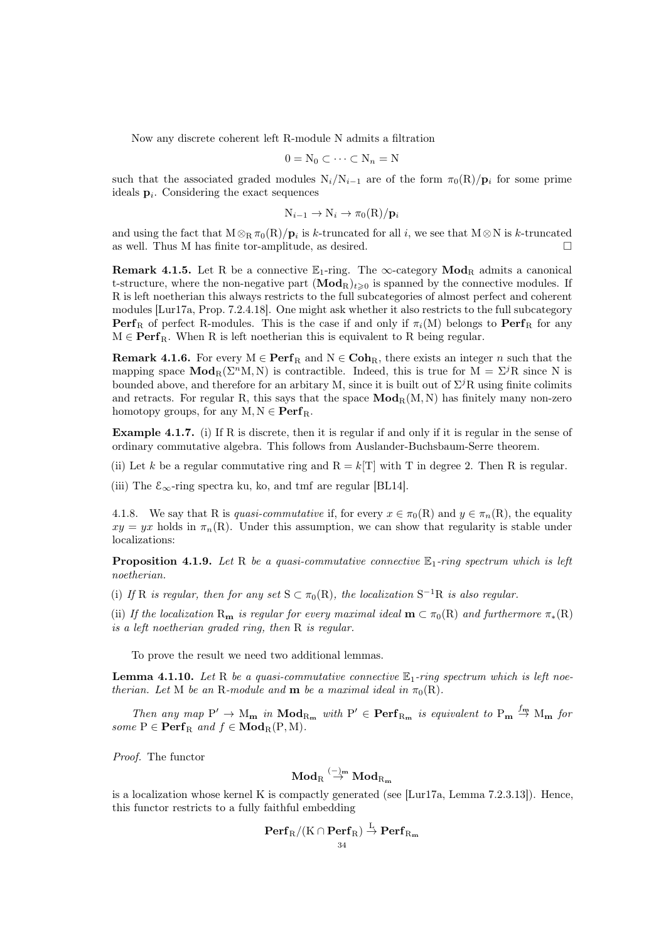Now any discrete coherent left R-module N admits a filtration

$$
0 = N_0 \subset \cdots \subset N_n = N
$$

such that the associated graded modules  $N_i/N_{i-1}$  are of the form  $\pi_0(R)/p_i$  for some prime ideals  $\mathbf{p}_i$ . Considering the exact sequences

$$
N_{i-1} \to N_i \to \pi_0(R)/\mathbf{p}_i
$$

and using the fact that  $M \otimes_R \pi_0(R)/p_i$  is k-truncated for all i, we see that  $M \otimes N$  is k-truncated as well. Thus M has finite tor-amplitude, as desired.

**Remark 4.1.5.** Let R be a connective  $\mathbb{E}_1$ -ring. The  $\infty$ -category **Mod**<sub>R</sub> admits a canonical t-structure, where the non-negative part  $(\mathbf{Mod}_{R})_{t\geq 0}$  is spanned by the connective modules. If R is left noetherian this always restricts to the full subcategories of almost perfect and coherent modules [\[Lur17a,](#page-92-10) Prop. 7.2.4.18]. One might ask whether it also restricts to the full subcategory **Perf**<sub>R</sub> of perfect R-modules. This is the case if and only if  $\pi_i(M)$  belongs to Perf<sub>R</sub> for any  $M \in \mathbf{Perf}_R$ . When R is left noetherian this is equivalent to R being regular.

**Remark 4.1.6.** For every  $M \in \mathbf{Perf}_R$  and  $N \in \mathbf{Coh}_R$ , there exists an integer n such that the mapping space  $\text{Mod}_R(\Sigma^n M, N)$  is contractible. Indeed, this is true for  $M = \Sigma^j R$  since N is bounded above, and therefore for an arbitary M, since it is built out of  $\Sigma^j R$  using finite colimits and retracts. For regular R, this says that the space  $\text{Mod}_{R}(M, N)$  has finitely many non-zero homotopy groups, for any  $M, N \in \operatorname{Perf}_R$ .

Example 4.1.7. (i) If R is discrete, then it is regular if and only if it is regular in the sense of ordinary commutative algebra. This follows from Auslander-Buchsbaum-Serre theorem.

(ii) Let k be a regular commutative ring and  $R = k[T]$  with T in degree 2. Then R is regular.

(iii) The  $\mathcal{E}_{\infty}$ -ring spectra ku, ko, and tmf are regular [\[BL14\]](#page-90-9).

4.1.8. We say that R is quasi-commutative if, for every  $x \in \pi_0(R)$  and  $y \in \pi_n(R)$ , the equality  $xy = yx$  holds in  $\pi_n(R)$ . Under this assumption, we can show that regularity is stable under localizations:

<span id="page-33-0"></span>**Proposition 4.1.9.** Let R be a quasi-commutative connective  $\mathbb{E}_1$ -ring spectrum which is left noetherian.

(i) If R is regular, then for any set  $S \subset \pi_0(R)$ , the localization  $S^{-1}R$  is also regular.

(ii) If the localization R<sub>m</sub> is regular for every maximal ideal  $m \subset \pi_0(R)$  and furthermore  $\pi_*(R)$ is a left noetherian graded ring, then R is regular.

To prove the result we need two additional lemmas.

<span id="page-33-1"></span>**Lemma 4.1.10.** Let R be a quasi-commutative connective  $\mathbb{E}_1$ -ring spectrum which is left noetherian. Let M be an R-module and **m** be a maximal ideal in  $\pi_0(R)$ .

Then any map  $P' \to M_{m}$  in  $\text{Mod}_{R_{m}}$  with  $P' \in \text{Perf}_{R_{m}}$  is equivalent to  $P_{m} \stackrel{f_{m}}{\to} M_{m}$  for some  $P \in \operatorname{Perf}_R$  and  $f \in \operatorname{Mod}_R(P, M)$ .

Proof. The functor

$$
\bf{Mod}_R \stackrel{(-)_{\bf m}}{\rightarrow} \bf{Mod}_{R_{\bf m}}
$$

is a localization whose kernel K is compactly generated (see [\[Lur17a,](#page-92-10) Lemma 7.2.3.13]). Hence, this functor restricts to a fully faithful embedding

$$
\mathbf{Perf}_R/(K\cap \mathbf{Perf}_R) \overset{L}{\to} \mathbf{Perf}_{R_\mathbf{m}}
$$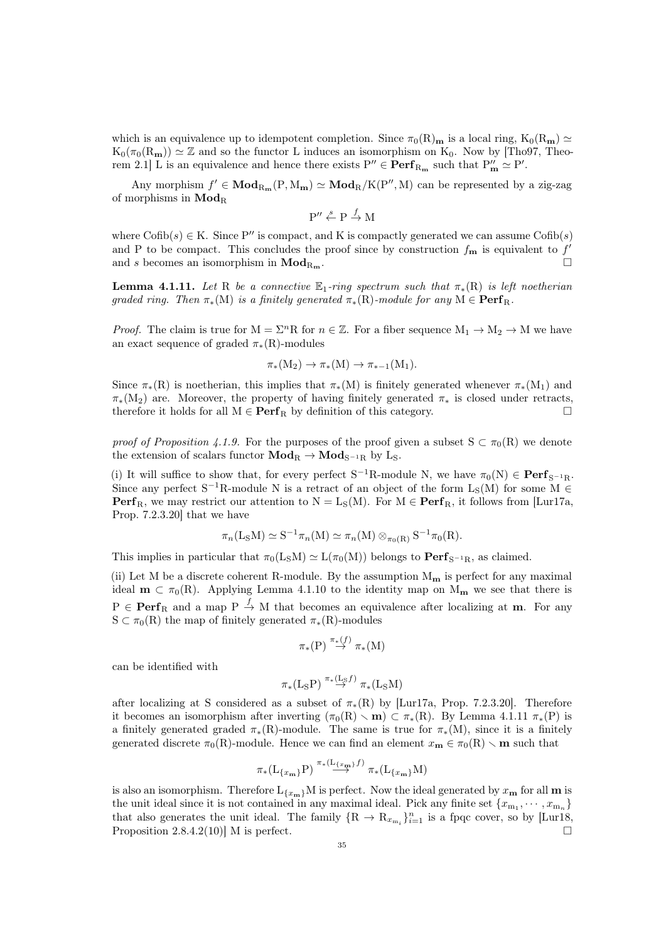which is an equivalence up to idempotent completion. Since  $\pi_0(R)_{\mathbf{m}}$  is a local ring,  $K_0(R_{\mathbf{m}}) \simeq$  $K_0(\pi_0(R_m)) \simeq \mathbb{Z}$  and so the functor L induces an isomorphism on  $K_0$ . Now by [\[Tho97,](#page-92-21) Theorem 2.1] L is an equivalence and hence there exists  $P'' \in \mathbf{Perf}_{R_{\mathbf{m}}}$  such that  $P''_{\mathbf{m}} \simeq P'$ .

Any morphism  $f' \in Mod_{R_m}(P, M_m) \simeq Mod_R/K(P'', M)$  can be represented by a zig-zag of morphisms in  $\bf{Mod}_R$ 

$$
P'' \xleftarrow{s} P \xrightarrow{f} M
$$

where  $\text{Cofib}(s) \in K$ . Since P'' is compact, and K is compactly generated we can assume  $\text{Cofib}(s)$ and P to be compact. This concludes the proof since by construction  $f_{\mathbf{m}}$  is equivalent to  $f'$ and s becomes an isomorphism in  $\text{Mod}_{R_m}$ .

<span id="page-34-0"></span>**Lemma 4.1.11.** Let R be a connective  $\mathbb{E}_1$ -ring spectrum such that  $\pi_*(R)$  is left noetherian graded ring. Then  $\pi_*(M)$  is a finitely generated  $\pi_*(R)$ -module for any  $M \in \operatorname{Perf}_R$ .

*Proof.* The claim is true for  $M = \Sigma^n R$  for  $n \in \mathbb{Z}$ . For a fiber sequence  $M_1 \to M_2 \to M$  we have an exact sequence of graded  $\pi_*(R)$ -modules

$$
\pi_*(M_2) \to \pi_*(M) \to \pi_{*-1}(M_1).
$$

Since  $\pi_*(R)$  is noetherian, this implies that  $\pi_*(M)$  is finitely generated whenever  $\pi_*(M_1)$  and  $\pi_*(M_2)$  are. Moreover, the property of having finitely generated  $\pi_*$  is closed under retracts, therefore it holds for all  $M \in \mathbf{Perf}_R$  by definition of this category.

proof of Proposition [4.1.9.](#page-33-0) For the purposes of the proof given a subset  $S \subset \pi_0(R)$  we denote the extension of scalars functor  $\mathbf{Mod}_{R} \to \mathbf{Mod}_{S^{-1}R}$  by L<sub>S</sub>.

(i) It will suffice to show that, for every perfect  $S^{-1}R$ -module N, we have  $\pi_0(N) \in \mathbf{Perf}_{S^{-1}R}$ . Since any perfect  $S^{-1}R$ -module N is a retract of an object of the form  $L_S(M)$  for some  $M \in$ **Perf**<sub>R</sub>, we may restrict our attention to  $N = L_S(M)$ . For  $M \in \text{Perf}_R$ , it follows from [\[Lur17a,](#page-92-10) Prop. 7.2.3.20] that we have

$$
\pi_n(L_S M) \simeq S^{-1} \pi_n(M) \simeq \pi_n(M) \otimes_{\pi_0(R)} S^{-1} \pi_0(R).
$$

This implies in particular that  $\pi_0(L_\text{S}M) \simeq L(\pi_0(M))$  belongs to  $\text{Perf}_{S^{-1}R}$ , as claimed.

(ii) Let M be a discrete coherent R-module. By the assumption  $M_{\mathbf{m}}$  is perfect for any maximal ideal  $\mathbf{m} \subset \pi_0(\mathbf{R})$ . Applying Lemma [4.1.10](#page-33-1) to the identity map on  $M_{\mathbf{m}}$  we see that there is  $P \in \mathbf{Perf}_R$  and a map  $P \xrightarrow{f} M$  that becomes an equivalence after localizing at m. For any  $S \subset \pi_0(R)$  the map of finitely generated  $\pi_*(R)$ -modules

$$
\pi_*(P) \stackrel{\pi_*(f)}{\to} \pi_*(M)
$$

can be identified with

$$
\pi_*(\mathrm{L}_{\mathrm{S}}\mathrm{P}) \stackrel{\pi_*(\mathrm{L}_{\mathrm{S}}f)}{\to} \pi_*(\mathrm{L}_{\mathrm{S}}\mathrm{M})
$$

after localizing at S considered as a subset of  $\pi_*(R)$  by [\[Lur17a,](#page-92-10) Prop. 7.2.3.20]. Therefore it becomes an isomorphism after inverting  $(\pi_0(R) \setminus m) \subset \pi_*(R)$ . By Lemma [4.1.11](#page-34-0)  $\pi_*(P)$  is a finitely generated graded  $\pi_*(R)$ -module. The same is true for  $\pi_*(M)$ , since it is a finitely generated discrete  $\pi_0(R)$ -module. Hence we can find an element  $x_m \in \pi_0(R) \setminus m$  such that

$$
\pi_*(\mathcal{L}_{\{x_{\mathbf{m}}\}}\mathcal{P}) \stackrel{\pi_*(\mathcal{L}_{\{x_{\mathbf{m}}\}}f)}{\longrightarrow} \pi_*(\mathcal{L}_{\{x_{\mathbf{m}}\}}\mathcal{M})
$$

is also an isomorphism. Therefore  $L_{\{x_m\}}M$  is perfect. Now the ideal generated by  $x_m$  for all m is the unit ideal since it is not contained in any maximal ideal. Pick any finite set  $\{x_{m_1}, \dots, x_{m_n}\}$ that also generates the unit ideal. The family  $\{R \to R_{x_{m_i}}\}_{i=1}^n$  is a fpqc cover, so by [\[Lur18,](#page-92-11) Proposition 2.8.4.2(10)] M is perfect.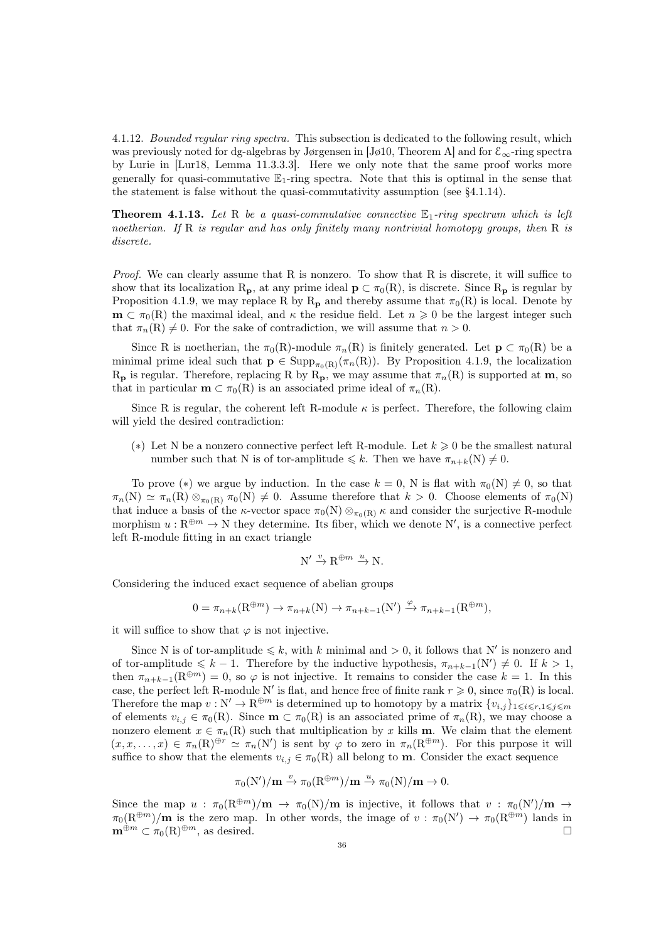4.1.12. Bounded regular ring spectra. This subsection is dedicated to the following result, which was previously noted for dg-algebras by Jørgensen in [Jø[10,](#page-91-20) Theorem A] and for  $\mathcal{E}_{\infty}$ -ring spectra by Lurie in [\[Lur18,](#page-92-11) Lemma 11.3.3.3]. Here we only note that the same proof works more generally for quasi-commutative  $\mathbb{E}_1$ -ring spectra. Note that this is optimal in the sense that the statement is false without the quasi-commutativity assumption (see [§4.1.14\)](#page-36-1).

**Theorem 4.1.13.** Let R be a quasi-commutative connective  $\mathbb{E}_1$ -ring spectrum which is left noetherian. If R is regular and has only finitely many nontrivial homotopy groups, then R is discrete.

Proof. We can clearly assume that R is nonzero. To show that R is discrete, it will suffice to show that its localization  $R_p$ , at any prime ideal  $p \subset \pi_0(R)$ , is discrete. Since  $R_p$  is regular by Proposition [4.1.9,](#page-33-0) we may replace R by R<sub>p</sub> and thereby assume that  $\pi_0(R)$  is local. Denote by  $\mathbf{m} \subset \pi_0(R)$  the maximal ideal, and  $\kappa$  the residue field. Let  $n \geq 0$  be the largest integer such that  $\pi_n(R) \neq 0$ . For the sake of contradiction, we will assume that  $n > 0$ .

Since R is noetherian, the  $\pi_0(R)$ -module  $\pi_n(R)$  is finitely generated. Let  $p \subset \pi_0(R)$  be a minimal prime ideal such that  $\mathbf{p} \in \text{Supp}_{\pi_0(R)}(\pi_n(R))$ . By Proposition [4.1.9,](#page-33-0) the localization  $R_{\rm p}$  is regular. Therefore, replacing R by  $R_{\rm p}$ , we may assume that  $\pi_n(R)$  is supported at **m**, so that in particular  $\mathbf{m} \subset \pi_0(R)$  is an associated prime ideal of  $\pi_n(R)$ .

Since R is regular, the coherent left R-module  $\kappa$  is perfect. Therefore, the following claim will yield the desired contradiction:

(\*) Let N be a nonzero connective perfect left R-module. Let  $k \geqslant 0$  be the smallest natural number such that N is of tor-amplitude  $\leq k$ . Then we have  $\pi_{n+k}(N) \neq 0$ .

To prove (\*) we argue by induction. In the case  $k = 0$ , N is flat with  $\pi_0(N) \neq 0$ , so that  $\pi_n(N) \simeq \pi_n(R) \otimes_{\pi_0(R)} \pi_0(N) \neq 0$ . Assume therefore that  $k > 0$ . Choose elements of  $\pi_0(N)$ that induce a basis of the  $\kappa$ -vector space  $\pi_0(N) \otimes_{\pi_0(R)} \kappa$  and consider the surjective R-module morphism  $u : \mathbb{R}^{\oplus m} \to \mathbb{N}$  they determine. Its fiber, which we denote N', is a connective perfect left R-module fitting in an exact triangle

$$
N' \xrightarrow{v} R^{\oplus m} \xrightarrow{u} N.
$$

Considering the induced exact sequence of abelian groups

$$
0 = \pi_{n+k}(\mathbf{R}^{\oplus m}) \to \pi_{n+k}(\mathbf{N}) \to \pi_{n+k-1}(\mathbf{N}') \xrightarrow{\varphi} \pi_{n+k-1}(\mathbf{R}^{\oplus m}),
$$

it will suffice to show that  $\varphi$  is not injective.

Since N is of tor-amplitude  $\leq k$ , with k minimal and  $> 0$ , it follows that N' is nonzero and of tor-amplitude  $\leq k - 1$ . Therefore by the inductive hypothesis,  $\pi_{n+k-1}(N') \neq 0$ . If  $k > 1$ , then  $\pi_{n+k-1}(R^{\oplus m}) = 0$ , so  $\varphi$  is not injective. It remains to consider the case  $k = 1$ . In this case, the perfect left R-module N' is flat, and hence free of finite rank  $r \geq 0$ , since  $\pi_0(R)$  is local. Therefore the map  $v : N' \to \mathbb{R}^{\oplus m}$  is determined up to homotopy by a matrix  $\{v_{i,j}\}_{1\leq i\leq r,1\leq j\leq m}$ of elements  $v_{i,j} \in \pi_0(R)$ . Since  $\mathbf{m} \subset \pi_0(R)$  is an associated prime of  $\pi_n(R)$ , we may choose a nonzero element  $x \in \pi_n(R)$  such that multiplication by x kills **m**. We claim that the element  $(x, x, \ldots, x) \in \pi_n(\mathbb{R})^{\oplus r} \simeq \pi_n(\mathbb{N}')$  is sent by  $\varphi$  to zero in  $\pi_n(\mathbb{R}^{\oplus m})$ . For this purpose it will suffice to show that the elements  $v_{i,j} \in \pi_0(R)$  all belong to **m**. Consider the exact sequence

$$
\pi_0(N')/m \xrightarrow{v} \pi_0(R^{\oplus m})/m \xrightarrow{u} \pi_0(N)/m \to 0.
$$

Since the map  $u : \pi_0(\mathbb{R}^{\oplus m})/\mathbf{m} \to \pi_0(\mathbb{N})/\mathbf{m}$  is injective, it follows that  $v : \pi_0(\mathbb{N}')/\mathbf{m} \to$  $\pi_0(R^{\oplus m})/m$  is the zero map. In other words, the image of  $v : \pi_0(N') \to \pi_0(R^{\oplus m})$  lands in  $\mathbf{m}^{\oplus m} \subset \pi_0(\mathbf{R})^{\oplus m}$ , as desired.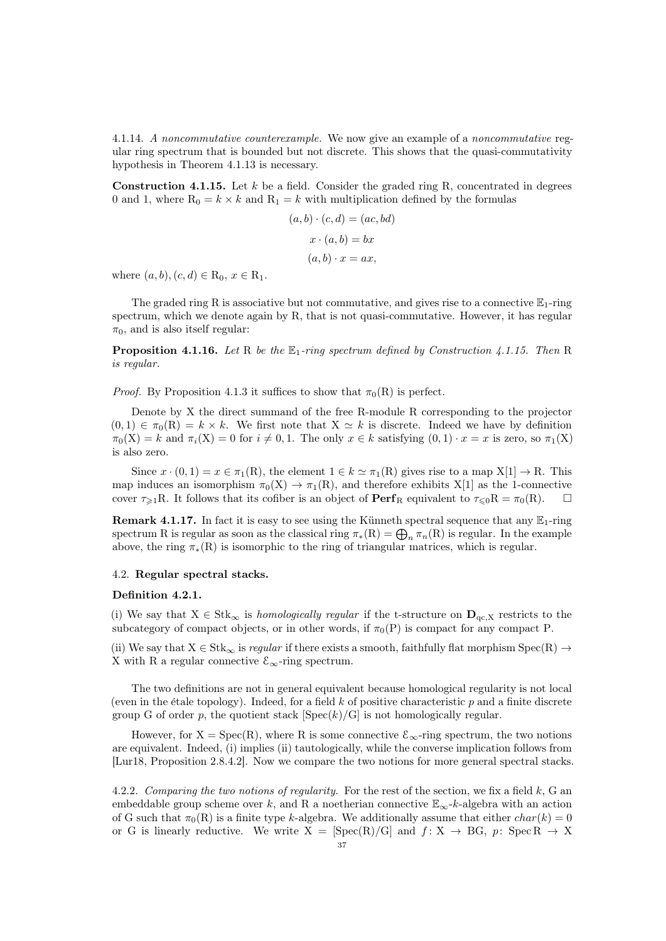<span id="page-36-2"></span>4.1.14. A noncommutative counterexample. We now give an example of a noncommutative regular ring spectrum that is bounded but not discrete. This shows that the quasi-commutativity hypothesis in Theorem [4.1.13](#page-35-0) is necessary.

<span id="page-36-0"></span>**Construction 4.1.15.** Let  $k$  be a field. Consider the graded ring R, concentrated in degrees 0 and 1, where  $R_0 = k \times k$  and  $R_1 = k$  with multiplication defined by the formulas

$$
(a, b) \cdot (c, d) = (ac, bd)
$$

$$
x \cdot (a, b) = bx
$$

$$
(a, b) \cdot x = ax,
$$

where  $(a, b), (c, d) \in R_0, x \in R_1$ .

The graded ring R is associative but not commutative, and gives rise to a connective  $\mathbb{E}_1$ -ring spectrum, which we denote again by R, that is not quasi-commutative. However, it has regular  $\pi_0$ , and is also itself regular:

**Proposition 4.1.16.** Let R be the  $\mathbb{E}_1$ -ring spectrum defined by Construction [4.1.15.](#page-36-0) Then R is regular.

*Proof.* By Proposition [4.1.3](#page-32-0) it suffices to show that  $\pi_0(R)$  is perfect.

Denote by X the direct summand of the free R-module R corresponding to the projector  $(0, 1) \in \pi_0(\mathbb{R}) = k \times k$ . We first note that  $X \simeq k$  is discrete. Indeed we have by definition  $\pi_0(X) = k$  and  $\pi_i(X) = 0$  for  $i \neq 0, 1$ . The only  $x \in k$  satisfying  $(0, 1) \cdot x = x$  is zero, so  $\pi_1(X)$ is also zero.

Since  $x \cdot (0,1) = x \in \pi_1(R)$ , the element  $1 \in k \simeq \pi_1(R)$  gives rise to a map  $X[1] \to R$ . This map induces an isomorphism  $\pi_0(X) \to \pi_1(R)$ , and therefore exhibits X[1] as the 1-connective cover  $\tau_{\geq 1}R$ . It follows that its cofiber is an object of  $\operatorname{Perf}_R$  equivalent to  $\tau_{\leq 0}R = \pi_0(R)$ .  $\Box$ 

**Remark 4.1.17.** In fact it is easy to see using the Künneth spectral sequence that any  $\mathbb{E}_1$ -ring spectrum R is regular as soon as the classical ring  $\pi_*(R) = \bigoplus_n \pi_n(R)$  is regular. In the example above, the ring  $\pi_*(R)$  is isomorphic to the ring of triangular matrices, which is regular.

## 4.2. Regular spectral stacks.

## <span id="page-36-1"></span>Definition 4.2.1.

(i) We say that  $X \in Stk_{\infty}$  is *homologically regular* if the t-structure on  $D_{qc,X}$  restricts to the subcategory of compact objects, or in other words, if  $\pi_0(P)$  is compact for any compact P.

(ii) We say that  $X \in Stk_{\infty}$  is *regular* if there exists a smooth, faithfully flat morphism  $Spec(R) \rightarrow$ X with R a regular connective  $\mathcal{E}_{\infty}$ -ring spectrum.

The two definitions are not in general equivalent because homological regularity is not local (even in the étale topology). Indeed, for a field  $k$  of positive characteristic  $p$  and a finite discrete group G of order p, the quotient stack  $[\text{Spec}(k)/G]$  is not homologically regular.

However, for  $X = \text{Spec}(R)$ , where R is some connective  $\mathcal{E}_{\infty}$ -ring spectrum, the two notions are equivalent. Indeed, (i) implies (ii) tautologically, while the converse implication follows from [\[Lur18,](#page-92-0) Proposition 2.8.4.2]. Now we compare the two notions for more general spectral stacks.

4.2.2. Comparing the two notions of regularity. For the rest of the section, we fix a field  $k$ , G an embeddable group scheme over k, and R a noetherian connective  $\mathbb{E}_{\infty}$ -k-algebra with an action of G such that  $\pi_0(R)$  is a finite type k-algebra. We additionally assume that either  $char(k) = 0$ or G is linearly reductive. We write  $X = [Spec(R)/G]$  and  $f: X \rightarrow BG$ ,  $p: Spec R \rightarrow X$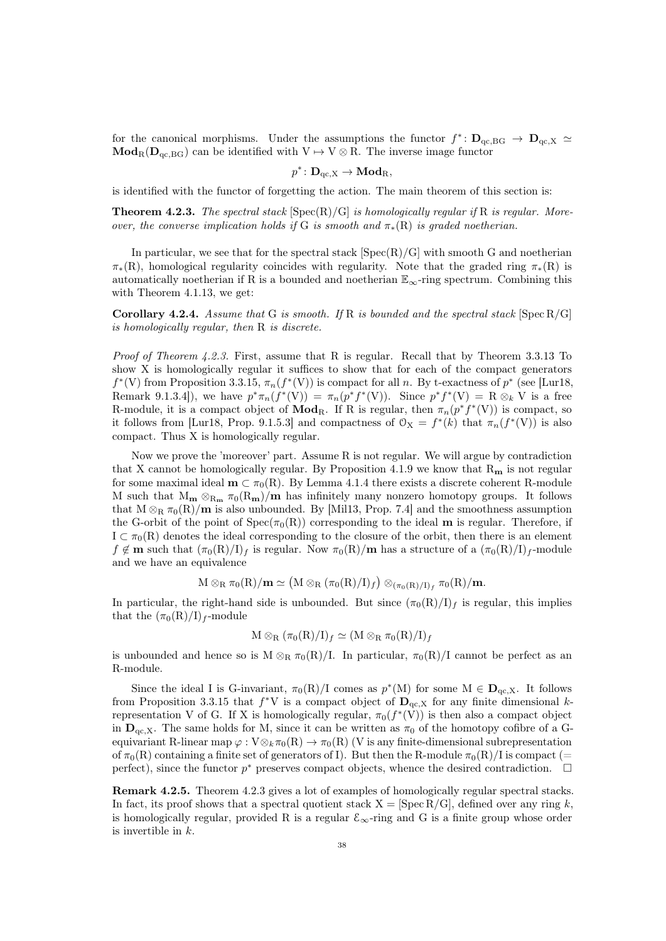for the canonical morphisms. Under the assumptions the functor  $f^* \colon \mathbf{D}_{qc, BG} \to \mathbf{D}_{qc, X} \simeq$  $\mathbf{Mod}_{R}(\mathbf{D}_{qc, BG})$  can be identified with  $V \mapsto V \otimes R$ . The inverse image functor

$$
p^* \colon \mathbf{D}_{\mathrm{qc}, X} \to \mathbf{Mod}_{R},
$$

is identified with the functor of forgetting the action. The main theorem of this section is:

<span id="page-37-0"></span>**Theorem 4.2.3.** The spectral stack  $[\text{Spec}(R)/G]$  is homologically regular if R is regular. Moreover, the converse implication holds if G is smooth and  $\pi_*(R)$  is graded noetherian.

In particular, we see that for the spectral stack  $[Spec(R)/G]$  with smooth G and noetherian  $\pi_*(R)$ , homological regularity coincides with regularity. Note that the graded ring  $\pi_*(R)$  is automatically noetherian if R is a bounded and noetherian  $\mathbb{E}_{\infty}$ -ring spectrum. Combining this with Theorem [4.1.13,](#page-35-0) we get:

<span id="page-37-1"></span>**Corollary 4.2.4.** Assume that G is smooth. If R is bounded and the spectral stack  $\text{[Spec } R/G]$ is homologically regular, then R is discrete.

Proof of Theorem [4.2.3.](#page-37-0) First, assume that R is regular. Recall that by Theorem [3.3.13](#page-30-0) To show X is homologically regular it suffices to show that for each of the compact generators  $f^*(V)$  from Proposition [3.3.15,](#page-31-0)  $\pi_n(f^*(V))$  is compact for all n. By t-exactness of  $p^*$  (see [\[Lur18,](#page-92-0) Remark 9.1.3.4]), we have  $p^*\pi_n(f^*(V)) = \pi_n(p^*f^*(V))$ . Since  $p^*f^*(V) = R \otimes_k V$  is a free R-module, it is a compact object of  $\mathbf{Mod}_R$ . If R is regular, then  $\pi_n(p^*f^*(V))$  is compact, so it follows from [\[Lur18,](#page-92-0) Prop. 9.1.5.3] and compactness of  $\mathcal{O}_X = f^*(k)$  that  $\pi_n(f^*(V))$  is also compact. Thus X is homologically regular.

Now we prove the 'moreover' part. Assume R is not regular. We will argue by contradiction that X cannot be homologically regular. By Proposition [4.1.9](#page-33-0) we know that  $R_m$  is not regular for some maximal ideal  $\mathbf{m} \subset \pi_0(R)$ . By Lemma [4.1.4](#page-32-1) there exists a discrete coherent R-module M such that  $M_m \otimes_{R_m} \pi_0(R_m)/m$  has infinitely many nonzero homotopy groups. It follows that  $M \otimes_R \pi_0(R)/m$  is also unbounded. By [\[Mil13,](#page-92-1) Prop. 7.4] and the smoothness assumption the G-orbit of the point of  $Spec(\pi_0(R))$  corresponding to the ideal **m** is regular. Therefore, if  $I \subset \pi_0(R)$  denotes the ideal corresponding to the closure of the orbit, then there is an element  $f \notin \mathbf{m}$  such that  $(\pi_0(\mathbf{R})/\mathbf{I})_f$  is regular. Now  $\pi_0(\mathbf{R})/\mathbf{m}$  has a structure of a  $(\pi_0(\mathbf{R})/\mathbf{I})_f$ -module and we have an equivalence

$$
M \otimes_R \pi_0(R)/\textbf{m} \simeq (M \otimes_R (\pi_0(R)/I)_f) \otimes_{(\pi_0(R)/I)_f} \pi_0(R)/\textbf{m}.
$$

In particular, the right-hand side is unbounded. But since  $(\pi_0(R)/I)_f$  is regular, this implies that the  $(\pi_0(R)/I)_{f}$ -module

$$
M \otimes_R (\pi_0(R)/I)_f \simeq (M \otimes_R \pi_0(R)/I)_f
$$

is unbounded and hence so is  $M \otimes_R \pi_0(R)/I$ . In particular,  $\pi_0(R)/I$  cannot be perfect as an R-module.

Since the ideal I is G-invariant,  $\pi_0(R)/I$  comes as  $p^*(M)$  for some  $M \in \mathbf{D}_{qc,X}$ . It follows from Proposition [3.3.15](#page-31-0) that  $f^*V$  is a compact object of  $\mathbf{D}_{qc,X}$  for any finite dimensional krepresentation V of G. If X is homologically regular,  $\pi_0(f^*(V))$  is then also a compact object in  $\mathbf{D}_{\text{qc},X}$ . The same holds for M, since it can be written as  $\pi_0$  of the homotopy cofibre of a Gequivariant R-linear map  $\varphi : V \otimes_k \pi_0(R) \to \pi_0(R)$  (V is any finite-dimensional subrepresentation of  $\pi_0(R)$  containing a finite set of generators of I). But then the R-module  $\pi_0(R)/I$  is compact (= perfect), since the functor  $p^*$  preserves compact objects, whence the desired contradiction.  $\square$ 

Remark 4.2.5. Theorem [4.2.3](#page-37-0) gives a lot of examples of homologically regular spectral stacks. In fact, its proof shows that a spectral quotient stack  $X = [Spec R/G]$ , defined over any ring k, is homologically regular, provided R is a regular  $\mathcal{E}_{\infty}$ -ring and G is a finite group whose order is invertible in k.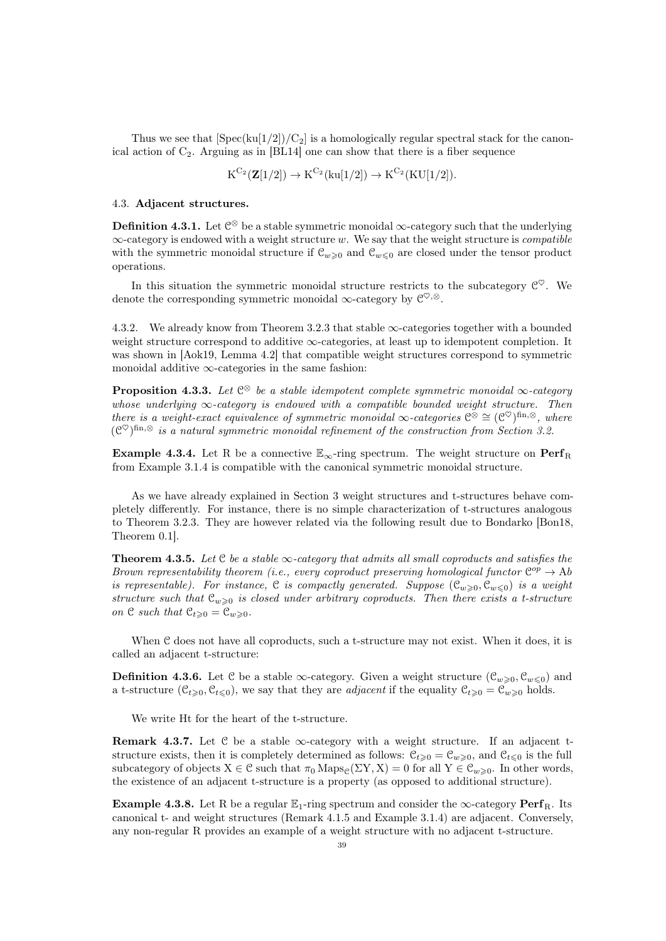Thus we see that  $[\text{Spec}(ku[1/2])/C_2]$  is a homologically regular spectral stack for the canonical action of  $C_2$ . Arguing as in [\[BL14\]](#page-90-0) one can show that there is a fiber sequence

 ${\rm K}^{{\rm C}_2}({\bf Z}[1/2]) \rightarrow {\rm K}^{{\rm C}_2}({\rm ku}[1/2]) \rightarrow {\rm K}^{{\rm C}_2}({\rm KU}[1/2]).$ 

## 4.3. Adjacent structures.

<span id="page-38-1"></span>**Definition 4.3.1.** Let  $\mathbb{C}^{\otimes}$  be a stable symmetric monoidal  $\infty$ -category such that the underlying  $\infty$ -category is endowed with a weight structure w. We say that the weight structure is *compatible* with the symmetric monoidal structure if  $\mathcal{C}_{w>0}$  and  $\mathcal{C}_{w>0}$  are closed under the tensor product operations.

In this situation the symmetric monoidal structure restricts to the subcategory  $\mathcal{C}^{\heartsuit}$ . We denote the corresponding symmetric monoidal  $\infty$ -category by  $\mathcal{C}^{\heartsuit,\otimes}$ .

4.3.2. We already know from Theorem [3.2.3](#page-25-0) that stable ∞-categories together with a bounded weight structure correspond to additive  $\infty$ -categories, at least up to idempotent completion. It was shown in [\[Aok19,](#page-90-1) Lemma 4.2] that compatible weight structures correspond to symmetric monoidal additive  $\infty$ -categories in the same fashion:

**Proposition 4.3.3.** Let  $\mathbb{C}^{\otimes}$  be a stable idempotent complete symmetric monoidal  $\infty$ -category whose underlying  $\infty$ -category is endowed with a compatible bounded weight structure. Then there is a weight-exact equivalence of symmetric monoidal  $\infty$ -categories  $e^{\otimes} \cong (e^{\otimes})^{\text{fin}, \otimes}$ , where  $(\mathcal{C}^{\heartsuit})^{\text{fin},\otimes}$  is a natural symmetric monoidal refinement of the construction from Section [3.2.](#page-25-1)

**Example 4.3.4.** Let R be a connective  $\mathbb{E}_{\infty}$ -ring spectrum. The weight structure on  $\text{Perf}_R$ from Example [3.1.4](#page-24-0) is compatible with the canonical symmetric monoidal structure.

As we have already explained in Section [3](#page-23-0) weight structures and t-structures behave completely differently. For instance, there is no simple characterization of t-structures analogous to Theorem [3.2.3.](#page-25-0) They are however related via the following result due to Bondarko [\[Bon18,](#page-90-2) Theorem 0.1].

**Theorem 4.3.5.** Let C be a stable  $\infty$ -category that admits all small coproducts and satisfies the Brown representability theorem (i.e., every coproduct preserving homological functor  $\mathbb{C}^{op} \to \mathrm{Ab}$ is representable). For instance, C is compactly generated. Suppose  $(C_{w\geqslant 0}, C_{w\leqslant 0})$  is a weight structure such that  $\mathcal{C}_{w\geqslant0}$  is closed under arbitrary coproducts. Then there exists a t-structure on  $\mathfrak{C}$  such that  $\mathfrak{C}_{t\geqslant 0}=\mathfrak{C}_{w\geqslant 0}$ .

When C does not have all coproducts, such a t-structure may not exist. When it does, it is called an adjacent t-structure:

**Definition 4.3.6.** Let C be a stable  $\infty$ -category. Given a weight structure  $(\mathcal{C}_{w>0}, \mathcal{C}_{w<0})$  and a t-structure  $(C_{t\geq0}, C_{t\leq0})$ , we say that they are *adjacent* if the equality  $C_{t\geq0} = C_{w\geq0}$  holds.

We write Ht for the heart of the t-structure.

**Remark 4.3.7.** Let C be a stable  $\infty$ -category with a weight structure. If an adjacent tstructure exists, then it is completely determined as follows:  $\mathcal{C}_{t\geq0} = \mathcal{C}_{w\geq0}$ , and  $\mathcal{C}_{t\leq0}$  is the full subcategory of objects  $X \in \mathcal{C}$  such that  $\pi_0 \text{Maps}_{\mathcal{C}}(\Sigma Y, X) = 0$  for all  $Y \in \mathcal{C}_{w \geq 0}$ . In other words, the existence of an adjacent t-structure is a property (as opposed to additional structure).

<span id="page-38-0"></span>**Example 4.3.8.** Let R be a regular  $\mathbb{E}_1$ -ring spectrum and consider the  $\infty$ -category **Perf**<sub>R</sub>. Its canonical t- and weight structures (Remark [4.1.5](#page-33-1) and Example [3.1.4\)](#page-24-0) are adjacent. Conversely, any non-regular R provides an example of a weight structure with no adjacent t-structure.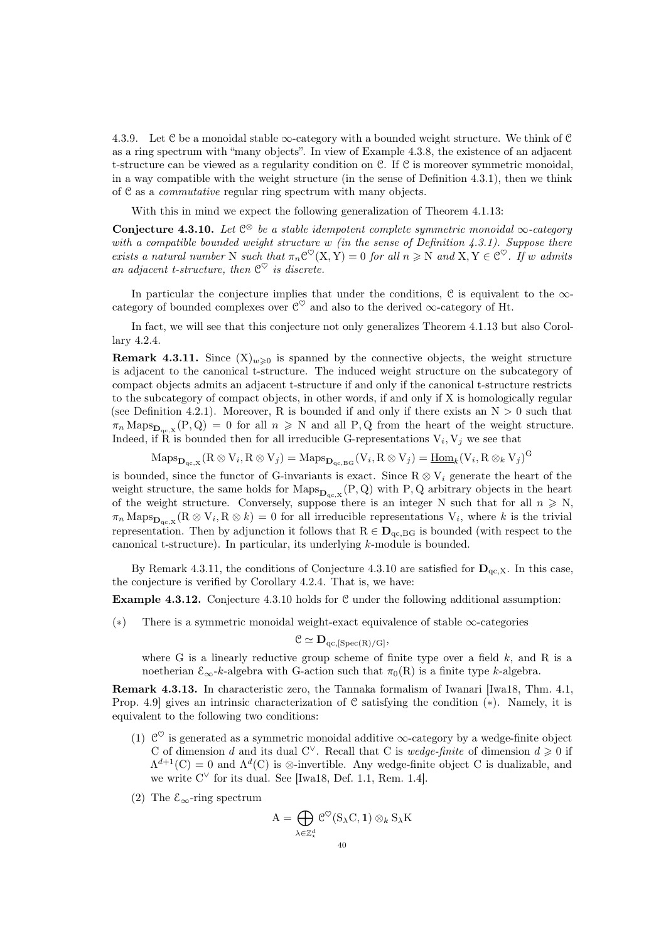4.3.9. Let C be a monoidal stable  $\infty$ -category with a bounded weight structure. We think of C as a ring spectrum with "many objects". In view of Example [4.3.8,](#page-38-0) the existence of an adjacent t-structure can be viewed as a regularity condition on C. If C is moreover symmetric monoidal, in a way compatible with the weight structure (in the sense of Definition [4.3.1\)](#page-38-1), then we think of C as a commutative regular ring spectrum with many objects.

With this in mind we expect the following generalization of Theorem [4.1.13:](#page-35-0)

<span id="page-39-1"></span>Conjecture 4.3.10. Let  $\mathbb{C}^{\otimes}$  be a stable idempotent complete symmetric monoidal  $\infty$ -category with a compatible bounded weight structure w (in the sense of Definition  $4.3.1$ ). Suppose there exists a natural number N such that  $\pi_n C^{\heartsuit}(X, Y) = 0$  for all  $n \geq N$  and  $X, Y \in C^{\heartsuit}$ . If w admits an adjacent t-structure, then  $\mathfrak{C}^{\heartsuit}$  is discrete.

In particular the conjecture implies that under the conditions,  $\mathcal C$  is equivalent to the  $\infty$ category of bounded complexes over  $\mathcal{C}^{\heartsuit}$  and also to the derived  $\infty$ -category of Ht.

In fact, we will see that this conjecture not only generalizes Theorem [4.1.13](#page-35-0) but also Corollary [4.2.4.](#page-37-1)

<span id="page-39-0"></span>**Remark 4.3.11.** Since  $(X)_{w\geqslant0}$  is spanned by the connective objects, the weight structure is adjacent to the canonical t-structure. The induced weight structure on the subcategory of compact objects admits an adjacent t-structure if and only if the canonical t-structure restricts to the subcategory of compact objects, in other words, if and only if X is homologically regular (see Definition [4.2.1\)](#page-36-1). Moreover, R is bounded if and only if there exists an  $N > 0$  such that  $\pi_n$  Maps $_{\mathbf{D}_{\mathbf{q}c,X}}(P,Q) = 0$  for all  $n \geq N$  and all P, Q from the heart of the weight structure. Indeed, if R is bounded then for all irreducible G-representations  $V_i$ ,  $V_j$  we see that

 $\mathrm{Maps}_{\mathbf{D}_{\mathrm{qc}, X}}(\mathrm{R} \otimes \mathrm{V}_i, \mathrm{R} \otimes \mathrm{V}_j) = \mathrm{Maps}_{\mathbf{D}_{\mathrm{qc}, \mathrm{BG}}}(\mathrm{V}_i, \mathrm{R} \otimes \mathrm{V}_j) = \underline{\mathrm{Hom}}_k(\mathrm{V}_i, \mathrm{R} \otimes_k \mathrm{V}_j)^{\mathrm{G}}$ 

is bounded, since the functor of G-invariants is exact. Since  $R \otimes V_i$  generate the heart of the weight structure, the same holds for  $\text{Maps}_{\mathbf{D}_{q_c,X}}(P,Q)$  with P, Q arbitrary objects in the heart of the weight structure. Conversely, suppose there is an integer N such that for all  $n \geq N$ ,  $\pi_n$  Maps $_{\mathbf{D}_{\mathbf{qc},\mathbf{X}}}(\mathbf{R}\otimes\mathbf{V}_i,\mathbf{R}\otimes k)=0$  for all irreducible representations  $\mathbf{V}_i$ , where k is the trivial representation. Then by adjunction it follows that  $R \in \mathbf{D}_{qc, BG}$  is bounded (with respect to the canonical t-structure). In particular, its underlying k-module is bounded.

By Remark [4.3.11,](#page-39-0) the conditions of Conjecture [4.3.10](#page-39-1) are satisfied for  $\mathbf{D}_{\text{qc},X}$ . In this case, the conjecture is verified by Corollary [4.2.4.](#page-37-1) That is, we have:

Example 4.3.12. Conjecture [4.3.10](#page-39-1) holds for C under the following additional assumption:

(∗) There is a symmetric monoidal weight-exact equivalence of stable ∞-categories

$$
\mathcal{C} \simeq \mathbf{D}_{qc, [Spec(R)/G]},
$$

where G is a linearly reductive group scheme of finite type over a field  $k$ , and R is a noetherian  $\mathcal{E}_{\infty}$ -k-algebra with G-action such that  $\pi_0(R)$  is a finite type k-algebra.

Remark 4.3.13. In characteristic zero, the Tannaka formalism of Iwanari [\[Iwa18,](#page-91-0) Thm. 4.1, Prop. 4.9] gives an intrinsic characterization of C satisfying the condition (∗). Namely, it is equivalent to the following two conditions:

- (1)  $\mathcal{C}^{\heartsuit}$  is generated as a symmetric monoidal additive  $\infty$ -category by a wedge-finite object C of dimension d and its dual C<sup> $\vee$ </sup>. Recall that C is *wedge-finite* of dimension  $d \geq 0$  if  $\Lambda^{d+1}(C) = 0$  and  $\Lambda^d(C)$  is  $\otimes$ -invertible. Any wedge-finite object C is dualizable, and we write  $C^{\vee}$  for its dual. See [\[Iwa18,](#page-91-0) Def. 1.1, Rem. 1.4].
- (2) The  $\mathcal{E}_{\infty}$ -ring spectrum

$$
A = \bigoplus_{\lambda \in \mathbb{Z}_{\star}^{d}} \mathcal{C}^{\heartsuit}(S_{\lambda}C, 1) \otimes_{k} S_{\lambda}K
$$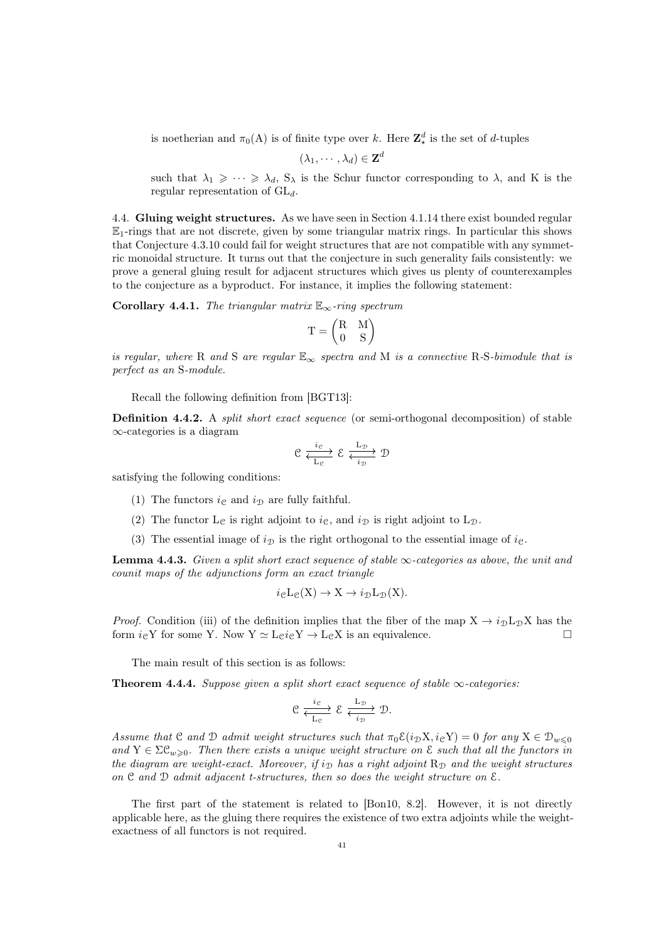is noetherian and  $\pi_0(A)$  is of finite type over k. Here  $\mathbb{Z}_{\star}^{d}$  is the set of d-tuples

$$
(\lambda_1,\cdots,\lambda_d)\in\mathbf{Z}^d
$$

such that  $\lambda_1 \geqslant \cdots \geqslant \lambda_d$ ,  $S_\lambda$  is the Schur functor corresponding to  $\lambda$ , and K is the regular representation of  $GL_d$ .

4.4. Gluing weight structures. As we have seen in Section [4.1.14](#page-36-2) there exist bounded regular  $\mathbb{E}_1$ -rings that are not discrete, given by some triangular matrix rings. In particular this shows that Conjecture [4.3.10](#page-39-1) could fail for weight structures that are not compatible with any symmetric monoidal structure. It turns out that the conjecture in such generality fails consistently: we prove a general gluing result for adjacent structures which gives us plenty of counterexamples to the conjecture as a byproduct. For instance, it implies the following statement:

<span id="page-40-0"></span>Corollary 4.4.1. The triangular matrix  $\mathbb{E}_{\infty}$ -ring spectrum

$$
T = \begin{pmatrix} R & M \\ 0 & S \end{pmatrix}
$$

is regular, where R and S are regular  $\mathbb{E}_{\infty}$  spectra and M is a connective R-S-bimodule that is perfect as an S-module.

Recall the following definition from [\[BGT13\]](#page-90-3):

Definition 4.4.2. A *split short exact sequence* (or semi-orthogonal decomposition) of stable ∞-categories is a diagram

$$
\mathcal{C} \xrightarrow[\text{L}_{\mathcal{C}}]{} \mathcal{E} \xleftarrow[\text{L}_{\mathcal{D}}]{} \mathcal{D}
$$

satisfying the following conditions:

- (1) The functors  $i_{\mathcal{C}}$  and  $i_{\mathcal{D}}$  are fully faithful.
- (2) The functor L<sub>C</sub> is right adjoint to  $i<sub>C</sub>$ , and  $i<sub>D</sub>$  is right adjoint to L<sub>D</sub>.
- (3) The essential image of  $i_{\mathcal{D}}$  is the right orthogonal to the essential image of  $i_{\mathcal{C}}$ .

<span id="page-40-2"></span>**Lemma 4.4.3.** Given a split short exact sequence of stable  $\infty$ -categories as above, the unit and counit maps of the adjunctions form an exact triangle

$$
i_{\mathcal{C}}L_{\mathcal{C}}(X) \to X \to i_{\mathcal{D}}L_{\mathcal{D}}(X).
$$

*Proof.* Condition (iii) of the definition implies that the fiber of the map  $X \rightarrow i_D L_D X$  has the form  $i_{\mathcal{C}} Y$  for some Y. Now  $Y \simeq L_{\mathcal{C}} i_{\mathcal{C}} Y \to L_{\mathcal{C}} X$  is an equivalence.

The main result of this section is as follows:

<span id="page-40-1"></span>**Theorem 4.4.4.** Suppose given a split short exact sequence of stable  $\infty$ -categories:

$$
\mathfrak{C} \xrightarrow[\mathrm{L}_{\mathfrak{C}}]{} \mathfrak{C} \xrightarrow[\mathrm{L}_{\mathfrak{D}}]{} \mathfrak{D}.
$$

Assume that C and D admit weight structures such that  $\pi_0 \mathcal{E}(i_D X, i_{\mathbb{C}} Y) = 0$  for any  $X \in \mathcal{D}_{w \leq 0}$ and  $Y \in \Sigma \mathcal{C}_{w>0}$ . Then there exists a unique weight structure on  $\mathcal{E}$  such that all the functors in the diagram are weight-exact. Moreover, if  $i_{\mathcal{D}}$  has a right adjoint  $\mathbb{R}_{\mathcal{D}}$  and the weight structures on  $\mathfrak C$  and  $\mathfrak D$  admit adjacent t-structures, then so does the weight structure on  $\mathfrak E$ .

The first part of the statement is related to [\[Bon10,](#page-90-4) 8.2]. However, it is not directly applicable here, as the gluing there requires the existence of two extra adjoints while the weightexactness of all functors is not required.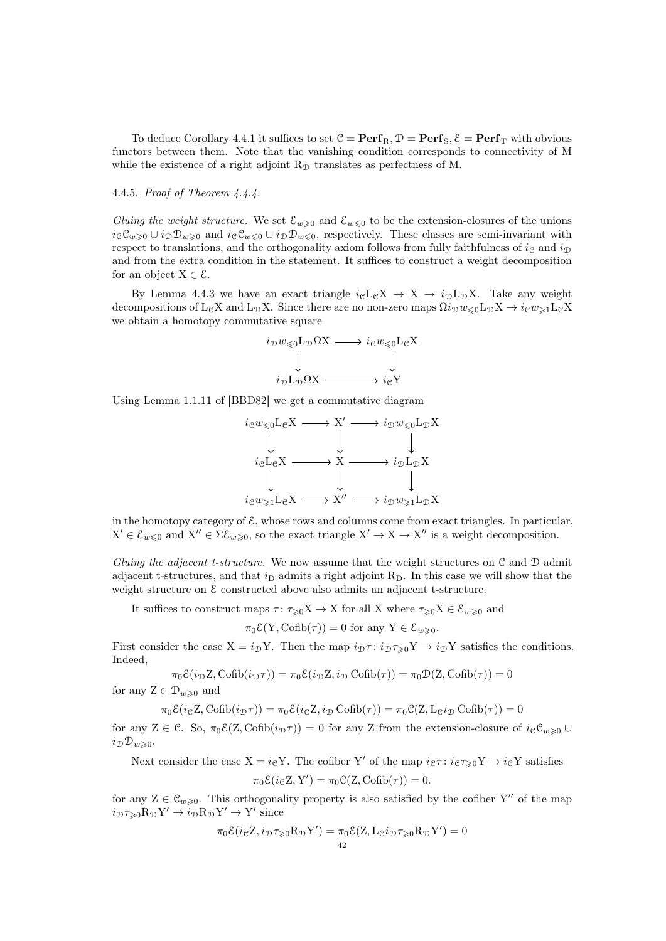To deduce Corollary [4.4.1](#page-40-0) it suffices to set  $C = \text{Perf}_R$ ,  $\mathcal{D} = \text{Perf}_S$ ,  $\mathcal{E} = \text{Perf}_T$  with obvious functors between them. Note that the vanishing condition corresponds to connectivity of M while the existence of a right adjoint  $R<sub>D</sub>$  translates as perfectness of M.

# 4.4.5. Proof of Theorem [4.4.4.](#page-40-1)

Gluing the weight structure. We set  $\mathcal{E}_{w\geq 0}$  and  $\mathcal{E}_{w\leq 0}$  to be the extension-closures of the unions  $i_{\mathcal{C}}\mathcal{C}_{w\geq0}\cup i_{\mathcal{D}}\mathcal{D}_{w\geq0}$  and  $i_{\mathcal{C}}\mathcal{C}_{w\leq0}\cup i_{\mathcal{D}}\mathcal{D}_{w\leq0}$ , respectively. These classes are semi-invariant with respect to translations, and the orthogonality axiom follows from fully faithfulness of  $i_{\mathcal{C}}$  and  $i_{\mathcal{D}}$ and from the extra condition in the statement. It suffices to construct a weight decomposition for an object  $X \in \mathcal{E}$ .

By Lemma [4.4.3](#page-40-2) we have an exact triangle  $i_{\text{c}}L_{\text{c}}X \rightarrow X \rightarrow i_{\text{D}}L_{\text{D}}X$ . Take any weight decompositions of L<sub>C</sub>X and L<sub>D</sub>X. Since there are no non-zero maps  $\Omega i_{\mathcal{D}}w_{\leq 0}\mathrm{L}_{\mathcal{D}}X \to i_{\mathcal{C}}w_{\geq 1}\mathrm{L}_{\mathcal{C}}X$ we obtain a homotopy commutative square



Using Lemma 1.1.11 of [\[BBD82\]](#page-90-5) we get a commutative diagram



in the homotopy category of  $\mathcal{E}$ , whose rows and columns come from exact triangles. In particular,  $X' \in \mathcal{E}_{w \leq 0}$  and  $X'' \in \Sigma \mathcal{E}_{w \geq 0}$ , so the exact triangle  $X' \to X \to X''$  is a weight decomposition.

Gluing the adjacent t-structure. We now assume that the weight structures on  $\mathfrak C$  and  $\mathfrak D$  admit adjacent t-structures, and that  $i<sub>D</sub>$  admits a right adjoint  $R<sub>D</sub>$ . In this case we will show that the weight structure on  $\epsilon$  constructed above also admits an adjacent t-structure.

It suffices to construct maps  $\tau: \tau_{\geq 0} X \to X$  for all X where  $\tau_{\geq 0} X \in \mathcal{E}_{w \geq 0}$  and

 $\pi_0 \mathcal{E}(Y, \text{Cofib}(\tau)) = 0$  for any  $Y \in \mathcal{E}_{w \geq 0}$ .

First consider the case  $X = i_D Y$ . Then the map  $i_D \tau : i_D \tau_{\geq 0} Y \to i_D Y$  satisfies the conditions. Indeed,

$$
\pi_0 \mathcal{E}(i_{\mathcal{D}} Z, \mathrm{Cofib}(i_{\mathcal{D}} \tau)) = \pi_0 \mathcal{E}(i_{\mathcal{D}} Z, i_{\mathcal{D}} \mathrm{Cofib}(\tau)) = \pi_0 \mathcal{D}(Z, \mathrm{Cofib}(\tau)) = 0
$$

for any  $Z \in \mathcal{D}_{w \geq 0}$  and

 $\pi_0 \mathcal{E}(i e^z, \text{Cofib}(i \text{D} \tau)) = \pi_0 \mathcal{E}(i e^z, i \text{D} \text{Cofib}(\tau)) = \pi_0 \mathcal{C}(Z, L e^i \text{D} \text{Cofib}(\tau)) = 0$ 

for any Z ∈ C. So,  $\pi_0 \mathcal{E}(Z, \text{Cofib}(i_\mathcal{D} \tau)) = 0$  for any Z from the extension-closure of  $i_{\mathcal{C}} \mathcal{C}_{w \geq 0} \cup$  $i_{\mathcal{D}}\mathcal{D}_{w>0}$ .

Next consider the case  $X = ieY$ . The cofiber Y' of the map  $i\epsilon\tau : i\epsilon\tau_{\geq 0}Y \to i\epsilon Y$  satisfies

$$
\pi_0 \mathcal{E}(i_{\mathcal{C}} Z, Y') = \pi_0 \mathcal{C}(Z, \mathrm{Cofib}(\tau)) = 0.
$$

for any  $Z \in \mathcal{C}_{w\geqslant 0}$ . This orthogonality property is also satisfied by the cofiber Y'' of the map  $i_{\mathcal{D}}\tau_{\geqslant0}\mathrm{R}_{\mathcal{D}}\mathrm{Y}' \to i_{\mathcal{D}}\mathrm{R}_{\mathcal{D}}\mathrm{Y}' \to \mathrm{Y}'$  since

$$
\pi_0 \mathcal{E}(i_{\mathcal{C}} Z, i_{\mathcal{D}} \tau_{\geq 0} R_{\mathcal{D}} Y') = \pi_0 \mathcal{E}(Z, L_{\mathcal{C}} i_{\mathcal{D}} \tau_{\geq 0} R_{\mathcal{D}} Y') = 0
$$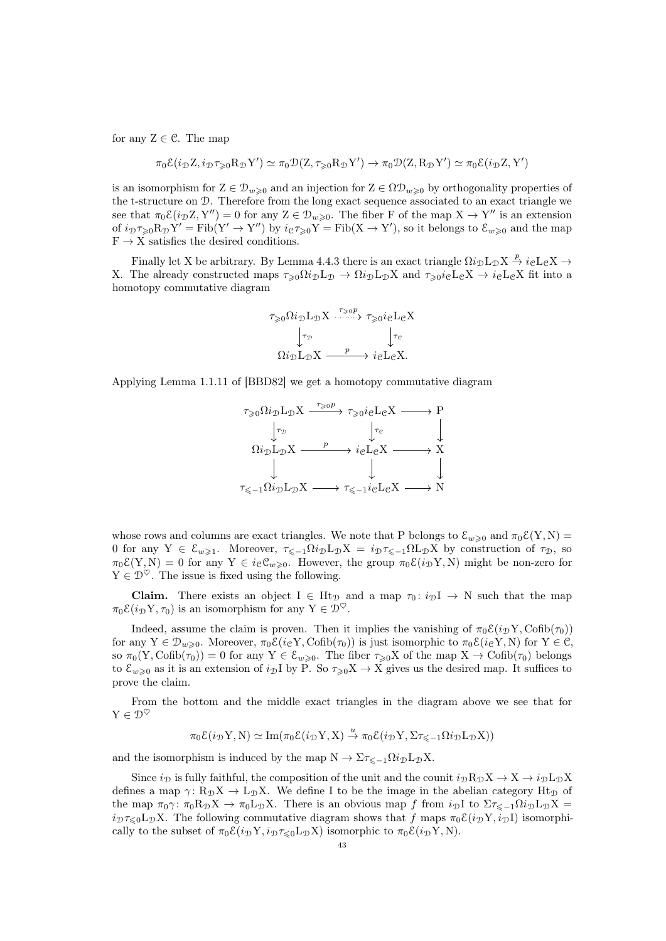for any  $Z \in \mathcal{C}$ . The map

$$
\pi_0 \mathcal{E}(i_{\mathcal{D}} Z, i_{\mathcal{D}} \tau_{\geq 0} R_{\mathcal{D}} Y') \simeq \pi_0 \mathcal{D}(Z, \tau_{\geq 0} R_{\mathcal{D}} Y') \to \pi_0 \mathcal{D}(Z, R_{\mathcal{D}} Y') \simeq \pi_0 \mathcal{E}(i_{\mathcal{D}} Z, Y')
$$

is an isomorphism for  $Z \in \mathcal{D}_{w\geqslant 0}$  and an injection for  $Z \in \Omega \mathcal{D}_{w\geqslant 0}$  by orthogonality properties of the t-structure on D. Therefore from the long exact sequence associated to an exact triangle we see that  $\pi_0 \mathcal{E}(i_\mathcal{D} Z, Y'') = 0$  for any  $Z \in \mathcal{D}_{w \geq 0}$ . The fiber F of the map  $X \to Y''$  is an extension of  $i_{\mathcal{D}} \tau_{\geq 0} R_{\mathcal{D}} Y' = \text{Fib}(Y' \to Y'')$  by  $i_{\mathcal{C}} \tau_{\geq 0} Y = \text{Fib}(X \to Y')$ , so it belongs to  $\mathcal{E}_{w \geq 0}$  and the map  $F \rightarrow X$  satisfies the desired conditions.

Finally let X be arbitrary. By Lemma [4.4.3](#page-40-2) there is an exact triangle  $\Omega i_D L_D X \stackrel{p}{\to} i_C L_C X \to$ X. The already constructed maps  $\tau_{\geq 0} \Omega i_{\mathcal{D}} L_{\mathcal{D}} \to \Omega i_{\mathcal{D}} L_{\mathcal{D}} X$  and  $\tau_{\geq 0} i_{\mathcal{C}} L_{\mathcal{C}} X \to i_{\mathcal{C}} L_{\mathcal{C}} X$  fit into a homotopy commutative diagram

$$
\tau_{\geq 0} \Omega i_{\mathcal{D}} L_{\mathcal{D}} X \xrightarrow{\tau_{\geq 0} p} \tau_{\geq 0} i_{\mathcal{C}} L_{\mathcal{C}} X
$$

$$
\downarrow_{\tau_{\mathcal{D}}} \qquad \qquad \downarrow_{\tau_{\mathcal{C}}} \qquad \downarrow_{\tau_{\mathcal{C}}} \qquad \qquad \downarrow_{\tau_{\mathcal{C}}} \qquad \qquad \downarrow_{\tau_{\mathcal{C}}} \qquad \qquad \downarrow_{\tau_{\mathcal{C}}} \qquad \qquad \downarrow_{\tau_{\mathcal{C}}} \qquad \qquad \downarrow_{\tau_{\mathcal{C}}} \qquad \qquad \downarrow_{\tau_{\mathcal{C}}} \qquad \qquad \downarrow_{\tau_{\mathcal{C}}} \qquad \qquad \downarrow_{\tau_{\mathcal{C}}} \qquad \qquad \downarrow_{\tau_{\mathcal{C}}} \qquad \qquad \downarrow_{\tau_{\mathcal{C}}} \qquad \qquad \downarrow_{\tau_{\mathcal{C}}} \qquad \qquad \downarrow_{\tau_{\mathcal{C}}} \qquad \qquad \downarrow_{\tau_{\mathcal{C}}} \qquad \qquad \downarrow_{\tau_{\mathcal{C}}} \qquad \qquad \downarrow_{\tau_{\mathcal{C}}} \qquad \qquad \downarrow_{\tau_{\mathcal{C}}} \qquad \qquad \downarrow_{\tau_{\mathcal{C}}} \qquad \qquad \downarrow_{\tau_{\mathcal{C}}} \qquad \qquad \downarrow_{\tau_{\mathcal{C}}} \qquad \qquad \downarrow_{\tau_{\mathcal{C}}} \qquad \qquad \downarrow_{\tau_{\mathcal{C}}} \qquad \qquad \downarrow_{\tau_{\mathcal{C}}} \qquad \qquad \downarrow_{\tau_{\mathcal{C}}} \qquad \qquad \downarrow_{\tau_{\mathcal{C}}} \qquad \qquad \downarrow_{\tau_{\mathcal{C}}} \qquad \qquad \downarrow_{\tau_{\mathcal{C}}} \qquad \qquad \downarrow_{\tau_{\mathcal{C}}} \qquad \qquad \downarrow_{\tau_{\mathcal{C}}} \qquad \qquad \downarrow_{\tau_{\mathcal{C}}} \qquad \qquad \downarrow_{\tau_{\mathcal{C}}} \qquad \qquad \downarrow_{\tau_{\mathcal{C}}} \qquad \qquad \downarrow_{\tau_{\mathcal{C}}} \qquad \qquad \downarrow_{\tau_{\mathcal{C}}} \qquad \qquad \downarrow_{
$$

Applying Lemma 1.1.11 of [\[BBD82\]](#page-90-5) we get a homotopy commutative diagram



whose rows and columns are exact triangles. We note that P belongs to  $\mathcal{E}_{w>0}$  and  $\pi_0\mathcal{E}(Y, N)$  = 0 for any  $Y \in \mathcal{E}_{w\geq 1}$ . Moreover,  $\tau_{\leq -1}\Omega i_{\mathcal{D}}L_{\mathcal{D}}X = i_{\mathcal{D}}\tau_{\leq -1}\Omega L_{\mathcal{D}}X$  by construction of  $\tau_{\mathcal{D}}$ , so  $\pi_0 \mathcal{E}(Y, N) = 0$  for any  $Y \in i_{\mathcal{C}} \mathcal{C}_{w \geq 0}$ . However, the group  $\pi_0 \mathcal{E}(i_{\mathcal{D}} Y, N)$  might be non-zero for  $Y\in\mathcal{D}^\heartsuit.$  The issue is fixed using the following.

**Claim.** There exists an object I  $\in$  Ht<sub>D</sub> and a map  $\tau_0: i_D I \rightarrow N$  such that the map  $\pi_0 \mathcal{E}(i_\mathcal{D} Y, \tau_0)$  is an isomorphism for any  $Y \in \mathcal{D}^\heartsuit$ .

Indeed, assume the claim is proven. Then it implies the vanishing of  $\pi_0 \mathcal{E}(i_D Y, \text{Cofib}(\tau_0))$ for any  $Y \in \mathcal{D}_{w\geq 0}$ . Moreover,  $\pi_0 \mathcal{E}(i_{\mathcal{C}} Y, \text{Cofib}(\tau_0))$  is just isomorphic to  $\pi_0 \mathcal{E}(i_{\mathcal{C}} Y, N)$  for  $Y \in \mathcal{C}$ , so  $\pi_0(Y, \text{Cofib}(\tau_0)) = 0$  for any  $Y \in \mathcal{E}_{w \geq 0}$ . The fiber  $\tau_{\geq 0}X$  of the map  $X \to \text{Cofib}(\tau_0)$  belongs to  $\mathcal{E}_{w\geqslant 0}$  as it is an extension of  $i_{\mathcal{D}}I$  by P. So  $\tau_{\geqslant 0}X \to X$  gives us the desired map. It suffices to prove the claim.

From the bottom and the middle exact triangles in the diagram above we see that for  $Y \in \mathcal{D}^\heartsuit$ 

$$
\pi_0 \mathcal{E}(i_D Y, N) \simeq \mathrm{Im}(\pi_0 \mathcal{E}(i_D Y, X) \stackrel{u}{\rightarrow} \pi_0 \mathcal{E}(i_D Y, \Sigma \tau_{\le -1} \Omega i_D L_D X))
$$

and the isomorphism is induced by the map  $N \to \Sigma \tau_{\leq -1} \Omega i_{\mathcal{D}} L_{\mathcal{D}} X$ .

Since  $i_{\text{D}}$  is fully faithful, the composition of the unit and the counit  $i_{\text{D}}R_{\text{D}}X \rightarrow X \rightarrow i_{\text{D}}L_{\text{D}}X$ defines a map  $\gamma: R_{\mathcal{D}}X \to L_{\mathcal{D}}X$ . We define I to be the image in the abelian category  $Ht_{\mathcal{D}}$  of the map  $\pi_0 \gamma$ :  $\pi_0 R_{\mathcal{D}} X \to \pi_0 L_{\mathcal{D}} X$ . There is an obvious map f from  $i_{\mathcal{D}} I$  to  $\Sigma \tau_{\leq -1} \Omega i_{\mathcal{D}} L_{\mathcal{D}} X =$  $i_{\mathcal{D}}\tau_{\leq0}\mathcal{L}_{\mathcal{D}}X$ . The following commutative diagram shows that f maps  $\pi_0\mathcal{E}(i_{\mathcal{D}}Y, i_{\mathcal{D}}I)$  isomorphically to the subset of  $\pi_0 \mathcal{E}(i_D Y, i_D \tau \leq 0 \text{L}_D X)$  isomorphic to  $\pi_0 \mathcal{E}(i_D Y, N)$ .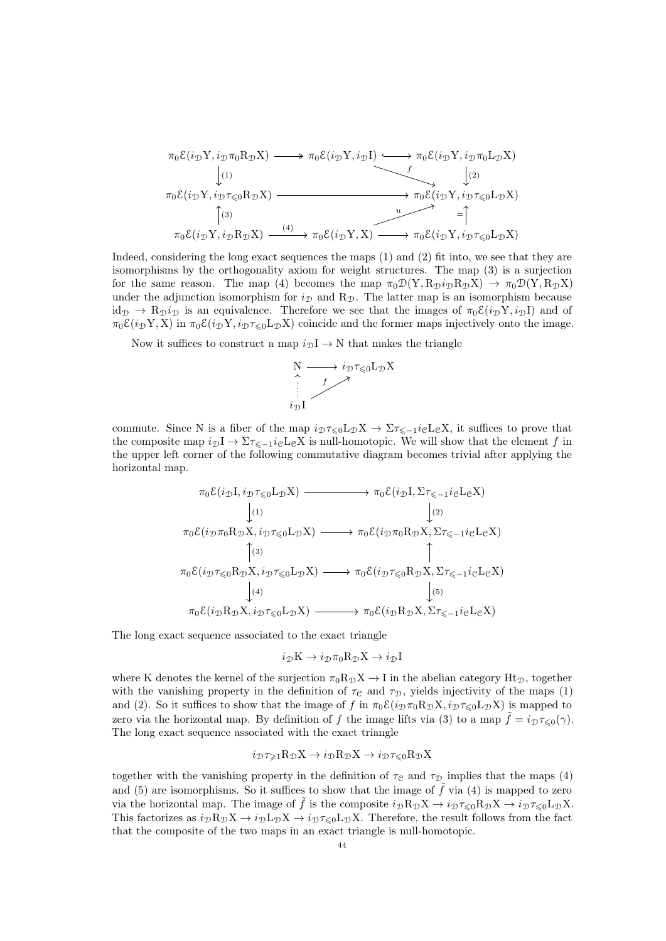$$
\pi_0 \mathcal{E}(i_{\mathcal{D}} Y, i_{\mathcal{D}} \pi_0 R_{\mathcal{D}} X) \longrightarrow \pi_0 \mathcal{E}(i_{\mathcal{D}} Y, i_{\mathcal{D}} I) \longrightarrow \pi_0 \mathcal{E}(i_{\mathcal{D}} Y, i_{\mathcal{D}} \pi_0 L_{\mathcal{D}} X)
$$
\n
$$
\downarrow(1)
$$
\n
$$
\pi_0 \mathcal{E}(i_{\mathcal{D}} Y, i_{\mathcal{D}} \pi_{\leq 0} R_{\mathcal{D}} X) \longrightarrow \pi_0 \mathcal{E}(i_{\mathcal{D}} Y, i_{\mathcal{D}} \pi_{\leq 0} L_{\mathcal{D}} X)
$$
\n
$$
\uparrow(3)
$$
\n
$$
\pi_0 \mathcal{E}(i_{\mathcal{D}} Y, i_{\mathcal{D}} R_{\mathcal{D}} X) \longrightarrow \pi_0 \mathcal{E}(i_{\mathcal{D}} Y, X) \longrightarrow \pi_0 \mathcal{E}(i_{\mathcal{D}} Y, i_{\mathcal{D}} \pi_{\leq 0} L_{\mathcal{D}} X)
$$

Indeed, considering the long exact sequences the maps (1) and (2) fit into, we see that they are isomorphisms by the orthogonality axiom for weight structures. The map (3) is a surjection for the same reason. The map (4) becomes the map  $\pi_0 \mathcal{D}(Y, R_{\mathcal{D}} i_{\mathcal{D}} R_{\mathcal{D}} X) \to \pi_0 \mathcal{D}(Y, R_{\mathcal{D}} X)$ under the adjunction isomorphism for  $i_{\mathcal{D}}$  and  $\mathbb{R}_{\mathcal{D}}$ . The latter map is an isomorphism because  $id_{\mathcal{D}} \to R_{\mathcal{D}} i_{\mathcal{D}}$  is an equivalence. Therefore we see that the images of  $\pi_0 \mathcal{E}(i_{\mathcal{D}} Y, i_{\mathcal{D}} I)$  and of  $\pi_0 \mathcal{E}(i_D Y, X)$  in  $\pi_0 \mathcal{E}(i_D Y, i_D \tau_{\leq 0} L_D X)$  coincide and the former maps injectively onto the image.

Now it suffices to construct a map  $i_\mathcal{D}\mathcal{I} \to \mathcal{N}$  that makes the triangle



commute. Since N is a fiber of the map  $i_{\mathcal{D}}\tau_{\leq 0}\mathcal{L}_{\mathcal{D}}X \to \Sigma \tau_{\leq -1}i_{\mathcal{C}}\mathcal{L}_{\mathcal{C}}X$ , it suffices to prove that the composite map  $i_{\mathcal{D}}I \to \Sigma \tau_{\leq -1} i_{\mathcal{C}}L_{\mathcal{C}}X$  is null-homotopic. We will show that the element f in the upper left corner of the following commutative diagram becomes trivial after applying the horizontal map.

$$
\pi_0 \mathcal{E}(i_{\mathcal{D}} I, i_{\mathcal{D}} \tau_{\leq 0} L_{\mathcal{D}} X) \longrightarrow \pi_0 \mathcal{E}(i_{\mathcal{D}} I, \Sigma \tau_{\leq -1} i_{\mathcal{C}} L_{\mathcal{C}} X)
$$
\n
$$
\downarrow (1)
$$
\n
$$
\pi_0 \mathcal{E}(i_{\mathcal{D}} \pi_0 R_{\mathcal{D}} X, i_{\mathcal{D}} \tau_{\leq 0} L_{\mathcal{D}} X) \longrightarrow \pi_0 \mathcal{E}(i_{\mathcal{D}} \pi_0 R_{\mathcal{D}} X, \Sigma \tau_{\leq -1} i_{\mathcal{C}} L_{\mathcal{C}} X)
$$
\n
$$
\uparrow (3)
$$
\n
$$
\pi_0 \mathcal{E}(i_{\mathcal{D}} \tau_{\leq 0} R_{\mathcal{D}} X, i_{\mathcal{D}} \tau_{\leq 0} L_{\mathcal{D}} X) \longrightarrow \pi_0 \mathcal{E}(i_{\mathcal{D}} \tau_{\leq 0} R_{\mathcal{D}} X, \Sigma \tau_{\leq -1} i_{\mathcal{C}} L_{\mathcal{C}} X)
$$
\n
$$
\downarrow (4)
$$
\n
$$
\uparrow (5)
$$
\n
$$
\pi_0 \mathcal{E}(i_{\mathcal{D}} R_{\mathcal{D}} X, i_{\mathcal{D}} \tau_{\leq 0} L_{\mathcal{D}} X) \longrightarrow \pi_0 \mathcal{E}(i_{\mathcal{D}} R_{\mathcal{D}} X, \Sigma \tau_{\leq -1} i_{\mathcal{C}} L_{\mathcal{C}} X)
$$

The long exact sequence associated to the exact triangle

$$
i_{\mathcal{D}}K \to i_{\mathcal{D}}\pi_0 R_{\mathcal{D}}X \to i_{\mathcal{D}}I
$$

where K denotes the kernel of the surjection  $\pi_0 R_D X \to I$  in the abelian category Ht<sub>D</sub>, together with the vanishing property in the definition of  $\tau_{\rm C}$  and  $\tau_{\rm D}$ , yields injectivity of the maps (1) and (2). So it suffices to show that the image of f in  $\pi_0 \mathcal{E}(i_D \pi_0 R_D X, i_D \tau \leq 0L_D X)$  is mapped to zero via the horizontal map. By definition of f the image lifts via (3) to a map  $\tilde{f} = i_{\mathcal{D}} \tau_{\leq 0}(\gamma)$ . The long exact sequence associated with the exact triangle

$$
i_{\mathcal{D}}\tau_{\geqslant 1}R_{\mathcal{D}}X\to i_{\mathcal{D}}R_{\mathcal{D}}X\to i_{\mathcal{D}}\tau_{\leqslant 0}R_{\mathcal{D}}X
$$

together with the vanishing property in the definition of  $\tau_{\mathcal{C}}$  and  $\tau_{\mathcal{D}}$  implies that the maps (4) and (5) are isomorphisms. So it suffices to show that the image of  $\tilde{f}$  via (4) is mapped to zero via the horizontal map. The image of  $\tilde{f}$  is the composite  $i_{\mathcal{D}}R_{\mathcal{D}}X \to i_{\mathcal{D}}\tau_{\leq 0}R_{\mathcal{D}}X \to i_{\mathcal{D}}\tau_{\leq 0}L_{\mathcal{D}}X$ . This factorizes as  $i_{\mathcal{D}}R_{\mathcal{D}}X \to i_{\mathcal{D}}X \to i_{\mathcal{D}}\tau_{\leq 0}L_{\mathcal{D}}X$ . Therefore, the result follows from the fact that the composite of the two maps in an exact triangle is null-homotopic.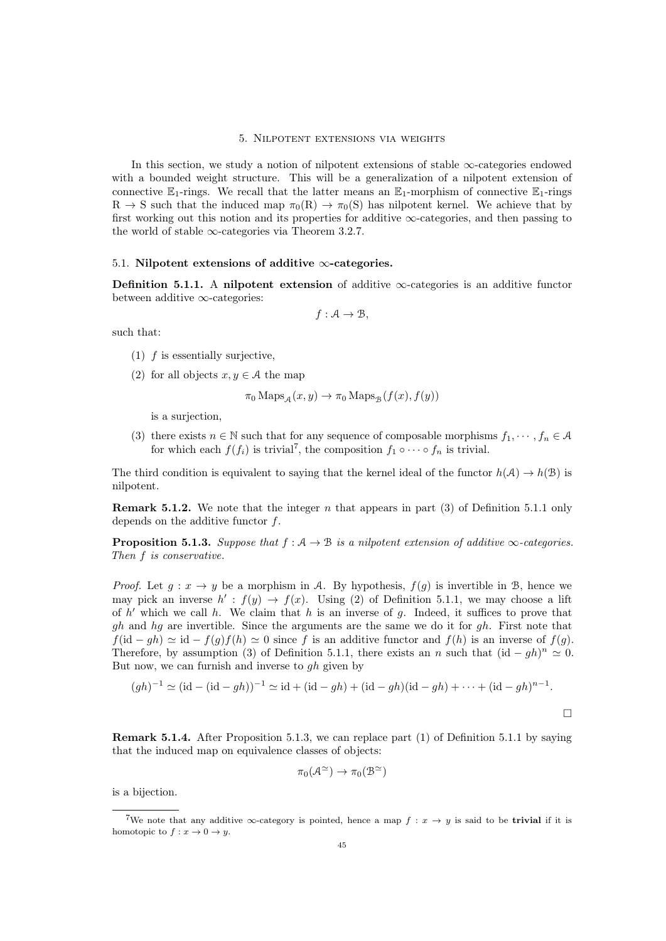#### 5. Nilpotent extensions via weights

In this section, we study a notion of nilpotent extensions of stable ∞-categories endowed with a bounded weight structure. This will be a generalization of a nilpotent extension of connective  $\mathbb{E}_1$ -rings. We recall that the latter means an  $\mathbb{E}_1$ -morphism of connective  $\mathbb{E}_1$ -rings  $R \to S$  such that the induced map  $\pi_0(R) \to \pi_0(S)$  has nilpotent kernel. We achieve that by first working out this notion and its properties for additive ∞-categories, and then passing to the world of stable  $\infty$ -categories via Theorem [3.2.7.](#page-26-0)

## 5.1. Nilpotent extensions of additive  $\infty$ -categories.

<span id="page-44-1"></span>**Definition 5.1.1.** A nilpotent extension of additive  $\infty$ -categories is an additive functor between additive ∞-categories:

$$
f: \mathcal{A} \to \mathcal{B},
$$

such that:

- $(1)$  f is essentially surjective,
- (2) for all objects  $x, y \in A$  the map

$$
\pi_0
$$
Maps<sub>A</sub> $(x, y) \to \pi_0$ Maps<sub>B</sub> $(f(x), f(y))$ 

is a surjection,

(3) there exists  $n \in \mathbb{N}$  such that for any sequence of composable morphisms  $f_1, \dots, f_n \in \mathcal{A}$ for which each  $f(f_i)$  is trivial<sup>[7](#page-44-0)</sup>, the composition  $f_1 \circ \cdots \circ f_n$  is trivial.

The third condition is equivalent to saying that the kernel ideal of the functor  $h(\mathcal{A}) \to h(\mathcal{B})$  is nilpotent.

**Remark 5.1.2.** We note that the integer n that appears in part  $(3)$  of Definition [5.1.1](#page-44-1) only depends on the additive functor f.

<span id="page-44-2"></span>**Proposition 5.1.3.** Suppose that  $f : A \rightarrow B$  is a nilpotent extension of additive  $\infty$ -categories. Then f is conservative.

*Proof.* Let  $g: x \to y$  be a morphism in A. By hypothesis,  $f(g)$  is invertible in B, hence we may pick an inverse  $h' : f(y) \to f(x)$ . Using (2) of Definition [5.1.1,](#page-44-1) we may choose a lift of  $h'$  which we call h. We claim that h is an inverse of g. Indeed, it suffices to prove that  $gh$  and  $hg$  are invertible. Since the arguments are the same we do it for  $gh$ . First note that  $f(\mathrm{id} - gh) \simeq \mathrm{id} - f(g)f(h) \simeq 0$  since f is an additive functor and  $f(h)$  is an inverse of  $f(g)$ . Therefore, by assumption (3) of Definition [5.1.1,](#page-44-1) there exists an n such that  $(id - gh)^n \simeq 0$ . But now, we can furnish and inverse to  $gh$  given by

$$
(gh)^{-1} \simeq (\text{id} - (\text{id} - gh))^{-1} \simeq \text{id} + (\text{id} - gh) + (\text{id} - gh)(\text{id} - gh) + \dots + (\text{id} - gh)^{n-1}.
$$

Remark 5.1.4. After Proposition [5.1.3,](#page-44-2) we can replace part (1) of Definition [5.1.1](#page-44-1) by saying that the induced map on equivalence classes of objects:

$$
\pi_0(\mathcal{A}^{\simeq}) \to \pi_0(\mathcal{B}^{\simeq})
$$

is a bijection.

<span id="page-44-0"></span><sup>&</sup>lt;sup>7</sup>We note that any additive  $\infty$ -category is pointed, hence a map  $f : x \to y$  is said to be **trivial** if it is homotopic to  $f: x \to 0 \to y$ .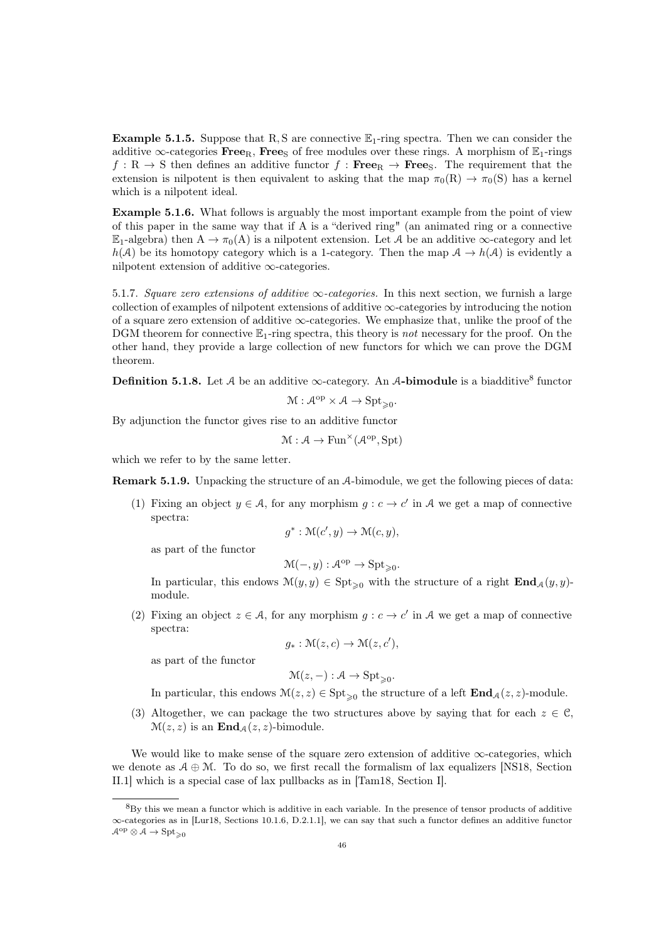**Example 5.1.5.** Suppose that R, S are connective  $\mathbb{E}_1$ -ring spectra. Then we can consider the additive  $\infty$ -categories Free<sub>R</sub>, Free<sub>S</sub> of free modules over these rings. A morphism of  $\mathbb{E}_1$ -rings  $f: \mathbb{R} \to \mathbb{S}$  then defines an additive functor  $f: \textbf{Free}_{\mathbb{R}} \to \textbf{Free}_{\mathbb{S}}$ . The requirement that the extension is nilpotent is then equivalent to asking that the map  $\pi_0(R) \to \pi_0(S)$  has a kernel which is a nilpotent ideal.

Example 5.1.6. What follows is arguably the most important example from the point of view of this paper in the same way that if A is a "derived ring" (an animated ring or a connective  $\mathbb{E}_1$ -algebra) then  $A \to \pi_0(A)$  is a nilpotent extension. Let A be an additive  $\infty$ -category and let  $h(\mathcal{A})$  be its homotopy category which is a 1-category. Then the map  $\mathcal{A} \to h(\mathcal{A})$  is evidently a nilpotent extension of additive  $\infty$ -categories.

5.1.7. Square zero extensions of additive  $\infty$ -categories. In this next section, we furnish a large collection of examples of nilpotent extensions of additive  $\infty$ -categories by introducing the notion of a square zero extension of additive  $\infty$ -categories. We emphasize that, unlike the proof of the DGM theorem for connective  $\mathbb{E}_1$ -ring spectra, this theory is not necessary for the proof. On the other hand, they provide a large collection of new functors for which we can prove the DGM theorem.

**Definition 5.1.[8](#page-45-0).** Let A be an additive  $\infty$ -category. An A-bimodule is a biadditive<sup>8</sup> functor

$$
\mathcal{M}:\mathcal{A}^{\mathrm{op}}\times\mathcal{A}\to\mathrm{Spt}_{\geqslant0}.
$$

By adjunction the functor gives rise to an additive functor

$$
\mathcal{M}:\mathcal{A}\to \mathrm{Fun}^\times(\mathcal{A}^\mathrm{op},\mathrm{Spt})
$$

which we refer to by the same letter.

<span id="page-45-1"></span>Remark 5.1.9. Unpacking the structure of an A-bimodule, we get the following pieces of data:

(1) Fixing an object  $y \in A$ , for any morphism  $g : c \to c'$  in A we get a map of connective spectra:

$$
g^* : \mathcal{M}(c', y) \to \mathcal{M}(c, y),
$$

as part of the functor

$$
\mathcal{M}(-,y): \mathcal{A}^{op} \to \mathrm{Spt}_{\geqslant 0}.
$$

In particular, this endows  $\mathcal{M}(y, y) \in \text{Spt}_{\geq 0}$  with the structure of a right  $\text{End}_{\mathcal{A}}(y, y)$ module.

(2) Fixing an object  $z \in \mathcal{A}$ , for any morphism  $g : c \to c'$  in A we get a map of connective spectra:

$$
g_*: \mathcal{M}(z, c) \to \mathcal{M}(z, c'),
$$

as part of the functor

$$
\mathcal{M}(z,-): \mathcal{A} \to \text{Spt}_{\geq 0}.
$$

In particular, this endows  $\mathcal{M}(z, z) \in \text{Spt}_{\geqslant 0}$  the structure of a left  $\text{End}_{\mathcal{A}}(z, z)$ -module.

(3) Altogether, we can package the two structures above by saying that for each  $z \in \mathcal{C}$ ,  $\mathcal{M}(z, z)$  is an  $\mathbf{End}_{\mathcal{A}}(z, z)$ -bimodule.

We would like to make sense of the square zero extension of additive  $\infty$ -categories, which we denote as  $A \oplus M$ . To do so, we first recall the formalism of lax equalizers [\[NS18,](#page-92-2) Section II.1] which is a special case of lax pullbacks as in [\[Tam18,](#page-92-3) Section I].

<span id="page-45-0"></span><sup>8</sup>By this we mean a functor which is additive in each variable. In the presence of tensor products of additive ∞-categories as in [\[Lur18,](#page-92-0) Sections 10.1.6, D.2.1.1], we can say that such a functor defines an additive functor  $\mathcal{A}^{op} \otimes \mathcal{A} \to \text{Spt}_{>0}$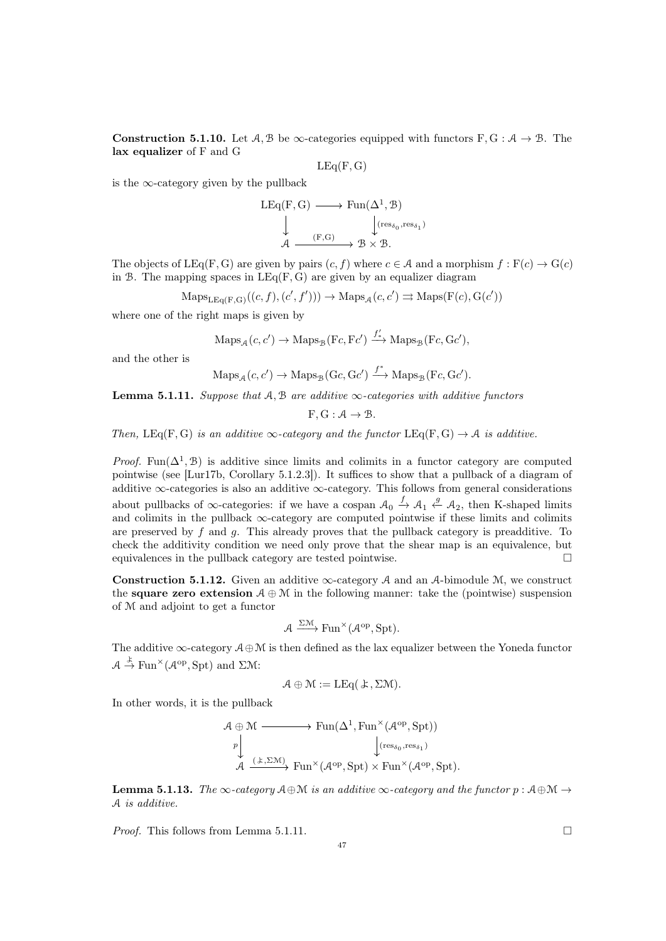<span id="page-46-1"></span>**Construction 5.1.10.** Let  $A, B$  be  $\infty$ -categories equipped with functors F, G :  $A \rightarrow B$ . The lax equalizer of F and G

$$
\mathrm{LEq}(\mathrm{F},\mathrm{G})
$$

is the  $\infty$ -category given by the pullback

$$
\begin{array}{ccc}\n\text{LEq}(F, G) & \longrightarrow & \text{Fun}(\Delta^1, \mathcal{B}) \\
\downarrow & & \downarrow (\text{res}_{\delta_0}, \text{res}_{\delta_1}) \\
\mathcal{A} & \longrightarrow & \mathcal{B} \times \mathcal{B}.\n\end{array}
$$

The objects of LEq(F, G) are given by pairs  $(c, f)$  where  $c \in A$  and a morphism  $f : F(c) \to G(c)$ in B. The mapping spaces in  $LEq(F, G)$  are given by an equalizer diagram

$$
Maps_{LEq(F,G)}((c, f), (c', f'))) \rightarrow Maps_{\mathcal{A}}(c, c') \rightrightarrows Maps(F(c), G(c'))
$$

where one of the right maps is given by

$$
\mathrm{Maps}_{\mathcal{A}}(c, c') \to \mathrm{Maps}_{\mathcal{B}}(Fc, Fc') \xrightarrow{f'_{*}} \mathrm{Maps}_{\mathcal{B}}(Fc, Gc'),
$$

and the other is

$$
Maps_{\mathcal{A}}(c, c') \to Maps_{\mathcal{B}}(Gc, Gc') \xrightarrow{f^*} Maps_{\mathcal{B}}(Fc, Gc').
$$

<span id="page-46-0"></span>**Lemma 5.1.11.** Suppose that  $A, B$  are additive  $\infty$ -categories with additive functors

 $F, G: \mathcal{A} \rightarrow \mathcal{B}.$ 

Then,  $LEq(F, G)$  is an additive  $\infty$ -category and the functor  $LEq(F, G) \rightarrow A$  is additive.

*Proof.* Fun( $\Delta^1$ , B) is additive since limits and colimits in a functor category are computed pointwise (see [\[Lur17b,](#page-92-4) Corollary 5.1.2.3]). It suffices to show that a pullback of a diagram of additive  $\infty$ -categories is also an additive  $\infty$ -category. This follows from general considerations about pullbacks of  $\infty$ -categories: if we have a cospan  $\mathcal{A}_0 \stackrel{f}{\to} \mathcal{A}_1 \stackrel{g}{\leftarrow} \mathcal{A}_2$ , then K-shaped limits and colimits in the pullback ∞-category are computed pointwise if these limits and colimits are preserved by  $f$  and  $g$ . This already proves that the pullback category is preadditive. To check the additivity condition we need only prove that the shear map is an equivalence, but equivalences in the pullback category are tested pointwise.

**Construction 5.1.12.** Given an additive  $\infty$ -category A and an A-bimodule M, we construct the **square zero extension**  $A \oplus M$  in the following manner: take the (pointwise) suspension of M and adjoint to get a functor

$$
\mathcal{A} \xrightarrow{\Sigma \mathcal{M}} \text{Fun}^{\times}(\mathcal{A}^{op}, \text{Spt}).
$$

The additive  $\infty$ -category  $\mathcal{A} \oplus \mathcal{M}$  is then defined as the lax equalizer between the Yoneda functor  $A \stackrel{\downarrow}{\rightarrow} \text{Fun}^{\times}(\mathcal{A}^{\text{op}}, \text{Spt})$  and  $\Sigma \mathcal{M}$ :

$$
\mathcal{A} \oplus \mathcal{M} := \mathrm{LEq}(\mathcal{L}, \Sigma \mathcal{M}).
$$

In other words, it is the pullback

$$
\mathcal{A} \oplus \mathcal{M} \longrightarrow \text{Fun}(\Delta^1, \text{Fun}^\times(\mathcal{A}^{\text{op}}, \text{Spt}))
$$
\n
$$
\downarrow^p \qquad \qquad \downarrow^{\text{(res}_{\delta_0}, \text{res}_{\delta_1})}
$$
\n
$$
\mathcal{A} \xrightarrow{(\pm, \Sigma \mathcal{M})} \text{Fun}^\times(\mathcal{A}^{\text{op}}, \text{Spt}) \times \text{Fun}^\times(\mathcal{A}^{\text{op}}, \text{Spt}).
$$

**Lemma 5.1.13.** The  $\infty$ -category  $A \oplus \mathcal{M}$  is an additive  $\infty$ -category and the functor  $p : A \oplus \mathcal{M} \rightarrow$ A is additive.

*Proof.* This follows from Lemma [5.1.11.](#page-46-0)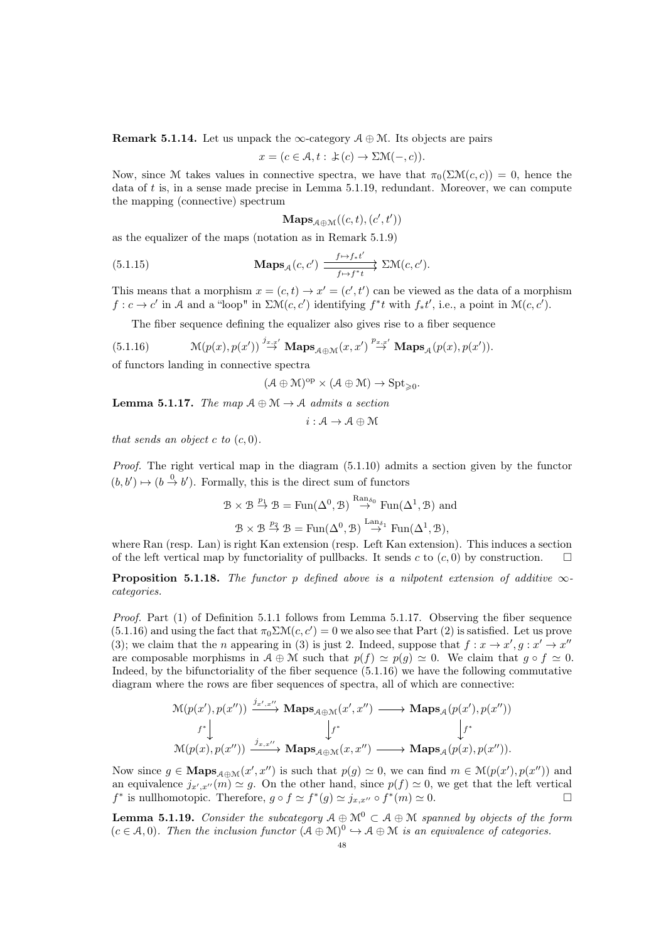**Remark 5.1.14.** Let us unpack the  $\infty$ -category  $\mathcal{A} \oplus \mathcal{M}$ . Its objects are pairs

$$
x = (c \in \mathcal{A}, t : \pm(c) \to \Sigma \mathcal{M}(-, c)).
$$

Now, since M takes values in connective spectra, we have that  $\pi_0(\Sigma M(c, c)) = 0$ , hence the data of t is, in a sense made precise in Lemma [5.1.19,](#page-47-0) redundant. Moreover, we can compute the mapping (connective) spectrum

<span id="page-47-4"></span>
$$
\mathbf{Maps}_{\mathcal{A}\oplus\mathcal{M}}((c,t),(c',t'))
$$

as the equalizer of the maps (notation as in Remark [5.1.9\)](#page-45-1)

(5.1.15) 
$$
\mathbf{Maps}_{\mathcal{A}}(c,c') \xrightarrow{f \mapsto f * t'} \Sigma \mathcal{M}(c,c').
$$

This means that a morphism  $x = (c, t) \rightarrow x' = (c', t')$  can be viewed as the data of a morphism  $f: c \to c'$  in A and a "loop" in  $\sum \mathcal{M}(c, c')$  identifying  $f^*t$  with  $f_*t'$ , i.e., a point in  $\mathcal{M}(c, c')$ .

<span id="page-47-2"></span>The fiber sequence defining the equalizer also gives rise to a fiber sequence

(5.1.16) 
$$
\mathcal{M}(p(x),p(x')) \stackrel{j_{x,x'}}{\rightarrow} \mathbf{Maps}_{\mathcal{A}\oplus\mathcal{M}}(x,x') \stackrel{p_{x,x'}}{\rightarrow} \mathbf{Maps}_{\mathcal{A}}(p(x),p(x')).
$$

of functors landing in connective spectra

$$
(\mathcal{A}\oplus\mathcal{M})^{\mathrm{op}}\times(\mathcal{A}\oplus\mathcal{M})\rightarrow\mathrm{Spt}_{\geqslant0}.
$$

<span id="page-47-1"></span>**Lemma 5.1.17.** The map  $A \oplus M \rightarrow A$  admits a section

$$
i:\mathcal{A}\to\mathcal{A}\oplus\mathcal{M}
$$

that sends an object c to  $(c, 0)$ .

Proof. The right vertical map in the diagram [\(5.1.10\)](#page-46-1) admits a section given by the functor  $(b, b') \mapsto (b \overset{0}{\rightarrow} b')$ . Formally, this is the direct sum of functors

$$
\mathcal{B} \times \mathcal{B} \stackrel{p_1}{\to} \mathcal{B} = \text{Fun}(\Delta^0, \mathcal{B}) \stackrel{\text{Ran}_{\delta_0}}{\to} \text{Fun}(\Delta^1, \mathcal{B}) \text{ and}
$$
  

$$
\mathcal{B} \times \mathcal{B} \stackrel{p_2}{\to} \mathcal{B} = \text{Fun}(\Delta^0, \mathcal{B}) \stackrel{\text{Lan}_{\delta_1}}{\to} \text{Fun}(\Delta^1, \mathcal{B}),
$$

where Ran (resp. Lan) is right Kan extension (resp. Left Kan extension). This induces a section of the left vertical map by functoriality of pullbacks. It sends c to  $(c, 0)$  by construction.

<span id="page-47-3"></span>**Proposition 5.1.18.** The functor p defined above is a nilpotent extension of additive  $\infty$ categories.

Proof. Part (1) of Definition [5.1.1](#page-44-1) follows from Lemma [5.1.17.](#page-47-1) Observing the fiber sequence [\(5.1.16\)](#page-47-2) and using the fact that  $\pi_0 \Sigma \mathcal{M}(c, c') = 0$  we also see that Part (2) is satisfied. Let us prove (3); we claim that the *n* appearing in (3) is just 2. Indeed, suppose that  $f: x \to x', g: x' \to x''$ are composable morphisms in  $A \oplus \mathcal{M}$  such that  $p(f) \simeq p(q) \simeq 0$ . We claim that  $q \circ f \simeq 0$ . Indeed, by the bifunctoriality of the fiber sequence [\(5.1.16\)](#page-47-2) we have the following commutative diagram where the rows are fiber sequences of spectra, all of which are connective:

$$
\begin{array}{ccc} \mathbf{\mathcal{M}}(p(x'),p(x''))&\xrightarrow{j_{x',x''}}\mathbf{Maps}_{\mathcal{A}\oplus\mathcal{M}}(x',x'')\longrightarrow\mathbf{Maps}_{\mathcal{A}}(p(x'),p(x''))\\ &f^*\Big\downarrow&&\Big\downarrow^{f^*}\\ \mathbf{\mathcal{M}}(p(x),p(x''))\xrightarrow{j_{x,x''}}\mathbf{Maps}_{\mathcal{A}\oplus\mathcal{M}}(x,x'')\longrightarrow\mathbf{Maps}_{\mathcal{A}}(p(x),p(x'')).\end{array}
$$

Now since  $g \in \mathbf{Maps}_{\mathcal{A}\oplus\mathcal{M}}(x',x'')$  is such that  $p(g) \simeq 0$ , we can find  $m \in \mathcal{M}(p(x'), p(x''))$  and an equivalence  $j_{x',x''}(m) \simeq g$ . On the other hand, since  $p(f) \simeq 0$ , we get that the left vertical  $f^*$  is nullhomotopic. Therefore,  $g \circ f \simeq f^*(g) \simeq j_{x,x''} \circ f^*(m) \simeq 0.$ 

<span id="page-47-0"></span>**Lemma 5.1.19.** Consider the subcategory  $A \oplus M^0 \subset A \oplus M$  spanned by objects of the form  $(c \in \mathcal{A}, 0)$ . Then the inclusion functor  $(\mathcal{A} \oplus \mathcal{M})^0 \hookrightarrow \mathcal{A} \oplus \mathcal{M}$  is an equivalence of categories.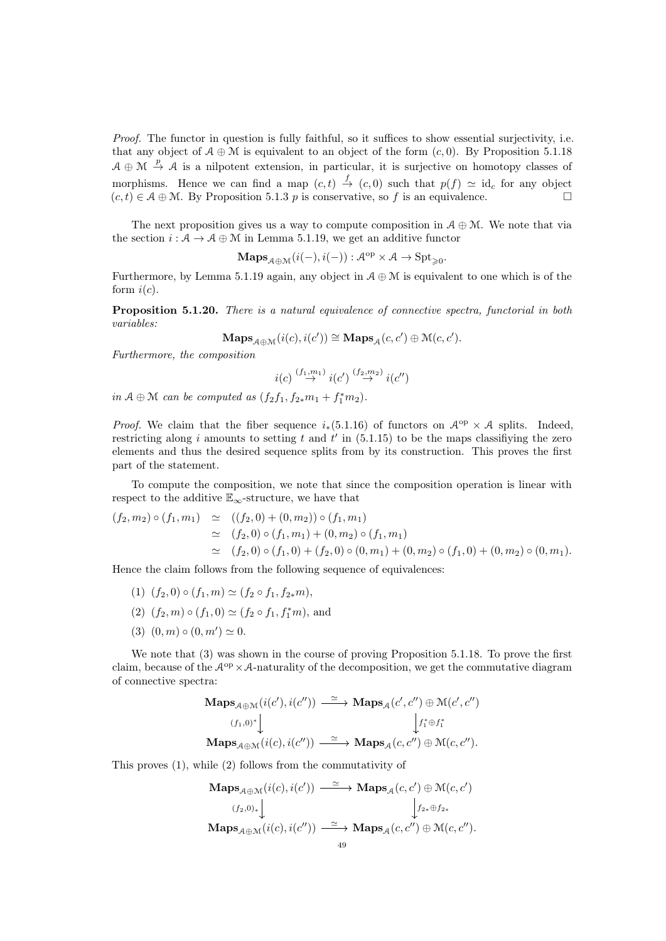Proof. The functor in question is fully faithful, so it suffices to show essential surjectivity, i.e. that any object of  $A \oplus \mathcal{M}$  is equivalent to an object of the form  $(c, 0)$ . By Proposition [5.1.18](#page-47-3)  $A \oplus M \stackrel{p}{\rightarrow} A$  is a nilpotent extension, in particular, it is surjective on homotopy classes of morphisms. Hence we can find a map  $(c, t) \stackrel{f}{\rightarrow} (c, 0)$  such that  $p(f) \simeq id_c$  for any object  $(c, t) \in \mathcal{A} \oplus \mathcal{M}$ . By Proposition [5.1.3](#page-44-2) p is conservative, so f is an equivalence.

The next proposition gives us a way to compute composition in  $A \oplus M$ . We note that via the section  $i : A \to A \oplus M$  in Lemma [5.1.19,](#page-47-0) we get an additive functor

 $\mathbf{Maps}_{\mathcal{A}\oplus\mathcal{M}}(i(-),i(-)) : \mathcal{A}^{\mathrm{op}} \times \mathcal{A} \to \mathrm{Spt}_{\geqslant 0}.$ 

Furthermore, by Lemma [5.1.19](#page-47-0) again, any object in  $A \oplus M$  is equivalent to one which is of the form  $i(c)$ .

<span id="page-48-0"></span>Proposition 5.1.20. There is a natural equivalence of connective spectra, functorial in both variables:

$$
\mathbf{Maps}_{\mathcal{A}\oplus\mathcal{M}}(i(c), i(c')) \cong \mathbf{Maps}_{\mathcal{A}}(c, c') \oplus \mathcal{M}(c, c').
$$

Furthermore, the composition

$$
i(c) \stackrel{(f_1,m_1)}{\rightarrow} i(c') \stackrel{(f_2,m_2)}{\rightarrow} i(c'')
$$

in  $A \oplus M$  can be computed as  $(f_2f_1, f_2*m_1 + f_1*m_2)$ .

*Proof.* We claim that the fiber sequence  $i_*(5.1.16)$  $i_*(5.1.16)$  of functors on  $\mathcal{A}^{op} \times \mathcal{A}$  splits. Indeed, restricting along i amounts to setting t and  $t'$  in [\(5.1.15\)](#page-47-4) to be the maps classifiying the zero elements and thus the desired sequence splits from by its construction. This proves the first part of the statement.

To compute the composition, we note that since the composition operation is linear with respect to the additive  $\mathbb{E}_{\infty}$ -structure, we have that

$$
(f_2, m_2) \circ (f_1, m_1) \simeq ((f_2, 0) + (0, m_2)) \circ (f_1, m_1)
$$
  
\simeq (f\_2, 0) \circ (f\_1, m\_1) + (0, m\_2) \circ (f\_1, m\_1)  
\simeq (f\_2, 0) \circ (f\_1, 0) + (f\_2, 0) \circ (0, m\_1) + (0, m\_2) \circ (f\_1, 0) + (0, m\_2) \circ (0, m\_1).

Hence the claim follows from the following sequence of equivalences:

- (1)  $(f_2, 0) \circ (f_1, m) \simeq (f_2 \circ f_1, f_{2*}m),$
- (2)  $(f_2, m) \circ (f_1, 0) \simeq (f_2 \circ f_1, f_1^* m)$ , and
- (3)  $(0, m) \circ (0, m') \simeq 0.$

We note that  $(3)$  was shown in the course of proving Proposition [5.1.18.](#page-47-3) To prove the first claim, because of the  $\mathcal{A}^{\text{op}} \times \mathcal{A}$ -naturality of the decomposition, we get the commutative diagram of connective spectra:

$$
\begin{array}{ccc}\n\mathbf{Maps}_{\mathcal{A}\oplus\mathcal{M}}(i(c'),i(c'')) \xrightarrow{\simeq} \mathbf{Maps}_{\mathcal{A}}(c',c'')\oplus\mathcal{M}(c',c'')\\
 & (f_1,0)^* \Big\downarrow & \Big\downarrow f_1^* \oplus f_1^*\\
\mathbf{Maps}_{\mathcal{A}\oplus\mathcal{M}}(i(c),i(c'')) \xrightarrow{\simeq} \mathbf{Maps}_{\mathcal{A}}(c,c'') \oplus\mathcal{M}(c,c'').\n\end{array}
$$

This proves (1), while (2) follows from the commutativity of

$$
\mathbf{Maps}_{\mathcal{A}\oplus\mathcal{M}}(i(c), i(c')) \xrightarrow{\simeq} \mathbf{Maps}_{\mathcal{A}}(c, c') \oplus \mathcal{M}(c, c')
$$
\n
$$
(f_2, 0)_* \downarrow \qquad \qquad \downarrow f_{2*} \oplus f_{2*}
$$
\n
$$
\mathbf{Maps}_{\mathcal{A}\oplus\mathcal{M}}(i(c), i(c'')) \xrightarrow{\simeq} \mathbf{Maps}_{\mathcal{A}}(c, c'') \oplus \mathcal{M}(c, c'').
$$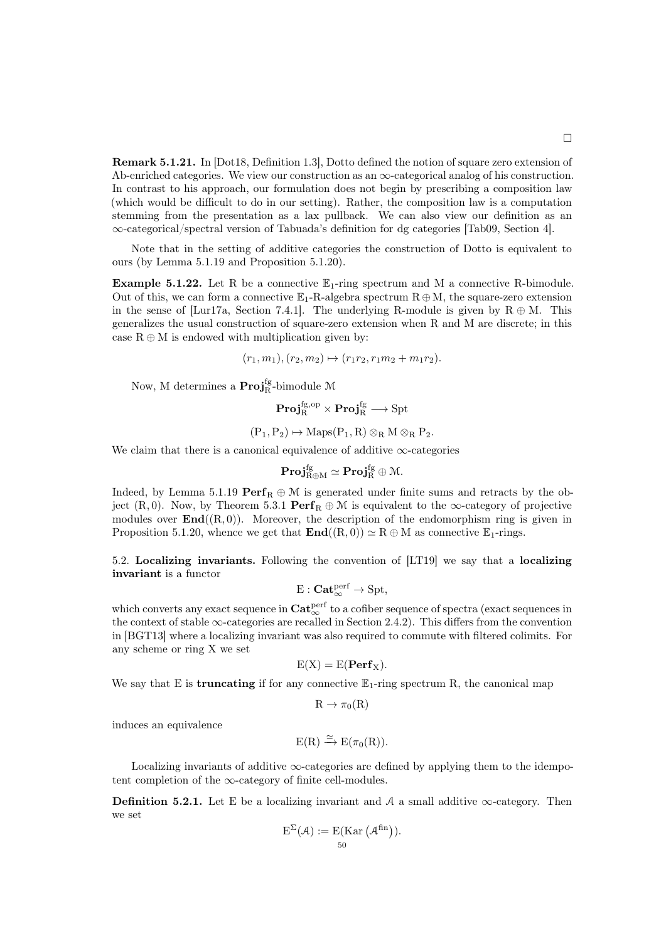<span id="page-49-0"></span>Remark 5.1.21. In [\[Dot18,](#page-91-1) Definition 1.3], Dotto defined the notion of square zero extension of Ab-enriched categories. We view our construction as an  $\infty$ -categorical analog of his construction. In contrast to his approach, our formulation does not begin by prescribing a composition law (which would be difficult to do in our setting). Rather, the composition law is a computation stemming from the presentation as a lax pullback. We can also view our definition as an ∞-categorical/spectral version of Tabuada's definition for dg categories [\[Tab09,](#page-92-5) Section 4].

Note that in the setting of additive categories the construction of Dotto is equivalent to ours (by Lemma [5.1.19](#page-47-0) and Proposition [5.1.20\)](#page-48-0).

**Example 5.1.22.** Let R be a connective  $\mathbb{E}_1$ -ring spectrum and M a connective R-bimodule. Out of this, we can form a connective  $\mathbb{E}_1$ -R-algebra spectrum  $R \oplus M$ , the square-zero extension in the sense of [\[Lur17a,](#page-92-6) Section 7.4.1]. The underlying R-module is given by  $R \oplus M$ . This generalizes the usual construction of square-zero extension when R and M are discrete; in this case  $R \oplus M$  is endowed with multiplication given by:

$$
(r_1, m_1), (r_2, m_2) \mapsto (r_1r_2, r_1m_2 + m_1r_2).
$$

Now, M determines a  $\mathbf{Proj}_{\mathrm{R}}^{\mathrm{fg}}$  bimodule  $\mathcal M$ 

$$
\mathbf{Proj}_R^{\mathrm{fg, op}} \times \mathbf{Proj}_R^{\mathrm{fg}} \longrightarrow \mathrm{Spt}
$$

$$
(P_1, P_2) \mapsto \operatorname{Maps}(P_1, R) \otimes_R M \otimes_R P_2.
$$

We claim that there is a canonical equivalence of additive  $\infty$ -categories

$$
\mathbf{Proj}_{R \oplus M}^{fg} \simeq \mathbf{Proj}_{R}^{fg} \oplus \mathcal{M}.
$$

Indeed, by Lemma [5.1.19](#page-47-0)  $\mathbf{Perf}_R \oplus M$  is generated under finite sums and retracts by the ob-ject (R, 0). Now, by Theorem [5.3.1](#page-51-0)  $\mathbf{Perf}_R \oplus M$  is equivalent to the  $\infty$ -category of projective modules over  $\text{End}((R, 0))$ . Moreover, the description of the endomorphism ring is given in Proposition [5.1.20,](#page-48-0) whence we get that  $\text{End}((R, 0)) \simeq R \oplus M$  as connective  $\mathbb{E}_1$ -rings.

5.2. Localizing invariants. Following the convention of [\[LT19\]](#page-92-7) we say that a localizing invariant is a functor

$$
E: \mathbf{Cat}_{\infty}^{perf} \to \mathrm{Spt},
$$

which converts any exact sequence in  $\mathbf{Cat}_{\infty}^{\text{perf}}$  to a cofiber sequence of spectra (exact sequences in the context of stable  $\infty$ -categories are recalled in Section [2.4.2\)](#page-22-0). This differs from the convention in [\[BGT13\]](#page-90-3) where a localizing invariant was also required to commute with filtered colimits. For any scheme or ring X we set

$$
E(X) = E(\mathbf{Perf}_X).
$$

We say that E is **truncating** if for any connective  $\mathbb{E}_1$ -ring spectrum R, the canonical map

 $R \to \pi_0(R)$ 

induces an equivalence

$$
E(R) \xrightarrow{\simeq} E(\pi_0(R)).
$$

Localizing invariants of additive  $\infty$ -categories are defined by applying them to the idempotent completion of the  $\infty$ -category of finite cell-modules.

**Definition 5.2.1.** Let E be a localizing invariant and A a small additive  $\infty$ -category. Then we set

$$
E^{\Sigma}(\mathcal{A}) := E(\mathrm{Kar}(\mathcal{A}^{\mathrm{fin}})).
$$
  
<sub>50</sub>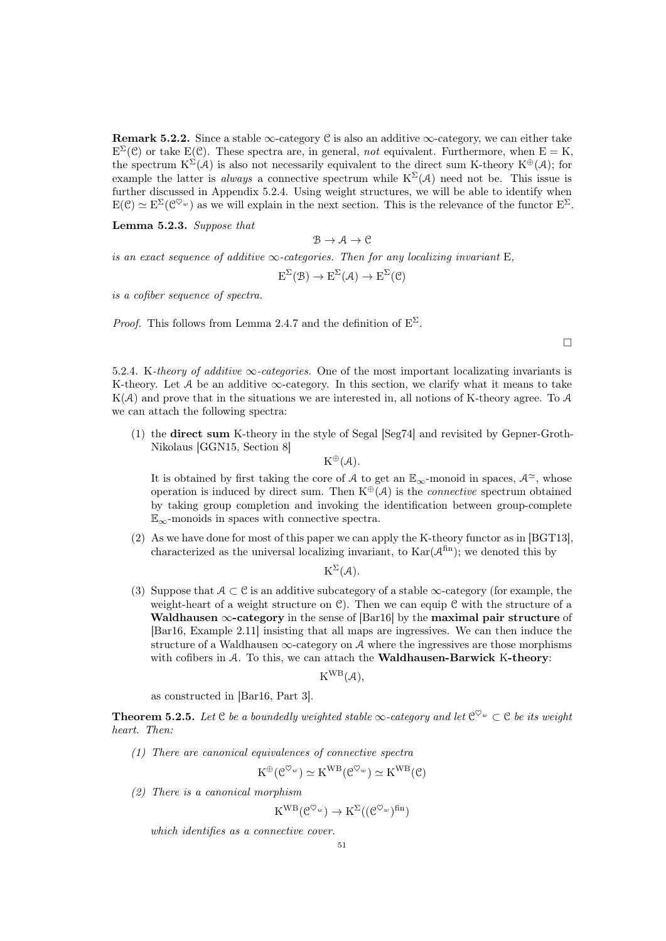**Remark 5.2.2.** Since a stable  $\infty$ -category C is also an additive  $\infty$ -category, we can either take  $E^{\Sigma}(\mathcal{C})$  or take E(C). These spectra are, in general, not equivalent. Furthermore, when  $E = K$ , the spectrum  $K^{\Sigma}(\mathcal{A})$  is also not necessarily equivalent to the direct sum K-theory  $K^{\oplus}(\mathcal{A})$ ; for example the latter is *always* a connective spectrum while  $K^{\Sigma}(\mathcal{A})$  need not be. This issue is further discussed in Appendix [5.2.4.](#page-50-0) Using weight structures, we will be able to identify when  $E(\mathcal{C}) \simeq E^{\Sigma}(\mathcal{C}^{\nabla_{w}})$  as we will explain in the next section. This is the relevance of the functor  $E^{\Sigma}$ .

Lemma 5.2.3. Suppose that

$$
\mathcal{B} \to \mathcal{A} \to \mathcal{C}
$$

is an exact sequence of additive  $\infty$ -categories. Then for any localizing invariant E,

$$
E^{\Sigma}(\mathcal{B}) \to E^{\Sigma}(\mathcal{A}) \to E^{\Sigma}(\mathcal{C})
$$

is a cofiber sequence of spectra.

*Proof.* This follows from Lemma [2.4.7](#page-22-1) and the definition of  $E^{\Sigma}$ .

 $\Box$ 

<span id="page-50-0"></span>5.2.4. K-theory of additive  $\infty$ -categories. One of the most important localizating invariants is K-theory. Let A be an additive  $\infty$ -category. In this section, we clarify what it means to take  $K(\mathcal{A})$  and prove that in the situations we are interested in, all notions of K-theory agree. To  $\mathcal{A}$ we can attach the following spectra:

(1) the direct sum K-theory in the style of Segal [\[Seg74\]](#page-92-8) and revisited by Gepner-Groth-Nikolaus [\[GGN15,](#page-91-2) Section 8]

 $K^{\oplus}(\mathcal{A}).$ 

It is obtained by first taking the core of A to get an  $\mathbb{E}_{\infty}$ -monoid in spaces,  $\mathcal{A}^{\simeq}$ , whose operation is induced by direct sum. Then  $K^{\oplus}(\mathcal{A})$  is the *connective* spectrum obtained by taking group completion and invoking the identification between group-complete  $\mathbb{E}_{\infty}$ -monoids in spaces with connective spectra.

(2) As we have done for most of this paper we can apply the K-theory functor as in [\[BGT13\]](#page-90-3), characterized as the universal localizing invariant, to  $\text{Kar}(\mathcal{A}^{\text{fin}})$ ; we denoted this by

 $K^{\Sigma}(\mathcal{A}).$ 

(3) Suppose that  $A \subset \mathcal{C}$  is an additive subcategory of a stable  $\infty$ -category (for example, the weight-heart of a weight structure on  $\mathcal{C}$ ). Then we can equip  $\mathcal{C}$  with the structure of a Waldhausen  $\infty$ -category in the sense of [\[Bar16\]](#page-90-6) by the maximal pair structure of [\[Bar16,](#page-90-6) Example 2.11] insisting that all maps are ingressives. We can then induce the structure of a Waldhausen  $\infty$ -category on A where the ingressives are those morphisms with cofibers in  $A$ . To this, we can attach the **Waldhausen-Barwick K-theory**:

 $K^{WB}(\mathcal{A}),$ 

as constructed in [\[Bar16,](#page-90-6) Part 3].

**Theorem 5.2.5.** Let  $C$  be a boundedly weighted stable  $\infty$ -category and let  $C^{\heartsuit_w} \subset C$  be its weight heart. Then:

(1) There are canonical equivalences of connective spectra

$$
K^{\oplus}(\mathcal{C}^{\heartsuit_w}) \simeq K^{WB}(\mathcal{C}^{\heartsuit_w}) \simeq K^{WB}(\mathcal{C})
$$

(2) There is a canonical morphism

$$
K^{WB}(\mathcal{C}^{\heartsuit_w}) \to K^{\Sigma}((\mathcal{C}^{\heartsuit_w})^{\text{fin}})
$$

which identifies as a connective cover.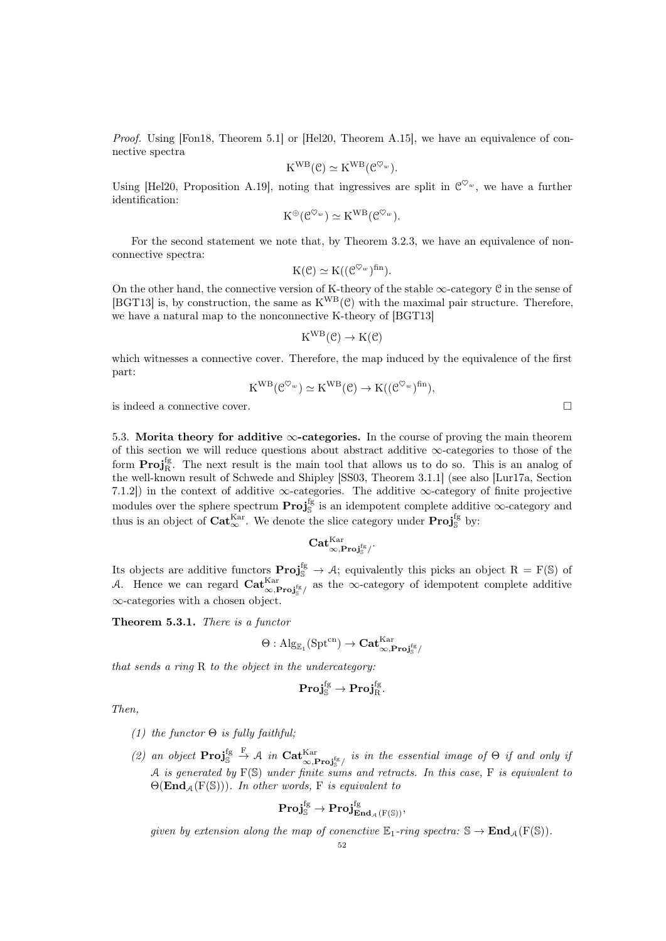Proof. Using [\[Fon18,](#page-91-3) Theorem 5.1] or [\[Hel20,](#page-91-4) Theorem A.15], we have an equivalence of connective spectra

$$
K^{WB}(\mathcal{C}) \simeq K^{WB}(\mathcal{C}^{\heartsuit_w}).
$$

Using [\[Hel20,](#page-91-4) Proposition A.19], noting that ingressives are split in  $\mathcal{C}^{\heartsuit_w}$ , we have a further identification:

$$
K^{\oplus}(\mathcal{C}^{\heartsuit_w}) \simeq K^{WB}(\mathcal{C}^{\heartsuit_w}).
$$

For the second statement we note that, by Theorem [3.2.3,](#page-25-0) we have an equivalence of nonconnective spectra:

$$
K(\mathcal{C}) \simeq K((\mathcal{C}^{\heartsuit_w})^{\text{fin}}).
$$

On the other hand, the connective version of K-theory of the stable  $\infty$ -category C in the sense of [\[BGT13\]](#page-90-3) is, by construction, the same as  $K^{WB}(\mathcal{C})$  with the maximal pair structure. Therefore, we have a natural map to the nonconnective K-theory of [\[BGT13\]](#page-90-3)

$$
K^{WB}(\mathcal{C}) \to K(\mathcal{C})
$$

which witnesses a connective cover. Therefore, the map induced by the equivalence of the first part:

$$
K^{WB}(\mathcal{C}^{\heartsuit_w}) \simeq K^{WB}(\mathcal{C}) \to K((\mathcal{C}^{\heartsuit_w})^{\text{fin}}),
$$

is indeed a connective cover.

5.3. Morita theory for additive  $\infty$ -categories. In the course of proving the main theorem of this section we will reduce questions about abstract additive  $\infty$ -categories to those of the form  $\text{Proj}_{R}^{\text{fg}}$ . The next result is the main tool that allows us to do so. This is an analog of the well-known result of Schwede and Shipley [\[SS03,](#page-92-9) Theorem 3.1.1] (see also [\[Lur17a,](#page-92-6) Section 7.1.2) in the context of additive  $\infty$ -categories. The additive  $\infty$ -category of finite projective modules over the sphere spectrum  $\text{Proj}_{\mathbb{S}}^{\text{fg}}$  is an idempotent complete additive  $\infty$ -category and thus is an object of  $\text{Cat}_{\infty}^{\text{Kar}}$ . We denote the slice category under  $\text{Proj}_{\mathbb{S}}^{\text{fg}}$  by:

$$
\mathbf{Cat}_{\infty,\mathbf{Proj}_{\mathbb{S}}^{\mathrm{fg}}/}^{\mathrm{Kar}}.
$$

Its objects are additive functors  $\text{Proj}_{\mathbb{S}}^{\text{fg}} \to A$ ; equivalently this picks an object  $R = F(\mathbb{S})$  of A. Hence we can regard  $\text{Cat}_{\infty,\text{Proj}_{\mathbb{S}}^{\text{fg}}/}^{\text{Kar}}$  as the  $\infty$ -category of idempotent complete additive ∞-categories with a chosen object.

<span id="page-51-0"></span>Theorem 5.3.1. There is a functor

$$
\Theta: \mathrm{Alg}_{\mathbb{E}_1}(\mathrm{Spt}^{\mathrm{cn}}) \rightarrow \mathbf{Cat}_{\infty,\mathbf{Proj}_\mathbb{S}^{\mathrm{fg}}/}^{\mathrm{Kar}}
$$

that sends a ring R to the object in the undercategory:

$$
\mathbf{Proj}_{\mathbb{S}}^{fg} \to \mathbf{Proj}_{R}^{fg}.
$$

Then,

- (1) the functor  $\Theta$  is fully faithful;
- (2) an object  $\text{Proj}_{\mathbb{S}}^{\text{fg}} \stackrel{\text{F}}{\rightarrow} \mathcal{A}$  in  $\text{Cat}_{\infty,\text{Proj}_{\mathbb{S}}^{\text{fg}}/}^{\text{Kar}}$  is in the essential image of  $\Theta$  if and only if A is generated by  $F(S)$  under finite sums and retracts. In this case, F is equivalent to  $\Theta(\text{End}_{A}(F(\mathbb{S})))$ . In other words, F is equivalent to

$$
\mathbf{Proj}_{\mathbb{S}}^{fg} \to \mathbf{Proj}_{\mathbf{End}_{\mathcal{A}}(F(\mathbb{S}))}^{fg},
$$

given by extension along the map of conenctive  $\mathbb{E}_1$ -ring spectra:  $\mathbb{S} \to \text{End}_A(\mathbb{F}(\mathbb{S}))$ .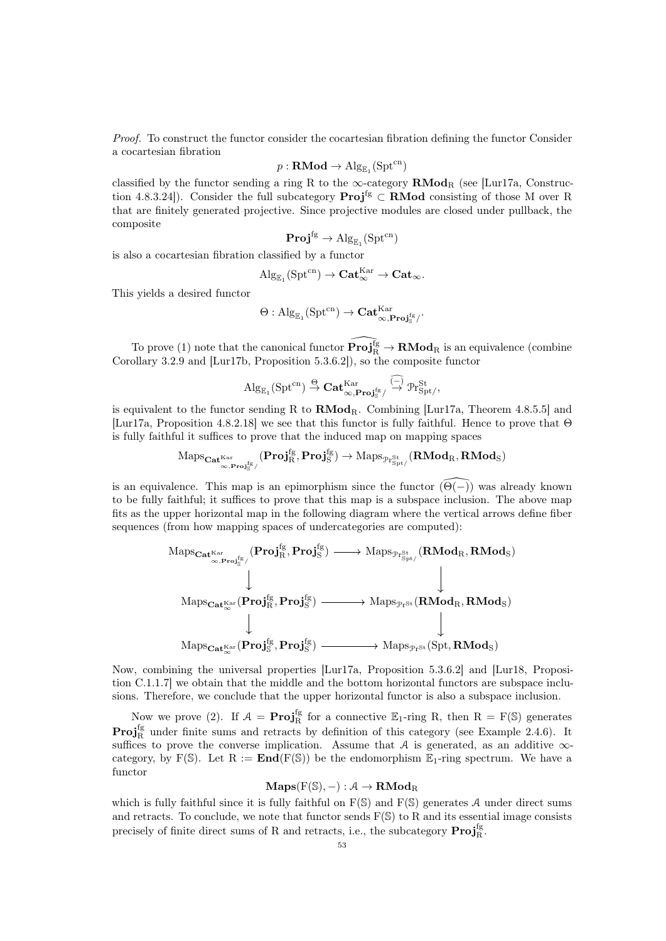Proof. To construct the functor consider the cocartesian fibration defining the functor Consider a cocartesian fibration

$$
p:\mathbf{RMod}\to\mathrm{Alg}_{\mathbb{E}_1}(\mathrm{Spt}^{\mathrm{cn}})
$$

classified by the functor sending a ring R to the  $\infty$ -category  $\mathbf{RMod}_{R}$  (see [\[Lur17a,](#page-92-6) Construction 4.8.3.24]). Consider the full subcategory  $\text{Proj}^{\text{fg}} \subset \text{RMod}$  consisting of those M over R that are finitely generated projective. Since projective modules are closed under pullback, the composite

$$
\mathbf{Proj}^{fg} \to \mathrm{Alg}_{\mathbb{E}_1}(\mathrm{Spt}^{cn})
$$

is also a cocartesian fibration classified by a functor

$$
\mathrm{Alg}_{\mathbb{E}_1}(\mathrm{Spt}^{\mathrm{cn}}) \rightarrow \mathbf{Cat}_{\infty}^{\mathrm{Kar}} \rightarrow \mathbf{Cat}_{\infty}.
$$

This yields a desired functor

$$
\Theta: \mathrm{Alg}_{\mathbb{E}_1}(\mathrm{Spt}^{\mathrm{cn}}) \rightarrow \mathbf{Cat}_{\infty,\mathbf{Proj}_\mathbb{S}^{\mathrm{fg}}/}^{\mathrm{Kar}}.
$$

To prove (1) note that the canonical functor  $\widehat{\mathbf{Proj}_{\mathbf{R}}^{\text{fg}}} \to \mathbf{RMod}_{\mathbf{R}}$  is an equivalence (combine Corollary [3.2.9](#page-26-1) and [\[Lur17b,](#page-92-4) Proposition 5.3.6.2]), so the composite functor

$$
\mathrm{Alg}_{\mathbb{E}_1}(\mathrm{Spt}^{\mathrm{cn}}) \stackrel{\Theta}{\to} \mathbf{Cat}_{\infty,\mathbf{Proj}_\mathbb{S}^{\mathrm{fg}}}/^{\widetilde{(-)}}\overline{\mathcal{P}}\mathrm{r}_{\mathrm{Spt}}^{\mathrm{St}},
$$

is equivalent to the functor sending R to  $\mathbf{RMod}_{\mathbf{R}}$ . Combining [\[Lur17a,](#page-92-6) Theorem 4.8.5.5] and [\[Lur17a,](#page-92-6) Proposition 4.8.2.18] we see that this functor is fully faithful. Hence to prove that Θ is fully faithful it suffices to prove that the induced map on mapping spaces

$$
\mathrm{Maps}_{\mathbf{Cat}^\mathrm{Kar}_{\infty,\mathbf{Proj}^{\mathrm{fg}}_S}/\mathbf{Proj}^{\mathrm{fg}}_R,\mathbf{Proj}^{\mathrm{fg}}_S)}\rightarrow \mathrm{Maps}_{\mathfrak{Pr}^{\mathrm{St}}_{\mathrm{Spt}/}}(\mathbf{RMod}_R,\mathbf{RMod}_S)
$$

is an equivalence. This map is an epimorphism since the functor  $(\Theta(-))$  was already known to be fully faithful; it suffices to prove that this map is a subspace inclusion. The above map fits as the upper horizontal map in the following diagram where the vertical arrows define fiber sequences (from how mapping spaces of undercategories are computed):



Now, combining the universal properties [\[Lur17a,](#page-92-6) Proposition 5.3.6.2] and [\[Lur18,](#page-92-0) Proposition C.1.1.7] we obtain that the middle and the bottom horizontal functors are subspace inclusions. Therefore, we conclude that the upper horizontal functor is also a subspace inclusion.

Now we prove (2). If  $A = \text{Proj}_R^{\text{fg}}$  for a connective  $\mathbb{E}_1$ -ring R, then  $R = F(\mathbb{S})$  generates **Proj**<sup>fg</sup> under finite sums and retracts by definition of this category (see Example [2.4.6\)](#page-22-2). It suffices to prove the converse implication. Assume that A is generated, as an additive  $\infty$ category, by F(S). Let  $R := \text{End}(F(S))$  be the endomorphism  $\mathbb{E}_1$ -ring spectrum. We have a functor

# $\mathbf{Maps}(F(\mathbb{S}), -): \mathcal{A} \to \mathbf{RMod}_{R}$

which is fully faithful since it is fully faithful on  $F(S)$  and  $F(S)$  generates A under direct sums and retracts. To conclude, we note that functor sends  $F(S)$  to R and its essential image consists precisely of finite direct sums of R and retracts, i.e., the subcategory  $\mathbf{Proj}_{\mathrm{R}}^{\mathrm{fg}}$ .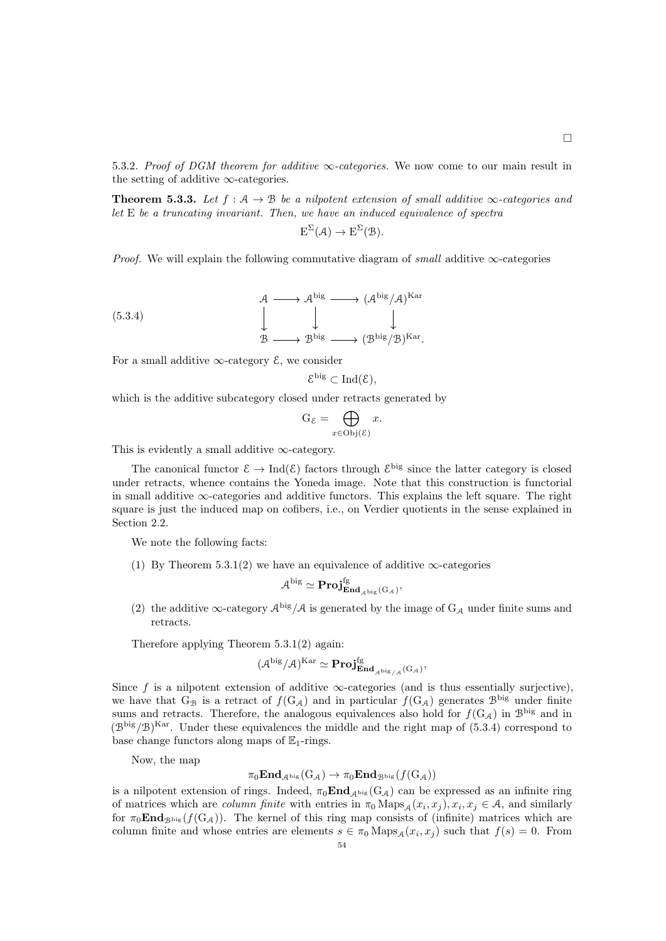5.3.2. Proof of DGM theorem for additive  $\infty$ -categories. We now come to our main result in the setting of additive  $\infty$ -categories.

<span id="page-53-1"></span>**Theorem 5.3.3.** Let  $f : A \rightarrow B$  be a nilpotent extension of small additive  $\infty$ -categories and let E be a truncating invariant. Then, we have an induced equivalence of spectra

$$
E^{\Sigma}(\mathcal{A}) \to E^{\Sigma}(\mathcal{B}).
$$

*Proof.* We will explain the following commutative diagram of *small* additive  $\infty$ -categories

(5.3.4)  
\n
$$
\begin{array}{ccc}\n & \mathcal{A} \longrightarrow \mathcal{A}^{\text{big}} \longrightarrow (\mathcal{A}^{\text{big}}/\mathcal{A})^{\text{Kar}} \\
 & \downarrow & \downarrow \\
 & \mathcal{B} \longrightarrow \mathcal{B}^{\text{big}} \longrightarrow (\mathcal{B}^{\text{big}}/\mathcal{B})^{\text{Kar}}.\n\end{array}
$$

For a small additive  $\infty$ -category  $\mathcal{E}$ , we consider

<span id="page-53-0"></span>
$$
\mathcal{E}^{\rm big}\subset \operatorname{Ind}(\mathcal{E}),
$$

which is the additive subcategory closed under retracts generated by

$$
G_{\mathcal{E}} = \bigoplus_{x \in \text{Obj}(\mathcal{E})} x.
$$

This is evidently a small additive  $\infty$ -category.

The canonical functor  $\mathcal{E} \to \text{Ind}(\mathcal{E})$  factors through  $\mathcal{E}^{\text{big}}$  since the latter category is closed under retracts, whence contains the Yoneda image. Note that this construction is functorial in small additive ∞-categories and additive functors. This explains the left square. The right square is just the induced map on cofibers, i.e., on Verdier quotients in the sense explained in Section [2.2.](#page-14-0)

We note the following facts:

(1) By Theorem [5.3.1\(](#page-51-0)2) we have an equivalence of additive  $\infty$ -categories

$$
\mathcal A^{\rm big}\simeq\bf Proj_{\mathbf{End}_{\ \mathcal A^{\rm big}}({G}_{\mathcal A})}^{\rm fg},
$$

(2) the additive  $\infty$ -category  $\mathcal{A}^{big}/\mathcal{A}$  is generated by the image of  $G_{\mathcal{A}}$  under finite sums and retracts.

Therefore applying Theorem [5.3.1\(](#page-51-0)2) again:

$$
(\mathcal{A}^{\mathrm{big}}/\mathcal{A})^\mathrm{Kar}\simeq\mathbf{Proj}^{\mathrm{fg}}_{\mathbf{End}_{\mathcal{A}^{\mathrm{big}}/\mathcal{A}}(\mathrm{G}_{\mathcal{A}})},
$$

Since f is a nilpotent extension of additive  $\infty$ -categories (and is thus essentially surjective), we have that G<sub>B</sub> is a retract of  $f(G_A)$  and in particular  $f(G_A)$  generates  $\mathcal{B}^{\text{big}}$  under finite sums and retracts. Therefore, the analogous equivalences also hold for  $f(G_A)$  in  $\mathcal{B}^{\text{big}}$  and in  $(\mathcal{B}^{\text{big}}/\mathcal{B})^{\text{Kar}}$ . Under these equivalences the middle and the right map of [\(5.3.4\)](#page-53-0) correspond to base change functors along maps of  $\mathbb{E}_1$ -rings.

Now, the map

$$
\pi_0\mathbf{End}_{\mathcal{A}^{\mathrm{big}}}(\mathrm{G}_{\mathcal{A}})\rightarrow \pi_0\mathbf{End}_{\mathcal{B}^{\mathrm{big}}} (f(\mathrm{G}_{\mathcal{A}}))
$$

is a nilpotent extension of rings. Indeed,  $\pi_0 \text{End}_{\mathcal{A}^{\text{big}}} (G_\mathcal{A})$  can be expressed as an infinite ring of matrices which are *column finite* with entries in  $\pi_0 \text{Maps}_{\mathcal{A}}(x_i, x_j)$ ,  $x_i, x_j \in \mathcal{A}$ , and similarly for  $\pi_0 \text{End}_{\mathcal{B}^{big}}(f(\mathcal{G}_A))$ . The kernel of this ring map consists of (infinite) matrices which are column finite and whose entries are elements  $s \in \pi_0 \text{Maps}_{\mathcal{A}}(x_i, x_j)$  such that  $f(s) = 0$ . From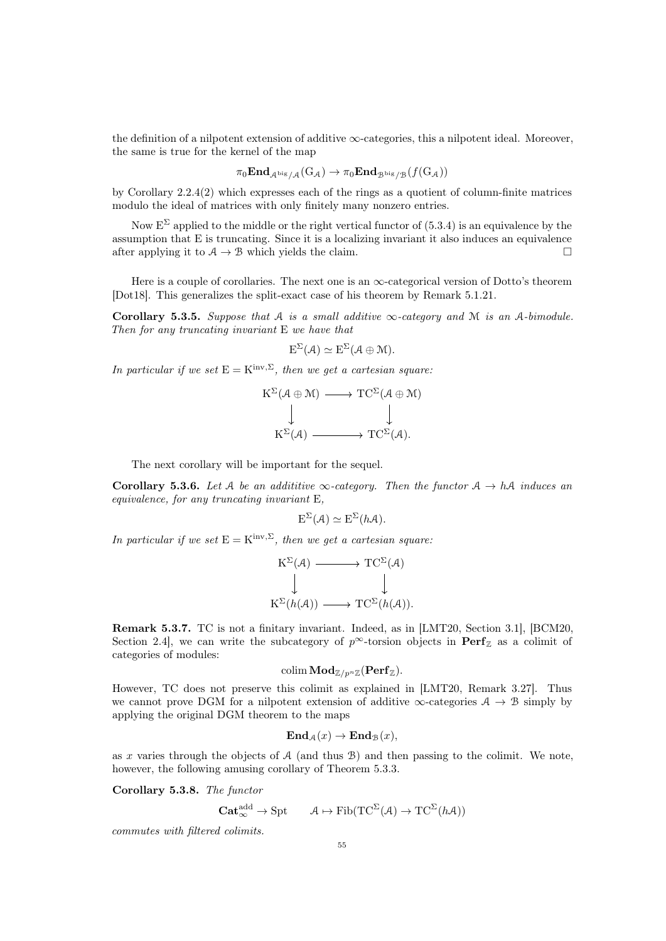the definition of a nilpotent extension of additive  $\infty$ -categories, this a nilpotent ideal. Moreover, the same is true for the kernel of the map

$$
\pi_0 \mathbf{End}_{\mathcal{A}^{\mathrm{big}}/\mathcal{A}}(\mathrm{G}_{\mathcal{A}}) \to \pi_0 \mathbf{End}_{\mathcal{B}^{\mathrm{big}}/\mathcal{B}}(f(\mathrm{G}_{\mathcal{A}}))
$$

by Corollary [2.2.4\(](#page-18-0)2) which expresses each of the rings as a quotient of column-finite matrices modulo the ideal of matrices with only finitely many nonzero entries.

Now  $E^{\Sigma}$  applied to the middle or the right vertical functor of [\(5.3.4\)](#page-53-0) is an equivalence by the assumption that E is truncating. Since it is a localizing invariant it also induces an equivalence after applying it to  $A \to B$  which yields the claim.

Here is a couple of corollaries. The next one is an  $\infty$ -categorical version of Dotto's theorem [\[Dot18\]](#page-91-1). This generalizes the split-exact case of his theorem by Remark [5.1.21.](#page-49-0)

Corollary 5.3.5. Suppose that A is a small additive  $\infty$ -category and M is an A-bimodule. Then for any truncating invariant E we have that

$$
E^{\Sigma}(\mathcal{A}) \simeq E^{\Sigma}(\mathcal{A} \oplus \mathcal{M}).
$$

In particular if we set  $E = K^{inv, \Sigma}$ , then we get a cartesian square:

$$
K^{\Sigma}(\mathcal{A} \oplus \mathcal{M}) \longrightarrow TC^{\Sigma}(\mathcal{A} \oplus \mathcal{M})
$$
  

$$
\downarrow \qquad \qquad \downarrow
$$
  

$$
K^{\Sigma}(\mathcal{A}) \longrightarrow TC^{\Sigma}(\mathcal{A}).
$$

The next corollary will be important for the sequel.

**Corollary 5.3.6.** Let A be an addititive  $\infty$ -category. Then the functor  $A \rightarrow hA$  induces an equivalence, for any truncating invariant E,

$$
E^{\Sigma}(\mathcal{A}) \simeq E^{\Sigma}(h\mathcal{A}).
$$

In particular if we set  $E = K^{inv, \Sigma}$ , then we get a cartesian square:

$$
K^{\Sigma}(\mathcal{A}) \longrightarrow TC^{\Sigma}(\mathcal{A})
$$
  
\n
$$
\downarrow \qquad \qquad \downarrow
$$
  
\n
$$
K^{\Sigma}(h(\mathcal{A})) \longrightarrow TC^{\Sigma}(h(\mathcal{A})).
$$

Remark 5.3.7. TC is not a finitary invariant. Indeed, as in [\[LMT20,](#page-92-10) Section 3.1], [\[BCM20,](#page-90-7) Section 2.4], we can write the subcategory of  $p^{\infty}$ -torsion objects in  $\text{Perf}_{\mathbb{Z}}$  as a colimit of categories of modules:

$$
\mathop{\rm colim}\nolimits\mathop{\bf Mod}\nolimits_{\mathbb Z/ p^n \mathbb Z}(\mathop{\bf{Perf}}\nolimits_{\mathbb Z}).
$$

However, TC does not preserve this colimit as explained in [\[LMT20,](#page-92-10) Remark 3.27]. Thus we cannot prove DGM for a nilpotent extension of additive  $\infty$ -categories  $A \to B$  simply by applying the original DGM theorem to the maps

$$
\mathbf{End}_{\mathcal{A}}(x) \to \mathbf{End}_{\mathcal{B}}(x),
$$

as x varies through the objects of  $A$  (and thus  $B$ ) and then passing to the colimit. We note, however, the following amusing corollary of Theorem [5.3.3.](#page-53-1)

Corollary 5.3.8. The functor

$$
\mathbf{Cat}_{\infty}^{\mathrm{add}} \to \mathrm{Spt} \qquad \mathcal{A} \mapsto \mathrm{Fib}(\mathrm{TC}^{\Sigma}(\mathcal{A}) \to \mathrm{TC}^{\Sigma}(h\mathcal{A}))
$$

commutes with filtered colimits.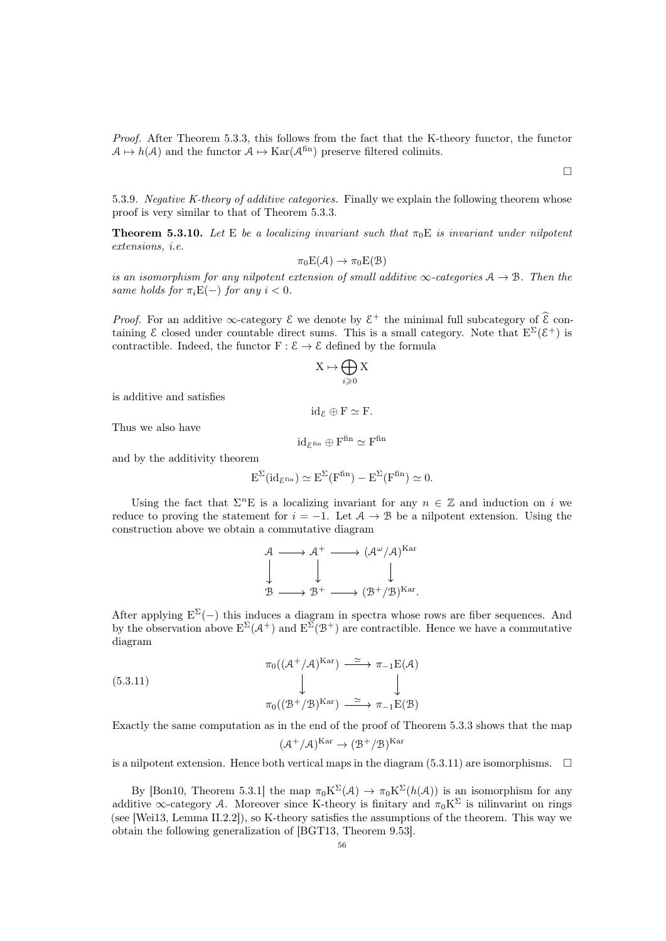Proof. After Theorem [5.3.3,](#page-53-1) this follows from the fact that the K-theory functor, the functor  $A \mapsto h(A)$  and the functor  $A \mapsto \text{Kar}(\mathcal{A}^{\text{fin}})$  preserve filtered colimits.

 $\Box$ 

5.3.9. Negative K-theory of additive categories. Finally we explain the following theorem whose proof is very similar to that of Theorem [5.3.3.](#page-53-1)

**Theorem 5.3.10.** Let E be a localizing invariant such that  $\pi_0E$  is invariant under nilpotent extensions, i.e.

$$
\pi_0 E(\mathcal{A}) \to \pi_0 E(\mathcal{B})
$$

is an isomorphism for any nilpotent extension of small additive  $\infty$ -categories  $A \to B$ . Then the same holds for  $\pi_i E(-)$  for any  $i < 0$ .

*Proof.* For an additive  $\infty$ -category  $\mathcal{E}$  we denote by  $\mathcal{E}^+$  the minimal full subcategory of  $\mathcal{E}$  containing  $\mathcal E$  closed under countable direct sums. This is a small category. Note that  $E^{\Sigma}(\mathcal{E}^+)$  is contractible. Indeed, the functor  $F : \mathcal{E} \to \mathcal{E}$  defined by the formula

$$
\mathbf{X} \mapsto \bigoplus_{i \geqslant 0} \mathbf{X}
$$

is additive and satisfies

Thus we also have

$$
\mathrm{id}_{\mathcal{E}^\mathrm{fin}} \oplus F^\mathrm{fin} \simeq F^\mathrm{fin}
$$

 $id_{\mathcal{E}} \oplus F \simeq F.$ 

and by the additivity theorem

$$
E^{\Sigma}(\mathrm{id}_{\mathcal{E}^{\mathrm{fin}}})\simeq E^{\Sigma}(F^{\mathrm{fin}})-E^{\Sigma}(F^{\mathrm{fin}})\simeq 0.
$$

Using the fact that  $\Sigma^n E$  is a localizing invariant for any  $n \in \mathbb{Z}$  and induction on i we reduce to proving the statement for  $i = -1$ . Let  $A \rightarrow B$  be a nilpotent extension. Using the construction above we obtain a commutative diagram

$$
\begin{array}{ccc}\n\mathcal{A} & \longrightarrow & \mathcal{A}^+ \longrightarrow (\mathcal{A}^{\omega}/\mathcal{A})^{\mathrm{Kar}} \\
\downarrow & \downarrow & \downarrow \\
\mathcal{B} & \longrightarrow & \mathcal{B}^+ \longrightarrow (\mathcal{B}^+/\mathcal{B})^{\mathrm{Kar}}.\n\end{array}
$$

After applying  $E^{\Sigma}(-)$  this induces a diagram in spectra whose rows are fiber sequences. And by the observation above  $E^{\Sigma}(\mathcal{A}^+)$  and  $E^{\Sigma}(\mathcal{B}^+)$  are contractible. Hence we have a commutative diagram

(5.3.11)  
\n
$$
\pi_0((\mathcal{A}^+/\mathcal{A})^{\text{Kar}}) \xrightarrow{\simeq} \pi_{-1}E(\mathcal{A})
$$
\n
$$
\downarrow \qquad \qquad \downarrow
$$
\n
$$
\pi_0((\mathcal{B}^+/\mathcal{B})^{\text{Kar}}) \xrightarrow{\simeq} \pi_{-1}E(\mathcal{B})
$$

Exactly the same computation as in the end of the proof of Theorem [5.3.3](#page-53-1) shows that the map

<span id="page-55-0"></span>
$$
(\mathcal{A}^+/\mathcal{A})^\mathrm{Kar} \to (\mathcal{B}^+/\mathcal{B})^\mathrm{Kar}
$$

is a nilpotent extension. Hence both vertical maps in the diagram [\(5.3.11\)](#page-55-0) are isomorphisms.  $\square$ 

By [\[Bon10,](#page-90-4) Theorem 5.3.1] the map  $\pi_0 K^{\Sigma}(\mathcal{A}) \to \pi_0 K^{\Sigma}(h(\mathcal{A}))$  is an isomorphism for any additive  $\infty$ -category A. Moreover since K-theory is finitary and  $\pi_0 K^{\Sigma}$  is nilinvarint on rings (see [\[Wei13,](#page-93-0) Lemma II.2.2]), so K-theory satisfies the assumptions of the theorem. This way we obtain the following generalization of [\[BGT13,](#page-90-3) Theorem 9.53].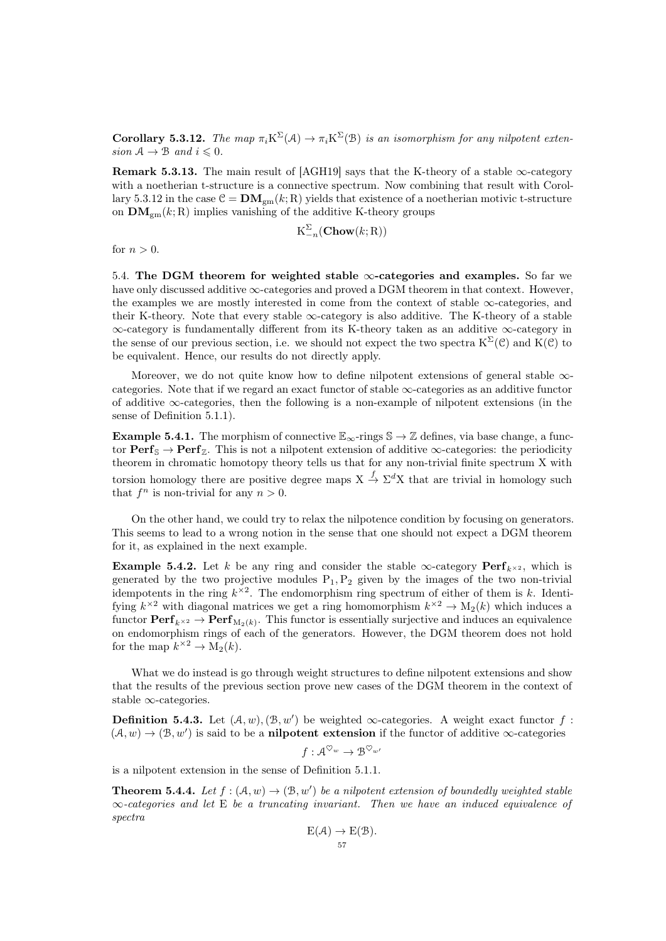<span id="page-56-0"></span>**Corollary 5.3.12.** The map  $\pi_i K^{\Sigma}(\mathcal{A}) \to \pi_i K^{\Sigma}(\mathcal{B})$  is an isomorphism for any nilpotent extension  $A \rightarrow B$  and  $i \leq 0$ .

**Remark 5.3.13.** The main result of [\[AGH19\]](#page-90-8) says that the K-theory of a stable  $\infty$ -category with a noetherian t-structure is a connective spectrum. Now combining that result with Corol-lary [5.3.12](#page-56-0) in the case  $C = DM_{gm}(k; R)$  yields that existence of a noetherian motivic t-structure on  $\mathbf{DM}_{gm}(k; R)$  implies vanishing of the additive K-theory groups

$$
\mathrm{K}_{-n}^{\Sigma}(\mathbf{Chow}(k;\mathrm{R}))
$$

for  $n > 0$ .

5.4. The DGM theorem for weighted stable  $\infty$ -categories and examples. So far we have only discussed additive  $\infty$ -categories and proved a DGM theorem in that context. However, the examples we are mostly interested in come from the context of stable  $\infty$ -categories, and their K-theory. Note that every stable  $\infty$ -category is also additive. The K-theory of a stable ∞-category is fundamentally different from its K-theory taken as an additive ∞-category in the sense of our previous section, i.e. we should not expect the two spectra  $K^{\Sigma}(\mathcal{C})$  and  $K(\mathcal{C})$  to be equivalent. Hence, our results do not directly apply.

Moreover, we do not quite know how to define nilpotent extensions of general stable ∞categories. Note that if we regard an exact functor of stable  $\infty$ -categories as an additive functor of additive  $\infty$ -categories, then the following is a non-example of nilpotent extensions (in the sense of Definition [5.1.1\)](#page-44-1).

**Example 5.4.1.** The morphism of connective  $\mathbb{E}_{\infty}$ -rings  $\mathbb{S} \to \mathbb{Z}$  defines, via base change, a functor  $\mathbf{Perf}_{\mathbb{S}} \to \mathbf{Perf}_{\mathbb{Z}}$ . This is not a nilpotent extension of additive  $\infty$ -categories: the periodicity theorem in chromatic homotopy theory tells us that for any non-trivial finite spectrum X with torsion homology there are positive degree maps  $X \stackrel{f}{\to} \Sigma^d X$  that are trivial in homology such that  $f^n$  is non-trivial for any  $n > 0$ .

On the other hand, we could try to relax the nilpotence condition by focusing on generators. This seems to lead to a wrong notion in the sense that one should not expect a DGM theorem for it, as explained in the next example.

**Example 5.4.2.** Let k be any ring and consider the stable  $\infty$ -category  $\operatorname{Perf}_{k^{\times 2}}$ , which is generated by the two projective modules  $P_1, P_2$  given by the images of the two non-trivial idempotents in the ring  $k^{\times 2}$ . The endomorphism ring spectrum of either of them is k. Identifying  $k^{\times 2}$  with diagonal matrices we get a ring homomorphism  $k^{\times 2} \to M_2(k)$  which induces a functor  $\textbf{Perf}_{k \times 2} \to \textbf{Perf}_{M_2(k)}$ . This functor is essentially surjective and induces an equivalence on endomorphism rings of each of the generators. However, the DGM theorem does not hold for the map  $k^{\times 2} \to M_2(k)$ .

What we do instead is go through weight structures to define nilpotent extensions and show that the results of the previous section prove new cases of the DGM theorem in the context of stable ∞-categories.

**Definition 5.4.3.** Let  $(A, w), (B, w')$  be weighted  $\infty$ -categories. A weight exact functor f:  $(A, w) \rightarrow (B, w')$  is said to be a **nilpotent extension** if the functor of additive  $\infty$ -categories

$$
f: \mathcal{A}^{\heartsuit_w} \to \mathcal{B}^{\heartsuit_w}
$$

is a nilpotent extension in the sense of Definition [5.1.1.](#page-44-1)

<span id="page-56-1"></span>**Theorem 5.4.4.** Let  $f : (\mathcal{A}, w) \to (\mathcal{B}, w')$  be a nilpotent extension of boundedly weighted stable  $\infty$ -categories and let E be a truncating invariant. Then we have an induced equivalence of spectra

$$
E(\mathcal{A}) \to E(\mathcal{B}).
$$
  
<sub>57</sub>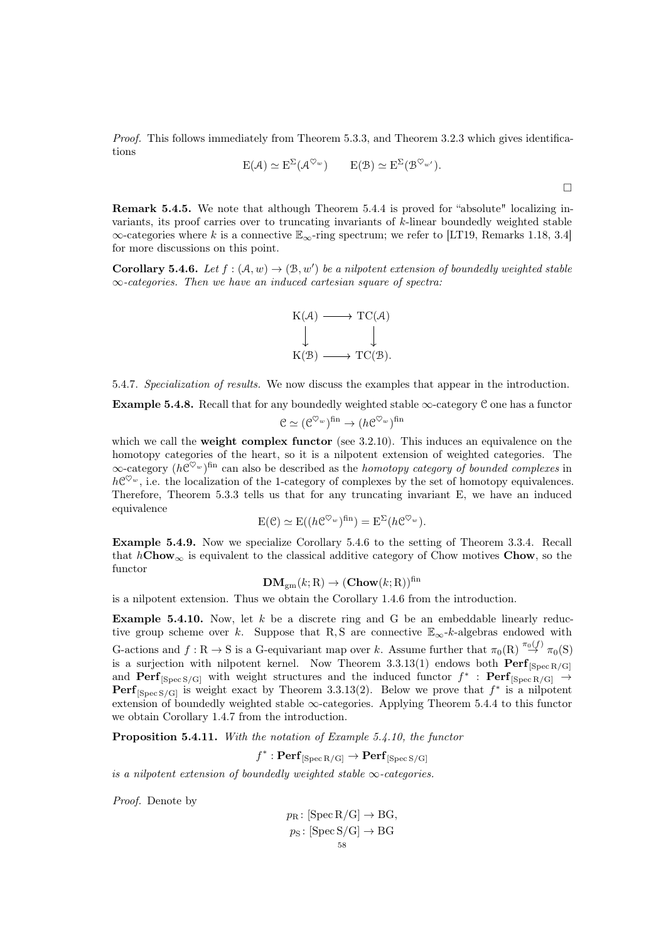Proof. This follows immediately from Theorem [5.3.3,](#page-53-1) and Theorem [3.2.3](#page-25-0) which gives identifications

$$
E(\mathcal{A}) \simeq E^{\Sigma}(\mathcal{A}^{\heartsuit_w}) \qquad E(\mathcal{B}) \simeq E^{\Sigma}(\mathcal{B}^{\heartsuit_w'}).
$$

Remark 5.4.5. We note that although Theorem [5.4.4](#page-56-1) is proved for "absolute" localizing invariants, its proof carries over to truncating invariants of k-linear boundedly weighted stable  $\infty$ -categories where k is a connective  $\mathbb{E}_{\infty}$ -ring spectrum; we refer to [\[LT19,](#page-92-7) Remarks 1.18, 3.4] for more discussions on this point.

<span id="page-57-0"></span>**Corollary 5.4.6.** Let  $f : (\mathcal{A}, w) \to (\mathcal{B}, w')$  be a nilpotent extension of boundedly weighted stable ∞-categories. Then we have an induced cartesian square of spectra:



5.4.7. Specialization of results. We now discuss the examples that appear in the introduction.

**Example 5.4.8.** Recall that for any boundedly weighted stable  $\infty$ -category C one has a functor

$$
\mathcal{C} \simeq (\mathcal{C}^{\heartsuit_w})^{\text{fin}} \to (h\mathcal{C}^{\heartsuit_w})^{\text{fin}}
$$

which we call the **weight complex functor** (see [3.2.10\)](#page-27-0). This induces an equivalence on the homotopy categories of the heart, so it is a nilpotent extension of weighted categories. The  $\infty$ -category  $(h\mathcal{C}^{\heartsuit_w})^{\text{fin}}$  can also be described as the *homotopy category of bounded complexes* in  $h\mathcal{C}^{\heartsuit_w}$ , i.e. the localization of the 1-category of complexes by the set of homotopy equivalences. Therefore, Theorem [5.3.3](#page-53-1) tells us that for any truncating invariant E, we have an induced equivalence

$$
E(\mathcal{C}) \simeq E((h\mathcal{C}^{\heartsuit_w})^{\text{fin}}) = E^{\Sigma}(h\mathcal{C}^{\heartsuit_w}).
$$

Example 5.4.9. Now we specialize Corollary [5.4.6](#page-57-0) to the setting of Theorem [3.3.4.](#page-28-0) Recall that  $hChow_\infty$  is equivalent to the classical additive category of Chow motives Chow, so the functor

$$
\mathbf{DM}_{gm}(k; \mathbf{R}) \to (\mathbf{Chow}(k; \mathbf{R}))^{\text{fin}}
$$

is a nilpotent extension. Thus we obtain the Corollary [1.4.6](#page-11-0) from the introduction.

<span id="page-57-1"></span>**Example 5.4.10.** Now, let  $k$  be a discrete ring and G be an embeddable linearly reductive group scheme over k. Suppose that R, S are connective  $\mathbb{E}_{\infty}$ -k-algebras endowed with G-actions and  $f: \mathbb{R} \to \mathbb{S}$  is a G-equivariant map over k. Assume further that  $\pi_0(\mathbb{R}) \stackrel{\pi_0(f)}{\to} \pi_0(\mathbb{S})$ is a surjection with nilpotent kernel. Now Theorem [3.3.13\(](#page-30-0)1) endows both  $\text{Perf}_{\text{[Spec R/G]}}$ and  $\text{Perf}_{\text{[Spec S/G]}}$  with weight structures and the induced functor  $f^*$ :  $\text{Perf}_{\text{[Spec R/G]}}$   $\rightarrow$ **Perf**<sub>[Spec S/G]</sub> is weight exact by Theorem [3.3.13\(](#page-30-0)2). Below we prove that  $f^*$  is a nilpotent extension of boundedly weighted stable  $\infty$ -categories. Applying Theorem [5.4.4](#page-56-1) to this functor we obtain Corollary [1.4.7](#page-12-0) from the introduction.

<span id="page-57-2"></span>Proposition 5.4.11. With the notation of Example [5.4.10,](#page-57-1) the functor

 $f^* : \mathbf{Perf}_{[\mathbf{Spec}\,\mathrm{R/G}]}\to \mathbf{Perf}_{[\mathbf{Spec}\,\mathrm{S/G}]}$ 

is a nilpotent extension of boundedly weighted stable  $\infty$ -categories.

Proof. Denote by

$$
p_{\text{R}}: [\text{Spec } R/G] \to BG,
$$
  

$$
p_{\text{S}}: [\text{Spec } S/G] \to BG
$$
  

$$
58
$$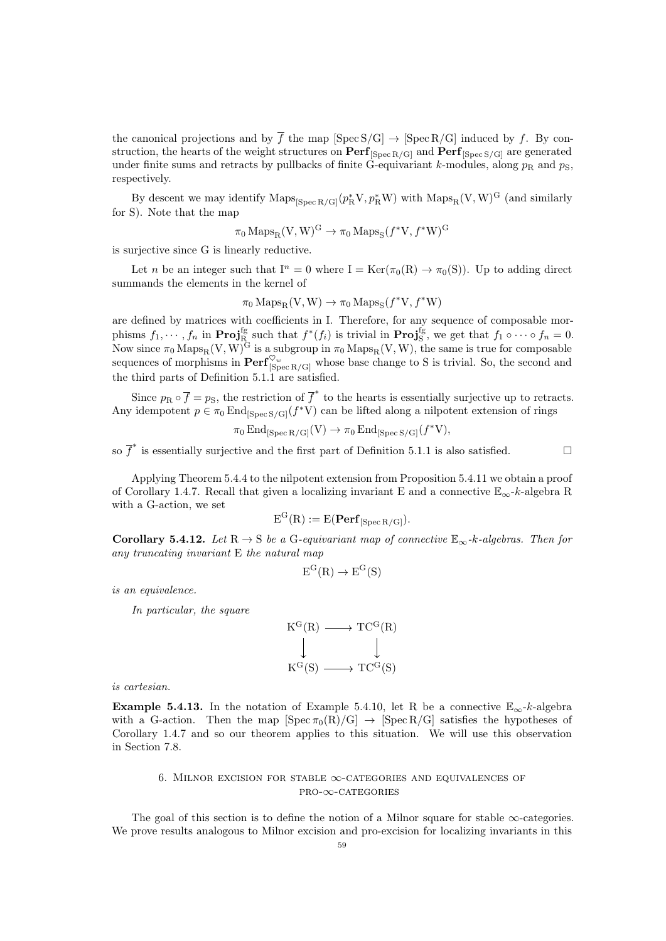the canonical projections and by  $\overline{f}$  the map [Spec S/G]  $\rightarrow$  [Spec R/G] induced by f. By construction, the hearts of the weight structures on  $\text{Perf}_{[Spec R/G]}$  and  $\text{Perf}_{[Spec S/G]}$  are generated under finite sums and retracts by pullbacks of finite G-equivariant k-modules, along  $p_R$  and  $p_S$ , respectively.

By descent we may identify  $\text{Maps}_{\text{[Spec R/G]}}(p_R^*V, p_R^*W)$  with  $\text{Maps}_{R}(V, W)^G$  (and similarly for S). Note that the map

$$
\pi_0 \operatorname{Maps}_R(V, W)^G \to \pi_0 \operatorname{Maps}_S(f^*V, f^*W)^G
$$

is surjective since G is linearly reductive.

Let *n* be an integer such that  $I^n = 0$  where  $I = \text{Ker}(\pi_0(R) \to \pi_0(S))$ . Up to adding direct summands the elements in the kernel of

 $\pi_0 \operatorname{Maps}_{R}(V, W) \to \pi_0 \operatorname{Maps}_{S}(f^*V, f^*W)$ 

are defined by matrices with coefficients in I. Therefore, for any sequence of composable morphisms  $f_1, \dots, f_n$  in  $\text{Proj}_R^{\text{fg}}$  such that  $f^*(f_i)$  is trivial in  $\text{Proj}_S^{\text{fg}}$ , we get that  $f_1 \circ \dots \circ f_n = 0$ . Now since  $\pi_0$  Maps<sub>R</sub>(V, W)<sup>G</sup> is a subgroup in  $\pi_0$  Maps<sub>R</sub>(V, W), the same is true for composable sequences of morphisms in  $\text{Perf}_{\text{[Spec } R/G]}^{\heartsuit_w}$  whose base change to S is trivial. So, the second and the third parts of Definition [5.1.1](#page-44-1) are satisfied.

Since  $p_R \circ \overline{f} = p_S$ , the restriction of  $\overline{f}^*$  to the hearts is essentially surjective up to retracts. Any idempotent  $p \in \pi_0 \text{End}_{\text{[Spec S/G]}}(f^*V)$  can be lifted along a nilpotent extension of rings

$$
\pi_0 \operatorname{End}_{[\operatorname{Spec} R/G]}(V) \to \pi_0 \operatorname{End}_{[\operatorname{Spec} S/G]}(f^*V),
$$

so  $\overline{f}^*$  is essentially surjective and the first part of Definition [5.1.1](#page-44-1) is also satisfied.

Applying Theorem [5.4.4](#page-56-1) to the nilpotent extension from Proposition [5.4.11](#page-57-2) we obtain a proof of Corollary [1.4.7.](#page-12-0) Recall that given a localizing invariant E and a connective  $\mathbb{E}_{\infty}$ -k-algebra R with a G-action, we set

$$
E^{G}(R) := E(\mathbf{Perf}_{[Spec R/G]}).
$$

Corollary 5.4.12. Let  $R \to S$  be a G-equivariant map of connective  $\mathbb{E}_{\infty}$ -k-algebras. Then for any truncating invariant E the natural map

$$
E^G(R) \to E^G(S)
$$

is an equivalence.

In particular, the square

$$
\begin{array}{ccc}\nK^G(R) & \longrightarrow TC^G(R) \\
\downarrow & & \downarrow \\
K^G(S) & \longrightarrow TC^G(S)\n\end{array}
$$

is cartesian.

**Example 5.4.13.** In the notation of Example [5.4.10,](#page-57-1) let R be a connective  $\mathbb{E}_{\infty}$ -k-algebra with a G-action. Then the map  $[\text{Spec } \pi_0(R)/G] \rightarrow [\text{Spec } R/G]$  satisfies the hypotheses of Corollary [1.4.7](#page-12-0) and so our theorem applies to this situation. We will use this observation in Section [7.8.](#page-88-0)

# 6. MILNOR EXCISION FOR STABLE  $\infty$ -CATEGORIES AND EQUIVALENCES OF pro-∞-categories

The goal of this section is to define the notion of a Milnor square for stable  $\infty$ -categories. We prove results analogous to Milnor excision and pro-excision for localizing invariants in this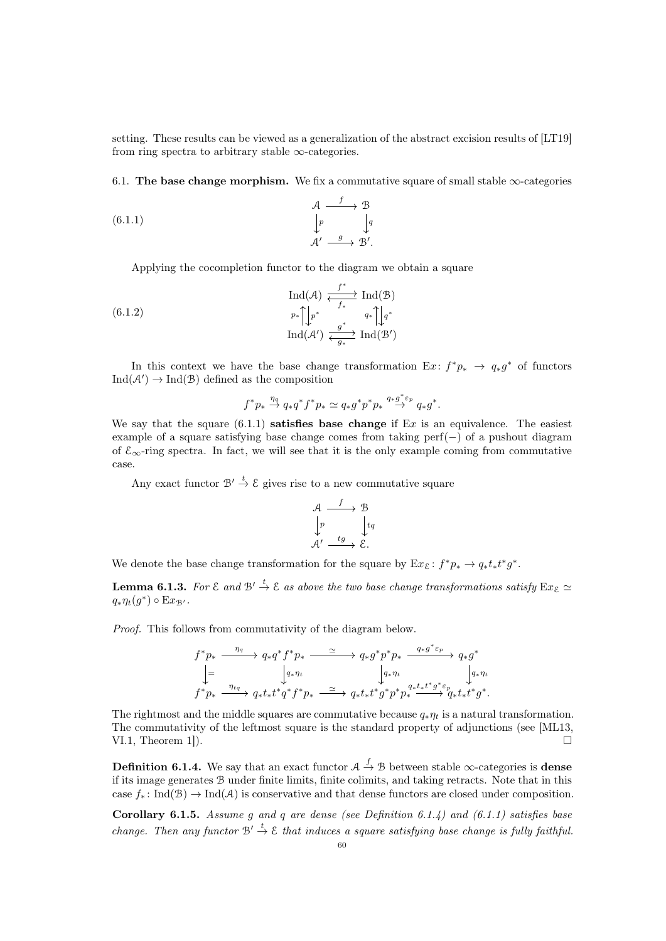setting. These results can be viewed as a generalization of the abstract excision results of [\[LT19\]](#page-92-7) from ring spectra to arbitrary stable  $\infty$ -categories.

6.1. The base change morphism. We fix a commutative square of small stable  $\infty$ -categories

(6.1.1) 
$$
\begin{array}{ccc}\n & \mathcal{A} & \xrightarrow{f} & \mathcal{B} \\
\downarrow^{p} & & \downarrow^{q} \\
\mathcal{A}' & \xrightarrow{g} & \mathcal{B}'.\n\end{array}
$$

<span id="page-59-0"></span>Applying the cocompletion functor to the diagram we obtain a square

$$
\operatorname{Ind}(\mathcal{A}) \xleftarrow{f^*} \operatorname{Ind}(\mathcal{B})
$$
\n
$$
p_* \uparrow \downarrow p^* \qquad q_* \uparrow \downarrow q^*
$$
\n
$$
\operatorname{Ind}(\mathcal{A}') \xleftarrow{g^*} q_* \uparrow \downarrow q^*
$$
\n
$$
\operatorname{Ind}(\mathcal{A}') \xleftarrow{g^*} \operatorname{Ind}(\mathcal{B}')
$$

In this context we have the base change transformation  $Ex: f^*p_* \to q_*g^*$  of functors  $\text{Ind}(\mathcal{A}') \to \text{Ind}(\mathcal{B})$  defined as the composition

<span id="page-59-4"></span>
$$
f^*p_* \stackrel{\eta_q}{\rightarrow} q_*q^*f^*p_* \simeq q_*g^*p^*p_* \stackrel{q_*g^*\varepsilon_p}{\rightarrow} q_*g^*.
$$

We say that the square [\(6.1.1\)](#page-59-0) **satisfies base change** if  $Ex$  is an equivalence. The easiest example of a square satisfying base change comes from taking perf(−) of a pushout diagram of  $\mathcal{E}_{\infty}$ -ring spectra. In fact, we will see that it is the only example coming from commutative case.

Any exact functor  $\mathcal{B}' \stackrel{t}{\rightarrow} \mathcal{E}$  gives rise to a new commutative square

$$
\begin{array}{ccc}\n\mathcal{A} & \xrightarrow{f} & \mathcal{B} \\
\downarrow{p} & & \downarrow{tq} \\
\mathcal{A}' & \xrightarrow{tg} & \mathcal{E}.\n\end{array}
$$

We denote the base change transformation for the square by  $Ex_{\mathcal{E}}: f^*p_* \to q_*t_*t^*g^*.$ 

<span id="page-59-2"></span>**Lemma 6.1.3.** For  $\mathcal E$  and  $\mathcal B' \overset{t}{\to} \mathcal E$  as above the two base change transformations satisfy  $\operatorname{Ex}_{\mathcal E} \simeq$  $q_*\eta_t(g^*)\circ \mathrm{E}x_{\mathcal{B}'}$ .

Proof. This follows from commutativity of the diagram below.

$$
\begin{array}{ccc}\nf^*p_* & \xrightarrow{\eta_q} & q_*q^*f^*p_* & \xrightarrow{\simeq} & q_*g^*p^*p_* & \xrightarrow{q_*g^*\varepsilon_p} & q_*g^* \\
\downarrow = & & \downarrow_{q_*\eta_t} & & \downarrow_{q_*\eta_t} & & \downarrow_{q_*\eta_t} \\
f^*p_* & \xrightarrow{\eta_{tq}} & q_*t_*t^*q^*f^*p_* & \xrightarrow{\simeq} & q_*t_*t^*g^*p^*p_*^{q_*t_*t^*g^* \varepsilon_p} & q_*t_*t^*g^*.\n\end{array}
$$

The rightmost and the middle squares are commutative because  $q_*\eta_t$  is a natural transformation. The commutativity of the leftmost square is the standard property of adjunctions (see [\[ML13,](#page-92-11) VI.1, Theorem 1]).

<span id="page-59-1"></span>**Definition 6.1.4.** We say that an exact functor  $A \stackrel{f}{\to} B$  between stable  $\infty$ -categories is **dense** if its image generates B under finite limits, finite colimits, and taking retracts. Note that in this case  $f_* : \text{Ind}(\mathcal{B}) \to \text{Ind}(\mathcal{A})$  is conservative and that dense functors are closed under composition.

<span id="page-59-3"></span>**Corollary 6.1.5.** Assume q and q are dense (see Definition [6.1.4\)](#page-59-1) and [\(6.1.1\)](#page-59-0) satisfies base change. Then any functor  $\mathcal{B}' \stackrel{t}{\to} \mathcal{E}$  that induces a square satisfying base change is fully faithful.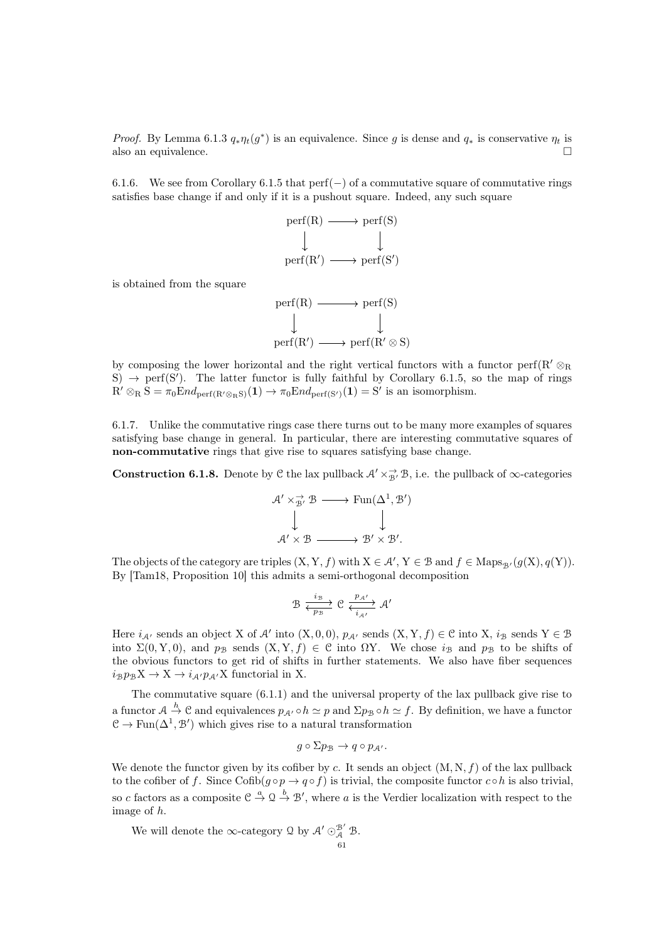*Proof.* By Lemma [6.1.3](#page-59-2)  $q_*\eta_t(g^*)$  is an equivalence. Since g is dense and  $q_*$  is conservative  $\eta_t$  is also an equivalence.  $\Box$ 

6.1.6. We see from Corollary [6.1.5](#page-59-3) that perf(−) of a commutative square of commutative rings satisfies base change if and only if it is a pushout square. Indeed, any such square



is obtained from the square

 $perf(R) \longrightarrow perf(S)$  $\text{perf}(R') \longrightarrow \text{perf}(R' \otimes S)$ 

by composing the lower horizontal and the right vertical functors with a functor perf(R' $\otimes_R$ S)  $\rightarrow$  perf(S'). The latter functor is fully faithful by Corollary [6.1.5,](#page-59-3) so the map of rings  $R' \otimes_R S = \pi_0 \text{End}_{\text{perf}(R' \otimes_R S)}(1) \to \pi_0 \text{End}_{\text{perf}(S')}(1) = S'$  is an isomorphism.

6.1.7. Unlike the commutative rings case there turns out to be many more examples of squares satisfying base change in general. In particular, there are interesting commutative squares of non-commutative rings that give rise to squares satisfying base change.

<span id="page-60-0"></span>**Construction 6.1.8.** Denote by C the lax pullback  $A' \times B$ , i.e. the pullback of  $\infty$ -categories

$$
\begin{array}{ccc}\n\mathcal{A}' \times_{\mathcal{B}'}^{\rightarrow} \mathcal{B} & \longrightarrow \text{Fun}(\Delta^1, \mathcal{B}') \\
\downarrow & & \downarrow \\
\mathcal{A}' \times \mathcal{B} & \longrightarrow \mathcal{B}' \times \mathcal{B}'.\n\end{array}
$$

The objects of the category are triples  $(X, Y, f)$  with  $X \in \mathcal{A}'$ ,  $Y \in \mathcal{B}$  and  $f \in \text{Maps}_{\mathcal{B}'}(g(X), q(Y)).$ By [\[Tam18,](#page-92-3) Proposition 10] this admits a semi-orthogonal decomposition

$$
\mathcal{B} \xrightarrow[\overline{p_{\mathcal{B}}}]{i_{\mathcal{B}}} \mathcal{C} \xleftarrow[\overline{p_{\mathcal{A}'}}]{p_{\mathcal{A}'}} \mathcal{A}'
$$

Here  $i_{\mathcal{A}}$  sends an object X of  $\mathcal{A}'$  into  $(X, 0, 0)$ ,  $p_{\mathcal{A}'}$  sends  $(X, Y, f) \in \mathcal{C}$  into X,  $i_{\mathcal{B}}$  sends  $Y \in \mathcal{B}$ into  $\Sigma(0, Y, 0)$ , and  $p_B$  sends  $(X, Y, f) \in \mathcal{C}$  into  $\Omega Y$ . We chose  $i_B$  and  $p_B$  to be shifts of the obvious functors to get rid of shifts in further statements. We also have fiber sequences  $i_{\mathcal{B}}p_{\mathcal{B}}X \to X \to i_{\mathcal{A}}p_{\mathcal{A}}X$  functorial in X.

The commutative square [\(6.1.1\)](#page-59-0) and the universal property of the lax pullback give rise to a functor  $A \stackrel{h}{\to} C$  and equivalences  $p_{A'} \circ h \simeq p$  and  $\Sigma p_B \circ h \simeq f$ . By definition, we have a functor  $\mathcal{C} \to \text{Fun}(\Delta^1, \mathcal{B}')$  which gives rise to a natural transformation

$$
g \circ \Sigma p_{\mathcal{B}} \to q \circ p_{\mathcal{A}'}.
$$

We denote the functor given by its cofiber by c. It sends an object  $(M, N, f)$  of the lax pullback to the cofiber of f. Since  $\text{Cofib}(q \circ p \to q \circ f)$  is trivial, the composite functor  $c \circ h$  is also trivial, so c factors as a composite  $\mathcal{C} \stackrel{a}{\to} \mathcal{Q} \stackrel{b}{\to} \mathcal{B}'$ , where a is the Verdier localization with respect to the image of h.

We will denote the  $\infty$ -category  $\mathfrak Q$  by  $\mathcal A' \odot^{\mathcal B'}_{\mathcal A} \mathcal B$ .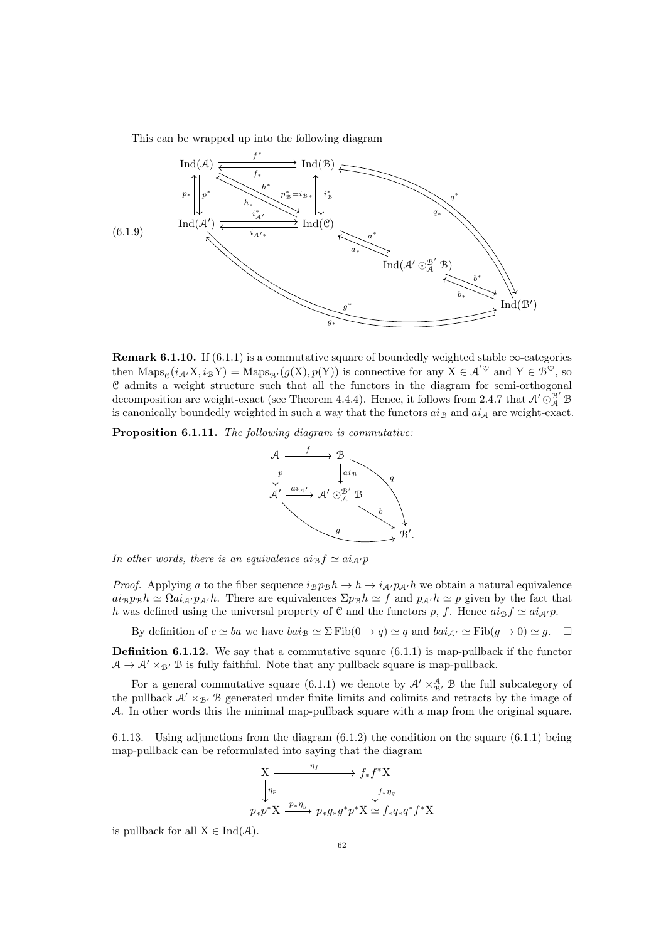<span id="page-61-2"></span>This can be wrapped up into the following diagram



**Remark 6.1.10.** If [\(6.1.1\)](#page-59-0) is a commutative square of boundedly weighted stable  $\infty$ -categories then  $\text{Maps}_{\mathcal{C}}(i_{\mathcal{A}'}X, i_{\mathcal{B}}Y) = \text{Maps}_{\mathcal{B}'}(g(X), p(Y))$  is connective for any  $X \in \mathcal{A}'^{\heartsuit}$  and  $Y \in \mathcal{B}^{\heartsuit}$ , so C admits a weight structure such that all the functors in the diagram for semi-orthogonal decomposition are weight-exact (see Theorem [4.4.4\)](#page-40-1). Hence, it follows from [2.4.7](#page-22-1) that  $\mathcal{A}' \odot^{B'}_{\mathcal{A}} \mathcal{B}$ is canonically boundedly weighted in such a way that the functors  $a_{\mathcal{B}}$  and  $a_{\mathcal{A}}$  are weight-exact.

<span id="page-61-1"></span>Proposition 6.1.11. The following diagram is commutative:



In other words, there is an equivalence  $a i_B f \simeq a i_{A'} p$ 

*Proof.* Applying a to the fiber sequence  $i_{\mathcal{B}}p_{\mathcal{B}}h \to h \to i_{\mathcal{A}}p_{\mathcal{A}}h$  we obtain a natural equivalence  $a i_B p_B h \simeq \Omega a i_{A'} p_{A'} h$ . There are equivalences  $\Sigma p_B h \simeq f$  and  $p_{A'} h \simeq p$  given by the fact that h was defined using the universal property of C and the functors p, f. Hence  $a i_B f \simeq a i_{A'} p$ .

By definition of  $c \simeq ba$  we have  $bai_B \simeq \Sigma \text{Fib}(0 \to q) \simeq q$  and  $bai_{A'} \simeq \text{Fib}(q \to 0) \simeq g$ .  $\Box$ 

<span id="page-61-3"></span>**Definition 6.1.12.** We say that a commutative square  $(6.1.1)$  is map-pullback if the functor  $A \rightarrow A' \times_{\mathcal{B}'} B$  is fully faithful. Note that any pullback square is map-pullback.

For a general commutative square [\(6.1.1\)](#page-59-0) we denote by  $\mathcal{A}' \times_{\mathcal{B}'}^{\mathcal{A}} \mathcal{B}$  the full subcategory of the pullback  $A' \times_{\mathcal{B}} B$  generated under finite limits and colimits and retracts by the image of A. In other words this the minimal map-pullback square with a map from the original square.

<span id="page-61-0"></span>6.1.13. Using adjunctions from the diagram [\(6.1.2\)](#page-59-4) the condition on the square [\(6.1.1\)](#page-59-0) being map-pullback can be reformulated into saying that the diagram



is pullback for all  $X \in \text{Ind}(\mathcal{A})$ .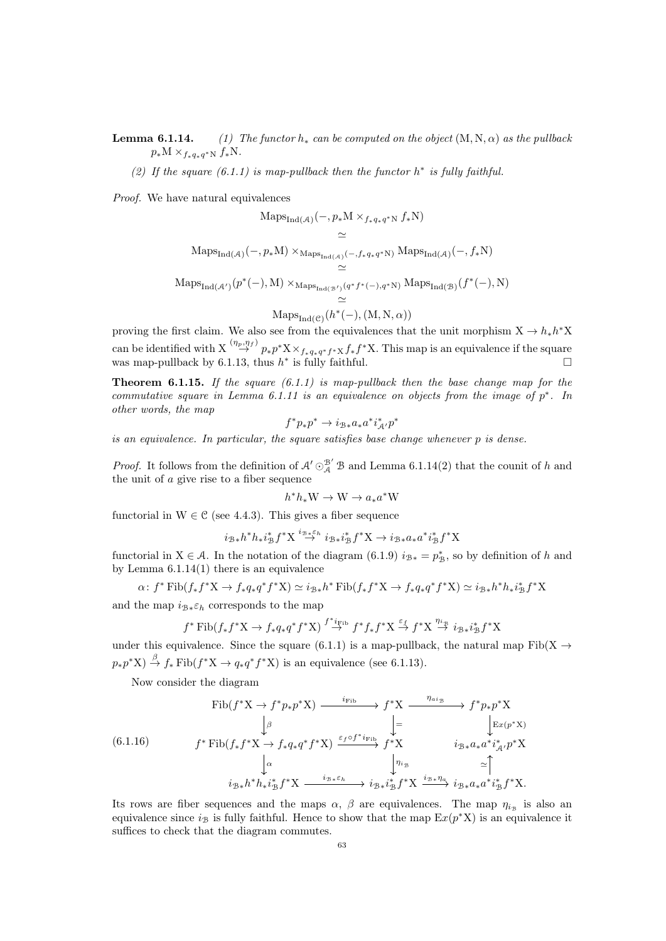**Lemma 6.1.14.** (1) The functor  $h_*$  can be computed on the object  $(M, N, \alpha)$  as the pullback  $p_*M \times_{f_*q_*q^*N} f_*N.$ 

(2) If the square  $(6.1.1)$  is map-pullback then the functor  $h^*$  is fully faithful.

Proof. We have natural equivalences

$$
\begin{aligned}\n\text{Maps}_{\text{Ind}(A)}(-, p_*\text{M} \times_{f_*q_*q^*N} f_*\text{N}) \\
&\simeq \\
\text{Maps}_{\text{Ind}(A)}(-, p_*\text{M}) \times_{\text{Maps}_{\text{Ind}(A)}(-, f_*q_*q^*\text{N})} \text{Maps}_{\text{Ind}(A)}(-, f_*\text{N}) \\
&\simeq \\
\text{Maps}_{\text{Ind}(A')}(p^*(-), \text{M}) \times_{\text{Maps}_{\text{Ind}(B')}(q^*f^*(-), q^*\text{N})} \text{Maps}_{\text{Ind}(B)}(f^*(-), \text{N}) \\
&\simeq \\
\text{Maps}_{\text{Ind}(C)}(h^*(-), (\text{M}, \text{N}, \alpha))\n\end{aligned}
$$

proving the first claim. We also see from the equivalences that the unit morphism  $X \to h_* h^* X$ can be identified with  $X \stackrel{(\eta_p,\eta_f)}{\rightarrow} p_*p^*X \times_{f_*q_*q^*f^*X} f_*f^*X$ . This map is an equivalence if the square was map-pullback by [6.1.13,](#page-61-0) thus  $h^*$  is fully faithful.

<span id="page-62-1"></span>**Theorem 6.1.15.** If the square  $(6.1.1)$  is map-pullback then the base change map for the commutative square in Lemma [6.1.11](#page-61-1) is an equivalence on objects from the image of  $p^*$ . In other words, the map

$$
f^*p_*p^* \to i_{\mathcal{B}*}a_*a^*i_{\mathcal{A}'}^*p^*
$$

is an equivalence. In particular, the square satisfies base change whenever p is dense.

*Proof.* It follows from the definition of  $\mathcal{A}' \odot^{B'}_{\mathcal{A}} \mathcal{B}$  and Lemma [6.1.14\(](#page-0-0)2) that the counit of h and the unit of a give rise to a fiber sequence

$$
h^*h_*\mathcal{W} \to \mathcal{W} \to a_*a^*\mathcal{W}
$$

functorial in  $W \in \mathcal{C}$  (see [4.4.3\)](#page-40-2). This gives a fiber sequence

$$
i_{\mathcal{B}*}h^*h_*i_{\mathcal{B}}^*f^*\mathbf{X}\stackrel{i_{\mathcal{B}*}\varepsilon_h}{\rightarrow}i_{\mathcal{B}*}i_{\mathcal{B}}^*f^*\mathbf{X}\rightarrow i_{\mathcal{B}*}a_*a^*i_{\mathcal{B}}^*f^*\mathbf{X}
$$

functorial in X ∈ A. In the notation of the diagram [\(6.1.9\)](#page-61-2)  $i_{\mathcal{B}*} = p_{\mathcal{B}}^*$ , so by definition of h and by Lemma  $6.1.14(1)$  there is an equivalence

$$
\alpha: f^* \text{Fib}(f_* f^* \textbf{X} \to f_* q_* q^* f^* \textbf{X}) \simeq i_{\mathcal{B}*} h^* \text{Fib}(f_* f^* \textbf{X} \to f_* q_* q^* f^* \textbf{X}) \simeq i_{\mathcal{B}*} h^* h_* i_{\mathcal{B}}^* f^* \textbf{X}
$$

and the map  $i_{\mathcal{B}*}\varepsilon_h$  corresponds to the map

$$
f^* \text{Fib}(f_* f^* \text{X} \to f_* q_* q^* f^* \text{X}) \stackrel{f^* i_{\text{Fib}}}{\to} f^* f_* f^* \text{X} \stackrel{\varepsilon_f}{\to} f^* \text{X} \stackrel{\eta_{i_{\mathcal{B}}}}{\to} i_{\mathcal{B}*} i_{\mathcal{B}}^* f^* \text{X}
$$

under this equivalence. Since the square [\(6.1.1\)](#page-59-0) is a map-pullback, the natural map Fib(X  $\rightarrow$  $p_*p^*X$ )  $\stackrel{\beta}{\rightarrow} f_* \text{Fib}(f^*X \rightarrow q_*q^*f^*X)$  is an equivalence (see [6.1.13\)](#page-61-0).

<span id="page-62-0"></span>Now consider the diagram

$$
\text{(6.1.16)} \quad \text{Fib}(f^*X \to f^*p_*p^*X) \xrightarrow{i_{\text{Fib}}} f^*X \xrightarrow{ \eta_{ai_{\mathcal{B}}} } f^*p_*p^*X
$$
\n
$$
\downarrow \beta \qquad \qquad \downarrow = \qquad \qquad \downarrow \text{Ex}(p^*X)
$$
\n
$$
\text{(6.1.16)} \quad f^* \text{Fib}(f_*f^*X \to f_*q_*q^*f^*X) \xrightarrow{\varepsilon_f \circ f^*i_{\text{Fib}}} f^*X \qquad i_{\mathcal{B}*}a_*a^*i_{\mathcal{A}'}^*p^*X
$$
\n
$$
\downarrow \alpha \qquad \qquad \downarrow \eta_{ig}} \qquad \qquad \downarrow \eta_{ig} \qquad \simeq \uparrow \qquad \qquad \downarrow \eta_{ig} \qquad \qquad \downarrow \eta_{ig} \qquad \qquad \downarrow \eta_{ig} \qquad \qquad \downarrow \eta_{ig} \qquad \qquad \downarrow \eta_{ig} \qquad \qquad \downarrow \eta_{ig} \qquad \qquad \downarrow \eta_{ig} \qquad \qquad \downarrow \eta_{ig} \qquad \qquad \downarrow \eta_{ig} \qquad \qquad \downarrow \eta_{ig} \qquad \qquad \downarrow \eta_{ig} \qquad \qquad \downarrow \eta_{ig} \qquad \qquad \downarrow \eta_{ig} \qquad \qquad \downarrow \eta_{ig} \qquad \qquad \downarrow \eta_{ig} \qquad \qquad \downarrow \eta_{ig} \qquad \qquad \downarrow \eta_{ig} \qquad \qquad \downarrow \eta_{ig} \qquad \qquad \downarrow \eta_{ig} \qquad \qquad \downarrow \eta_{ig} \qquad \qquad \downarrow \eta_{ig} \qquad \qquad \downarrow \eta_{ig} \qquad \qquad \downarrow \eta_{ig} \qquad \qquad \downarrow \eta_{ig} \qquad \qquad \downarrow \eta_{ig} \qquad \qquad \downarrow \eta_{ig} \qquad \qquad \downarrow \eta_{ig} \qquad \qquad \downarrow \eta_{ig} \qquad \qquad \downarrow \eta_{ig} \qquad \qquad \downarrow \eta_{ig} \qquad \qquad \downarrow \eta_{ig} \qquad \qquad \downarrow \eta_{ig} \qquad \qquad \downarrow \eta_{ig} \qquad \qquad \downarrow \eta_{ig} \qquad \qquad \downarrow
$$

Its rows are fiber sequences and the maps  $\alpha$ ,  $\beta$  are equivalences. The map  $\eta_{i_{\mathcal{B}}}$  is also an equivalence since  $i_B$  is fully faithful. Hence to show that the map  $Ex(p^*X)$  is an equivalence it suffices to check that the diagram commutes.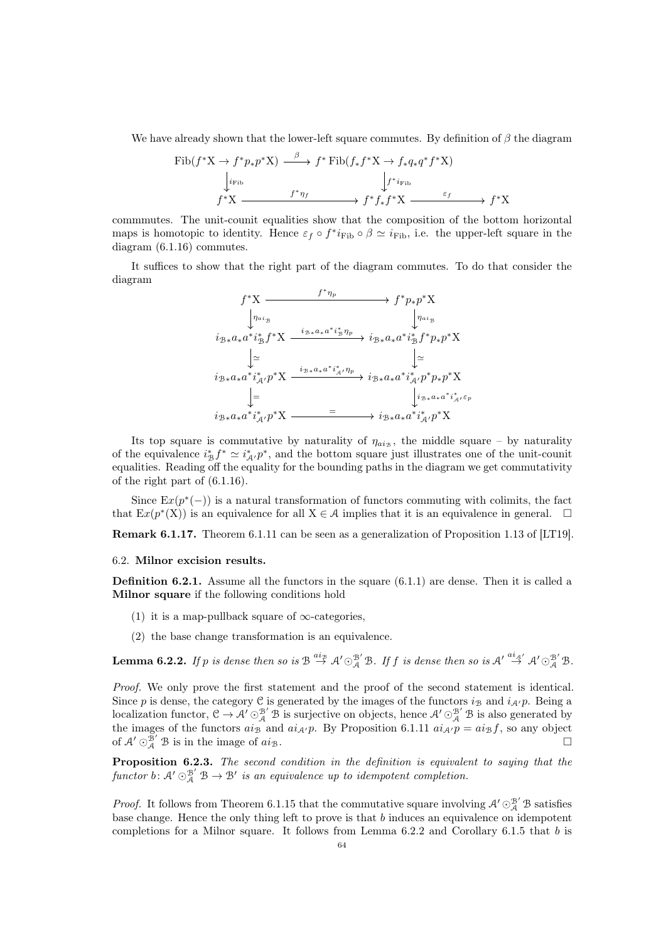We have already shown that the lower-left square commutes. By definition of  $\beta$  the diagram

$$
\text{Fib}(f^*X \to f^*p_*p^*X) \xrightarrow{\beta} f^* \text{Fib}(f_*f^*X \to f_*q_*q^*f^*X)
$$
\n
$$
\downarrow_{i_{\text{Fib}}} f^*X \xrightarrow{f^*\eta_f} f^*f_*f^*X \xrightarrow{\varepsilon_f} f^*X
$$

commmutes. The unit-counit equalities show that the composition of the bottom horizontal maps is homotopic to identity. Hence  $\varepsilon_f \circ f^* i_{\text{Fib}} \circ \beta \simeq i_{\text{Fib}}$ , i.e. the upper-left square in the diagram [\(6.1.16\)](#page-62-0) commutes.

It suffices to show that the right part of the diagram commutes. To do that consider the diagram

$$
f^*X \xrightarrow{\qquad f^* \eta_p} f^* \mathcal{Y} X
$$
\n
$$
\downarrow \eta_{ai_B}
$$
\n
$$
i_{\mathcal{B}*} a_* a^* i_{\mathcal{B}}^* f^* X \xrightarrow{\qquad i_{\mathcal{B}*} a_* a^* i_{\mathcal{B}}^* \eta_p} i_{\mathcal{B}*} a_* a^* i_{\mathcal{B}}^* f^* \mathcal{Y} X
$$
\n
$$
\downarrow \simeq
$$
\n
$$
i_{\mathcal{B}*} a_* a^* i_{\mathcal{A}'}^* p^* X \xrightarrow{\qquad i_{\mathcal{B}*} a_* a^* i_{\mathcal{A}'}^* \eta_p} i_{\mathcal{B}*} a_* a^* i_{\mathcal{A}'}^* p^* \mathcal{Y} X
$$
\n
$$
\downarrow =
$$
\n
$$
i_{\mathcal{B}*} a_* a^* i_{\mathcal{A}'}^* p^* X \xrightarrow{\qquad \qquad i_{\mathcal{B}*} a_* a^* i_{\mathcal{A}'}^* p^* X}
$$
\n
$$
i_{\mathcal{B}*} a_* a^* i_{\mathcal{A}'}^* p^* X \xrightarrow{\qquad \qquad i_{\mathcal{B}*} a_* a^* i_{\mathcal{A}'}^* p^* X}
$$

Its top square is commutative by naturality of  $\eta_{aig}$ , the middle square – by naturality of the equivalence  $i_{\mathcal{B}}^* f^* \simeq i_{\mathcal{A}}^* \cdot p^*$ , and the bottom square just illustrates one of the unit-counit equalities. Reading off the equality for the bounding paths in the diagram we get commutativity of the right part of [\(6.1.16\)](#page-62-0).

Since  $\mathbb{E}x(p^*(-))$  is a natural transformation of functors commuting with colimits, the fact that  $\text{Ex}(p^*(X))$  is an equivalence for all  $X \in \mathcal{A}$  implies that it is an equivalence in general.  $\square$ 

Remark 6.1.17. Theorem [6.1.11](#page-61-1) can be seen as a generalization of Proposition 1.13 of [\[LT19\]](#page-92-7).

## 6.2. Milnor excision results.

**Definition 6.2.1.** Assume all the functors in the square  $(6.1.1)$  are dense. Then it is called a Milnor square if the following conditions hold

- (1) it is a map-pullback square of  $\infty$ -categories,
- (2) the base change transformation is an equivalence.

<span id="page-63-0"></span>**Lemma 6.2.2.** If p is dense then so is  $\mathcal{B} \stackrel{a i_{\mathcal{B}}}{\rightarrow} \mathcal{A}' \odot_{\mathcal{A}}^{\mathcal{B}'} \mathcal{B}$ . If f is dense then so is  $\mathcal{A}' \stackrel{a i_{\mathcal{A}'}}{\rightarrow} \mathcal{A}' \odot_{\mathcal{A}}^{\mathcal{B}'} \mathcal{B}$ .

Proof. We only prove the first statement and the proof of the second statement is identical. Since p is dense, the category C is generated by the images of the functors  $i_{\mathcal{B}}$  and  $i_{\mathcal{A}}/p$ . Being a localization functor,  $\mathcal{C} \to \mathcal{A}' \odot_{\mathcal{A}}^{\mathcal{B}'} \mathcal{B}$  is surjective on objects, hence  $\mathcal{A}' \odot_{\mathcal{A}}^{\mathcal{B}'} \mathcal{B}$  is also generated by the images of the functors  $a_{\mathcal{B}}$  and  $a_{\mathcal{A}}/p$ . By Proposition [6.1.11](#page-61-1)  $a_{\mathcal{A}}/p = a_{\mathcal{B}}f$ , so any object of  $\mathcal{A}' \odot_{\mathcal{A}}^{\mathcal{B}'} \mathcal{B}$  is in the image of  $a i_{\mathcal{B}}$ .

<span id="page-63-1"></span>Proposition 6.2.3. The second condition in the definition is equivalent to saying that the functor b:  $\mathcal{A}' \odot^{B'}_{\mathcal{A}} \mathcal{B} \rightarrow \mathcal{B}'$  is an equivalence up to idempotent completion.

*Proof.* It follows from Theorem [6.1.15](#page-62-1) that the commutative square involving  $\mathcal{A}' \odot_{\mathcal{A}}^{\mathcal{B}'} \mathcal{B}$  satisfies base change. Hence the only thing left to prove is that  $b$  induces an equivalence on idempotent completions for a Milnor square. It follows from Lemma [6.2.2](#page-63-0) and Corollary [6.1.5](#page-59-3) that b is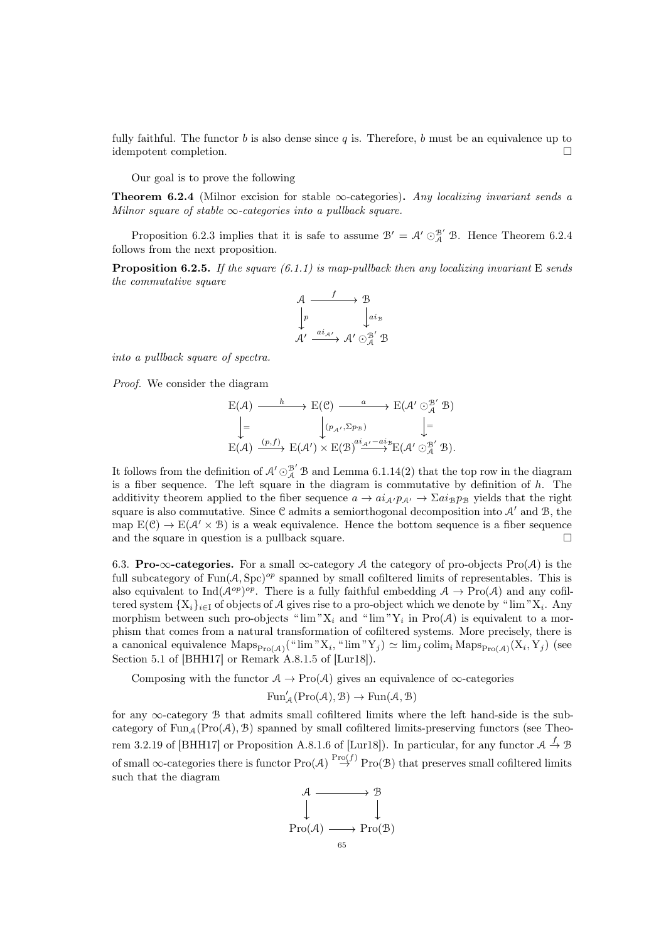fully faithful. The functor b is also dense since q is. Therefore, b must be an equivalence up to idempotent completion.

Our goal is to prove the following

<span id="page-64-0"></span>**Theorem 6.2.4** (Milnor excision for stable  $\infty$ -categories). Any localizing invariant sends a Milnor square of stable  $\infty$ -categories into a pullback square.

Proposition [6.2.3](#page-63-1) implies that it is safe to assume  $\mathcal{B}' = \mathcal{A}' \odot_{\mathcal{A}}^{\mathcal{B}'} \mathcal{B}$ . Hence Theorem [6.2.4](#page-64-0) follows from the next proposition.

**Proposition 6.2.5.** If the square  $(6.1.1)$  is map-pullback then any localizing invariant E sends the commutative square

$$
\begin{array}{ccc}\nA & \xrightarrow{f} & \mathcal{B} \\
\downarrow{p} & & \downarrow{a_{i_{\mathcal{B}}}} \\
\mathcal{A}' & \xrightarrow{ai_{\mathcal{A}'}} & \mathcal{A}' \odot_{\mathcal{A}}^{\mathcal{B}'} & \mathcal{B}\n\end{array}
$$

into a pullback square of spectra.

Proof. We consider the diagram

$$
\begin{array}{ccc}\nE(\mathcal{A}) & \xrightarrow{h} & E(\mathcal{C}) & \xrightarrow{a} & E(\mathcal{A}' \odot_{\mathcal{A}}^{\mathcal{B}'} \mathcal{B}) \\
& \Big\downarrow = & \Big\downarrow (p_{\mathcal{A}'}, \Sigma p_{\mathcal{B}}) & \Big\downarrow = \\
E(\mathcal{A}) & \xrightarrow{(p,f)} & E(\mathcal{A}') \times E(\mathcal{B}) \xrightarrow{ai_{\mathcal{A}} - ai_{\mathcal{B}}} E(\mathcal{A}' \odot_{\mathcal{A}}^{\mathcal{B}'} \mathcal{B}).\n\end{array}
$$

It follows from the definition of  $\mathcal{A}' \odot_{\mathcal{A}}^{\mathcal{B}'} \mathcal{B}$  and Lemma [6.1.14\(](#page-0-0)2) that the top row in the diagram is a fiber sequence. The left square in the diagram is commutative by definition of  $h$ . The additivity theorem applied to the fiber sequence  $a \to a i_{A'} p_{A'} \to \Sigma a i_{B} p_{B}$  yields that the right square is also commutative. Since C admits a semiorthogonal decomposition into  $\mathcal{A}'$  and  $\mathcal{B}$ , the map  $E(\mathcal{C}) \to E(\mathcal{A}' \times \mathcal{B})$  is a weak equivalence. Hence the bottom sequence is a fiber sequence and the square in question is a pullback square.  $\Box$ 

6.3. Pro- $\infty$ -categories. For a small  $\infty$ -category A the category of pro-objects Pro(A) is the full subcategory of  $\text{Fun}(\mathcal{A}, \text{Spc})^{op}$  spanned by small cofiltered limits of representables. This is also equivalent to Ind( $A^{op}$ )<sup>op</sup>. There is a fully faithful embedding  $A \to \text{Pro}(A)$  and any cofiltered system  $\{X_i\}_{i\in I}$  of objects of A gives rise to a pro-object which we denote by " $\lim "X_i$ . Any morphism between such pro-objects " $\lim "X_i$  and " $\lim "Y_i$  in  $Pro(\mathcal{A})$  is equivalent to a morphism that comes from a natural transformation of cofiltered systems. More precisely, there is a canonical equivalence  $\mathrm{Maps}_{\mathrm{Pro}(\mathcal{A})}(\text{``lim''X}_i, \text{``lim''Y}_j) \simeq \lim_j \mathrm{colim}_i \mathrm{Maps}_{\mathrm{Pro}(\mathcal{A})}(\mathrm{X}_i, \mathrm{Y}_j)$  (see Section 5.1 of [\[BHH17\]](#page-90-9) or Remark A.8.1.5 of [\[Lur18\]](#page-92-0)).

Composing with the functor  $A \to \text{Pro}(A)$  gives an equivalence of  $\infty$ -categories

$$
\operatorname{Fun}_\mathcal{A}^\prime(\operatorname{Pro}(\mathcal{A}),\mathcal{B})\to\operatorname{Fun}(\mathcal{A},\mathcal{B})
$$

for any ∞-category B that admits small cofiltered limits where the left hand-side is the subcategory of Fun<sub>A</sub>(Pro(A), B) spanned by small cofiltered limits-preserving functors (see Theo-rem 3.2.19 of [\[BHH17\]](#page-90-9) or Proposition A.8.1.6 of [\[Lur18\]](#page-92-0)). In particular, for any functor  $A \stackrel{f}{\rightarrow} B$ of small  $\infty$ -categories there is functor  $\text{Pro}(\mathcal{A}) \stackrel{\text{Pro}(f)}{\rightarrow} \text{Pro}(\mathcal{B})$  that preserves small cofiltered limits such that the diagram

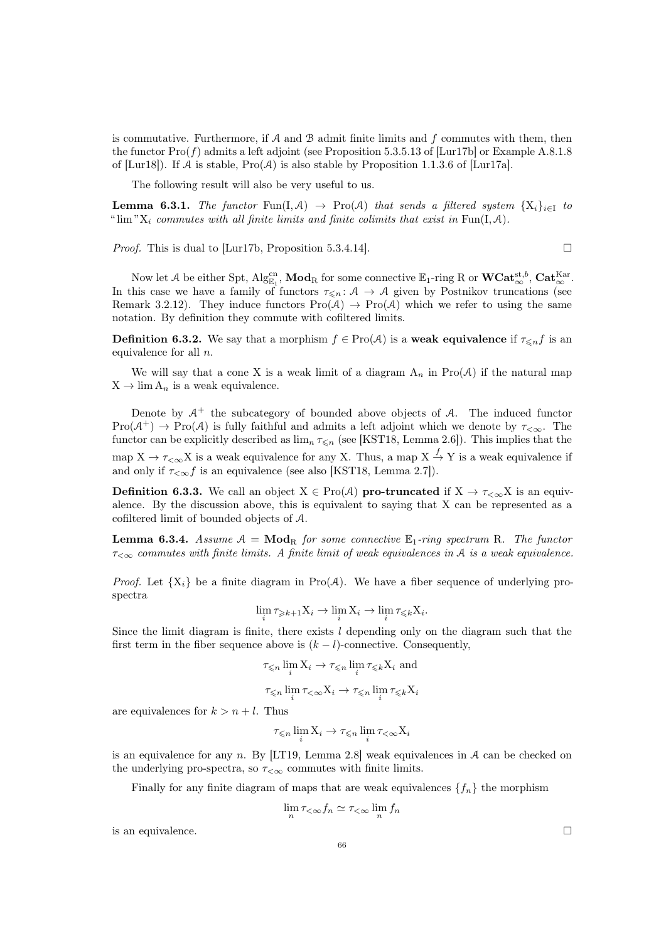is commutative. Furthermore, if  $A$  and  $B$  admit finite limits and  $f$  commutes with them, then the functor  $\text{Pro}(f)$  admits a left adjoint (see Proposition 5.3.5.13 of [\[Lur17b\]](#page-92-4) or Example A.8.1.8 of [\[Lur18\]](#page-92-0)). If A is stable,  $\text{Pro}(\mathcal{A})$  is also stable by Proposition 1.1.3.6 of [\[Lur17a\]](#page-92-6).

The following result will also be very useful to us.

<span id="page-65-0"></span>**Lemma 6.3.1.** The functor Fun(I, A)  $\rightarrow$  Pro(A) that sends a filtered system  $\{X_i\}_{i\in I}$  to " lim " $X_i$  commutes with all finite limits and finite colimits that exist in Fun(I, A).

*Proof.* This is dual to [\[Lur17b,](#page-92-4) Proposition 5.3.4.14].  $\Box$ 

Now let A be either Spt,  $\mathrm{Alg}_{\mathbb{E}_1}^{\mathrm{cn}}, \mathbf{Mod}_R$  for some connective  $\mathbb{E}_1$ -ring R or  $\mathbf{WCat}_{\infty}^{\mathrm{st},b}$ ,  $\mathbf{Cat}_{\infty}^{\mathrm{Kar}}$ . In this case we have a family of functors  $\tau_{\leq n} : A \to A$  given by Postnikov truncations (see Remark [3.2.12\)](#page-27-1). They induce functors  $Pro(A) \rightarrow Pro(A)$  which we refer to using the same notation. By definition they commute with cofiltered limits.

**Definition 6.3.2.** We say that a morphism  $f \in \text{Pro}(\mathcal{A})$  is a **weak equivalence** if  $\tau \leq n f$  is an equivalence for all n.

We will say that a cone X is a weak limit of a diagram  $A_n$  in Pro(A) if the natural map  $X \rightarrow \lim A_n$  is a weak equivalence.

Denote by  $A^+$  the subcategory of bounded above objects of  $A$ . The induced functor  $Pro(\mathcal{A}^+) \to Pro(\mathcal{A})$  is fully faithful and admits a left adjoint which we denote by  $\tau_{\leq \infty}$ . The functor can be explicitly described as  $\lim_{n} \tau_{\leq n}$  (see [\[KST18,](#page-92-12) Lemma 2.6]). This implies that the map  $X \to \tau_{\leq \infty} X$  is a weak equivalence for any X. Thus, a map  $X \to Y$  is a weak equivalence if and only if  $\tau_{< \infty} f$  is an equivalence (see also [\[KST18,](#page-92-12) Lemma 2.7]).

<span id="page-65-1"></span>**Definition 6.3.3.** We call an object  $X \in \text{Pro}(\mathcal{A})$  pro-truncated if  $X \to \tau_{\leq \infty} X$  is an equivalence. By the discussion above, this is equivalent to saying that X can be represented as a cofiltered limit of bounded objects of A.

**Lemma 6.3.4.** Assume  $A = Mod_R$  for some connective  $\mathbb{E}_1$ -ring spectrum R. The functor  $\tau_{\leq \infty}$  commutes with finite limits. A finite limit of weak equivalences in A is a weak equivalence.

*Proof.* Let  $\{X_i\}$  be a finite diagram in Pro(A). We have a fiber sequence of underlying prospectra

$$
\lim_{i} \tau_{\geq k+1} X_i \to \lim_{i} X_i \to \lim_{i} \tau_{\leq k} X_i.
$$

Since the limit diagram is finite, there exists l depending only on the diagram such that the first term in the fiber sequence above is  $(k - l)$ -connective. Consequently,

$$
\tau_{\leq n} \lim_{i} X_{i} \to \tau_{\leq n} \lim_{i} \tau_{\leq k} X_{i}
$$
 and  

$$
\tau_{\leq n} \lim_{i} \tau_{<\infty} X_{i} \to \tau_{\leq n} \lim_{i} \tau_{\leq k} X_{i}
$$

are equivalences for  $k > n + l$ . Thus

$$
\tau_{\leq n} \lim_{i} X_i \to \tau_{\leq n} \lim_{i} \tau_{<\infty} X_i
$$

is an equivalence for any  $n$ . By [\[LT19,](#page-92-7) Lemma 2.8] weak equivalences in  $A$  can be checked on the underlying pro-spectra, so  $\tau_{<\infty}$  commutes with finite limits.

Finally for any finite diagram of maps that are weak equivalences  $\{f_n\}$  the morphism

$$
\lim_{n} \tau_{\leq \infty} f_n \simeq \tau_{\leq \infty} \lim_{n} f_n
$$

is an equivalence.  $\Box$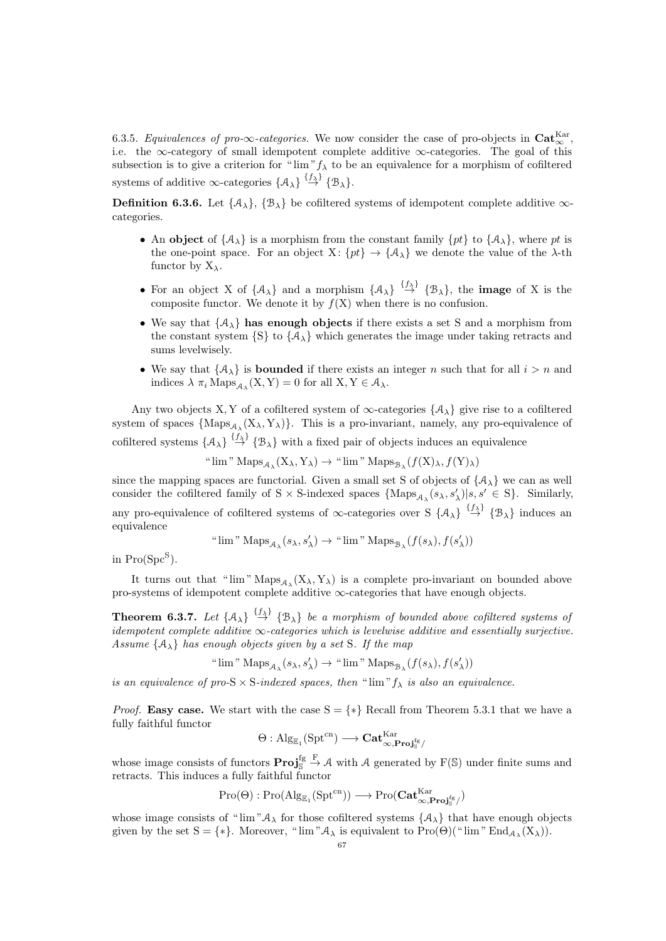6.3.5. Equivalences of pro- $\infty$ -categories. We now consider the case of pro-objects in  $\text{Cat}_{\infty}^{\text{Kar}}$ , i.e. the ∞-category of small idempotent complete additive  $\infty$ -categories. The goal of this subsection is to give a criterion for " $\lim'' f_{\lambda}$  to be an equivalence for a morphism of cofiltered systems of additive  $\infty$ -categories  $\{\mathcal{A}_{\lambda}\}\stackrel{\{f_{\lambda}\}}{\rightarrow} \{\mathcal{B}_{\lambda}\}.$ 

**Definition 6.3.6.** Let  $\{A_{\lambda}\}, \{\mathcal{B}_{\lambda}\}\$  be cofiltered systems of idempotent complete additive  $\infty$ categories.

- An object of  $\{A_\lambda\}$  is a morphism from the constant family  $\{pt\}$  to  $\{A_\lambda\}$ , where pt is the one-point space. For an object X:  $\{pt\} \rightarrow \{A_{\lambda}\}\$  we denote the value of the  $\lambda$ -th functor by  $X_{\lambda}$ .
- For an object X of  $\{A_{\lambda}\}\$ and a morphism  $\{A_{\lambda}\}\stackrel{\{f_{\lambda}\}}{\rightarrow}\{\mathcal{B}_{\lambda}\}\$ , the **image** of X is the composite functor. We denote it by  $f(X)$  when there is no confusion.
- We say that  $\{A_{\lambda}\}\)$  has enough objects if there exists a set S and a morphism from the constant system  $\{S\}$  to  $\{A_{\lambda}\}\$  which generates the image under taking retracts and sums levelwisely.
- We say that  $\{\mathcal{A}_{\lambda}\}\$ is **bounded** if there exists an integer n such that for all  $i > n$  and indices  $\lambda \pi_i \operatorname{Maps}_{\mathcal{A}_{\lambda}}(X, Y) = 0$  for all  $X, Y \in \mathcal{A}_{\lambda}$ .

Any two objects X, Y of a cofiltered system of  $\infty$ -categories  $\{\mathcal{A}_{\lambda}\}\$  give rise to a cofiltered system of spaces  ${ {\rm Maps}_{A_\lambda}(X_\lambda,Y_\lambda) }$ . This is a pro-invariant, namely, any pro-equivalence of cofiltered systems  $\{A_{\lambda}\}\stackrel{\{f_{\lambda}\}}{\rightarrow} \{B_{\lambda}\}\$  with a fixed pair of objects induces an equivalence

" lim "  $\operatorname{Maps}_{\mathcal{A}_{\lambda}}(X_{\lambda}, Y_{\lambda}) \to$  " lim "  $\operatorname{Maps}_{\mathcal{B}_{\lambda}}(f(X)_{\lambda}, f(Y)_{\lambda})$ 

since the mapping spaces are functorial. Given a small set S of objects of  $\{\mathcal{A}_{\lambda}\}\$  we can as well consider the cofiltered family of S × S-indexed spaces  $\{\text{Maps}_{\mathcal{A}_{\lambda}}(s_{\lambda}, s'_{\lambda}) | s, s' \in S\}$ . Similarly, any pro-equivalence of cofiltered systems of  $\infty$ -categories over S  $\{A_{\lambda}\}\stackrel{\{f_{\lambda}\}}{\rightarrow}\{B_{\lambda}\}\$  induces an equivalence

" 
$$
\lim
$$
"  $\operatorname{Maps}_{\mathcal{A}_{\lambda}}(s_{\lambda}, s'_{\lambda}) \to$ "  $\lim$ "  $\operatorname{Maps}_{\mathcal{B}_{\lambda}}(f(s_{\lambda}), f(s'_{\lambda}))$ 

in  $Pro(Spc^S)$ .

It turns out that " $\lim$ "  $\text{Maps}_{\mathcal{A}_{\lambda}}(X_{\lambda}, Y_{\lambda})$  is a complete pro-invariant on bounded above pro-systems of idempotent complete additive ∞-categories that have enough objects.

<span id="page-66-0"></span>**Theorem 6.3.7.** Let  $\{A_{\lambda}\}\stackrel{\{f_{\lambda}\}}{\rightarrow} \{B_{\lambda}\}\$ be a morphism of bounded above cofiltered systems of idempotent complete additive  $\infty$ -categories which is levelwise additive and essentially surjective. Assume  $\{A_{\lambda}\}\$  has enough objects given by a set S. If the map

" lim "  $\mathrm{Maps}_{\mathcal{A}_\lambda}(s_\lambda,s'_\lambda) \to$  " lim "  $\mathrm{Maps}_{\mathcal{B}_\lambda}(f(s_\lambda),f(s'_\lambda))$ 

is an equivalence of pro-S  $\times$  S-indexed spaces, then " $\lim$ " $f_{\lambda}$  is also an equivalence.

*Proof.* Easy case. We start with the case  $S = \{ * \}$  Recall from Theorem [5.3.1](#page-51-0) that we have a fully faithful functor

$$
\Theta: \mathrm{Alg}_{\mathbb{E}_1}(\mathrm{Spt}^{\mathrm{cn}}) \longrightarrow \mathbf{Cat}_{\infty,\mathbf{Proj}_\mathbb{S}^{\mathrm{fg}}}/^{\mathrm{Kar}}
$$

whose image consists of functors  $\mathbf{Proj}_{\mathbb{S}}^{\{g\}} \stackrel{F}{\rightarrow} \mathcal{A}$  with A generated by  $F(\mathbb{S})$  under finite sums and retracts. This induces a fully faithful functor

$$
\mathrm{Pro}(\Theta): \mathrm{Pro}(\mathrm{Alg}_{\mathbb{E}_1}(\mathrm{Spt}^{\mathrm{cn}})) \longrightarrow \mathrm{Pro}(\mathbf{Cat}_{\infty,\mathbf{Proj}_\mathbb{S}^{\mathrm{fg}}}/^{\mathrm{kar}})
$$

whose image consists of " $\lim$ " $\mathcal{A}_{\lambda}$  for those cofiltered systems  $\{\mathcal{A}_{\lambda}\}\$  that have enough objects given by the set  $S = \{ * \}$ . Moreover, " $\lim "A_{\lambda}$  is equivalent to  $\text{Pro}(\Theta)(\text{``}\lim" \text{End}_{A_{\lambda}}(X_{\lambda})).$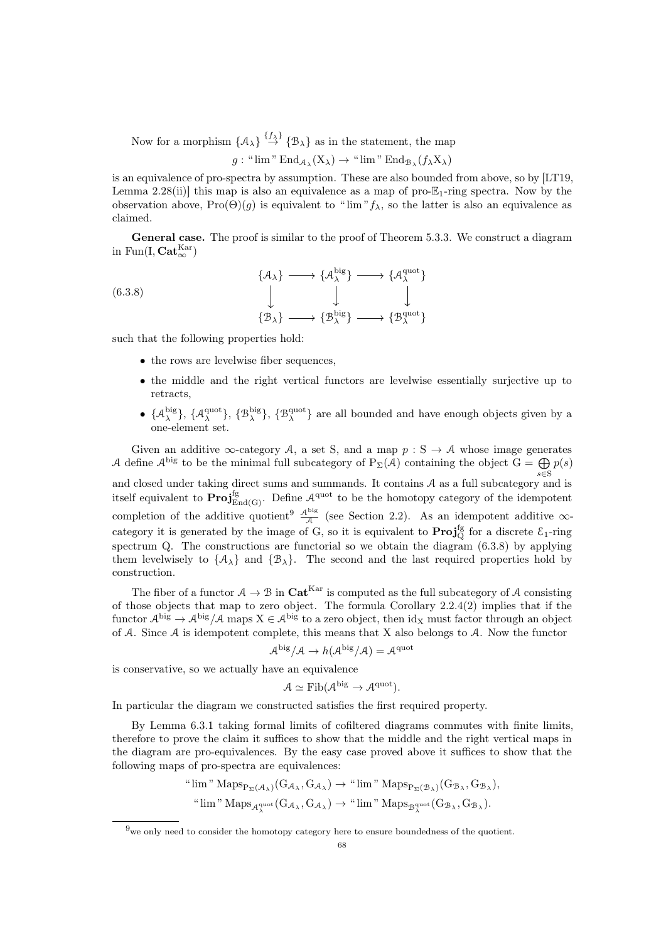Now for a morphism  $\{A_{\lambda}\}\stackrel{\{f_{\lambda}\}}{\rightarrow} \{B_{\lambda}\}\$ as in the statement, the map  $g:$  " $\lim$ " $\text{End}_{\mathcal{A}_{\lambda}}(X_{\lambda}) \rightarrow$  " $\lim$ " $\text{End}_{\mathcal{B}_{\lambda}}(f_{\lambda}X_{\lambda})$ 

is an equivalence of pro-spectra by assumption. These are also bounded from above, so by [\[LT19,](#page-92-7) Lemma 2.28(ii)] this map is also an equivalence as a map of pro- $\mathbb{E}_1$ -ring spectra. Now by the observation above,  $\text{Pro}(\Theta)(g)$  is equivalent to " $\lim'' f_\lambda$ , so the latter is also an equivalence as claimed.

General case. The proof is similar to the proof of Theorem [5.3.3.](#page-53-1) We construct a diagram in Fun(I,  $\mathbf{Cat}_{\infty}^{\mathrm{Kar}}$ )

(6.3.8)  
\n
$$
\downarrow \qquad \qquad \{A_{\lambda}^{\text{big}}\} \longrightarrow \{A_{\lambda}^{\text{quot}}\}
$$
\n
$$
\downarrow \qquad \qquad \downarrow \qquad \qquad \downarrow
$$
\n
$$
\{B_{\lambda}\} \longrightarrow \{B_{\lambda}^{\text{big}}\} \longrightarrow \{B_{\lambda}^{\text{quot}}\}
$$

such that the following properties hold:

- <span id="page-67-1"></span>• the rows are levelwise fiber sequences,
- the middle and the right vertical functors are levelwise essentially surjective up to retracts,
- $\{\mathcal{A}_{\lambda}^{\text{big}}\}, \{\mathcal{B}_{\lambda}^{\text{big}}\}, \{\mathcal{B}_{\lambda}^{\text{quot}}\}$  are all bounded and have enough objects given by a one-element set.

Given an additive  $\infty$ -category A, a set S, and a map  $p : S \to A$  whose image generates A define  $\mathcal{A}^{big}$  to be the minimal full subcategory of  $P_{\Sigma}(\mathcal{A})$  containing the object  $G = \bigoplus p(s)$ s∈S and closed under taking direct sums and summands. It contains A as a full subcategory and is itself equivalent to  $\text{Proj}_{\text{End}(G)}^{\text{fg}}$ . Define  $\mathcal{A}^{\text{quot}}$  to be the homotopy category of the idempotent completion of the additive quotient<sup>[9](#page-67-0)</sup>  $\frac{\mathcal{A}^{\text{big}}}{\mathcal{A}}$  (see Section [2.2\)](#page-14-0). As an idempotent additive  $\infty$ category it is generated by the image of G, so it is equivalent to  $\text{Proj}_{Q}^{\text{fg}}$  for a discrete  $\mathcal{E}_1$ -ring spectrum Q. The constructions are functorial so we obtain the diagram  $(6.3.8)$  by applying them levelwisely to  $\{A_{\lambda}\}\$  and  $\{\mathcal{B}_{\lambda}\}\$ . The second and the last required properties hold by construction.

The fiber of a functor  $A \to B$  in  $\text{Cat}^{\text{Kar}}$  is computed as the full subcategory of A consisting of those objects that map to zero object. The formula Corollary [2.2.4\(](#page-18-0)2) implies that if the functor  $\mathcal{A}^{big} \rightarrow \mathcal{A}^{big}/\mathcal{A}$  maps  $X \in \mathcal{A}^{big}$  to a zero object, then  $\mathrm{id}_X$  must factor through an object of A. Since A is idempotent complete, this means that X also belongs to A. Now the functor

$$
\mathcal{A}^{\text{big}}/\mathcal{A} \to h(\mathcal{A}^{\text{big}}/\mathcal{A}) = \mathcal{A}^{\text{quot}}
$$

is conservative, so we actually have an equivalence

$$
\mathcal{A} \simeq \mathrm{Fib}(\mathcal{A}^{\mathrm{big}} \to \mathcal{A}^{\mathrm{quot}}).
$$

In particular the diagram we constructed satisfies the first required property.

By Lemma [6.3.1](#page-65-0) taking formal limits of cofiltered diagrams commutes with finite limits, therefore to prove the claim it suffices to show that the middle and the right vertical maps in the diagram are pro-equivalences. By the easy case proved above it suffices to show that the following maps of pro-spectra are equivalences:

> " $\lim$ "  $\text{Maps}_{P_{\Sigma}(\mathcal{A}_{\lambda})}(G_{\mathcal{A}_{\lambda}}, G_{\mathcal{A}_{\lambda}}) \rightarrow$  " $\lim$ "  $\text{Maps}_{P_{\Sigma}(\mathcal{B}_{\lambda})}(G_{\mathcal{B}_{\lambda}}, G_{\mathcal{B}_{\lambda}})$ " lim "  $\mathrm{Maps}_{\mathcal{A}^{\text{quot}}_{\lambda}}(G_{\mathcal{A}_{\lambda}}, G_{\mathcal{A}_{\lambda}}) \to$  " lim "  $\mathrm{Maps}_{\mathcal{B}^{\text{quot}}_{\lambda}}(G_{\mathcal{B}_{\lambda}}, G_{\mathcal{B}_{\lambda}})$ .

<span id="page-67-0"></span> $9$ we only need to consider the homotopy category here to ensure boundedness of the quotient.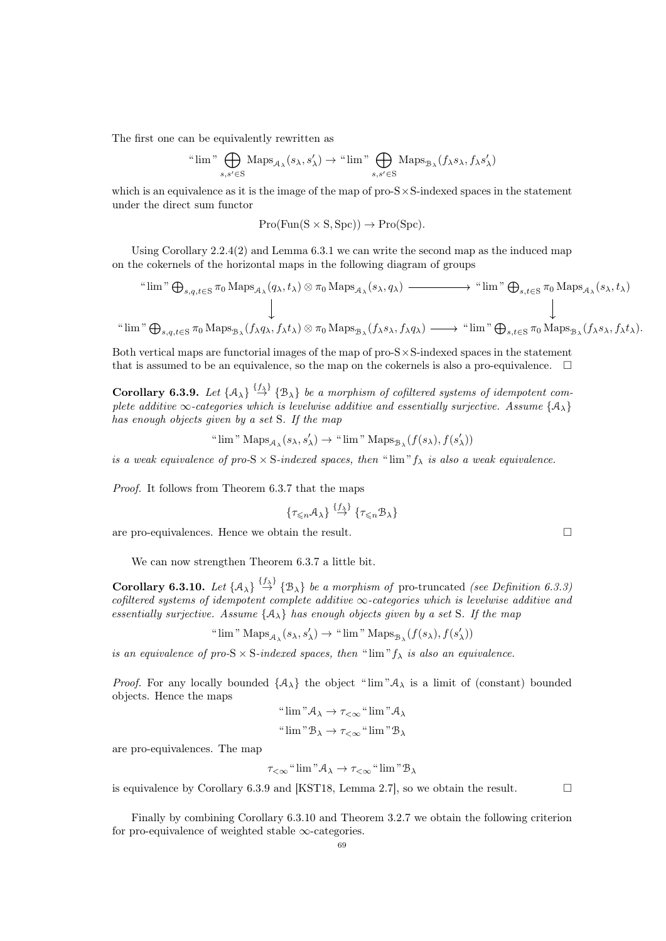The first one can be equivalently rewritten as

$$
\text{``lim''}\bigoplus_{s,s'\in \mathcal{S}}\text{Maps}_{\mathcal{A}_\lambda}(s_\lambda,s'_\lambda)\to \text{``lim''}\bigoplus_{s,s'\in \mathcal{S}}\text{Maps}_{\mathcal{B}_\lambda}(f_\lambda s_\lambda,f_\lambda s'_\lambda)
$$

which is an equivalence as it is the image of the map of  $pro-S \times S$ -indexed spaces in the statement under the direct sum functor

$$
Pro(Fun(S \times S, Spc)) \to Pro(Spc).
$$

Using Corollary [2.2.4\(](#page-18-0)2) and Lemma [6.3.1](#page-65-0) we can write the second map as the induced map on the cokernels of the horizontal maps in the following diagram of groups

" lim "L s,q,t∈S π<sup>0</sup> Maps<sup>A</sup><sup>λ</sup> (qλ, tλ) ⊗ π<sup>0</sup> Maps<sup>A</sup><sup>λ</sup> (sλ, qλ) " lim "L s,t∈S π<sup>0</sup> Maps<sup>A</sup><sup>λ</sup> (sλ, tλ) " lim "L s,q,t∈S π<sup>0</sup> Maps<sup>B</sup><sup>λ</sup> (fλqλ, fλtλ) ⊗ π<sup>0</sup> Maps<sup>B</sup><sup>λ</sup> (fλsλ, fλqλ) " lim "L s,t∈S π<sup>0</sup> Maps<sup>B</sup><sup>λ</sup> (fλsλ, fλtλ).

Both vertical maps are functorial images of the map of  $pro-S \times S$ -indexed spaces in the statement that is assumed to be an equivalence, so the map on the cokernels is also a pro-equivalence.  $\Box$ 

<span id="page-68-0"></span>**Corollary 6.3.9.** Let  $\{A_{\lambda}\}\stackrel{\{\hat{f}_{\lambda}\}}{\rightarrow} \{B_{\lambda}\}\$ be a morphism of cofiltered systems of idempotent complete additive  $\infty$ -categories which is levelwise additive and essentially surjective. Assume { $A_{\lambda}$ } has enough objects given by a set S. If the map

$$
\text{``lim'' Maps}_{\mathcal A_\lambda} (s_\lambda,s'_\lambda) \to \text{``lim'' Maps}_{\mathcal B_\lambda} (f(s_\lambda),f(s'_\lambda))
$$

is a weak equivalence of pro-S  $\times$  S-indexed spaces, then " $\lim$ " $f_{\lambda}$  is also a weak equivalence.

Proof. It follows from Theorem [6.3.7](#page-66-0) that the maps

$$
\{\tau_{\leq n}A_{\lambda}\}\stackrel{\{f_{\lambda}\}}{\rightarrow}\{\tau_{\leq n}B_{\lambda}\}\
$$

are pro-equivalences. Hence we obtain the result.  $\Box$ 

We can now strengthen Theorem [6.3.7](#page-66-0) a little bit.

<span id="page-68-1"></span>**Corollary 6.3.10.** Let  $\{A_{\lambda}\}\stackrel{\{f_{\lambda}\}}{\rightarrow} \{B_{\lambda}\}\$ be a morphism of pro-truncated (see Definition [6.3.3\)](#page-65-1) cofiltered systems of idempotent complete additive  $\infty$ -categories which is levelwise additive and essentially surjective. Assume  $\{A_{\lambda}\}\$  has enough objects given by a set S. If the map

" lim " $\mathrm{Maps}_{\mathcal{A}_\lambda}(s_\lambda,s'_\lambda) \to$  " lim " $\mathrm{Maps}_{\mathcal{B}_\lambda}(f(s_\lambda),f(s'_\lambda))$ 

is an equivalence of pro-S  $\times$  S-indexed spaces, then " $\lim$ " $f_{\lambda}$  is also an equivalence.

*Proof.* For any locally bounded  $\{A_{\lambda}\}\$  the object " $\lim_{\lambda \to \infty} A_{\lambda}$  is a limit of (constant) bounded objects. Hence the maps

"
$$
\lim
$$
" $A_{\lambda} \to \tau_{<\infty}$ " $\lim$ " $A_{\lambda}$   
" $\lim$ " $B_{\lambda} \to \tau_{<\infty}$ " $\lim$ " $B_{\lambda}$ 

are pro-equivalences. The map

$$
\tau_{<\infty} \text{``}\lim{}^{n} \mathcal{A}_{\lambda} \to \tau_{<\infty} \text{``}\lim{}^{n} \mathcal{B}_{\lambda}
$$

is equivalence by Corollary [6.3.9](#page-68-0) and [\[KST18,](#page-92-12) Lemma 2.7], so we obtain the result.  $\square$ 

Finally by combining Corollary [6.3.10](#page-68-1) and Theorem [3.2.7](#page-26-0) we obtain the following criterion for pro-equivalence of weighted stable  $\infty$ -categories.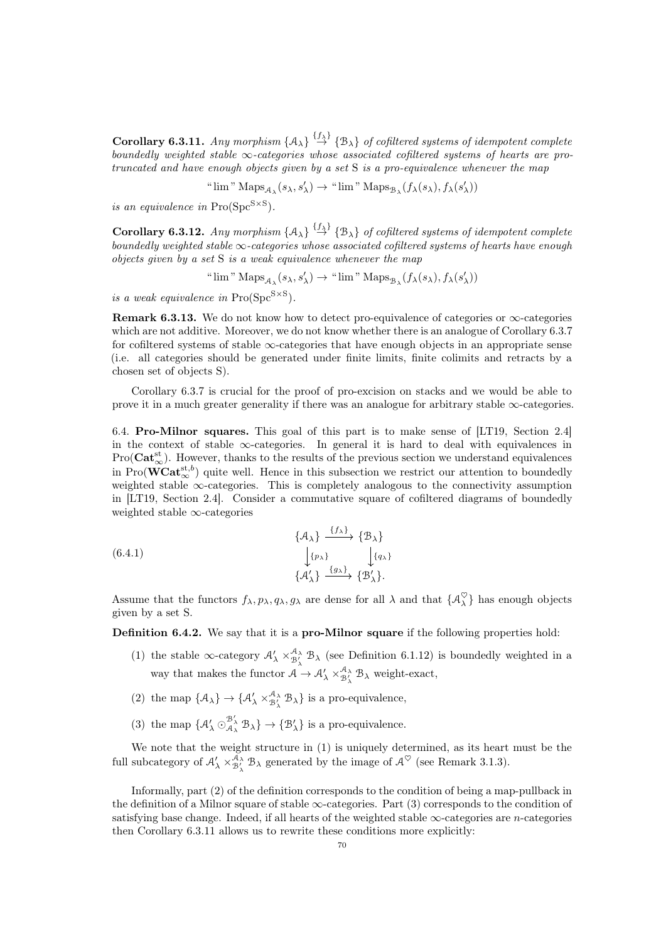<span id="page-69-0"></span>**Corollary 6.3.11.** Any morphism  $\{A_{\lambda}\}\stackrel{\{f_{\lambda}\}}{\rightarrow} \{B_{\lambda}\}\$  of cofiltered systems of idempotent complete boundedly weighted stable  $\infty$ -categories whose associated cofiltered systems of hearts are protruncated and have enough objects given by a set S is a pro-equivalence whenever the map

" 
$$
\lim
$$
"  $\mathrm{Maps}_{\mathcal{A}_\lambda}(s_\lambda,s'_\lambda) \to$ " $\lim$ "  $\mathrm{Maps}_{\mathcal{B}_\lambda}(f_\lambda(s_\lambda),f_\lambda(s'_\lambda))$ 

is an equivalence in  $\text{Pro}(\text{Spc}^{S\times S})$ .

**Corollary 6.3.12.** Any morphism  $\{A_{\lambda}\}\stackrel{\{f_{\lambda}\}}{\rightarrow} \{B_{\lambda}\}\$  of cofiltered systems of idempotent complete boundedly weighted stable  $\infty$ -categories whose associated cofiltered systems of hearts have enough objects given by a set S is a weak equivalence whenever the map

" lim " $\mathrm{Maps}_{\mathcal{A}_\lambda}(s_\lambda,s'_\lambda) \to$  " lim " $\mathrm{Maps}_{\mathcal{B}_\lambda}(f_\lambda(s_\lambda),f_\lambda(s'_\lambda))$ 

is a weak equivalence in  $\text{Pro}(\text{Spc}^{\text{S} \times \text{S}})$ .

Remark 6.3.13. We do not know how to detect pro-equivalence of categories or  $\infty$ -categories which are not additive. Moreover, we do not know whether there is an analogue of Corollary [6.3.7](#page-66-0) for cofiltered systems of stable  $\infty$ -categories that have enough objects in an appropriate sense (i.e. all categories should be generated under finite limits, finite colimits and retracts by a chosen set of objects S).

Corollary [6.3.7](#page-66-0) is crucial for the proof of pro-excision on stacks and we would be able to prove it in a much greater generality if there was an analogue for arbitrary stable  $\infty$ -categories.

6.4. Pro-Milnor squares. This goal of this part is to make sense of [\[LT19,](#page-92-7) Section 2.4] in the context of stable  $\infty$ -categories. In general it is hard to deal with equivalences in  $Pro(Cat_{\infty}^{st})$ . However, thanks to the results of the previous section we understand equivalences in  $\text{Pro}(\mathbf{WCat}_{\infty}^{\text{st},b})$  quite well. Hence in this subsection we restrict our attention to boundedly weighted stable  $\infty$ -categories. This is completely analogous to the connectivity assumption in [\[LT19,](#page-92-7) Section 2.4]. Consider a commutative square of cofiltered diagrams of boundedly weighted stable ∞-categories

<span id="page-69-2"></span>(6.4.1) 
$$
\begin{aligned}\n\{\mathcal{A}_{\lambda}\} \xrightarrow{\{f_{\lambda}\}} \{\mathcal{B}_{\lambda}\} \\
\downarrow^{\{p_{\lambda}\}} \xrightarrow{\{g_{\lambda}\}} \{\mathcal{A}_{\lambda}'\} \xrightarrow{\{g_{\lambda}\}} \{\mathcal{B}_{\lambda}'\}.\n\end{aligned}
$$

Assume that the functors  $f_{\lambda}, p_{\lambda}, q_{\lambda}, g_{\lambda}$  are dense for all  $\lambda$  and that  $\{\mathcal{A}_{\lambda}^{\heartsuit}\}\)$  has enough objects given by a set S.

<span id="page-69-1"></span>Definition 6.4.2. We say that it is a pro-Milnor square if the following properties hold:

- (1) the stable  $\infty$ -category  $\mathcal{A}'_{\lambda} \times_{\mathcal{B}'_{\lambda}}^{\mathcal{A}_{\lambda}} \mathcal{B}_{\lambda}$  (see Definition [6.1.12\)](#page-61-3) is boundedly weighted in a way that makes the functor  $A \to \mathcal{A}'_{\lambda} \times^{\mathcal{A}_{\lambda}}_{\mathcal{B}'_{\lambda}} \mathcal{B}_{\lambda}$  weight-exact,
- (2) the map  $\{A_{\lambda}\}\rightarrow \{A'_{\lambda} \times_{B'_{\lambda}}^{A_{\lambda}} B_{\lambda}\}\)$  is a pro-equivalence,
- (3) the map  $\{A'_\lambda \odot_{A_\lambda}^{B'_\lambda} B_\lambda\} \rightarrow \{B'_\lambda\}$  is a pro-equivalence.

We note that the weight structure in (1) is uniquely determined, as its heart must be the full subcategory of  $\mathcal{A}_{\lambda} \times_{\mathcal{B}_{\lambda}^{\lambda}}^{\mathcal{A}_{\lambda}} \mathcal{B}_{\lambda}$  generated by the image of  $\mathcal{A}^{\heartsuit}$  (see Remark [3.1.3\)](#page-24-1).

Informally, part (2) of the definition corresponds to the condition of being a map-pullback in the definition of a Milnor square of stable  $\infty$ -categories. Part (3) corresponds to the condition of satisfying base change. Indeed, if all hearts of the weighted stable  $\infty$ -categories are *n*-categories then Corollary [6.3.11](#page-69-0) allows us to rewrite these conditions more explicitly: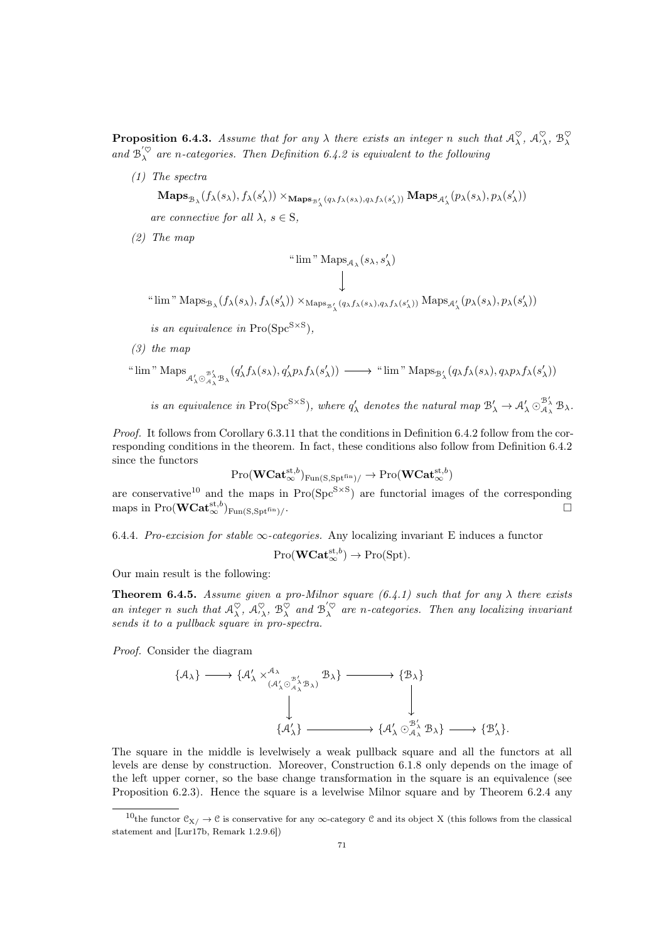<span id="page-70-1"></span>**Proposition 6.4.3.** Assume that for any  $\lambda$  there exists an integer n such that  $\mathcal{A}_\lambda^\heartsuit$ ,  $\mathcal{A}_{\lambda}^\heartsuit$ ,  $\mathcal{B}_\lambda^\heartsuit$ and  $\mathcal{B}_{\lambda}^{'<\heartsuit}$  are n-categories. Then Definition [6.4.2](#page-69-1) is equivalent to the following

(1) The spectra

 $\mathbf{Maps}_{\mathcal{B}_\lambda}(f_\lambda(s_\lambda),f_\lambda(s'_\lambda)) \times_{\mathbf{Maps}_{\mathcal{B}_\lambda'}(q_\lambda f_\lambda(s_\lambda),q_\lambda f_\lambda(s'_\lambda))} \mathbf{Maps}_{\mathcal{A}_\lambda'}(p_\lambda(s_\lambda),p_\lambda(s'_\lambda))$ are connective for all  $\lambda$ ,  $s \in S$ ,

(2) The map

$$
\text{``lim'' Maps}_{\mathcal{A}_\lambda}(s_\lambda,s'_\lambda)
$$

" lim "  $\operatorname{Maps}_{\mathcal{B}_{\lambda}}(f_{\lambda}(s_{\lambda}), f_{\lambda}(s_{\lambda}')) \times_{\operatorname{Maps}_{\mathcal{B}_{\lambda}'}(q_{\lambda}f_{\lambda}(s_{\lambda}), q_{\lambda}f_{\lambda}(s_{\lambda}'))} \operatorname{Maps}_{\mathcal{A}_{\lambda}'}(p_{\lambda}(s_{\lambda}), p_{\lambda}(s_{\lambda}'))$ 

is an equivalence in  $\text{Pro}(\text{Spc}^{S\times S}),$ 

(3) the map

" 
$$
\lim
$$
"  $\operatorname{Maps}_{\mathcal{A}'_{\lambda} \odot \mathcal{A}^{\prime}_{\lambda} \mathcal{B}_{\lambda}}(q'_{\lambda}f_{\lambda}(s_{\lambda}), q'_{\lambda}p_{\lambda}f_{\lambda}(s'_{\lambda})) \longrightarrow$ "  $\lim$ "  $\operatorname{Maps}_{\mathcal{B}'_{\lambda}}(q_{\lambda}f_{\lambda}(s_{\lambda}), q_{\lambda}p_{\lambda}f_{\lambda}(s'_{\lambda}))$ 

is an equivalence in Pro(Spc<sup>S×S</sup>), where  $q'_{\lambda}$  denotes the natural map  $\mathcal{B}'_{\lambda} \to \mathcal{A}'_{\lambda} \odot_{\mathcal{A}_{\lambda}}^{\mathcal{B}'_{\lambda}} \mathcal{B}_{\lambda}$ .

Proof. It follows from Corollary [6.3.11](#page-69-0) that the conditions in Definition [6.4.2](#page-69-1) follow from the corresponding conditions in the theorem. In fact, these conditions also follow from Definition [6.4.2](#page-69-1) since the functors

$$
\text{Pro}(\mathbf{WCat}_{\infty}^{\mathrm{st},b})_{\text{Fun}(\text{S},\text{Spt}^{\text{fin}})/} \rightarrow \text{Pro}(\mathbf{WCat}_{\infty}^{\mathrm{st},b})
$$

are conservative<sup>[10](#page-70-0)</sup> and the maps in  $Pro(Spc^{S\times S})$  are functorial images of the corresponding maps in Pro $(\mathbf{WCat}_{\infty}^{\mathrm{st},b})_{\mathrm{Fun}(\mathrm{S},\mathrm{Spt}^{\mathrm{fin}})/\simeq}$ . The contract of the contract of the contract of the contract of the contract of the contract of the contract<br>The contract of the contract of the contract of the contract of the contract of the contract of the contract o

6.4.4. Pro-excision for stable  $\infty$ -categories. Any localizing invariant E induces a functor

$$
\mathrm{Pro}(\mathbf{WCat}_{\infty}^{\mathrm{st},b}) \to \mathrm{Pro}(\mathrm{Spt}).
$$

Our main result is the following:

**Theorem 6.4.5.** Assume given a pro-Milnor square [\(6.4.1\)](#page-69-2) such that for any  $\lambda$  there exists an integer n such that  $\mathcal{A}_\lambda^\heartsuit$ ,  $\mathcal{A}_{\lambda}^\heartsuit$ ,  $\mathcal{B}_\lambda^\heartsuit$  and  $\mathcal{B}_\lambda^{\langle\heartsuit\rangle}$  are n-categories. Then any localizing invariant sends it to a pullback square in pro-spectra.

Proof. Consider the diagram

$$
\{\mathcal{A}_{\lambda}\} \longrightarrow \{\mathcal{A}_{\lambda}^{\prime} \times_{(\mathcal{A}_{\lambda}^{\prime} \odot \mathcal{A}_{\lambda}^{\prime} \mathcal{B}_{\lambda})}^{\mathcal{A}_{\lambda}} \mathcal{B}_{\lambda}\} \longrightarrow \{\mathcal{B}_{\lambda}\} \downarrow
$$
  

$$
\downarrow \downarrow
$$
  

$$
\{\mathcal{A}_{\lambda}^{\prime}\} \longrightarrow \{\mathcal{A}_{\lambda}^{\prime} \odot \mathcal{A}_{\lambda}^{\prime} \mathcal{B}_{\lambda}\} \longrightarrow \{\mathcal{B}_{\lambda}^{\prime}\}.
$$

The square in the middle is levelwisely a weak pullback square and all the functors at all levels are dense by construction. Moreover, Construction [6.1.8](#page-60-0) only depends on the image of the left upper corner, so the base change transformation in the square is an equivalence (see Proposition [6.2.3\)](#page-63-1). Hence the square is a levelwise Milnor square and by Theorem [6.2.4](#page-64-0) any

<span id="page-70-0"></span><sup>&</sup>lt;sup>10</sup>the functor  $\mathcal{C}_{X}/\to\mathcal{C}$  is conservative for any  $\infty$ -category  $\mathcal{C}$  and its object X (this follows from the classical statement and [\[Lur17b,](#page-92-4) Remark 1.2.9.6])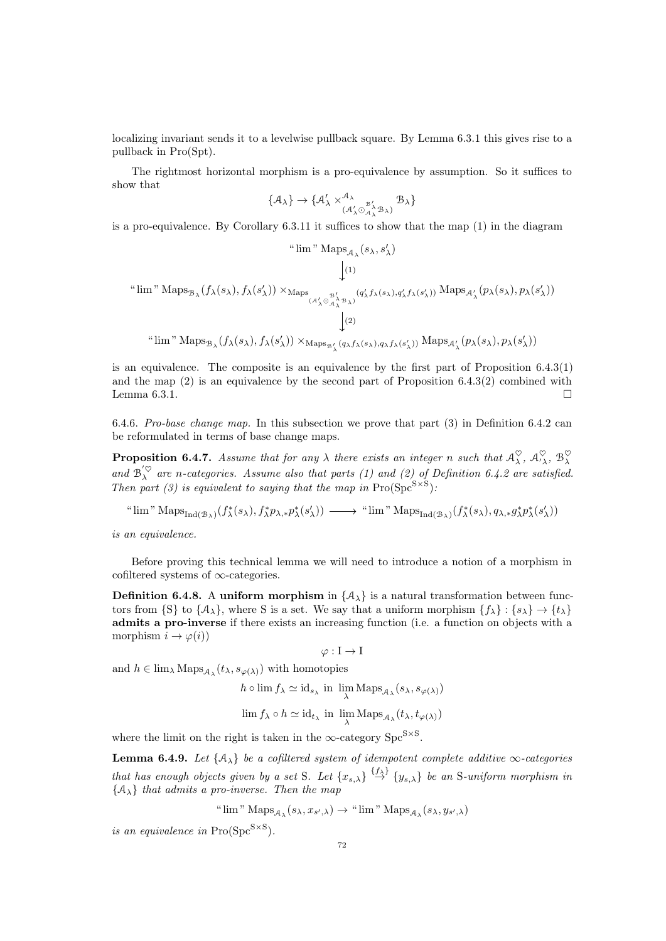localizing invariant sends it to a levelwise pullback square. By Lemma [6.3.1](#page-65-0) this gives rise to a pullback in Pro(Spt).

The rightmost horizontal morphism is a pro-equivalence by assumption. So it suffices to show that

$$
\{\mathcal{A}_{\lambda}\} \to \{\mathcal{A}_{\lambda}^{\prime} \times^{\mathcal{A}_{\lambda}}_{(\mathcal{A}_{\lambda}^{\prime} \odot \mathcal{A}_{\lambda}^{\mathcal{B}_{\lambda}^{\prime}} \mathcal{B}_{\lambda})} \mathcal{B}_{\lambda}\}\
$$

is a pro-equivalence. By Corollary [6.3.11](#page-69-0) it suffices to show that the map (1) in the diagram

$$
\begin{array}{c}\n\text{``lim'' Maps}_{\mathcal{A}_{\lambda}}(s_{\lambda}, s_{\lambda}') \\
\downarrow \\
\downarrow\n\end{array}
$$
\n
$$
\begin{array}{c}\n\downarrow\n\end{array}
$$
\n
$$
\begin{array}{c}\n\downarrow\n\end{array}
$$
\n
$$
\begin{array}{c}\n\downarrow\n\end{array}
$$
\n
$$
\begin{array}{c}\n\downarrow\n\end{array}
$$
\n
$$
\begin{array}{c}\n\downarrow\n\end{array}
$$
\n
$$
\begin{array}{c}\n\downarrow\n\end{array}
$$
\n
$$
\begin{array}{c}\n\downarrow\n\end{array}
$$
\n
$$
\begin{array}{c}\n\downarrow\n\end{array}
$$
\n
$$
\begin{array}{c}\n\downarrow\n\end{array}
$$
\n
$$
\begin{array}{c}\n\downarrow\n\end{array}
$$
\n
$$
\begin{array}{c}\n\downarrow\n\end{array}
$$
\n
$$
\begin{array}{c}\n\downarrow\n\end{array}
$$
\n
$$
\begin{array}{c}\n\downarrow\n\end{array}
$$
\n
$$
\begin{array}{c}\n\downarrow\n\end{array}
$$
\n
$$
\begin{array}{c}\n\downarrow\n\end{array}
$$
\n
$$
\begin{array}{c}\n\downarrow\n\end{array}
$$
\n
$$
\begin{array}{c}\n\downarrow\n\end{array}
$$
\n
$$
\begin{array}{c}\n\downarrow\n\end{array}
$$
\n
$$
\begin{array}{c}\n\downarrow\n\end{array}
$$
\n
$$
\begin{array}{c}\n\downarrow\n\end{array}
$$
\n
$$
\begin{array}{c}\n\downarrow\n\end{array}
$$
\n
$$
\begin{array}{c}\n\downarrow\n\end{array}
$$
\n
$$
\begin{array}{c}\n\downarrow\n\end{array}
$$
\n
$$
\begin{array}{c}\n\downarrow\n\end{array}
$$
\n
$$
\begin{array}{c}\n\downarrow\n\end{array}
$$
\n
$$
\begin{array}{c}\n\downarrow\n\end{array}
$$
\n
$$
\begin{array}{c}\n\downarrow\n\end{array}
$$
\n
$$
\begin{array}{c}\n\downarrow\n\end{array}
$$
\n
$$
\begin
$$

is an equivalence. The composite is an equivalence by the first part of Proposition [6.4.3\(](#page-70-1)1) and the map  $(2)$  is an equivalence by the second part of Proposition 6.4.3 $(2)$  combined with Lemma [6.3.1.](#page-65-0)

6.4.6. Pro-base change map. In this subsection we prove that part (3) in Definition [6.4.2](#page-69-1) can be reformulated in terms of base change maps.

**Proposition 6.4.7.** Assume that for any  $\lambda$  there exists an integer n such that  $\mathcal{A}_\lambda^\heartsuit$ ,  $\mathcal{A}_\lambda^\heartsuit$ ,  $\mathcal{B}_\lambda^\heartsuit$ and  $\mathcal{B}_{\lambda}^{'<\heartsuit}$  are n-categories. Assume also that parts (1) and (2) of Definition [6.4.2](#page-69-1) are satisfied. Then part (3) is equivalent to saying that the map in  $\text{Pro}(\text{Spc}^{\text{S}\times\text{S}})$ :

" $\lim$ " Maps<sub>Ind(B<sub>λ</sub>)</sub>( $f^*_{\lambda}(s_{\lambda}), f^*_{\lambda}p_{\lambda,*}p^*_{\lambda}(s'_{\lambda})$ ) - " $\lim$ " Maps<sub>Ind(B<sub>λ</sub>)</sub>( $f^*_{\lambda}(s_{\lambda}), q_{\lambda,*}g^*_{\lambda}p^*_{\lambda}(s'_{\lambda})$ )

is an equivalence.

Before proving this technical lemma we will need to introduce a notion of a morphism in cofiltered systems of ∞-categories.

**Definition 6.4.8.** A uniform morphism in  $\{A_{\lambda}\}\$ is a natural transformation between functors from  $\{S\}$  to  $\{A_\lambda\}$ , where S is a set. We say that a uniform morphism  $\{f_\lambda\} : \{s_\lambda\} \to \{t_\lambda\}$ admits a pro-inverse if there exists an increasing function (i.e. a function on objects with a morphism  $i \to \varphi(i)$ 

 $\varphi : I \to I$ 

and  $h \in \lim_{\lambda} \operatorname{Maps}_{\mathcal{A}_{\lambda}}(t_{\lambda}, s_{\varphi(\lambda)})$  with homotopies

$$
h \circ \lim f_{\lambda} \simeq \mathrm{id}_{s_{\lambda}} \text{ in } \lim_{\lambda} \mathrm{Maps}_{\mathcal{A}_{\lambda}}(s_{\lambda}, s_{\varphi(\lambda)})
$$

$$
\lim f_{\lambda} \circ h \simeq \mathrm{id}_{t_{\lambda}} \text{ in } \lim_{\lambda} \mathrm{Maps}_{\mathcal{A}_{\lambda}}(t_{\lambda}, t_{\varphi(\lambda)})
$$

where the limit on the right is taken in the  $\infty$ -category Spc<sup>S×S</sup>.

**Lemma 6.4.9.** Let  $\{A_{\lambda}\}\$ be a cofiltered system of idempotent complete additive  $\infty$ -categories that has enough objects given by a set S. Let  $\{x_{s,\lambda}\}\stackrel{\{f_\lambda\}}{\rightarrow} \{y_{s,\lambda}\}\$ be an S-uniform morphism in  ${A_{\lambda}}$  that admits a pro-inverse. Then the map

" 
$$
\lim
$$
"  $\operatorname{Maps}_{\mathcal{A}_{\lambda}}(s_{\lambda}, x_{s',\lambda}) \rightarrow$ "  $\lim$ "  $\operatorname{Maps}_{\mathcal{A}_{\lambda}}(s_{\lambda}, y_{s',\lambda})$ 

is an equivalence in  $\text{Pro}(\text{Spc}^{S\times S})$ .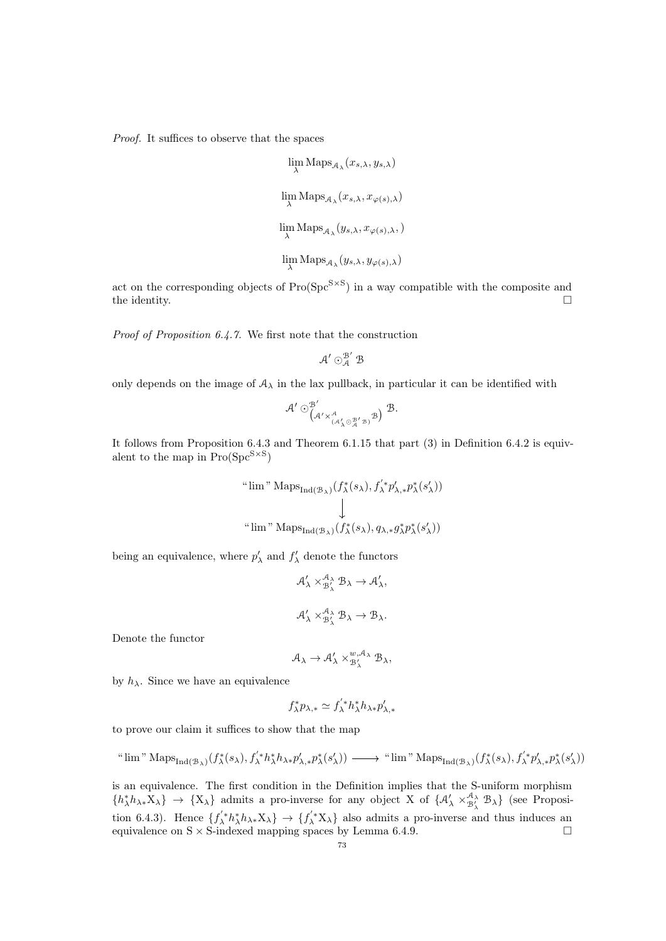Proof. It suffices to observe that the spaces

$$
\begin{aligned} & \lim_{\lambda}\mathrm{Maps}_{\mathcal{A}_\lambda}(x_{s,\lambda},y_{s,\lambda})\\[2mm] & \lim_{\lambda}\mathrm{Maps}_{\mathcal{A}_\lambda}(x_{s,\lambda},x_{\varphi(s),\lambda})\\[2mm] & \lim_{\lambda}\mathrm{Maps}_{\mathcal{A}_\lambda}(y_{s,\lambda},x_{\varphi(s),\lambda})\\[2mm] & \lim_{\lambda}\mathrm{Maps}_{\mathcal{A}_\lambda}(y_{s,\lambda},y_{\varphi(s),\lambda}) \end{aligned}
$$

act on the corresponding objects of  $Pro(Spc^{S\times S})$  in a way compatible with the composite and the identity.  $\Box$ 

Proof of Proposition [6.4.7.](#page-71-0) We first note that the construction

$$
\mathcal{A}' \odot^{ \mathcal{B}'}_{\mathcal{A}} \mathcal{B}
$$

only depends on the image of  $A_{\lambda}$  in the lax pullback, in particular it can be identified with

$$
\mathcal{A}' \odot_{\substack{(\mathcal{A}' \times^{\mathcal{A}}_{(\mathcal{A}'_{\lambda} \odot \frac{\mathcal{B}'}{\mathcal{A}}' \mathcal{B})} \mathcal{B})}}^{\mathcal{B}'} \mathcal{B}.
$$

It follows from Proposition [6.4.3](#page-70-0) and Theorem [6.1.15](#page-62-0) that part (3) in Definition [6.4.2](#page-69-0) is equivalent to the map in  $Pro(Spc^{S\times S})$ 

$$
\begin{array}{c} \text{``lim'' Maps}_{\text{Ind}(\mathcal{B}_\lambda)}(f^*_\lambda(s_\lambda), f^{'*}_\lambda p'_{\lambda,*} p^*_\lambda(s'_\lambda)) \\ & \downarrow \\ \text{``lim'' Maps}_{\text{Ind}(\mathcal{B}_\lambda)}(f^*_\lambda(s_\lambda), q_{\lambda,*} g^*_\lambda p^*_\lambda(s'_\lambda)) \end{array}
$$

being an equivalence, where  $p'_{\lambda}$  and  $f'_{\lambda}$  denote the functors

$$
\mathcal{A}'_{\lambda} \times^{A_{\lambda}}_{\mathcal{B}'_{\lambda}} \mathcal{B}_{\lambda} \to \mathcal{A}'_{\lambda},
$$
  

$$
\mathcal{A}'_{\lambda} \times^{A_{\lambda}}_{\mathcal{B}'_{\lambda}} \mathcal{B}_{\lambda} \to \mathcal{B}_{\lambda}.
$$

Denote the functor

$$
\mathcal{A}_{\lambda} \to \mathcal{A}'_{\lambda} \times_{\mathcal{B}'_{\lambda}}^{w, \mathcal{A}_{\lambda}} \mathcal{B}_{\lambda},
$$

by  $h_{\lambda}$ . Since we have an equivalence

$$
f_{\lambda}^* p_{\lambda,*} \simeq f_{\lambda}^{'*} h_{\lambda}^* h_{\lambda *} p_{\lambda,*}'
$$

to prove our claim it suffices to show that the map

$$
\text{``lim'' Maps}_{\text{Ind}(\mathcal{B}_\lambda)}(f^*_\lambda(s_\lambda), f^{'\ast}_\lambda h^*_\lambda h_{\lambda*} p'_{\lambda,*} p^*_\lambda(s'_\lambda)) \longrightarrow \text{``lim'' Maps}_{\text{Ind}(\mathcal{B}_\lambda)}(f^*_\lambda(s_\lambda), f^{'\ast}_\lambda p'_{\lambda,*} p^*_\lambda(s'_\lambda))
$$

is an equivalence. The first condition in the Definition implies that the S-uniform morphism  $\{h_{\lambda}^*h_{\lambda^*}X_{\lambda}\}\rightarrow \{X_{\lambda}\}\$ admits a pro-inverse for any object X of  $\{\mathcal{A}_{\lambda}^{\prime} \times_{\mathcal{B}_{\lambda}^{\prime}}^{\mathcal{A}_{\lambda}}\mathcal{B}_{\lambda}\}\$  (see Proposi-tion [6.4.3\)](#page-70-0). Hence  $\{f'_\lambda * h_\lambda^* h_{\lambda *} X_\lambda\} \to \{f'_\lambda^* X_\lambda\}$  also admits a pro-inverse and thus induces an equivalence on  $S \times S$ -indexed mapping spaces by Lemma [6.4.9.](#page-71-1)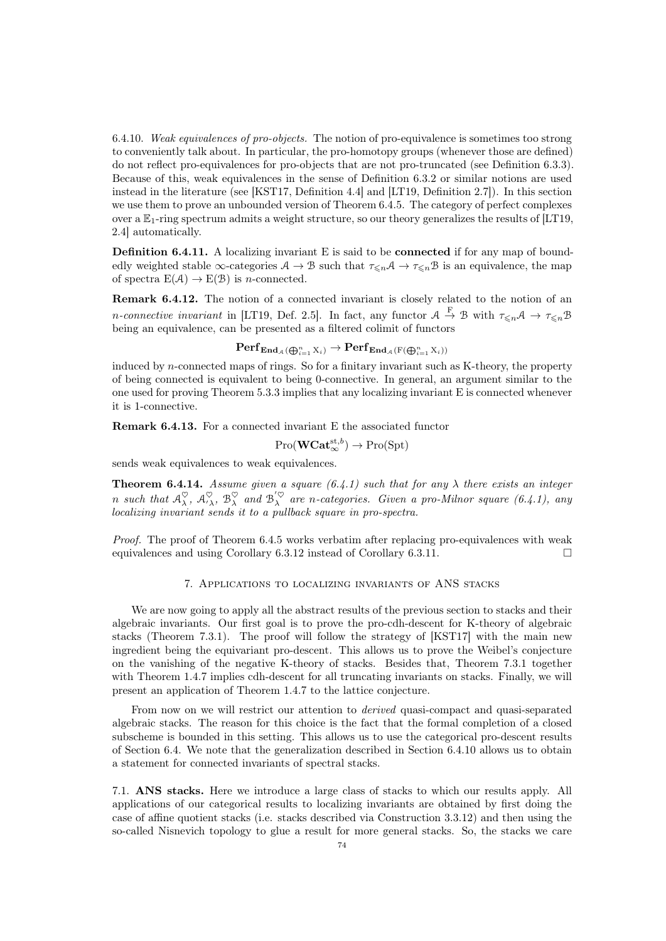<span id="page-73-0"></span>6.4.10. Weak equivalences of pro-objects. The notion of pro-equivalence is sometimes too strong to conveniently talk about. In particular, the pro-homotopy groups (whenever those are defined) do not reflect pro-equivalences for pro-objects that are not pro-truncated (see Definition [6.3.3\)](#page-65-0). Because of this, weak equivalences in the sense of Definition [6.3.2](#page-65-1) or similar notions are used instead in the literature (see [\[KST17,](#page-92-0) Definition 4.4] and [\[LT19,](#page-92-1) Definition 2.7]). In this section we use them to prove an unbounded version of Theorem [6.4.5.](#page-70-1) The category of perfect complexes over a  $\mathbb{E}_1$ -ring spectrum admits a weight structure, so our theory generalizes the results of [\[LT19,](#page-92-1) 2.4] automatically.

Definition 6.4.11. A localizing invariant E is said to be connected if for any map of boundedly weighted stable  $\infty$ -categories  $A \to B$  such that  $\tau_{\leq n}A \to \tau_{\leq n}B$  is an equivalence, the map of spectra  $E(\mathcal{A}) \to E(\mathcal{B})$  is *n*-connected.

Remark 6.4.12. The notion of a connected invariant is closely related to the notion of an *n*-connective invariant in [\[LT19,](#page-92-1) Def. 2.5]. In fact, any functor  $A \stackrel{F}{\to} B$  with  $\tau_{\leq n}A \to \tau_{\leq n}B$ being an equivalence, can be presented as a filtered colimit of functors

$$
\mathbf{Perf}_{\mathbf{End}_{\mathcal{A}}(\bigoplus_{i=1}^n \mathrm{X}_i)} \to \mathbf{Perf}_{\mathbf{End}_{\mathcal{A}}(\mathrm{F}(\bigoplus_{i=1}^n \mathrm{X}_i))}
$$

induced by n-connected maps of rings. So for a finitary invariant such as K-theory, the property of being connected is equivalent to being 0-connective. In general, an argument similar to the one used for proving Theorem [5.3.3](#page-53-0) implies that any localizing invariant E is connected whenever it is 1-connective.

Remark 6.4.13. For a connected invariant E the associated functor

$$
\mathrm{Pro}(\mathbf{WCat}_{\infty}^{\mathrm{st},b}) \to \mathrm{Pro}(\mathrm{Spt})
$$

sends weak equivalences to weak equivalences.

**Theorem 6.4.14.** Assume given a square  $(6.4.1)$  such that for any  $\lambda$  there exists an integer n such that  $\mathcal{A}_\lambda^\heartsuit$ ,  $\mathcal{A}_\lambda^\heartsuit$ ,  $\mathcal{B}_\lambda^\heartsuit$  and  $\mathcal{B}_\lambda^{\langle\heartsuit\rangle}$  are n-categories. Given a pro-Milnor square [\(6.4.1\)](#page-69-1), any localizing invariant sends it to a pullback square in pro-spectra.

Proof. The proof of Theorem [6.4.5](#page-70-1) works verbatim after replacing pro-equivalences with weak equivalences and using Corollary [6.3.12](#page-69-2) instead of Corollary [6.3.11.](#page-69-3)

## 7. Applications to localizing invariants of ANS stacks

We are now going to apply all the abstract results of the previous section to stacks and their algebraic invariants. Our first goal is to prove the pro-cdh-descent for K-theory of algebraic stacks (Theorem [7.3.1\)](#page-78-0). The proof will follow the strategy of [\[KST17\]](#page-92-0) with the main new ingredient being the equivariant pro-descent. This allows us to prove the Weibel's conjecture on the vanishing of the negative K-theory of stacks. Besides that, Theorem [7.3.1](#page-78-0) together with Theorem [1.4.7](#page-12-0) implies cdh-descent for all truncating invariants on stacks. Finally, we will present an application of Theorem [1.4.7](#page-12-0) to the lattice conjecture.

From now on we will restrict our attention to *derived* quasi-compact and quasi-separated algebraic stacks. The reason for this choice is the fact that the formal completion of a closed subscheme is bounded in this setting. This allows us to use the categorical pro-descent results of Section [6.4.](#page-69-4) We note that the generalization described in Section [6.4.10](#page-73-0) allows us to obtain a statement for connected invariants of spectral stacks.

7.1. ANS stacks. Here we introduce a large class of stacks to which our results apply. All applications of our categorical results to localizing invariants are obtained by first doing the case of affine quotient stacks (i.e. stacks described via Construction [3.3.12\)](#page-30-0) and then using the so-called Nisnevich topology to glue a result for more general stacks. So, the stacks we care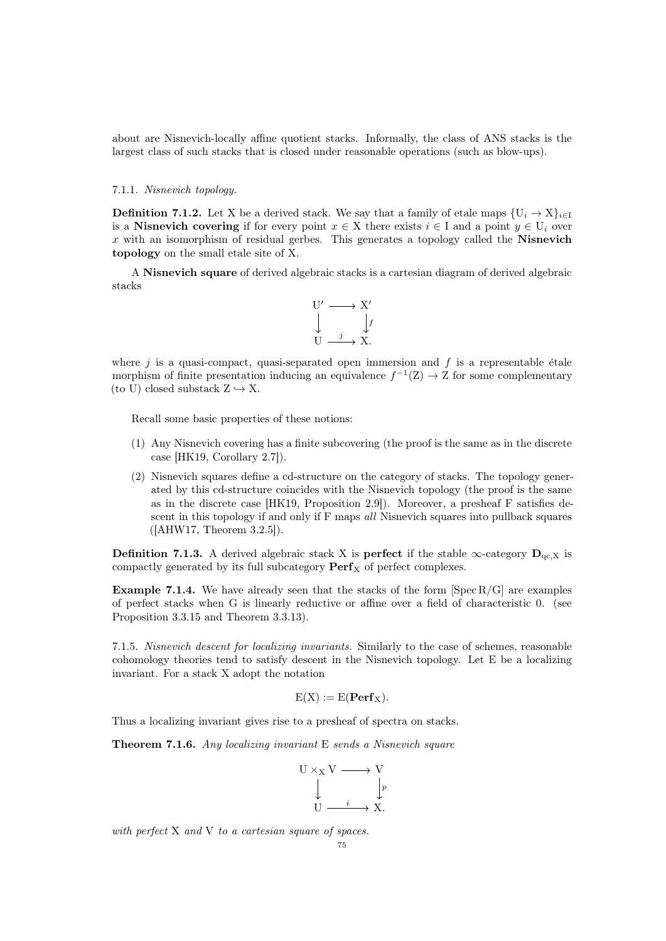about are Nisnevich-locally affine quotient stacks. Informally, the class of ANS stacks is the largest class of such stacks that is closed under reasonable operations (such as blow-ups).

## 7.1.1. Nisnevich topology.

**Definition 7.1.2.** Let X be a derived stack. We say that a family of etale maps  $\{U_i \rightarrow X\}_{i\in I}$ is a Nisnevich covering if for every point  $x \in X$  there exists  $i \in I$  and a point  $y \in U_i$  over  $x$  with an isomorphism of residual gerbes. This generates a topology called the **Nisnevich** topology on the small etale site of X.

A Nisnevich square of derived algebraic stacks is a cartesian diagram of derived algebraic stacks



where j is a quasi-compact, quasi-separated open immersion and  $f$  is a representable étale morphism of finite presentation inducing an equivalence  $f^{-1}(Z) \to Z$  for some complementary (to U) closed substack  $Z \hookrightarrow X$ .

Recall some basic properties of these notions:

- (1) Any Nisnevich covering has a finite subcovering (the proof is the same as in the discrete case [\[HK19,](#page-91-0) Corollary 2.7]).
- (2) Nisnevich squares define a cd-structure on the category of stacks. The topology generated by this cd-structure coincides with the Nisnevich topology (the proof is the same as in the discrete case [\[HK19,](#page-91-0) Proposition 2.9]). Moreover, a presheaf F satisfies descent in this topology if and only if F maps *all* Nisnevich squares into pullback squares ([\[AHW17,](#page-90-0) Theorem 3.2.5]).

**Definition 7.1.3.** A derived algebraic stack X is **perfect** if the stable  $\infty$ -category  $D_{qc,X}$  is compactly generated by its full subcategory  $\mathbf{Perf}_X$  of perfect complexes.

**Example 7.1.4.** We have already seen that the stacks of the form  $\left[\text{Spec } R/G\right]$  are examples of perfect stacks when G is linearly reductive or affine over a field of characteristic 0. (see Proposition [3.3.15](#page-31-0) and Theorem [3.3.13\)](#page-30-1).

7.1.5. Nisnevich descent for localizing invariants. Similarly to the case of schemes, reasonable cohomology theories tend to satisfy descent in the Nisnevich topology. Let E be a localizing invariant. For a stack X adopt the notation

$$
E(X) := E(\mathbf{Perf}_X).
$$

Thus a localizing invariant gives rise to a presheaf of spectra on stacks.

<span id="page-74-0"></span>Theorem 7.1.6. Any localizing invariant E sends a Nisnevich square

$$
\begin{array}{ccc}\nU \times_X V & \xrightarrow{\hspace*{1cm}} & V \\
& \downarrow & \downarrow p \\
& U & \xrightarrow{\hspace*{1cm}} & X.\n\end{array}
$$

with perfect X and V to a cartesian square of spaces.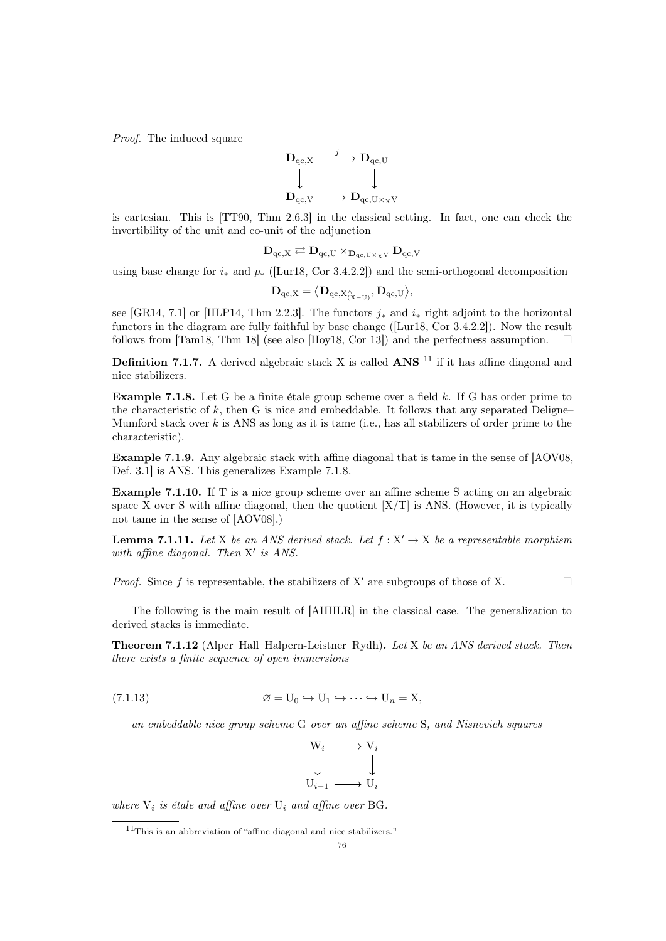Proof. The induced square



is cartesian. This is [\[TT90,](#page-93-0) Thm 2.6.3] in the classical setting. In fact, one can check the invertibility of the unit and co-unit of the adjunction

$$
\mathbf{D}_{qc,X} \rightleftarrows \mathbf{D}_{qc,U} \times_{\mathbf{D}_{qc,U} \times_X V} \mathbf{D}_{qc,V}
$$

using base change for  $i_*$  and  $p_*$  ([\[Lur18,](#page-92-2) Cor 3.4.2.2]) and the semi-orthogonal decomposition

$$
\mathbf{D}_{\mathrm{qc},X} = \big\langle \mathbf{D}_{\mathrm{qc},X_{(\mathrm{X}-\mathrm{U})}^{\wedge}}, \mathbf{D}_{\mathrm{qc},\mathrm{U}} \big\rangle,
$$

see [\[GR14,](#page-91-1) 7.1] or [\[HLP14,](#page-91-2) Thm 2.2.3]. The functors  $j_*$  and  $i_*$  right adjoint to the horizontal functors in the diagram are fully faithful by base change ([\[Lur18,](#page-92-2) Cor 3.4.2.2]). Now the result follows from [\[Tam18,](#page-92-3) Thm 18] (see also [\[Hoy18,](#page-91-3) Cor 13]) and the perfectness assumption.  $\square$ 

**Definition 7.1.7.** A derived algebraic stack X is called  $ANS$ <sup>[11](#page-75-0)</sup> if it has affine diagonal and nice stabilizers.

<span id="page-75-1"></span>**Example 7.1.8.** Let G be a finite etale group scheme over a field  $k$ . If G has order prime to the characteristic of k, then G is nice and embeddable. It follows that any separated Deligne– Mumford stack over  $k$  is ANS as long as it is tame (i.e., has all stabilizers of order prime to the characteristic).

Example 7.1.9. Any algebraic stack with affine diagonal that is tame in the sense of [\[AOV08,](#page-90-1) Def. 3.1] is ANS. This generalizes Example [7.1.8.](#page-75-1)

Example 7.1.10. If T is a nice group scheme over an affine scheme S acting on an algebraic space X over S with affine diagonal, then the quotient  $[X/T]$  is ANS. (However, it is typically not tame in the sense of [\[AOV08\]](#page-90-1).)

<span id="page-75-3"></span>**Lemma 7.1.11.** Let X be an ANS derived stack. Let  $f : X' \to X$  be a representable morphism with affine diagonal. Then  $X'$  is ANS.

*Proof.* Since f is representable, the stabilizers of X' are subgroups of those of X.

The following is the main result of [\[AHHLR\]](#page-90-2) in the classical case. The generalization to derived stacks is immediate.

<span id="page-75-2"></span>Theorem 7.1.12 (Alper–Hall–Halpern-Leistner–Rydh). Let X be an ANS derived stack. Then there exists a finite sequence of open immersions

(7.1.13) 
$$
\varnothing = U_0 \hookrightarrow U_1 \hookrightarrow \cdots \hookrightarrow U_n = X,
$$

an embeddable nice group scheme G over an affine scheme S, and Nisnevich squares

<span id="page-75-4"></span>

where  $V_i$  is étale and affine over  $U_i$  and affine over BG.

<span id="page-75-0"></span> $11$ This is an abbreviation of "affine diagonal and nice stabilizers."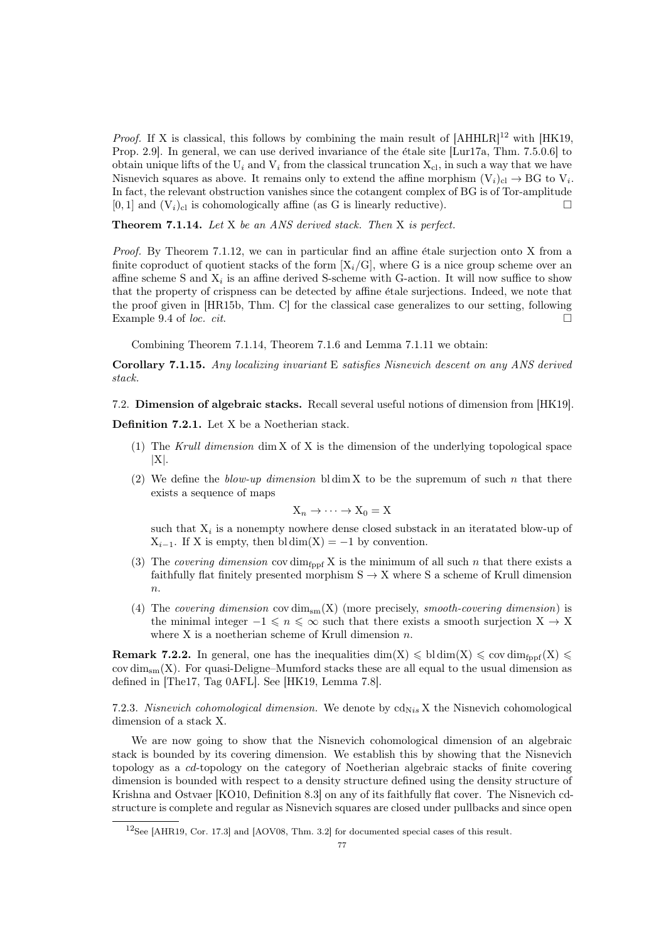*Proof.* If X is classical, this follows by combining the main result of  $[AHHLR]^2$  $[AHHLR]^2$  with  $[HK19,$ Prop. 2.9. In general, we can use derived invariance of the étale site [\[Lur17a,](#page-92-4) Thm. 7.5.0.6] to obtain unique lifts of the  $U_i$  and  $V_i$  from the classical truncation  $X_{c_l}$ , in such a way that we have Nisnevich squares as above. It remains only to extend the affine morphism  $(V_i)_{i \in I} \to BG$  to  $V_i$ . In fact, the relevant obstruction vanishes since the cotangent complex of BG is of Tor-amplitude  $[0, 1]$  and  $(V_i)_{\text{cl}}$  is cohomologically affine (as G is linearly reductive).

<span id="page-76-1"></span>Theorem 7.1.14. Let X be an ANS derived stack. Then X is perfect.

*Proof.* By Theorem [7.1.12,](#page-75-2) we can in particular find an affine étale surjection onto X from a finite coproduct of quotient stacks of the form  $[X_i/G]$ , where G is a nice group scheme over an affine scheme S and  $X_i$  is an affine derived S-scheme with G-action. It will now suffice to show that the property of crispness can be detected by affine etale surjections. Indeed, we note that the proof given in [\[HR15b,](#page-91-4) Thm. C] for the classical case generalizes to our setting, following Example 9.4 of loc. cit.

Combining Theorem [7.1.14,](#page-76-1) Theorem [7.1.6](#page-74-0) and Lemma [7.1.11](#page-75-3) we obtain:

<span id="page-76-2"></span>Corollary 7.1.15. Any localizing invariant E satisfies Nisnevich descent on any ANS derived stack.

7.2. Dimension of algebraic stacks. Recall several useful notions of dimension from [\[HK19\]](#page-91-0).

Definition 7.2.1. Let X be a Noetherian stack.

- (1) The Krull dimension dim X of X is the dimension of the underlying topological space  $|X|$ .
- (2) We define the blow-up dimension bldim X to be the supremum of such n that there exists a sequence of maps

$$
X_n \to \cdots \to X_0 = X
$$

such that  $X_i$  is a nonempty nowhere dense closed substack in an iteratated blow-up of  $X_{i-1}$ . If X is empty, then bl dim(X) = -1 by convention.

- (3) The covering dimension cov dim<sub>fppf</sub> X is the minimum of all such n that there exists a faithfully flat finitely presented morphism  $S \to X$  where S a scheme of Krull dimension  $\overline{n}$ .
- (4) The covering dimension cov  $\dim_{\text{sm}}(X)$  (more precisely, smooth-covering dimension) is the minimal integer  $-1 \leq n \leq \infty$  such that there exists a smooth surjection  $X \to X$ where  $X$  is a noetherian scheme of Krull dimension  $n$ .

**Remark 7.2.2.** In general, one has the inequalities dim(X)  $\leq$  bl dim(X)  $\leq$  cov dim<sub>fppf</sub>(X)  $\leq$ cov  $\dim_{\text{sm}}(X)$ . For quasi-Deligne–Mumford stacks these are all equal to the usual dimension as defined in [\[The17,](#page-92-5) Tag 0AFL]. See [\[HK19,](#page-91-0) Lemma 7.8].

7.2.3. Nisnevich cohomological dimension. We denote by  $\text{cd}_{\text{Nis}} X$  the Nisnevich cohomological dimension of a stack X.

We are now going to show that the Nisnevich cohomological dimension of an algebraic stack is bounded by its covering dimension. We establish this by showing that the Nisnevich topology as a cd-topology on the category of Noetherian algebraic stacks of finite covering dimension is bounded with respect to a density structure defined using the density structure of Krishna and Ostvaer [\[KO10,](#page-92-6) Definition 8.3] on any of its faithfully flat cover. The Nisnevich cdstructure is complete and regular as Nisnevich squares are closed under pullbacks and since open

<span id="page-76-0"></span><sup>12</sup>See [\[AHR19,](#page-90-3) Cor. 17.3] and [\[AOV08,](#page-90-1) Thm. 3.2] for documented special cases of this result.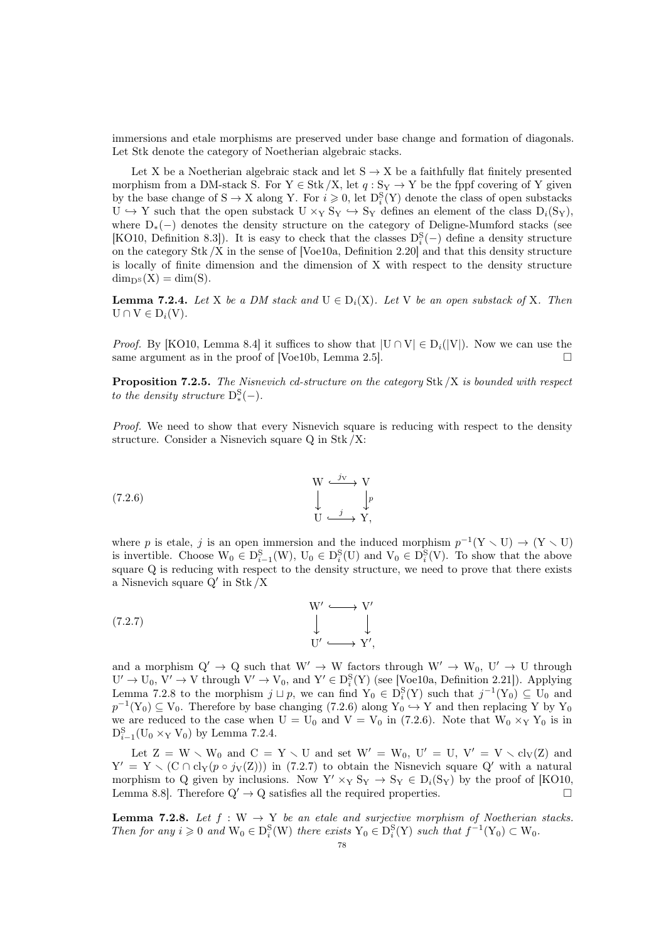immersions and etale morphisms are preserved under base change and formation of diagonals. Let Stk denote the category of Noetherian algebraic stacks.

Let X be a Noetherian algebraic stack and let  $S \rightarrow X$  be a faithfully flat finitely presented morphism from a DM-stack S. For  $Y \in Stk / X$ , let  $q : S_Y \to Y$  be the fppf covering of Y given by the base change of  $S \to X$  along Y. For  $i \geq 0$ , let  $D_i^S(Y)$  denote the class of open substacks  $U \hookrightarrow Y$  such that the open substack  $U \times_Y S_Y \hookrightarrow S_Y$  defines an element of the class  $D_i(S_Y)$ , where D∗(−) denotes the density structure on the category of Deligne-Mumford stacks (see [\[KO10,](#page-92-6) Definition 8.3]). It is easy to check that the classes  $D_i^S(-)$  define a density structure on the category Stk /X in the sense of [\[Voe10a,](#page-93-1) Definition 2.20] and that this density structure is locally of finite dimension and the dimension of X with respect to the density structure  $\dim_{D^S}(X) = \dim(S).$ 

<span id="page-77-2"></span>**Lemma 7.2.4.** Let X be a DM stack and  $U \in D_i(X)$ . Let V be an open substack of X. Then  $U \cap V \in D_i(V)$ .

*Proof.* By [\[KO10,](#page-92-6) Lemma 8.4] it suffices to show that  $|U \cap V| \in D_i(|V|)$ . Now we can use the same argument as in the proof of [\[Voe10b,](#page-93-2) Lemma 2.5].

**Proposition 7.2.5.** The Nisnevich cd-structure on the category Stk  $/X$  is bounded with respect to the density structure  $D_*^S(-)$ .

Proof. We need to show that every Nisnevich square is reducing with respect to the density structure. Consider a Nisnevich square Q in Stk /X:

<span id="page-77-1"></span>(7.2.6) 
$$
\begin{array}{ccc}\n & W & \xrightarrow{j} & V \\
 & \downarrow & & \downarrow p \\
 & U & \xrightarrow{j} & Y,\n\end{array}
$$

where p is etale, j is an open immersion and the induced morphism  $p^{-1}(Y \setminus U) \to (Y \setminus U)$ is invertible. Choose  $W_0 \in D_{i-1}^S(W)$ ,  $U_0 \in D_i^S(U)$  and  $V_0 \in D_i^S(V)$ . To show that the above square Q is reducing with respect to the density structure, we need to prove that there exists a Nisnevich square  $Q'$  in Stk  $/X$ 

<span id="page-77-3"></span>(7.2.7) 
$$
\begin{array}{ccc}\nW' & \longrightarrow & V' \\
\downarrow & & \downarrow \\
U' & \longrightarrow & Y',\n\end{array}
$$

and a morphism  $Q' \rightarrow Q$  such that  $W' \rightarrow W$  factors through  $W' \rightarrow W_0$ ,  $U' \rightarrow U$  through  $U' \to U_0$ ,  $V' \to V$  through  $V' \to V_0$ , and  $Y' \in D_i^S(Y)$  (see [\[Voe10a,](#page-93-1) Definition 2.21]). Applying Lemma [7.2.8](#page-77-0) to the morphism  $j \sqcup p$ , we can find  $Y_0 \in D_i^S(Y)$  such that  $j^{-1}(Y_0) \subseteq U_0$  and  $p^{-1}(Y_0) \subseteq V_0$ . Therefore by base changing [\(7.2.6\)](#page-77-1) along  $Y_0 \hookrightarrow Y$  and then replacing Y by  $Y_0$ we are reduced to the case when  $U = U_0$  and  $V = V_0$  in [\(7.2.6\)](#page-77-1). Note that  $W_0 \times_Y Y_0$  is in  $D_{i-1}^{S}(U_0 \times_Y V_0)$  by Lemma [7.2.4.](#page-77-2)

Let  $Z = W \setminus W_0$  and  $C = Y \setminus U$  and set  $W' = W_0$ ,  $U' = U$ ,  $V' = V \setminus cl_V(Z)$  and  $Y' = Y \setminus (C \cap cl_Y(p \circ j_V(Z)))$  in [\(7.2.7\)](#page-77-3) to obtain the Nisnevich square Q' with a natural morphism to Q given by inclusions. Now  $Y' \times_Y S_Y \to S_Y \in D_i(S_Y)$  by the proof of [\[KO10,](#page-92-6) Lemma 8.8]. Therefore  $Q' \rightarrow Q$  satisfies all the required properties.

<span id="page-77-0"></span>**Lemma 7.2.8.** Let  $f : W \to Y$  be an etale and surjective morphism of Noetherian stacks. Then for any  $i \geq 0$  and  $W_0 \in D_i^S(W)$  there exists  $Y_0 \in D_i^S(Y)$  such that  $f^{-1}(Y_0) \subset W_0$ .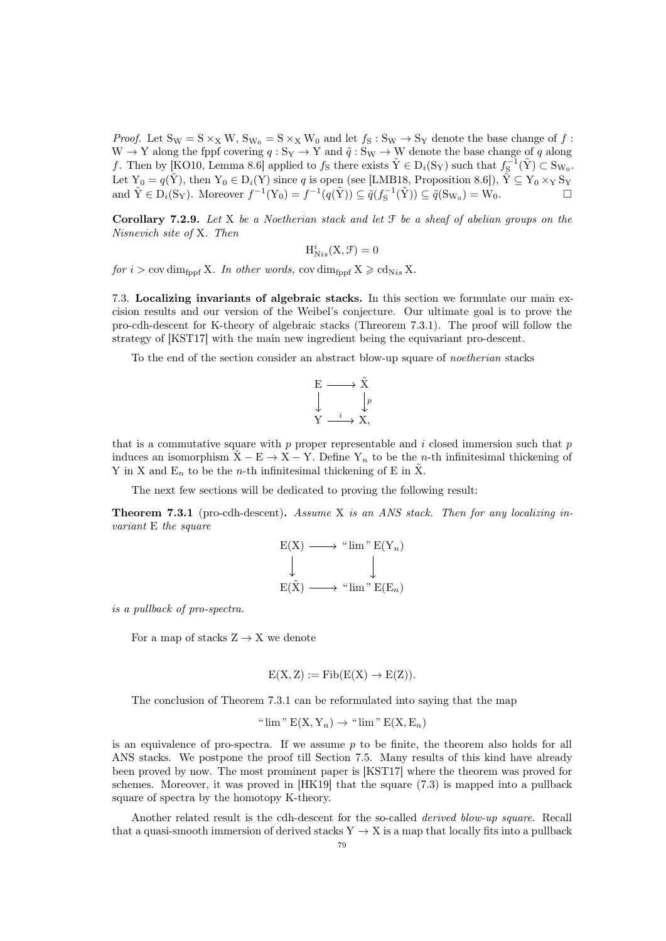*Proof.* Let  $S_W = S \times_X W$ ,  $S_{W_0} = S \times_X W_0$  and let  $f_S : S_W \to S_Y$  denote the base change of  $f$ :  $W \to Y$  along the fppf covering  $q : S_Y \to Y$  and  $\tilde{q} : S_W \to W$  denote the base change of q along f. Then by [\[KO10,](#page-92-6) Lemma 8.6] applied to  $f_s$  there exists  $\tilde{Y} \in D_i(S_Y)$  such that  $f_S^{-1}(\tilde{Y}) \subset S_{W_0}$ . Let  $Y_0 = q(\tilde{Y})$ , then  $Y_0 \in D_i(Y)$  since q is open (see [\[LMB18,](#page-92-7) Proposition 8.6]),  $\tilde{Y} \subseteq Y_0 \times_Y \mathcal{S}_Y$ and  $\tilde{Y} \in D_i(S_Y)$ . Moreover  $f^{-1}(Y_0) = f^{-1}(q(\tilde{Y})) \subseteq \tilde{q}(f_S^{-1}(\tilde{Y})) \subseteq \tilde{q}(S_{W_0}) = \tilde{W}_0$ .

<span id="page-78-2"></span>Corollary 7.2.9. Let X be a Noetherian stack and let  $\mathcal F$  be a sheaf of abelian groups on the Nisnevich site of X. Then

$$
\mathrm{H}^{i}_{\mathrm{N}is}(\mathrm{X},\mathcal{F})=0
$$

for  $i > \text{cov dim}_{\text{fppf}} X$ . In other words,  $\text{cov dim}_{\text{fppf}} X \geqslant \text{cd}_{\text{Nis}} X$ .

<span id="page-78-1"></span>7.3. Localizing invariants of algebraic stacks. In this section we formulate our main excision results and our version of the Weibel's conjecture. Our ultimate goal is to prove the pro-cdh-descent for K-theory of algebraic stacks (Threorem [7.3.1\)](#page-78-0). The proof will follow the strategy of [\[KST17\]](#page-92-0) with the main new ingredient being the equivariant pro-descent.

To the end of the section consider an abstract blow-up square of noetherian stacks

$$
\begin{array}{ccc}\nE & \longrightarrow & \tilde{X} \\
\downarrow & & \downarrow_p \\
Y & \xrightarrow{i} & X,\n\end{array}
$$

that is a commutative square with  $p$  proper representable and  $i$  closed immersion such that  $p$ induces an isomorphism  $\tilde{X}$  – E  $\rightarrow$  X – Y. Define Y<sub>n</sub> to be the n-th infinitesimal thickening of Y in X and  $E_n$  to be the *n*-th infinitesimal thickening of E in  $\tilde{X}$ .

The next few sections will be dedicated to proving the following result:

<span id="page-78-0"></span>Theorem 7.3.1 (pro-cdh-descent). Assume X is an ANS stack. Then for any localizing invariant E the square

$$
E(X) \longrightarrow "lim" E(Y_n)
$$
  
\n
$$
\downarrow \qquad \qquad \downarrow
$$
  
\n
$$
E(\tilde{X}) \longrightarrow "lim" E(E_n)
$$

is a pullback of pro-spectra.

For a map of stacks  $Z \rightarrow X$  we denote

$$
E(X, Z) := Fib(E(X) \to E(Z)).
$$

The conclusion of Theorem [7.3.1](#page-78-0) can be reformulated into saying that the map

" 
$$
\lim
$$
" E(X, Y<sub>n</sub>)  $\rightarrow$ "  $\lim$ " E(X, E<sub>n</sub>)

is an equivalence of pro-spectra. If we assume  $p$  to be finite, the theorem also holds for all ANS stacks. We postpone the proof till Section [7.5.](#page-81-0) Many results of this kind have already been proved by now. The most prominent paper is [\[KST17\]](#page-92-0) where the theorem was proved for schemes. Moreover, it was proved in [\[HK19\]](#page-91-0) that the square [\(7.3\)](#page-78-1) is mapped into a pullback square of spectra by the homotopy K-theory.

Another related result is the cdh-descent for the so-called derived blow-up square. Recall that a quasi-smooth immersion of derived stacks  $Y \to X$  is a map that locally fits into a pullback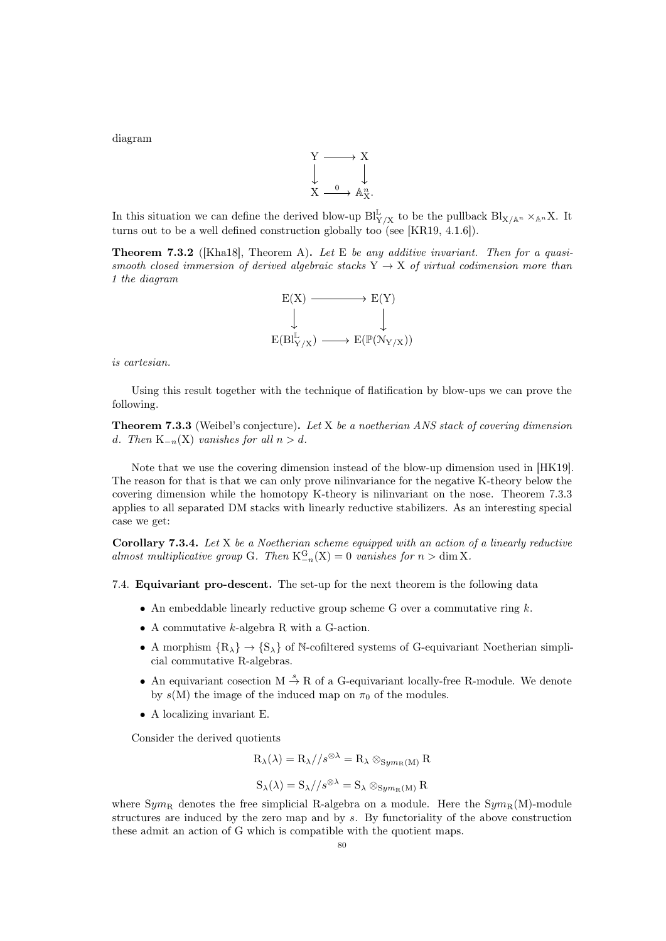diagram



In this situation we can define the derived blow-up  $\text{Bl}_{Y/X}^{\mathbb{L}}$  to be the pullback  $\text{Bl}_{X/\mathbb{A}^n} \times_{\mathbb{A}^n} X$ . It turns out to be a well defined construction globally too (see [\[KR19,](#page-92-8) 4.1.6]).

<span id="page-79-1"></span>**Theorem 7.3.2** ([\[Kha18\]](#page-91-5), Theorem A). Let E be any additive invariant. Then for a quasismooth closed immersion of derived algebraic stacks  $Y \rightarrow X$  of virtual codimension more than 1 the diagram



is cartesian.

Using this result together with the technique of flatification by blow-ups we can prove the following.

<span id="page-79-0"></span>**Theorem 7.3.3** (Weibel's conjecture). Let X be a noetherian ANS stack of covering dimension d. Then  $K_{-n}(X)$  vanishes for all  $n > d$ .

Note that we use the covering dimension instead of the blow-up dimension used in [\[HK19\]](#page-91-0). The reason for that is that we can only prove nilinvariance for the negative K-theory below the covering dimension while the homotopy K-theory is nilinvariant on the nose. Theorem [7.3.3](#page-79-0) applies to all separated DM stacks with linearly reductive stabilizers. As an interesting special case we get:

**Corollary 7.3.4.** Let  $X$  be a Noetherian scheme equipped with an action of a linearly reductive almost multiplicative group G. Then  $K_{-n}^G(X) = 0$  vanishes for  $n > \dim X$ .

7.4. Equivariant pro-descent. The set-up for the next theorem is the following data

- An embeddable linearly reductive group scheme G over a commutative ring  $k$ .
- A commutative k-algebra R with a G-action.
- A morphism  ${R_{\lambda}} \rightarrow {S_{\lambda}}$  of N-cofiltered systems of G-equivariant Noetherian simplicial commutative R-algebras.
- An equivariant cosection  $M \stackrel{s}{\rightarrow} R$  of a G-equivariant locally-free R-module. We denote by  $s(M)$  the image of the induced map on  $\pi_0$  of the modules.
- A localizing invariant E.

Consider the derived quotients

$$
R_{\lambda}(\lambda) = R_{\lambda} // s^{\otimes \lambda} = R_{\lambda} \otimes_{Sym_R(M)} R
$$

$$
S_{\lambda}(\lambda) = S_{\lambda} // s^{\otimes \lambda} = S_{\lambda} \otimes_{Sym_{R}(M)} R
$$

where  $Sym_R$  denotes the free simplicial R-algebra on a module. Here the  $Sym_R(M)$ -module structures are induced by the zero map and by s. By functoriality of the above construction these admit an action of G which is compatible with the quotient maps.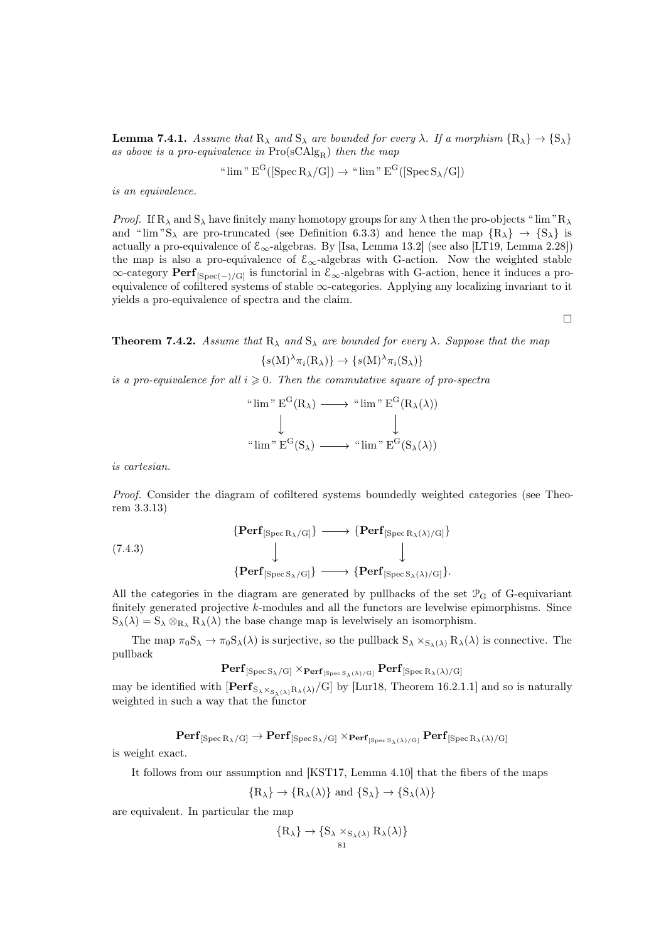<span id="page-80-0"></span>**Lemma 7.4.1.** Assume that  $R_{\lambda}$  and  $S_{\lambda}$  are bounded for every  $\lambda$ . If a morphism  $\{R_{\lambda}\} \to \{S_{\lambda}\}\$ as above is a pro-equivalence in  $Pro(sCAlg_R)$  then the map

" 
$$
\lim
$$
"  $E^G([\operatorname{Spec} R_\lambda/G]) \to$ "  $\lim$ "  $E^G([\operatorname{Spec} S_\lambda/G])$ 

is an equivalence.

*Proof.* If  $R_{\lambda}$  and  $S_{\lambda}$  have finitely many homotopy groups for any  $\lambda$  then the pro-objects " lim " $R_{\lambda}$ and " $\lim$ "S<sub> $\lambda$ </sub> are pro-truncated (see Definition [6.3.3\)](#page-65-0) and hence the map  $\{R_{\lambda}\}\rightarrow \{S_{\lambda}\}\$ is actually a pro-equivalence of  $\mathcal{E}_{\infty}$ -algebras. By [\[Isa,](#page-91-6) Lemma 13.2] (see also [\[LT19,](#page-92-1) Lemma 2.28]) the map is also a pro-equivalence of  $\mathcal{E}_{\infty}$ -algebras with G-action. Now the weighted stable  $\infty$ -category **Perf**<sub>[Spec(−)/G]</sub> is functorial in  $\mathcal{E}_{\infty}$ -algebras with G-action, hence it induces a proequivalence of cofiltered systems of stable  $\infty$ -categories. Applying any localizing invariant to it yields a pro-equivalence of spectra and the claim.

 $\Box$ 

<span id="page-80-2"></span>**Theorem 7.4.2.** Assume that  $R_{\lambda}$  and  $S_{\lambda}$  are bounded for every  $\lambda$ . Suppose that the map

$$
\{s(M)^{\lambda}\pi_i(R_{\lambda})\}\to\{s(M)^{\lambda}\pi_i(S_{\lambda})\}
$$

is a pro-equivalence for all  $i \geq 0$ . Then the commutative square of pro-spectra

$$
\begin{array}{ccc}\n\text{``lim''} & \mathbf{E}^{\mathbf{G}}(\mathbf{R}_{\lambda}) \longrightarrow \text{``lim''} & \mathbf{E}^{\mathbf{G}}(\mathbf{R}_{\lambda}(\lambda)) \\
\downarrow & & \downarrow \\
\text{``lim''} & \mathbf{E}^{\mathbf{G}}(\mathbf{S}_{\lambda}) \longrightarrow \text{``lim''} & \mathbf{E}^{\mathbf{G}}(\mathbf{S}_{\lambda}(\lambda))\n\end{array}
$$

is cartesian.

Proof. Consider the diagram of cofiltered systems boundedly weighted categories (see Theorem [3.3.13\)](#page-30-1)

<span id="page-80-1"></span>(7.4.3)  
\n
$$
\{ \text{Perf}_{[\text{Spec } R_{\lambda}/G]} \} \longrightarrow \{ \text{Perf}_{[\text{Spec } R_{\lambda}(\lambda)/G]} \}
$$
\n
$$
\downarrow \qquad \qquad \downarrow
$$
\n
$$
\{ \text{Perf}_{[\text{Spec } S_{\lambda}/G]} \} \longrightarrow \{ \text{Perf}_{[\text{Spec } S_{\lambda}(\lambda)/G]} \}.
$$

All the categories in the diagram are generated by pullbacks of the set  $\mathcal{P}_{G}$  of G-equivariant finitely generated projective k-modules and all the functors are levelwise epimorphisms. Since  $S_{\lambda}(\lambda) = S_{\lambda} \otimes_{R_{\lambda}} R_{\lambda}(\lambda)$  the base change map is levelwisely an isomorphism.

The map  $\pi_0S_\lambda \to \pi_0S_\lambda(\lambda)$  is surjective, so the pullback  $S_\lambda \times_{S_\lambda(\lambda)} R_\lambda(\lambda)$  is connective. The pullback

$$
\mathbf{Perf}_{[\operatorname{Spec} S_{\lambda}/G]} \times_{\mathbf{Perf}_{[\operatorname{Spec} S_{\lambda}(\lambda)/G]}} \mathbf{Perf}_{[\operatorname{Spec} R_{\lambda}(\lambda)/G]}
$$

may be identified with  $\left[\mathbf{Perf}_{S_{\lambda}\times_{S_{\lambda}(\lambda)}R_{\lambda}(\lambda)}/G\right]$  by [\[Lur18,](#page-92-2) Theorem 16.2.1.1] and so is naturally weighted in such a way that the functor

$$
\mathbf{Perf}_{[\mathop{\rm Spec}\nolimits {\rm R}_{\lambda}/{\rm G}]}\to\mathbf{Perf}_{[\mathop{\rm Spec}\nolimits {\rm S}_{\lambda}/{\rm G}]}\times_{\mathbf{Perf}_{[\mathop{\rm Spec}\nolimits {\rm S}_{\lambda}(\lambda)/{\rm G}]}}\mathbf{Perf}_{[\mathop{\rm Spec}\nolimits {\rm R}_{\lambda}(\lambda)/{\rm G}]}
$$

is weight exact.

It follows from our assumption and [\[KST17,](#page-92-0) Lemma 4.10] that the fibers of the maps

$$
{R_{\lambda}} \rightarrow {R_{\lambda}(\lambda)}
$$
 and  ${S_{\lambda}} \rightarrow {S_{\lambda}(\lambda)}$ 

are equivalent. In particular the map

$$
\{R_{\lambda}\} \to \{S_{\lambda} \times_{S_{\lambda}(\lambda)} R_{\lambda}(\lambda)\}\
$$
81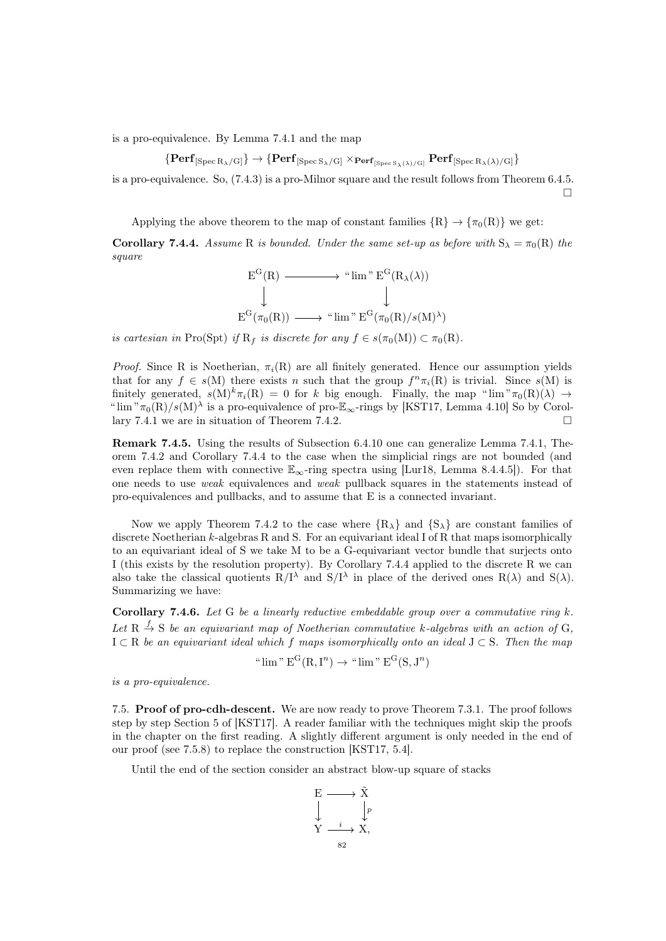is a pro-equivalence. By Lemma [7.4.1](#page-80-0) and the map

 $\{Perf_{[Spec R_{\lambda}/G]}\} \rightarrow \{Perf_{[Spec S_{\lambda}/G]} \times_{Perf_{[Spec S_{\lambda}(\lambda)/G]}} Perf_{[Spec R_{\lambda}(\lambda)/G]}\}$ 

is a pro-equivalence. So, [\(7.4.3\)](#page-80-1) is a pro-Milnor square and the result follows from Theorem [6.4.5.](#page-70-1)  $\Box$ 

Applying the above theorem to the map of constant families  $\{R\} \rightarrow \{\pi_0(R)\}\$  we get:

<span id="page-81-1"></span>**Corollary 7.4.4.** Assume R is bounded. Under the same set-up as before with  $S_\lambda = \pi_0(R)$  the square

$$
E^{G}(R) \longrightarrow "lim" E^{G}(R_{\lambda}(\lambda))
$$
  

$$
\downarrow \qquad \qquad \downarrow
$$
  

$$
E^{G}(\pi_{0}(R)) \longrightarrow "lim" E^{G}(\pi_{0}(R)/s(M)^{\lambda})
$$

is cartesian in Pro(Spt) if  $R_f$  is discrete for any  $f \in s(\pi_0(M)) \subset \pi_0(R)$ .

*Proof.* Since R is Noetherian,  $\pi_i(R)$  are all finitely generated. Hence our assumption yields that for any  $f \in s(M)$  there exists n such that the group  $f^n \pi_i(R)$  is trivial. Since  $s(M)$  is finitely generated,  $s(M)^k \pi_i(R) = 0$  for k big enough. Finally, the map " $\lim_{n \to \infty} \pi_0(R)(\lambda) \to$ " $\lim_{\infty} \pi_0(R)/s(M)$ <sup>λ</sup> is a pro-equivalence of pro- $\mathbb{E}_{\infty}$ -rings by [\[KST17,](#page-92-0) Lemma 4.10] So by Corol-lary [7.4.1](#page-80-0) we are in situation of Theorem [7.4.2.](#page-80-2)

Remark 7.4.5. Using the results of Subsection [6.4.10](#page-73-0) one can generalize Lemma [7.4.1,](#page-80-0) Theorem [7.4.2](#page-80-2) and Corollary [7.4.4](#page-81-1) to the case when the simplicial rings are not bounded (and even replace them with connective  $\mathbb{E}_{\infty}$ -ring spectra using [\[Lur18,](#page-92-2) Lemma 8.4.4.5]). For that one needs to use weak equivalences and weak pullback squares in the statements instead of pro-equivalences and pullbacks, and to assume that E is a connected invariant.

Now we apply Theorem [7.4.2](#page-80-2) to the case where  ${R<sub>\lambda</sub>}$  and  ${S<sub>\lambda</sub>}$  are constant families of discrete Noetherian  $k$ -algebras R and S. For an equivariant ideal I of R that maps isomorphically to an equivariant ideal of S we take M to be a G-equivariant vector bundle that surjects onto I (this exists by the resolution property). By Corollary [7.4.4](#page-81-1) applied to the discrete R we can also take the classical quotients  $R/I^{\lambda}$  and  $S/I^{\lambda}$  in place of the derived ones  $R(\lambda)$  and  $S(\lambda)$ . Summarizing we have:

<span id="page-81-2"></span>**Corollary 7.4.6.** Let G be a linearly reductive embeddable group over a commutative ring k. Let  $R \stackrel{f}{\rightarrow} S$  be an equivariant map of Noetherian commutative k-algebras with an action of G,  $I \subset R$  be an equivariant ideal which f maps isomorphically onto an ideal  $J \subset S$ . Then the map

" 
$$
\lim
$$
"  $E^G(R, I^n) \to$ "  $\lim$ "  $E^G(S, J^n)$ 

is a pro-equivalence.

<span id="page-81-0"></span>7.5. Proof of pro-cdh-descent. We are now ready to prove Theorem [7.3.1.](#page-78-0) The proof follows step by step Section 5 of [\[KST17\]](#page-92-0). A reader familiar with the techniques might skip the proofs in the chapter on the first reading. A slightly different argument is only needed in the end of our proof (see [7.5.8\)](#page-84-0) to replace the construction [\[KST17,](#page-92-0) 5.4].

Until the end of the section consider an abstract blow-up square of stacks

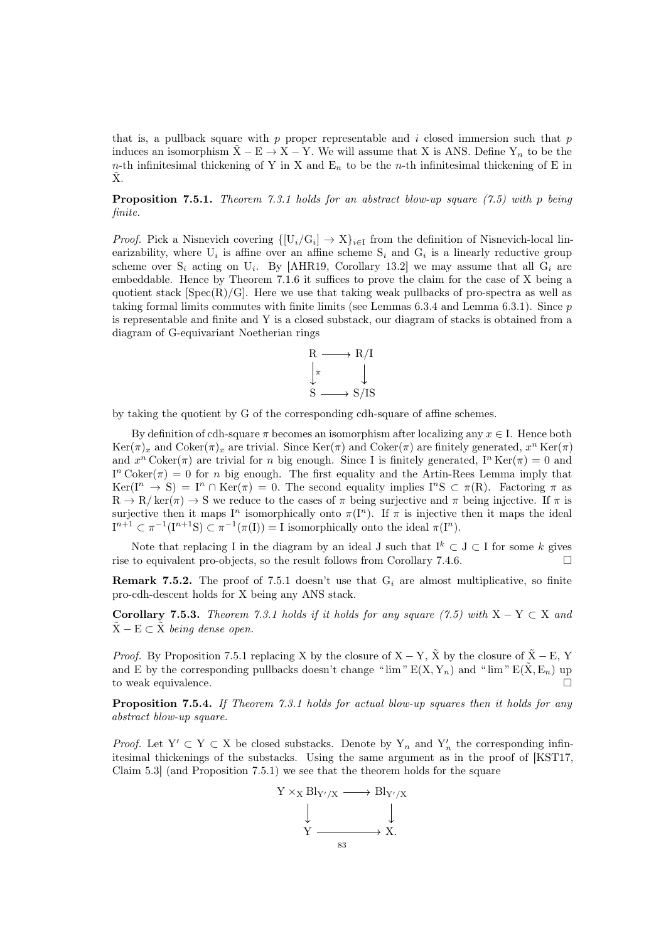that is, a pullback square with  $p$  proper representable and  $i$  closed immersion such that  $p$ induces an isomorphism  $\tilde{X}$  – E  $\rightarrow$  X – Y. We will assume that X is ANS. Define Y<sub>n</sub> to be the n-th infinitesimal thickening of Y in X and  $E_n$  to be the n-th infinitesimal thickening of E in  $\ddot{X}$ .

<span id="page-82-0"></span>**Proposition 7.5.1.** Theorem [7.3.1](#page-78-0) holds for an abstract blow-up square  $(7.5)$  with p being finite.

*Proof.* Pick a Nisnevich covering  $\{[U_i/G_i] \to X\}_{i\in I}$  from the definition of Nisnevich-local linearizability, where  $U_i$  is affine over an affine scheme  $S_i$  and  $G_i$  is a linearly reductive group scheme over  $S_i$  acting on  $U_i$ . By [\[AHR19,](#page-90-3) Corollary 13.2] we may assume that all  $G_i$  are embeddable. Hence by Theorem [7.1.6](#page-74-0) it suffices to prove the claim for the case of X being a quotient stack  $[\text{Spec}(R)/G]$ . Here we use that taking weak pullbacks of pro-spectra as well as taking formal limits commutes with finite limits (see Lemmas [6.3.4](#page-65-2) and Lemma [6.3.1\)](#page-65-3). Since p is representable and finite and Y is a closed substack, our diagram of stacks is obtained from a diagram of G-equivariant Noetherian rings



by taking the quotient by G of the corresponding cdh-square of affine schemes.

By definition of cdh-square  $\pi$  becomes an isomorphism after localizing any  $x \in I$ . Hence both  $\text{Ker}(\pi)_x$  and  $\text{Coker}(\pi)_x$  are trivial. Since  $\text{Ker}(\pi)$  and  $\text{Coker}(\pi)$  are finitely generated,  $x^n \text{Ker}(\pi)$ and  $x^n \text{Coker}(\pi)$  are trivial for n big enough. Since I is finitely generated,  $I^n \text{Ker}(\pi) = 0$  and  $I<sup>n</sup> Coker(\pi) = 0$  for *n* big enough. The first equality and the Artin-Rees Lemma imply that  $\text{Ker}(\mathbf{I}^n \to \mathbf{S}) = \mathbf{I}^n \cap \text{Ker}(\pi) = 0.$  The second equality implies  $\mathbf{I}^n\mathbf{S} \subset \pi(\mathbf{R})$ . Factoring  $\pi$  as  $R \to R/\ker(\pi) \to S$  we reduce to the cases of  $\pi$  being surjective and  $\pi$  being injective. If  $\pi$  is surjective then it maps  $I^n$  isomorphically onto  $\pi(I^n)$ . If  $\pi$  is injective then it maps the ideal  $I^{n+1} \subset \pi^{-1}(I^{n+1}S) \subset \pi^{-1}(\pi(I)) = I$  isomorphically onto the ideal  $\pi(I^n)$ .

Note that replacing I in the diagram by an ideal J such that  $I^k \subset J \subset I$  for some k gives rise to equivalent pro-objects, so the result follows from Corollary [7.4.6.](#page-81-2)  $\Box$ 

**Remark 7.5.2.** The proof of [7.5.1](#page-82-0) doesn't use that  $G_i$  are almost multiplicative, so finite pro-cdh-descent holds for X being any ANS stack.

<span id="page-82-1"></span>Corollary 7.5.3. Theorem [7.3.1](#page-78-0) holds if it holds for any square [\(7.5\)](#page-81-0) with  $X - Y \subset X$  and  $\tilde{X}$  – E  $\subset \tilde{X}$  being dense open.

*Proof.* By Proposition [7.5.1](#page-82-0) replacing X by the closure of  $X - Y$ ,  $\tilde{X}$  by the closure of  $\tilde{X} - E$ , Y and E by the corresponding pullbacks doesn't change " $\lim$ "  $E(X, Y_n)$  and " $\lim$ "  $E(\tilde{X}, E_n)$  up to weak equivalence.

<span id="page-82-2"></span>Proposition 7.5.4. If Theorem [7.3.1](#page-78-0) holds for actual blow-up squares then it holds for any abstract blow-up square.

*Proof.* Let  $Y' \subset Y \subset X$  be closed substacks. Denote by  $Y_n$  and  $Y'_n$  the corresponding infinitesimal thickenings of the substacks. Using the same argument as in the proof of [\[KST17,](#page-92-0) Claim 5.3] (and Proposition [7.5.1\)](#page-82-0) we see that the theorem holds for the square

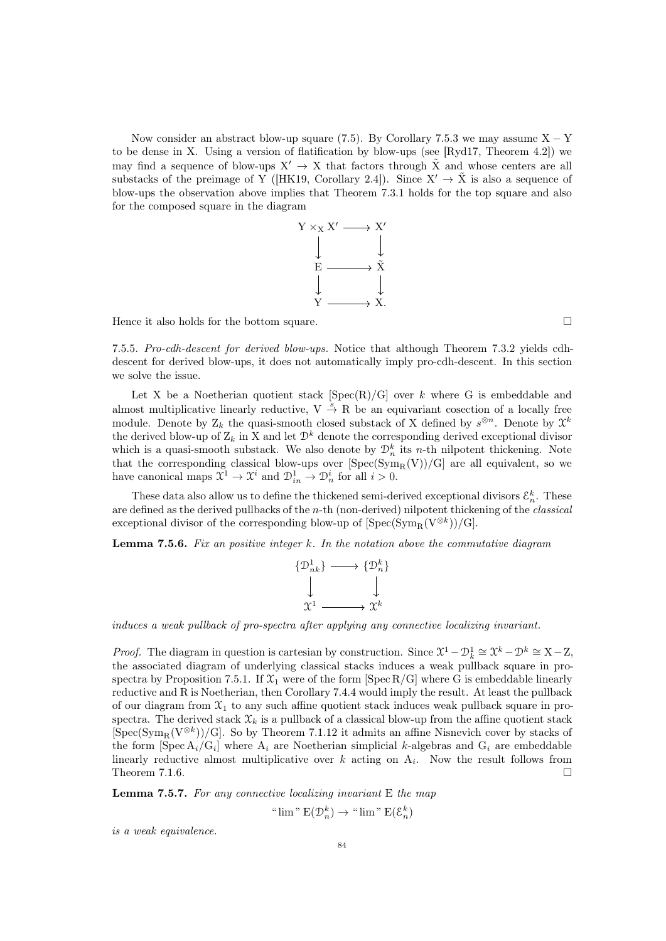Now consider an abstract blow-up square [\(7.5\)](#page-81-0). By Corollary [7.5.3](#page-82-1) we may assume  $X - Y$ to be dense in X. Using a version of flatification by blow-ups (see [\[Ryd17,](#page-92-9) Theorem 4.2]) we may find a sequence of blow-ups  $X' \to X$  that factors through  $\tilde{X}$  and whose centers are all substacks of the preimage of Y ([\[HK19,](#page-91-0) Corollary 2.4]). Since  $X' \to \tilde{X}$  is also a sequence of blow-ups the observation above implies that Theorem [7.3.1](#page-78-0) holds for the top square and also for the composed square in the diagram



Hence it also holds for the bottom square.  $\Box$ 

7.5.5. Pro-cdh-descent for derived blow-ups. Notice that although Theorem [7.3.2](#page-79-1) yields cdhdescent for derived blow-ups, it does not automatically imply pro-cdh-descent. In this section we solve the issue.

Let X be a Noetherian quotient stack  $[Spec(R)/G]$  over k where G is embeddable and almost multiplicative linearly reductive,  $V \stackrel{s}{\rightarrow} R$  be an equivariant cosection of a locally free module. Denote by  $Z_k$  the quasi-smooth closed substack of X defined by  $s^{\otimes n}$ . Denote by  $\mathcal{X}^k$ the derived blow-up of  $Z_k$  in X and let  $\mathcal{D}^k$  denote the corresponding derived exceptional divisor which is a quasi-smooth substack. We also denote by  $\mathcal{D}_n^k$  its *n*-th nilpotent thickening. Note that the corresponding classical blow-ups over  $[\text{Spec}(\text{Sym}_R(V))/G]$  are all equivalent, so we have canonical maps  $\mathfrak{X}^1 \to \mathfrak{X}^i$  and  $\mathfrak{D}^1_{in} \to \mathfrak{D}^i_n$  for all  $i > 0$ .

These data also allow us to define the thickened semi-derived exceptional divisors  $\mathcal{E}_n^k$ . These are defined as the derived pullbacks of the n-th (non-derived) nilpotent thickening of the classical exceptional divisor of the corresponding blow-up of  $[\mathrm{Spec}(\mathrm{Sym}_{\mathbf{R}}(V^{\otimes k}))/\mathrm{G}]$ .

<span id="page-83-0"></span>**Lemma 7.5.6.** Fix an positive integer  $k$ . In the notation above the commutative diagram



induces a weak pullback of pro-spectra after applying any connective localizing invariant.

*Proof.* The diagram in question is cartesian by construction. Since  $\mathcal{X}^1 - \mathcal{D}_k^1 \cong \mathcal{X}^k - \mathcal{D}^k \cong X - Z$ , the associated diagram of underlying classical stacks induces a weak pullback square in pro-spectra by Proposition [7.5.1.](#page-82-0) If  $\mathfrak{X}_1$  were of the form [Spec R/G] where G is embeddable linearly reductive and R is Noetherian, then Corollary [7.4.4](#page-81-1) would imply the result. At least the pullback of our diagram from  $\mathfrak{X}_1$  to any such affine quotient stack induces weak pullback square in prospectra. The derived stack  $\mathfrak{X}_k$  is a pullback of a classical blow-up from the affine quotient stack  $[\text{Spec}(\text{Sym}_{R}(V^{\otimes k}))/G]$ . So by Theorem [7.1.12](#page-75-2) it admits an affine Nisnevich cover by stacks of the form  $[\operatorname{Spec} A_i/G_i]$  where  $A_i$  are Noetherian simplicial k-algebras and  $G_i$  are embeddable linearly reductive almost multiplicative over  $k$  acting on  $A_i$ . Now the result follows from Theorem [7.1.6.](#page-74-0)  $\Box$ 

<span id="page-83-1"></span>**Lemma 7.5.7.** For any connective localizing invariant  $E$  the map

" 
$$
\lim
$$
" E( $\mathcal{D}_n^k$ )  $\to$ "  $\lim$ " E( $\mathcal{E}_n^k$ )

is a weak equivalence.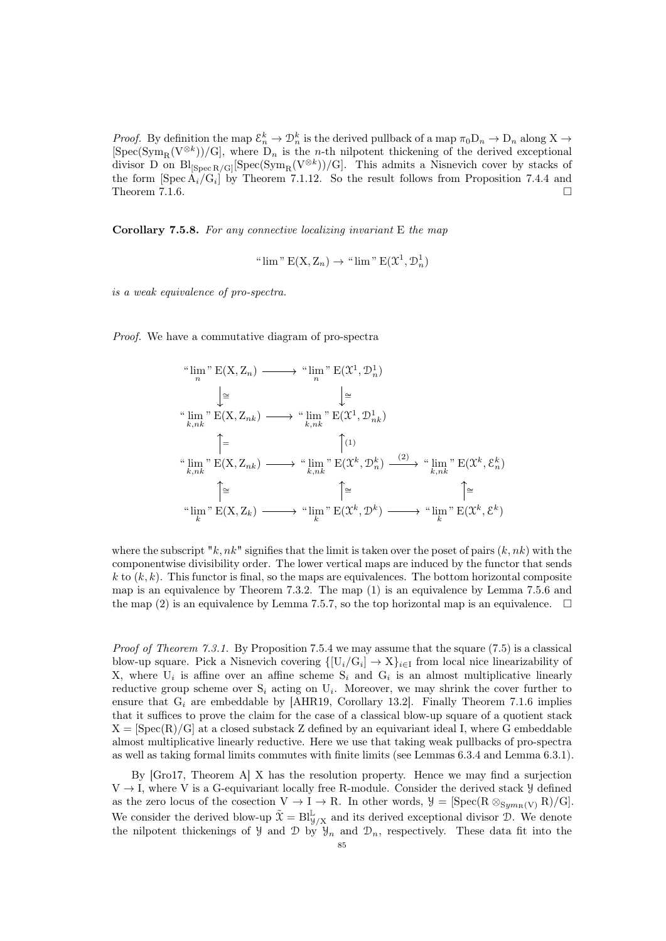*Proof.* By definition the map  $\mathcal{E}_n^k \to \mathcal{D}_n^k$  is the derived pullback of a map  $\pi_0 \mathcal{D}_n \to \mathcal{D}_n$  along  $X \to$  $[\text{Spec}(\text{Sym}_{R}(V^{\otimes k}))/G]$ , where  $D_n$  is the *n*-th nilpotent thickening of the derived exceptional divisor D on  $\text{Bl}_{\text{[Spec }R/G]}[\text{Spec}(\text{Sym}_R(V^{\otimes k}))/G]$ . This admits a Nisnevich cover by stacks of the form  $[\text{Spec } A_i/G_i]$  by Theorem [7.1.12.](#page-75-2) So the result follows from Proposition [7.4.4](#page-81-1) and Theorem [7.1.6.](#page-74-0)  $\Box$ 

<span id="page-84-0"></span>Corollary 7.5.8. For any connective localizing invariant E the map

" 
$$
\lim
$$
" E(X, Z<sub>n</sub>)  $\rightarrow$ "  $\lim$ " E( $\mathfrak{X}^1, \mathcal{D}_n^1$ )

is a weak equivalence of pro-spectra.

Proof. We have a commutative diagram of pro-spectra

$$
\lim_{n} \sum_{n}^{n} E(X, Z_{n}) \longrightarrow \lim_{n} \sum_{n}^{n} E(\mathfrak{X}, \mathfrak{D}_{n}^{1})
$$
\n
$$
\downarrow \cong \qquad \qquad \downarrow \cong
$$
\n
$$
\lim_{k,nk} \sum_{n}^{n} E(X, Z_{nk}) \longrightarrow \lim_{k,nk} \sum_{n}^{n} E(\mathfrak{X}^{1}, \mathfrak{D}_{nk}^{1})
$$
\n
$$
\uparrow \qquad \qquad \uparrow \qquad \qquad \downarrow
$$
\n
$$
\lim_{k,nk} \sum_{n}^{n} E(X, Z_{nk}) \longrightarrow \lim_{k,nk} \sum_{n}^{n} E(\mathfrak{X}^{k}, \mathfrak{D}_{n}^{k}) \longrightarrow \lim_{k,nk} \sum_{n}^{n} E(\mathfrak{X}^{k}, \mathcal{E}_{n}^{k})
$$
\n
$$
\downarrow \qquad \qquad \downarrow
$$
\n
$$
\lim_{k} \sum_{n}^{n} E(X, Z_{k}) \longrightarrow \lim_{k} \sum_{n}^{n} E(\mathfrak{X}^{k}, \mathfrak{D}^{k}) \longrightarrow \lim_{k} \sum_{n}^{n} E(\mathfrak{X}^{k}, \mathcal{E}^{k})
$$

where the subscript "k,  $nk$ " signifies that the limit is taken over the poset of pairs  $(k, nk)$  with the componentwise divisibility order. The lower vertical maps are induced by the functor that sends  $k$  to  $(k, k)$ . This functor is final, so the maps are equivalences. The bottom horizontal composite map is an equivalence by Theorem [7.3.2.](#page-79-1) The map (1) is an equivalence by Lemma [7.5.6](#page-83-0) and the map (2) is an equivalence by Lemma [7.5.7,](#page-83-1) so the top horizontal map is an equivalence.  $\square$ 

*Proof of Theorem [7.3.1.](#page-78-0)* By Proposition [7.5.4](#page-82-2) we may assume that the square  $(7.5)$  is a classical blow-up square. Pick a Nisnevich covering  $\{[U_i/G_i] \to X\}_{i\in I}$  from local nice linearizability of X, where  $U_i$  is affine over an affine scheme  $S_i$  and  $G_i$  is an almost multiplicative linearly reductive group scheme over  $S_i$  acting on  $U_i$ . Moreover, we may shrink the cover further to ensure that  $G_i$  are embeddable by [\[AHR19,](#page-90-3) Corollary 13.2]. Finally Theorem [7.1.6](#page-74-0) implies that it suffices to prove the claim for the case of a classical blow-up square of a quotient stack  $X = [Spec(R)/G]$  at a closed substack Z defined by an equivariant ideal I, where G embeddable almost multiplicative linearly reductive. Here we use that taking weak pullbacks of pro-spectra as well as taking formal limits commutes with finite limits (see Lemmas [6.3.4](#page-65-2) and Lemma [6.3.1\)](#page-65-3).

By [\[Gro17,](#page-91-7) Theorem A] X has the resolution property. Hence we may find a surjection  $V \rightarrow I$ , where V is a G-equivariant locally free R-module. Consider the derived stack  $\mathcal{Y}$  defined as the zero locus of the cosection  $V \to I \to R$ . In other words,  $\mathcal{Y} = [\text{Spec}(R \otimes_{Sym_R(V)} R)/G].$ We consider the derived blow-up  $\tilde{\mathfrak{X}} = \text{Bl}_{\mathcal{Y}/X}^{\mathbb{L}}$  and its derived exceptional divisor  $\mathcal{D}$ . We denote the nilpotent thickenings of  $\mathcal{Y}$  and  $\mathcal{D}$  by  $\mathcal{Y}_n$  and  $\mathcal{D}_n$ , respectively. These data fit into the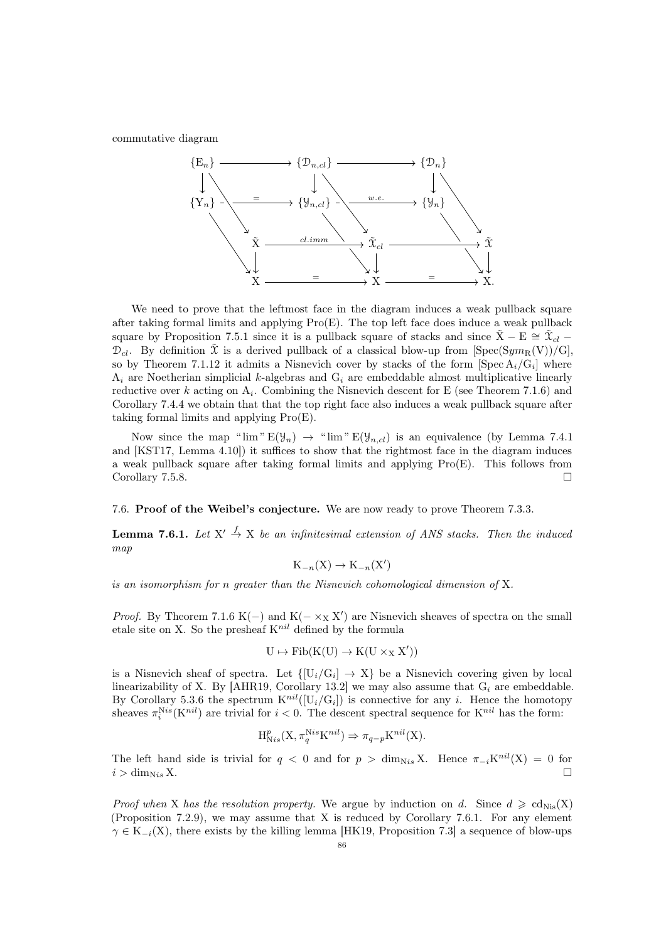commutative diagram



We need to prove that the leftmost face in the diagram induces a weak pullback square after taking formal limits and applying Pro(E). The top left face does induce a weak pullback square by Proposition [7.5.1](#page-82-0) since it is a pullback square of stacks and since  $\tilde{X}$  – E  $\cong \tilde{X}_{cl}$  –  $\mathcal{D}_{cl}$ . By definition  $\tilde{\mathcal{X}}$  is a derived pullback of a classical blow-up from [Spec(Sym<sub>R</sub>(V))/G]. so by Theorem [7.1.12](#page-75-2) it admits a Nisnevich cover by stacks of the form  $[\text{Spec } A_i/G_i]$  where  $A_i$  are Noetherian simplicial k-algebras and  $G_i$  are embeddable almost multiplicative linearly reductive over k acting on  $A_i$ . Combining the Nisnevich descent for E (see Theorem [7.1.6\)](#page-74-0) and Corollary [7.4.4](#page-81-1) we obtain that that the top right face also induces a weak pullback square after taking formal limits and applying Pro(E).

Now since the map " $\lim$ "  $E(\mathcal{Y}_n) \to$  " $\lim$ "  $E(\mathcal{Y}_{n,cl})$  is an equivalence (by Lemma [7.4.1](#page-80-0)) and [\[KST17,](#page-92-0) Lemma 4.10]) it suffices to show that the rightmost face in the diagram induces a weak pullback square after taking formal limits and applying Pro(E). This follows from Corollary [7.5.8.](#page-84-0)  $\Box$ 

# 7.6. Proof of the Weibel's conjecture. We are now ready to prove Theorem [7.3.3.](#page-79-0)

<span id="page-85-0"></span>**Lemma 7.6.1.** Let  $X' \stackrel{f}{\rightarrow} X$  be an infinitesimal extension of ANS stacks. Then the induced map

$$
K_{-n}(X) \to K_{-n}(X')
$$

is an isomorphism for n greater than the Nisnevich cohomological dimension of X.

*Proof.* By Theorem [7.1.6](#page-74-0) K(-) and K( $-\times_X X'$ ) are Nisnevich sheaves of spectra on the small etale site on X. So the presheaf  $K^{nil}$  defined by the formula

$$
U\mapsto\mathrm{Fib}(K(U)\to K(U\times_XX'))
$$

is a Nisnevich sheaf of spectra. Let  $\{[U_i/G_i] \to X\}$  be a Nisnevich covering given by local linearizability of X. By [\[AHR19,](#page-90-3) Corollary 13.2] we may also assume that  $G_i$  are embeddable. By Corollary [5.3.6](#page-54-0) the spectrum  $K^{nil}([U_i/G_i])$  is connective for any i. Hence the homotopy sheaves  $\pi_i^{Nis}(K^{nil})$  are trivial for  $i < 0$ . The descent spectral sequence for  $K^{nil}$  has the form:

$$
H_{Nis}^p(X, \pi_q^{Nis} K^{nil}) \Rightarrow \pi_{q-p} K^{nil}(X).
$$

The left hand side is trivial for  $q < 0$  and for  $p > \dim_{Nis} X$ . Hence  $\pi_{-i} K^{nil}(X) = 0$  for  $i > \dim_{\text{N}is} X.$ 

*Proof when* X has the resolution property. We argue by induction on d. Since  $d \geqslant c d_{\text{Nis}}(X)$ (Proposition [7.2.9\)](#page-78-2), we may assume that X is reduced by Corollary [7.6.1.](#page-85-0) For any element  $\gamma \in K_{-i}(X)$ , there exists by the killing lemma [\[HK19,](#page-91-0) Proposition 7.3] a sequence of blow-ups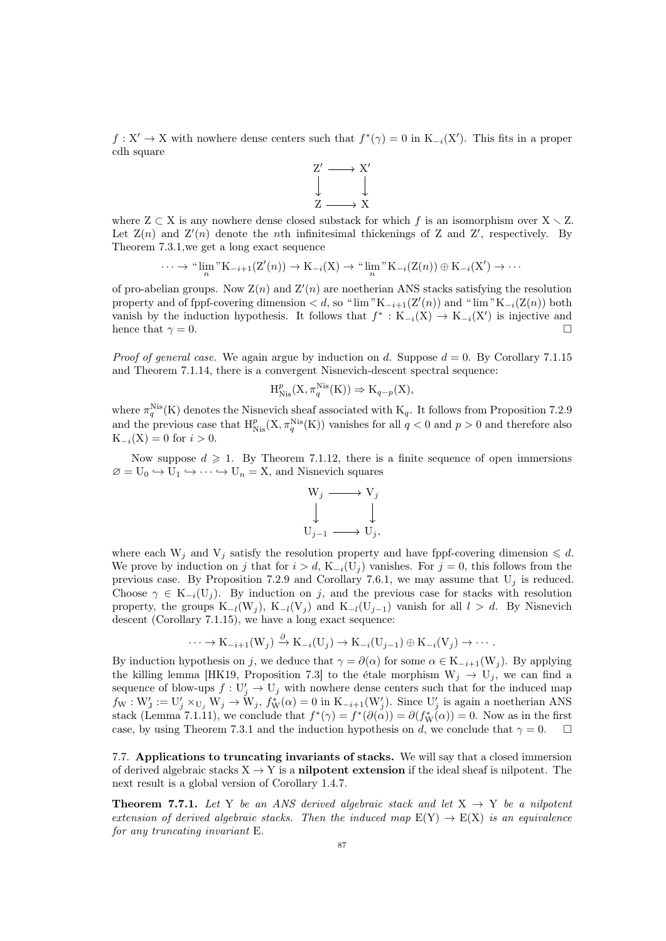$f: X' \to X$  with nowhere dense centers such that  $f^*(\gamma) = 0$  in  $K_{-i}(X')$ . This fits in a proper cdh square



where  $Z \subset X$  is any nowhere dense closed substack for which f is an isomorphism over  $X \setminus Z$ . Let  $Z(n)$  and  $Z'(n)$  denote the *n*th infinitesimal thickenings of Z and Z', respectively. By Theorem [7.3.1,](#page-78-0)we get a long exact sequence

$$
\cdots \to {\text{``lim}}^{\text{''}} K_{-i+1}(Z'(n)) \to K_{-i}(X) \to {\text{``lim}}^{\text{''}} K_{-i}(Z(n)) \oplus K_{-i}(X') \to \cdots
$$

of pro-abelian groups. Now  $\mathbf{Z}(n)$  and  $\mathbf{Z}'(n)$  are noetherian ANS stacks satisfying the resolution property and of fppf-covering dimension  $d$ , so " $\lim "K_{-i+1}(Z'(n))$  and " $\lim "K_{-i}(Z(n))$  both vanish by the induction hypothesis. It follows that  $f^*: K_{-i}(X) \to K_{-i}(X')$  is injective and hence that  $\gamma = 0$ .

*Proof of general case.* We again argue by induction on d. Suppose  $d = 0$ . By Corollary [7.1.15](#page-76-2) and Theorem [7.1.14,](#page-76-1) there is a convergent Nisnevich-descent spectral sequence:

$$
\operatorname{H}^p_{\operatorname{Nis}}(X, \pi^{\operatorname{Nis}}_q(K)) \Rightarrow K_{q-p}(X),
$$

where  $\pi_q^{\text{Nis}}(K)$  denotes the Nisnevich sheaf associated with  $K_q$ . It follows from Proposition [7.2.9](#page-78-2) and the previous case that  $H_{Nis}^p(X, \pi_q^{Nis}(K))$  vanishes for all  $q < 0$  and  $p > 0$  and therefore also  $K_{-i}(X) = 0$  for  $i > 0$ .

Now suppose  $d \geq 1$ . By Theorem [7.1.12,](#page-75-2) there is a finite sequence of open immersions  $\varnothing = U_0 \hookrightarrow U_1 \hookrightarrow \cdots \hookrightarrow U_n = X$ , and Nisnevich squares



where each  $W_j$  and  $V_j$  satisfy the resolution property and have fppf-covering dimension  $\leq d$ . We prove by induction on j that for  $i > d$ , K<sub>-i</sub>(U<sub>j</sub>) vanishes. For  $j = 0$ , this follows from the previous case. By Proposition [7.2.9](#page-78-2) and Corollary [7.6.1,](#page-85-0) we may assume that  $U_j$  is reduced. Choose  $\gamma \in K_{-i}(U_j)$ . By induction on j, and the previous case for stacks with resolution property, the groups  $K_{-l}(W_i)$ ,  $K_{-l}(V_i)$  and  $K_{-l}(U_{i-1})$  vanish for all  $l > d$ . By Nisnevich descent (Corollary [7.1.15\)](#page-76-2), we have a long exact sequence:

$$
\cdots \to \mathrm{K}_{-i+1}(\mathrm{W}_j) \xrightarrow{\partial} \mathrm{K}_{-i}(\mathrm{U}_j) \to \mathrm{K}_{-i}(\mathrm{U}_{j-1}) \oplus \mathrm{K}_{-i}(\mathrm{V}_j) \to \cdots.
$$

By induction hypothesis on j, we deduce that  $\gamma = \partial(\alpha)$  for some  $\alpha \in K_{-i+1}(W_i)$ . By applying the killing lemma [\[HK19,](#page-91-0) Proposition 7.3] to the étale morphism  $W_j \rightarrow U_j$ , we can find a sequence of blow-ups  $f: U'_j \to U_j$  with nowhere dense centers such that for the induced map  $f_{\mathbf{W}}: \mathbf{W}'_J := \mathbf{U}'_j \times_{\mathbf{U}_j} \mathbf{W}_j \rightarrow \mathbf{W}_j$ ,  $f_{\mathbf{W}}^*(\alpha) = 0$  in  $\mathbf{K}_{-i+1}(\mathbf{W}'_j)$ . Since  $\mathbf{U}'_j$  is again a noetherian ANS stack (Lemma [7.1.11\)](#page-75-3), we conclude that  $f^*(\gamma) = f^*(\partial(\alpha)) = \partial(f^*_{\mathbf{W}}(\alpha)) = 0$ . Now as in the first case, by using Theorem [7.3.1](#page-78-0) and the induction hypothesis on d, we conclude that  $\gamma = 0$ .

7.7. Applications to truncating invariants of stacks. We will say that a closed immersion of derived algebraic stacks  $X \rightarrow Y$  is a **nilpotent extension** if the ideal sheaf is nilpotent. The next result is a global version of Corollary [1.4.7.](#page-12-0)

<span id="page-86-0"></span>**Theorem 7.7.1.** Let Y be an ANS derived algebraic stack and let  $X \rightarrow Y$  be a nilpotent extension of derived algebraic stacks. Then the induced map  $E(Y) \rightarrow E(X)$  is an equivalence for any truncating invariant E.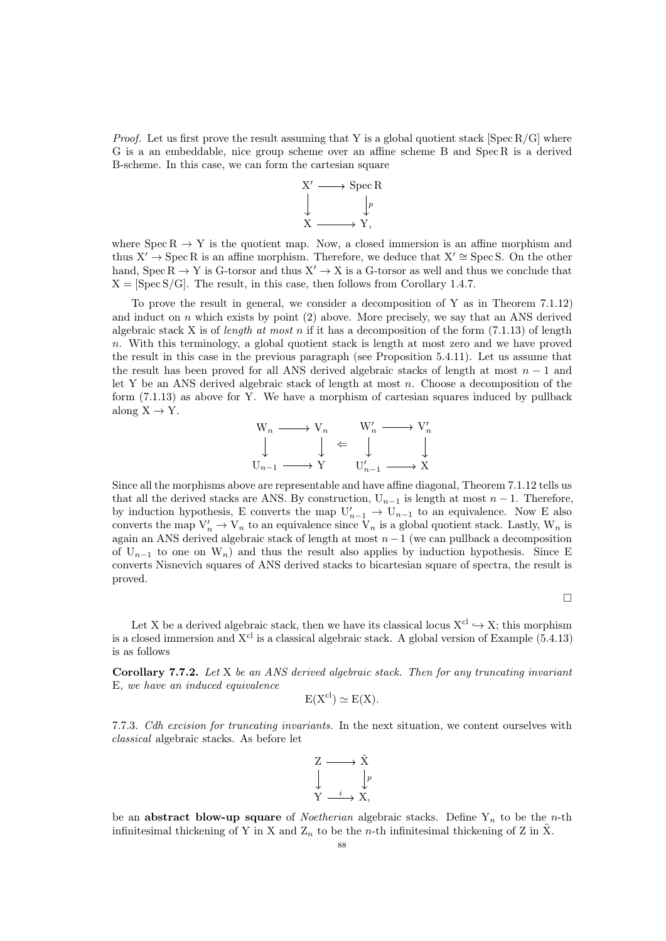*Proof.* Let us first prove the result assuming that Y is a global quotient stack [Spec R/G] where G is a an embeddable, nice group scheme over an affine scheme B and Spec R is a derived B-scheme. In this case, we can form the cartesian square



where  $Spec R \rightarrow Y$  is the quotient map. Now, a closed immersion is an affine morphism and thus  $X' \to \text{Spec } R$  is an affine morphism. Therefore, we deduce that  $X' \cong \text{Spec } S$ . On the other hand, Spec  $R \to Y$  is G-torsor and thus  $X' \to X$  is a G-torsor as well and thus we conclude that  $X = [Spec S/G]$ . The result, in this case, then follows from Corollary [1.4.7.](#page-12-0)

To prove the result in general, we consider a decomposition of Y as in Theorem [7.1.12\)](#page-75-2) and induct on  $n$  which exists by point (2) above. More precisely, we say that an ANS derived algebraic stack X is of *length at most n* if it has a decomposition of the form  $(7.1.13)$  of length n. With this terminology, a global quotient stack is length at most zero and we have proved the result in this case in the previous paragraph (see Proposition [5.4.11\)](#page-57-0). Let us assume that the result has been proved for all ANS derived algebraic stacks of length at most  $n-1$  and let Y be an ANS derived algebraic stack of length at most  $n$ . Choose a decomposition of the form [\(7.1.13\)](#page-75-4) as above for Y. We have a morphism of cartesian squares induced by pullback along  $X \rightarrow Y$ .

$$
\begin{array}{ccc}\nW_n \longrightarrow V_n & W'_n \longrightarrow V'_n \\
\downarrow & \downarrow \leftarrow & \downarrow \\
U_{n-1} \longrightarrow Y & U'_{n-1} \longrightarrow X\n\end{array}
$$

Since all the morphisms above are representable and have affine diagonal, Theorem [7.1.12](#page-75-2) tells us that all the derived stacks are ANS. By construction,  $U_{n-1}$  is length at most  $n-1$ . Therefore, by induction hypothesis, E converts the map  $U'_{n-1} \to U_{n-1}$  to an equivalence. Now E also converts the map  $V'_n \to V_n$  to an equivalence since  $V_n$  is a global quotient stack. Lastly,  $W_n$  is again an ANS derived algebraic stack of length at most  $n-1$  (we can pullback a decomposition of  $U_{n-1}$  to one on  $W_n$ ) and thus the result also applies by induction hypothesis. Since E converts Nisnevich squares of ANS derived stacks to bicartesian square of spectra, the result is proved.

 $\Box$ 

Let X be a derived algebraic stack, then we have its classical locus  $X^{cl} \rightarrow X$ ; this morphism is a closed immersion and  $X<sup>cl</sup>$  is a classical algebraic stack. A global version of Example [\(5.4.13\)](#page-58-0) is as follows

Corollary 7.7.2. Let X be an ANS derived algebraic stack. Then for any truncating invariant E, we have an induced equivalence

$$
E(X^{cl}) \simeq E(X).
$$

7.7.3. Cdh excision for truncating invariants. In the next situation, we content ourselves with classical algebraic stacks. As before let



be an **abstract blow-up square** of *Noetherian* algebraic stacks. Define  $Y_n$  to be the *n*-th infinitesimal thickening of Y in X and  $Z_n$  to be the n-th infinitesimal thickening of Z in X.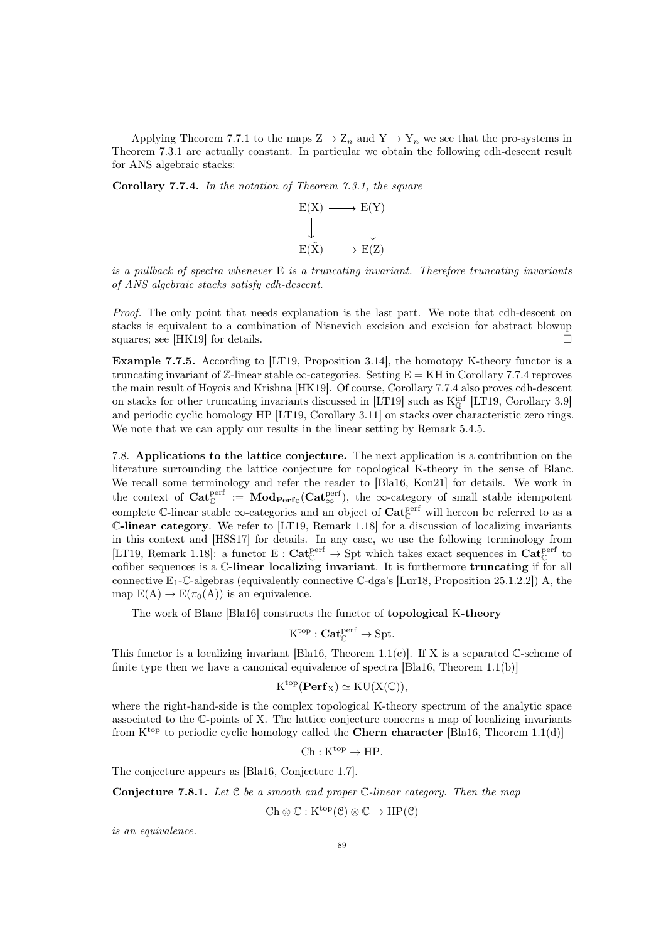Applying Theorem [7.7.1](#page-86-0) to the maps  $Z \to Z_n$  and  $Y \to Y_n$  we see that the pro-systems in Theorem [7.3.1](#page-78-0) are actually constant. In particular we obtain the following cdh-descent result for ANS algebraic stacks:

<span id="page-88-0"></span>Corollary 7.7.4. In the notation of Theorem [7.3.1,](#page-78-0) the square



is a pullback of spectra whenever  $E$  is a truncating invariant. Therefore truncating invariants of ANS algebraic stacks satisfy cdh-descent.

Proof. The only point that needs explanation is the last part. We note that cdh-descent on stacks is equivalent to a combination of Nisnevich excision and excision for abstract blowup squares; see [\[HK19\]](#page-91-0) for details.

Example 7.7.5. According to [\[LT19,](#page-92-1) Proposition 3.14], the homotopy K-theory functor is a truncating invariant of  $\mathbb{Z}$ -linear stable  $\infty$ -categories. Setting E = KH in Corollary [7.7.4](#page-88-0) reproves the main result of Hoyois and Krishna [\[HK19\]](#page-91-0). Of course, Corollary [7.7.4](#page-88-0) also proves cdh-descent on stacks for other truncating invariants discussed in [\[LT19\]](#page-92-1) such as  $K_0^{\text{inf}}$  [\[LT19,](#page-92-1) Corollary 3.9] and periodic cyclic homology HP [\[LT19,](#page-92-1) Corollary 3.11] on stacks over characteristic zero rings. We note that we can apply our results in the linear setting by Remark [5.4.5.](#page-57-1)

7.8. Applications to the lattice conjecture. The next application is a contribution on the literature surrounding the lattice conjecture for topological K-theory in the sense of Blanc. We recall some terminology and refer the reader to [\[Bla16,](#page-90-4) [Kon21\]](#page-92-10) for details. We work in the context of  $\mathbf{Cat}_{\mathbb{C}}^{\text{perf}} := \mathbf{Mod}_{\mathbf{Perf}_{\mathbb{C}}}(\mathbf{Cat}_{\infty}^{\text{perf}})$ , the  $\infty$ -category of small stable idempotent complete  $\mathbb{C}$ -linear stable  $\infty$ -categories and an object of  $\mathbf{Cat}_{\mathbb{C}}^{\text{perf}}$  will hereon be referred to as a C-linear category. We refer to [\[LT19,](#page-92-1) Remark 1.18] for a discussion of localizing invariants in this context and [\[HSS17\]](#page-91-8) for details. In any case, we use the following terminology from [\[LT19,](#page-92-1) Remark 1.18]: a functor  $E: \mathbf{Cat}_{\mathbb{C}}^{\text{perf}} \to \text{Spt}$  which takes exact sequences in  $\mathbf{Cat}_{\mathbb{C}}^{\text{perf}}$  to cofiber sequences is a C-linear localizing invariant. It is furthermore truncating if for all connective  $\mathbb{E}_1$ -C-algebras (equivalently connective C-dga's [\[Lur18,](#page-92-2) Proposition 25.1.2.2]) A, the map  $E(A) \to E(\pi_0(A))$  is an equivalence.

The work of Blanc [\[Bla16\]](#page-90-4) constructs the functor of topological K-theory

$$
{\operatorname{K}^{\operatorname{top}}} : \mathbf{Cat}_{\mathbb{C}}^{\operatorname{perf}} \to \operatorname{Spt}.
$$

This functor is a localizing invariant [\[Bla16,](#page-90-4) Theorem 1.1(c)]. If X is a separated  $\mathbb{C}$ -scheme of finite type then we have a canonical equivalence of spectra  $[\text{Bla16}, \text{Theorem 1.1(b)}]$ 

$$
K^{\mathrm{top}}(\mathbf{Perf}_X)\simeq \mathrm{KU}(X(\mathbb{C})),
$$

where the right-hand-side is the complex topological K-theory spectrum of the analytic space associated to the C-points of X. The lattice conjecture concerns a map of localizing invariants from  $K^{top}$  to periodic cyclic homology called the **Chern character** [\[Bla16,](#page-90-4) Theorem 1.1(d)]

$$
\mathrm{Ch}: \mathrm{K}^{\mathrm{top}} \to \mathrm{HP}.
$$

The conjecture appears as [\[Bla16,](#page-90-4) Conjecture 1.7].

<span id="page-88-1"></span>**Conjecture 7.8.1.** Let  $C$  be a smooth and proper  $C$ -linear category. Then the map

 $Ch \otimes \mathbb{C} : K^{top}(\mathcal{C}) \otimes \mathbb{C} \to HP(\mathcal{C})$ 

is an equivalence.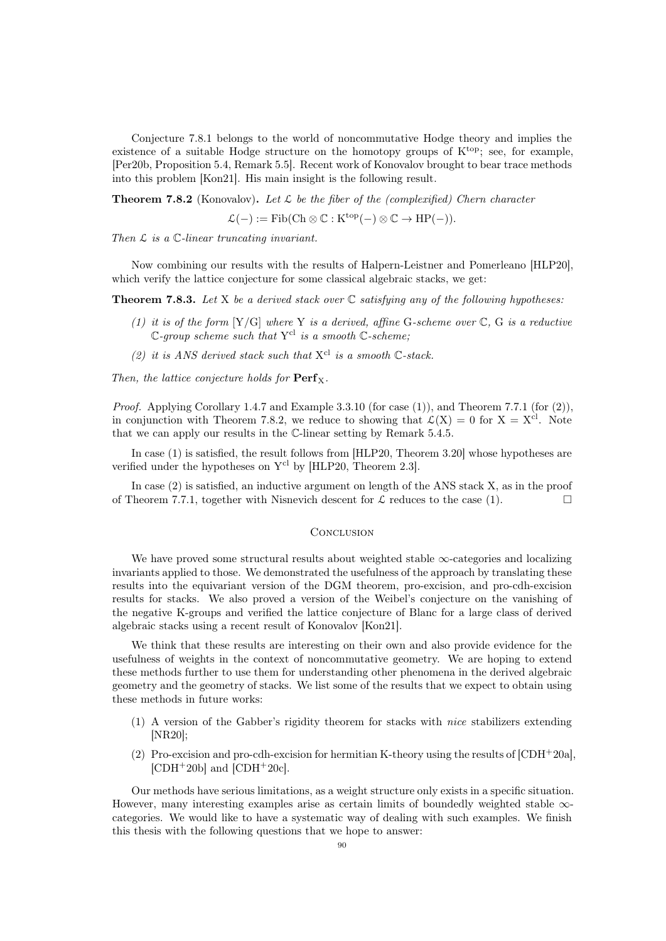Conjecture [7.8.1](#page-88-1) belongs to the world of noncommutative Hodge theory and implies the existence of a suitable Hodge structure on the homotopy groups of  $K^{top}$ ; see, for example, [\[Per20b,](#page-92-11) Proposition 5.4, Remark 5.5]. Recent work of Konovalov brought to bear trace methods into this problem [\[Kon21\]](#page-92-10). His main insight is the following result.

<span id="page-89-0"></span>**Theorem 7.8.2** (Konovalov). Let  $\mathcal{L}$  be the fiber of the (complexified) Chern character

 $\mathcal{L}(-) := \text{Fib}(\text{Ch} \otimes \mathbb{C} : \text{K}^{\text{top}}(-) \otimes \mathbb{C} \to \text{HP}(-)).$ 

Then  $\mathcal L$  is a  $\mathbb C$ -linear truncating invariant.

Now combining our results with the results of Halpern-Leistner and Pomerleano [\[HLP20\]](#page-91-9), which verify the lattice conjecture for some classical algebraic stacks, we get:

**Theorem 7.8.3.** Let X be a derived stack over  $\mathbb C$  satisfying any of the following hypotheses:

- (1) it is of the form  $[Y/G]$  where Y is a derived, affine G-scheme over  $\mathbb{C}$ , G is a reductive  $\mathbb{C}$ -group scheme such that Y<sup>cl</sup> is a smooth  $\mathbb{C}$ -scheme:
- (2) it is ANS derived stack such that  $X^{cl}$  is a smooth  $\mathbb{C}\text{-}stack.$

Then, the lattice conjecture holds for  $\mathbf{Perf}_{\mathbf{X}}$ .

*Proof.* Applying Corollary [1.4.7](#page-12-0) and Example [3.3.10](#page-30-2) (for case  $(1)$ ), and Theorem [7.7.1](#page-86-0) (for  $(2)$ ), in conjunction with Theorem [7.8.2,](#page-89-0) we reduce to showing that  $\mathcal{L}(X) = 0$  for  $X = X^{cl}$ . Note that we can apply our results in the C-linear setting by Remark [5.4.5.](#page-57-1)

In case (1) is satisfied, the result follows from [\[HLP20,](#page-91-9) Theorem 3.20] whose hypotheses are verified under the hypotheses on Y<sup>cl</sup> by [\[HLP20,](#page-91-9) Theorem 2.3].

In case (2) is satisfied, an inductive argument on length of the ANS stack X, as in the proof of Theorem [7.7.1,](#page-86-0) together with Nisnevich descent for  $\mathcal L$  reduces to the case (1).

#### **CONCLUSION**

We have proved some structural results about weighted stable  $\infty$ -categories and localizing invariants applied to those. We demonstrated the usefulness of the approach by translating these results into the equivariant version of the DGM theorem, pro-excision, and pro-cdh-excision results for stacks. We also proved a version of the Weibel's conjecture on the vanishing of the negative K-groups and verified the lattice conjecture of Blanc for a large class of derived algebraic stacks using a recent result of Konovalov [\[Kon21\]](#page-92-10).

We think that these results are interesting on their own and also provide evidence for the usefulness of weights in the context of noncommutative geometry. We are hoping to extend these methods further to use them for understanding other phenomena in the derived algebraic geometry and the geometry of stacks. We list some of the results that we expect to obtain using these methods in future works:

- (1) A version of the Gabber's rigidity theorem for stacks with nice stabilizers extending [\[NR20\]](#page-92-12);
- (2) Pro-excision and pro-cdh-excision for hermitian K-theory using the results of [\[CDH](#page-90-5)<sup>+</sup>20a],  $[CDH^+20b]$  $[CDH^+20b]$  and  $[CDH^+20c]$ .

Our methods have serious limitations, as a weight structure only exists in a specific situation. However, many interesting examples arise as certain limits of boundedly weighted stable  $\infty$ categories. We would like to have a systematic way of dealing with such examples. We finish this thesis with the following questions that we hope to answer: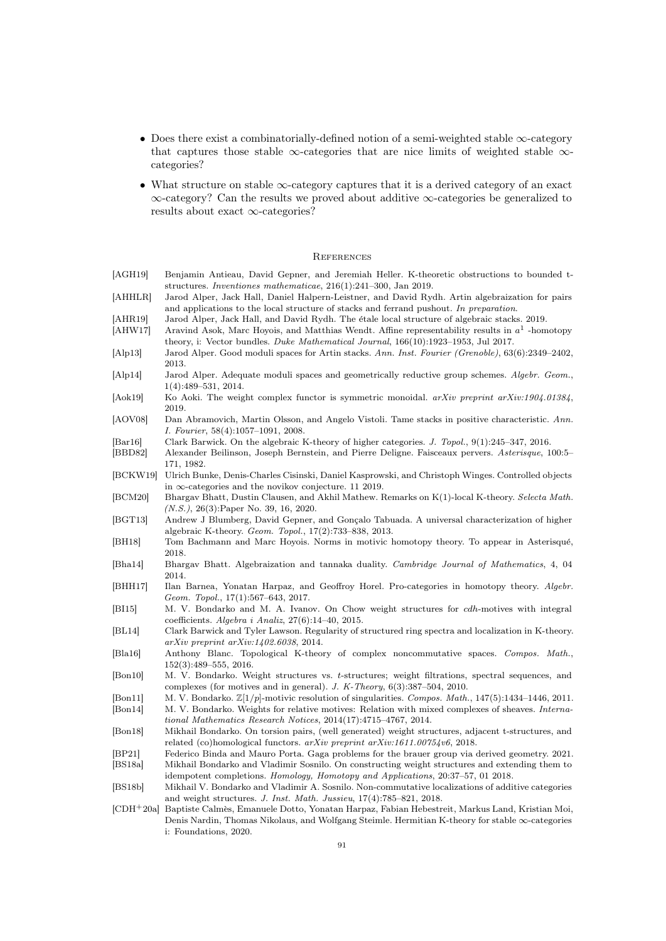- $\bullet\,$  Does there exist a combinatorially-defined notion of a semi-weighted stable  $\infty\text{-category}$ that captures those stable  $\infty$ -categories that are nice limits of weighted stable  $\infty$ categories?
- What structure on stable ∞-category captures that it is a derived category of an exact  $\infty\text{-category?}$  Can the results we proved about additive  $\infty\text{-categories}$  be generalized to results about exact  $\infty\text{-categories?}$

## **REFERENCES**

<span id="page-90-5"></span><span id="page-90-4"></span><span id="page-90-3"></span><span id="page-90-2"></span><span id="page-90-1"></span><span id="page-90-0"></span>

| [AGH19]                        | Benjamin Antieau, David Gepner, and Jeremiah Heller. K-theoretic obstructions to bounded t-<br>structures. Inventiones mathematicae, $216(1)$ :241-300, Jan 2019.                                                                                                                    |
|--------------------------------|--------------------------------------------------------------------------------------------------------------------------------------------------------------------------------------------------------------------------------------------------------------------------------------|
| [AHHLR]                        | Jarod Alper, Jack Hall, Daniel Halpern-Leistner, and David Rydh. Artin algebraization for pairs<br>and applications to the local structure of stacks and ferrand pushout. In preparation.                                                                                            |
| [AHR19]<br> AHW17              | Jarod Alper, Jack Hall, and David Rydh. The étale local structure of algebraic stacks. 2019.<br>Aravind Asok, Marc Hoyois, and Matthias Wendt. Affine representability results in $a^1$ -homotopy                                                                                    |
| $\rm  Alp13 $                  | theory, i: Vector bundles. Duke Mathematical Journal, 166(10):1923–1953, Jul 2017.<br>Jarod Alper. Good moduli spaces for Artin stacks. Ann. Inst. Fourier (Grenoble), 63(6):2349–2402,<br>2013.                                                                                     |
| [Alp14]                        | Jarod Alper. Adequate moduli spaces and geometrically reductive group schemes. Algebr. Geom.,<br>$1(4):489-531, 2014.$                                                                                                                                                               |
| Aok19                          | Ko Aoki. The weight complex functor is symmetric monoidal. arXiv preprint arXiv:1904.01384,<br>2019.                                                                                                                                                                                 |
| [AOV08]                        | Dan Abramovich, Martin Olsson, and Angelo Vistoli. Tame stacks in positive characteristic. Ann.<br><i>I. Fourier</i> , $58(4):1057-1091$ , 2008.                                                                                                                                     |
| $\vert$ Bar16 $\vert$<br>BBD82 | Clark Barwick. On the algebraic K-theory of higher categories. J. Topol., 9(1):245-347, 2016.<br>Alexander Beilinson, Joseph Bernstein, and Pierre Deligne. Faisceaux pervers. Asterisque, 100:5–<br>171, 1982.                                                                      |
| BCKW19                         | Ulrich Bunke, Denis-Charles Cisinski, Daniel Kasprowski, and Christoph Winges. Controlled objects<br>in $\infty$ -categories and the novikov conjecture. 11 2019.                                                                                                                    |
| BCM20                          | Bhargav Bhatt, Dustin Clausen, and Akhil Mathew. Remarks on K(1)-local K-theory. Selecta Math.<br>$(N.S.), 26(3)$ : Paper No. 39, 16, 2020.                                                                                                                                          |
| [ <b>BGT13</b> ]               | Andrew J Blumberg, David Gepner, and Gonçalo Tabuada. A universal characterization of higher<br>algebraic K-theory. Geom. Topol., 17(2):733-838, 2013.                                                                                                                               |
| [BH18]                         | Tom Bachmann and Marc Hoyois. Norms in motivic homotopy theory. To appear in Asterisqué,<br>2018.                                                                                                                                                                                    |
| Bha14                          | Bhargav Bhatt. Algebraization and tannaka duality. Cambridge Journal of Mathematics, 4, 04<br>2014.                                                                                                                                                                                  |
| [BHH17]                        | Ilan Barnea, Yonatan Harpaz, and Geoffroy Horel. Pro-categories in homotopy theory. Algebr.<br>Geom. Topol., $17(1):567-643$ , $2017$ .                                                                                                                                              |
| [BI15]                         | M. V. Bondarko and M. A. Ivanov. On Chow weight structures for <i>cdh</i> -motives with integral<br>coefficients. Algebra i Analiz, $27(6)$ :14-40, 2015.                                                                                                                            |
| BL14                           | Clark Barwick and Tyler Lawson. Regularity of structured ring spectra and localization in K-theory.<br>$arXiv$ preprint $arXiv:1402.6038$ , 2014.                                                                                                                                    |
| [Bla16]                        | Anthony Blanc. Topological K-theory of complex noncommutative spaces. Compos. Math.,<br>$152(3):489-555, 2016.$                                                                                                                                                                      |
| $\vert$ Bon10 $\vert$          | M. V. Bondarko. Weight structures vs. t-structures; weight filtrations, spectral sequences, and<br>complexes (for motives and in general). J. K-Theory, $6(3):387-504$ , 2010.                                                                                                       |
| [Bon11]<br>[Bon14]             | M. V. Bondarko. $\mathbb{Z}[1/p]$ -motivic resolution of singularities. Compos. Math., 147(5):1434–1446, 2011.<br>M. V. Bondarko. Weights for relative motives: Relation with mixed complexes of sheaves. Interna-<br>tional Mathematics Research Notices, 2014(17):4715-4767, 2014. |
| $\vert$ Bon18 $\vert$          | Mikhail Bondarko. On torsion pairs, (well generated) weight structures, adjacent t-structures, and<br>related (co)homological functors. $arXiv$ preprint $arXiv:1611.00754v6$ , 2018.                                                                                                |
| [BP21]                         | Federico Binda and Mauro Porta. Gaga problems for the brauer group via derived geometry. 2021.                                                                                                                                                                                       |
| [BS18a]                        | Mikhail Bondarko and Vladimir Sosnilo. On constructing weight structures and extending them to<br>idempotent completions. Homology, Homotopy and Applications, 20:37-57, 01 2018.                                                                                                    |
| [BS18b]                        | Mikhail V. Bondarko and Vladimir A. Sosnilo. Non-commutative localizations of additive categories<br>and weight structures. J. Inst. Math. Jussieu, 17(4):785–821, 2018.                                                                                                             |
| $[CDH^+20a]$                   | Baptiste Calmès, Emanuele Dotto, Yonatan Harpaz, Fabian Hebestreit, Markus Land, Kristian Moi,<br>Denis Nardin, Thomas Nikolaus, and Wolfgang Steimle. Hermitian K-theory for stable $\infty$ -categories<br>i: Foundations, 2020.                                                   |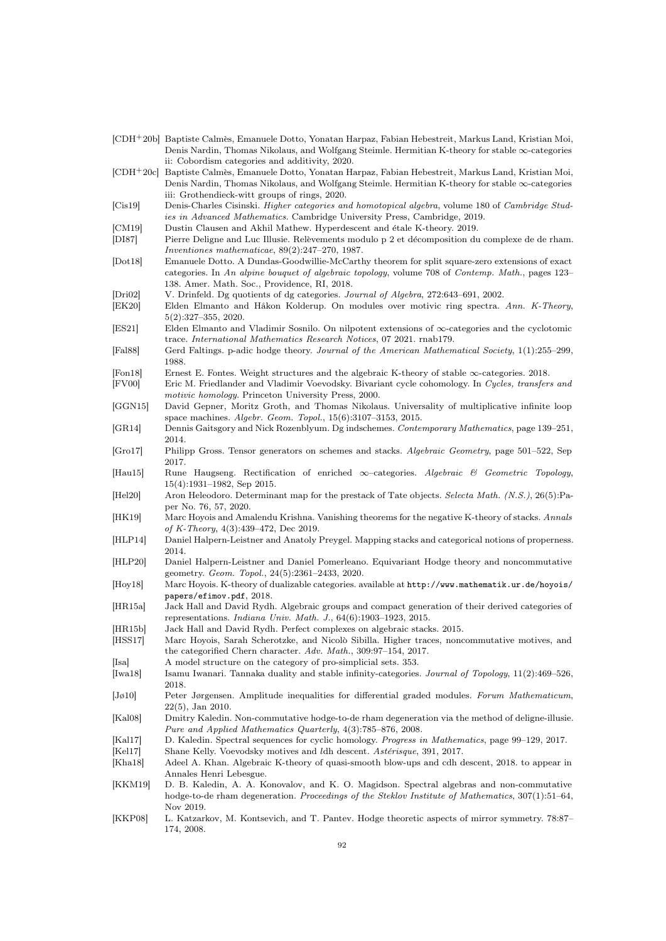<span id="page-91-11"></span><span id="page-91-10"></span><span id="page-91-7"></span><span id="page-91-1"></span>

|                   | [CDH <sup>+</sup> 20b] Baptiste Calmès, Emanuele Dotto, Yonatan Harpaz, Fabian Hebestreit, Markus Land, Kristian Moi,<br>Denis Nardin, Thomas Nikolaus, and Wolfgang Steimle. Hermitian K-theory for stable $\infty$ -categories<br>ii: Cobordism categories and additivity, 2020. |
|-------------------|------------------------------------------------------------------------------------------------------------------------------------------------------------------------------------------------------------------------------------------------------------------------------------|
| $[CDH+20c]$       | Baptiste Calmès, Emanuele Dotto, Yonatan Harpaz, Fabian Hebestreit, Markus Land, Kristian Moi,<br>Denis Nardin, Thomas Nikolaus, and Wolfgang Steimle. Hermitian K-theory for stable $\infty$ -categories                                                                          |
| [Cis19]           | iii: Grothendieck-witt groups of rings, 2020.<br>Denis-Charles Cisinski. Higher categories and homotopical algebra, volume 180 of Cambridge Stud-<br><i>ies in Advanced Mathematics.</i> Cambridge University Press, Cambridge, 2019.                                              |
| CM19              | Dustin Clausen and Akhil Mathew. Hyperdescent and étale K-theory. 2019.                                                                                                                                                                                                            |
| DI87              | Pierre Deligne and Luc Illusie. Relèvements modulo p 2 et décomposition du complexe de de rham.<br>Inventiones mathematicae, $89(2):247-270$ , 1987.                                                                                                                               |
| Dot18             | Emanuele Dotto. A Dundas-Goodwillie-McCarthy theorem for split square-zero extensions of exact                                                                                                                                                                                     |
|                   | categories. In An alpine bouquet of algebraic topology, volume 708 of Contemp. Math., pages 123–                                                                                                                                                                                   |
| Dri02             | 138. Amer. Math. Soc., Providence, RI, 2018.<br>V. Drinfeld. Dg quotients of dg categories. Journal of Algebra, 272:643-691, 2002.                                                                                                                                                 |
| [EK20]            | Elden Elmanto and Håkon Kolderup. On modules over motivic ring spectra. Ann. K-Theory,<br>$5(2):327-355, 2020.$                                                                                                                                                                    |
| ES21              | Elden Elmanto and Vladimir Sosnilo. On nilpotent extensions of $\infty$ -categories and the cyclotomic<br>trace. International Mathematics Research Notices, 07 2021. rnab179.                                                                                                     |
| $ {\rm Fal}88 $   | Gerd Faltings. p-adic hodge theory. Journal of the American Mathematical Society, 1(1):255–299,                                                                                                                                                                                    |
| Fon18             | 1988.<br>Ernest E. Fontes. Weight structures and the algebraic K-theory of stable $\infty$ -categories. 2018.                                                                                                                                                                      |
| $[$ FV00 $]$      | Eric M. Friedlander and Vladimir Voevodsky. Bivariant cycle cohomology. In Cycles, transfers and<br><i>motivic homology.</i> Princeton University Press, 2000.                                                                                                                     |
| GGN15             | David Gepner, Moritz Groth, and Thomas Nikolaus. Universality of multiplicative infinite loop<br>space machines. Algebr. Geom. Topol., $15(6):3107-3153$ , 2015.                                                                                                                   |
| GR14              | Dennis Gaitsgory and Nick Rozenblyum. Dg indschemes. Contemporary Mathematics, page 139–251,<br>2014.                                                                                                                                                                              |
| [Gro17]           | Philipp Gross. Tensor generators on schemes and stacks. Algebraic Geometry, page 501–522, Sep<br>2017.                                                                                                                                                                             |
| [Hau15]           | Rune Haugseng. Rectification of enriched $\infty$ -categories. Algebraic & Geometric Topology,<br>$15(4):1931-1982$ , Sep 2015.                                                                                                                                                    |
| He120             | Aron Heleodoro. Determinant map for the prestack of Tate objects. Selecta Math. (N.S.), 26(5): Pa-<br>per No. 76, 57, 2020.                                                                                                                                                        |
| HK19              | Marc Hoyois and Amalendu Krishna. Vanishing theorems for the negative K-theory of stacks. Annals<br>of K-Theory, $4(3)$ :439-472, Dec 2019.                                                                                                                                        |
| [HLP14]           | Daniel Halpern-Leistner and Anatoly Preygel. Mapping stacks and categorical notions of properness.<br>2014.                                                                                                                                                                        |
| [HLP20]           | Daniel Halpern-Leistner and Daniel Pomerleano. Equivariant Hodge theory and noncommutative<br>geometry. Geom. Topol., 24(5):2361-2433, 2020.                                                                                                                                       |
| [Hoy18]           | Marc Hoyois. K-theory of dualizable categories. available at $http://www.mathematik.ur.de/hoyois/$                                                                                                                                                                                 |
| [HR15a]           | papers/efimov.pdf, 2018.<br>Jack Hall and David Rydh. Algebraic groups and compact generation of their derived categories of<br>representations. <i>Indiana Univ. Math. J.</i> , $64(6):1903-1923$ , 2015.                                                                         |
| [HR15b]           | Jack Hall and David Rydh. Perfect complexes on algebraic stacks. 2015.                                                                                                                                                                                                             |
| [HSS17]           | Marc Hoyois, Sarah Scherotzke, and Nicolò Sibilla. Higher traces, noncommutative motives, and<br>the categorified Chern character. Adv. Math., $309:97-154$ , $2017$ .                                                                                                             |
| [Isa]             | A model structure on the category of pro-simplicial sets. 353.                                                                                                                                                                                                                     |
| [Iwa18]           | Isamu Iwanari. Tannaka duality and stable infinity-categories. Journal of Topology, $11(2):469-526$ ,<br>2018.                                                                                                                                                                     |
| $ J\phi10 $       | Peter Jørgensen. Amplitude inequalities for differential graded modules. Forum Mathematicum,<br>$22(5)$ , Jan 2010.                                                                                                                                                                |
| $ $ Kal $ $ 8 $ $ | Dmitry Kaledin. Non-commutative hodge-to-de rham degeneration via the method of deligne-illusie.<br>Pure and Applied Mathematics Quarterly, 4(3):785–876, 2008.                                                                                                                    |
| Kal17             | D. Kaledin. Spectral sequences for cyclic homology. Progress in Mathematics, page 99–129, 2017.                                                                                                                                                                                    |
| Kel17             | Shane Kelly. Voevodsky motives and ldh descent. Astérisque, 391, 2017.                                                                                                                                                                                                             |
| [Kha18]           | Adeel A. Khan. Algebraic K-theory of quasi-smooth blow-ups and cdh descent, 2018. to appear in                                                                                                                                                                                     |
| KKM19             | Annales Henri Lebesgue.<br>D. B. Kaledin, A. A. Konovalov, and K. O. Magidson. Spectral algebras and non-commutative<br>hodge-to-de rham degeneration. Proceedings of the Steklov Institute of Mathematics, $307(1):51-64$ ,                                                       |
| <b>KKP08</b>      | Nov 2019.<br>L. Katzarkov, M. Kontsevich, and T. Pantev. Hodge theoretic aspects of mirror symmetry. 78:87–                                                                                                                                                                        |

<span id="page-91-9"></span><span id="page-91-8"></span><span id="page-91-6"></span><span id="page-91-5"></span><span id="page-91-4"></span><span id="page-91-3"></span><span id="page-91-2"></span><span id="page-91-0"></span>174, 2008.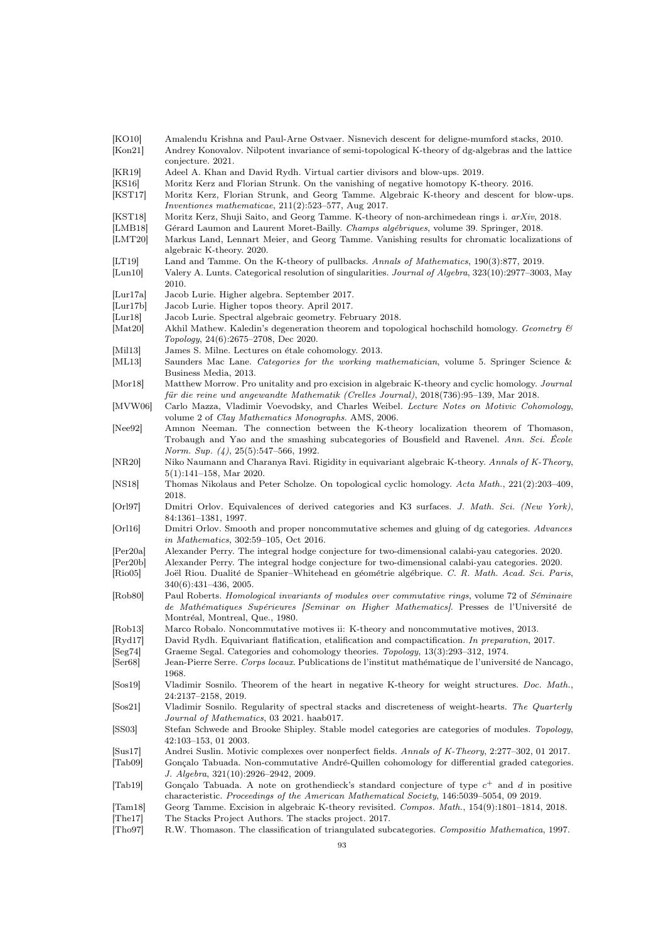<span id="page-92-12"></span><span id="page-92-11"></span><span id="page-92-10"></span><span id="page-92-9"></span><span id="page-92-8"></span><span id="page-92-7"></span><span id="page-92-6"></span><span id="page-92-5"></span><span id="page-92-4"></span><span id="page-92-3"></span><span id="page-92-2"></span><span id="page-92-1"></span><span id="page-92-0"></span>

| [KO10]<br>[Kon21]             | Amalendu Krishna and Paul-Arne Ostvaer. Nisnevich descent for deligne-mumford stacks, 2010.<br>Andrey Konovalov. Nilpotent invariance of semi-topological K-theory of dg-algebras and the lattice<br>conjecture. 2021. |
|-------------------------------|------------------------------------------------------------------------------------------------------------------------------------------------------------------------------------------------------------------------|
| [KR19]                        | Adeel A. Khan and David Rydh. Virtual cartier divisors and blow-ups. 2019.                                                                                                                                             |
|                               |                                                                                                                                                                                                                        |
| [KS16]                        | Moritz Kerz and Florian Strunk. On the vanishing of negative homotopy K-theory. 2016.                                                                                                                                  |
| [KST17]                       | Moritz Kerz, Florian Strunk, and Georg Tamme. Algebraic K-theory and descent for blow-ups.                                                                                                                             |
|                               | Inventiones mathematicae, $211(2):523-577$ , Aug $2017$ .                                                                                                                                                              |
| [KST18]                       | Moritz Kerz, Shuji Saito, and Georg Tamme. K-theory of non-archimedean rings i. arXiv, 2018.                                                                                                                           |
| LMB18                         | Gérard Laumon and Laurent Moret-Bailly. Champs algébriques, volume 39. Springer, 2018.                                                                                                                                 |
| [LMT20]                       | Markus Land, Lennart Meier, and Georg Tamme. Vanishing results for chromatic localizations of                                                                                                                          |
|                               | algebraic K-theory. 2020.                                                                                                                                                                                              |
|                               |                                                                                                                                                                                                                        |
| LT19                          | Land and Tamme. On the K-theory of pullbacks. Annals of Mathematics, 190(3):877, 2019.                                                                                                                                 |
| $\left[$ Lun $10\right]$      | Valery A. Lunts. Categorical resolution of singularities. Journal of Algebra, 323(10):2977-3003, May                                                                                                                   |
|                               | 2010.                                                                                                                                                                                                                  |
| Lur17a                        | Jacob Lurie. Higher algebra. September 2017.                                                                                                                                                                           |
| Lur17b                        | Jacob Lurie. Higher topos theory. April 2017.                                                                                                                                                                          |
| Lur18                         | Jacob Lurie. Spectral algebraic geometry. February 2018.                                                                                                                                                               |
|                               | Akhil Mathew. Kaledin's degeneration theorem and topological hochschild homology. Geometry $\mathcal C$                                                                                                                |
| Mat20                         |                                                                                                                                                                                                                        |
|                               | <i>Topology</i> , 24(6):2675–2708, Dec 2020.                                                                                                                                                                           |
| $\vert$ Mil13 $\vert$         | James S. Milne. Lectures on étale cohomology. 2013.                                                                                                                                                                    |
| [ML13]                        | Saunders Mac Lane. Categories for the working mathematician, volume 5. Springer Science &                                                                                                                              |
|                               | Business Media, 2013.                                                                                                                                                                                                  |
| $\vert \text{Mor} 18 \vert$   | Matthew Morrow. Pro unitality and pro excision in algebraic K-theory and cyclic homology. Journal                                                                                                                      |
|                               | für die reine und angewandte Mathematik (Crelles Journal), 2018(736):95–139, Mar 2018.                                                                                                                                 |
|                               | Carlo Mazza, Vladimir Voevodsky, and Charles Weibel. Lecture Notes on Motivic Cohomology,                                                                                                                              |
| MVM06                         |                                                                                                                                                                                                                        |
|                               | volume 2 of <i>Clay Mathematics Monographs</i> . AMS, 2006.                                                                                                                                                            |
| [Nee92]                       | Amnon Neeman. The connection between the K-theory localization theorem of Thomason,                                                                                                                                    |
|                               | Trobaugh and Yao and the smashing subcategories of Bousfield and Ravenel. Ann. Sci. Ecole                                                                                                                              |
|                               | Norm. Sup. $(4)$ , 25 $(5):547-566$ , 1992.                                                                                                                                                                            |
| [NR20]                        | Niko Naumann and Charanya Ravi. Rigidity in equivariant algebraic K-theory. Annals of K-Theory,                                                                                                                        |
|                               | $5(1):141-158$ , Mar 2020.                                                                                                                                                                                             |
|                               |                                                                                                                                                                                                                        |
| [NS18]                        | Thomas Nikolaus and Peter Scholze. On topological cyclic homology. Acta Math., 221(2):203–409,                                                                                                                         |
|                               | 2018.                                                                                                                                                                                                                  |
| Orl97                         | Dmitri Orlov. Equivalences of derived categories and K3 surfaces. J. Math. Sci. (New York),                                                                                                                            |
|                               | 84:1361-1381, 1997.                                                                                                                                                                                                    |
| Orl16                         | Dmitri Orlov. Smooth and proper noncommutative schemes and gluing of dg categories. Advances                                                                                                                           |
|                               | <i>in Mathematics</i> , 302:59–105, Oct 2016.                                                                                                                                                                          |
| Per20a                        | Alexander Perry. The integral hodge conjecture for two-dimensional calabi-yau categories. 2020.                                                                                                                        |
| $\left \text{Per20b}\right $  | Alexander Perry. The integral hodge conjecture for two-dimensional calabi-yau categories. 2020.                                                                                                                        |
|                               |                                                                                                                                                                                                                        |
| $\vert$ Rio05 $\vert$         | Joël Riou. Dualité de Spanier-Whitehead en géométrie algébrique. C. R. Math. Acad. Sci. Paris,                                                                                                                         |
|                               | $340(6):431-436, 2005.$                                                                                                                                                                                                |
| [Rob80]                       | Paul Roberts. <i>Homological invariants of modules over commutative rings</i> , volume 72 of <i>Séminaire</i>                                                                                                          |
|                               | de Mathématiques Supérieures [Seminar on Higher Mathematics]. Presses de l'Université de                                                                                                                               |
|                               | Montréal, Montreal, Que., 1980.                                                                                                                                                                                        |
| Rob13                         | Marco Robalo. Noncommutative motives ii: K-theory and noncommutative motives, 2013.                                                                                                                                    |
|                               | David Rydh. Equivariant flatification, etalification and compactification. In preparation, 2017.                                                                                                                       |
| $\left[\mathrm{Ryd17}\right]$ |                                                                                                                                                                                                                        |
| [Seg74]                       | Graeme Segal. Categories and cohomology theories. Topology, 13(3):293-312, 1974.                                                                                                                                       |
| $\left[$ Ser $68\right]$      | Jean-Pierre Serre. <i>Corps locaux</i> . Publications de l'institut mathématique de l'université de Nancago,                                                                                                           |
|                               | 1968.                                                                                                                                                                                                                  |
| $\left[\text{Sos}19\right]$   | Vladimir Sosnilo. Theorem of the heart in negative K-theory for weight structures. Doc. Math.,                                                                                                                         |
|                               | 24:2137-2158, 2019.                                                                                                                                                                                                    |
| $\left[\text{Sos}21\right]$   | Vladimir Sosnilo. Regularity of spectral stacks and discreteness of weight-hearts. The Quarterly                                                                                                                       |
|                               |                                                                                                                                                                                                                        |
|                               | Journal of Mathematics, 03 2021. haab017.                                                                                                                                                                              |
| [SS03]                        | Stefan Schwede and Brooke Shipley. Stable model categories are categories of modules. Topology,                                                                                                                        |
|                               | $42:103-153, 012003.$                                                                                                                                                                                                  |
| Sus17                         | Andrei Suslin. Motivic complexes over nonperfect fields. Annals of K-Theory, 2:277-302, 01 2017.                                                                                                                       |
| [Tab09]                       | Gonçalo Tabuada. Non-commutative André-Quillen cohomology for differential graded categories.                                                                                                                          |
|                               | J. Algebra, 321(10):2926-2942, 2009.                                                                                                                                                                                   |
| $ {\rm Tab19} $               | Gonçalo Tabuada. A note on grothendieck's standard conjecture of type $c^+$ and d in positive                                                                                                                          |
|                               |                                                                                                                                                                                                                        |
|                               | characteristic. Proceedings of the American Mathematical Society, 146:5039-5054, 09 2019.                                                                                                                              |
| $\vert \text{Tam18} \vert$    | Georg Tamme. Excision in algebraic K-theory revisited. Compos. Math., 154(9):1801-1814, 2018.                                                                                                                          |
| $ {\rm The}17 $               | The Stacks Project Authors. The stacks project. 2017.                                                                                                                                                                  |
| $[\text{Tho97}]$              | R.W. Thomason. The classification of triangulated subcategories. Compositio Mathematica, 1997.                                                                                                                         |